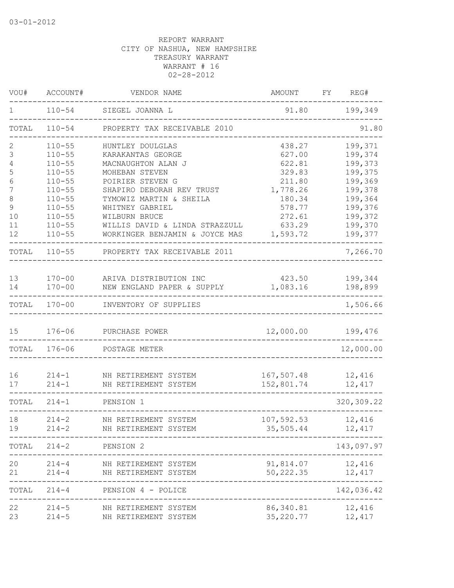| VOU#          | ACCOUNT#   | VENDOR NAME                    | AMOUNT     | FY REG#     |
|---------------|------------|--------------------------------|------------|-------------|
| 1             |            | 110-54 SIEGEL JOANNA L         | 91.80      | 199,349     |
| TOTAL         | $110 - 54$ | PROPERTY TAX RECEIVABLE 2010   |            | 91.80       |
| 2             | $110 - 55$ | HUNTLEY DOULGLAS               | 438.27     | 199,371     |
| 3             | $110 - 55$ | KARAKANTAS GEORGE              | 627.00     | 199,374     |
| 4             | $110 - 55$ | MACNAUGHTON ALAN J             | 622.81     | 199,373     |
| 5             | $110 - 55$ | MOHEBAN STEVEN                 | 329.83     | 199,375     |
| 6             | $110 - 55$ | POIRIER STEVEN G               | 211.80     | 199,369     |
| 7             | $110 - 55$ | SHAPIRO DEBORAH REV TRUST      | 1,778.26   | 199,378     |
| 8             | $110 - 55$ | TYMOWIZ MARTIN & SHEILA        | 180.34     | 199,364     |
| $\mathcal{G}$ | $110 - 55$ | WHITNEY GABRIEL                | 578.77     | 199,376     |
| 10            | $110 - 55$ | WILBURN BRUCE                  | 272.61     | 199,372     |
| 11            | $110 - 55$ | WILLIS DAVID & LINDA STRAZZULL | 633.29     | 199,370     |
| 12            | $110 - 55$ | WORKINGER BENJAMIN & JOYCE MAS | 1,593.72   | 199,377     |
| TOTAL         | $110 - 55$ | PROPERTY TAX RECEIVABLE 2011   |            | 7,266.70    |
|               |            |                                |            |             |
| 13            | $170 - 00$ | ARIVA DISTRIBUTION INC         | 423.50     | 199,344     |
| 14            | $170 - 00$ | NEW ENGLAND PAPER & SUPPLY     | 1,083.16   | 198,899     |
| TOTAL         | $170 - 00$ | INVENTORY OF SUPPLIES          |            | 1,506.66    |
| 15            | $176 - 06$ | PURCHASE POWER                 | 12,000.00  | 199,476     |
| TOTAL         | 176-06     | POSTAGE METER                  |            | 12,000.00   |
| 16            | $214 - 1$  | NH RETIREMENT SYSTEM           | 167,507.48 | 12,416      |
| 17            | $214 - 1$  | NH RETIREMENT SYSTEM           | 152,801.74 | 12,417      |
| TOTAL         | $214 - 1$  | PENSION 1                      |            | 320, 309.22 |
| 18            | $214 - 2$  | NH RETIREMENT SYSTEM           | 107,592.53 | 12,416      |
| 19            | $214 - 2$  | NH RETIREMENT SYSTEM           | 35,505.44  | 12,417      |
| TOTAL         | $214 - 2$  | PENSION 2                      |            | 143,097.97  |
| 20            | $214 - 4$  | NH RETIREMENT SYSTEM           | 91,814.07  | 12,416      |
| 21            | $214 - 4$  | NH RETIREMENT SYSTEM           | 50,222.35  | 12,417      |
| TOTAL         | $214 - 4$  | PENSION 4 - POLICE             |            | 142,036.42  |
| 22            | $214 - 5$  | NH RETIREMENT SYSTEM           | 86,340.81  | 12,416      |
| 23            | $214 - 5$  | NH RETIREMENT SYSTEM           | 35,220.77  | 12,417      |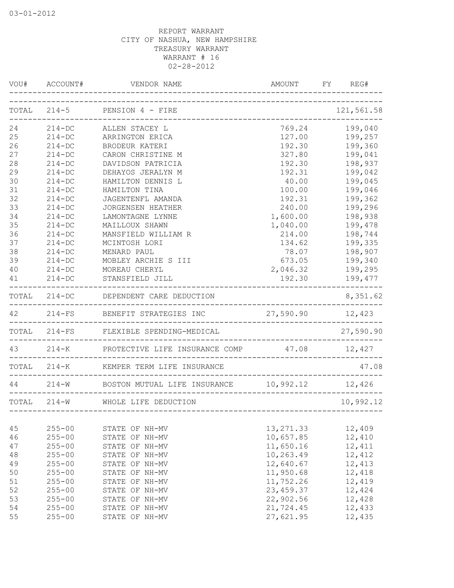|    |            | VOU# ACCOUNT# VENDOR NAME                              | AMOUNT FY REG# |            |
|----|------------|--------------------------------------------------------|----------------|------------|
|    |            | TOTAL 214-5 PENSION 4 - FIRE                           |                | 121,561.58 |
| 24 |            | 214-DC ALLEN STACEY L                                  | 769.24         | 199,040    |
| 25 | $214 - DC$ | ARRINGTON ERICA                                        | 127.00         | 199,257    |
| 26 | $214 - DC$ | BRODEUR KATERI                                         | 192.30         | 199,360    |
| 27 | $214 - DC$ | CARON CHRISTINE M                                      | 327.80         | 199,041    |
| 28 | $214-DC$   | DAVIDSON PATRICIA                                      | 192.30         | 198,937    |
| 29 | $214 - DC$ | DEHAYOS JERALYN M                                      | 192.31         | 199,042    |
| 30 | $214 - DC$ | HAMILTON DENNIS L                                      | 40.00          | 199,045    |
| 31 | $214 - DC$ | HAMILTON TINA                                          | 100.00         | 199,046    |
| 32 | $214 - DC$ | JAGENTENFL AMANDA                                      | 192.31         | 199,362    |
| 33 | $214 - DC$ | JORGENSEN HEATHER                                      | 240.00         | 199,296    |
| 34 | $214 - DC$ | LAMONTAGNE LYNNE                                       | 1,600.00       | 198,938    |
| 35 | $214 - DC$ | MAILLOUX SHAWN                                         | 1,040.00       | 199,478    |
| 36 | $214 - DC$ | MANSFIELD WILLIAM R                                    | 214.00         | 198,744    |
| 37 | $214 - DC$ | MCINTOSH LORI                                          | 134.62         | 199,335    |
| 38 | $214 - DC$ | MENARD PAUL                                            | 78.07          | 198,907    |
| 39 | $214 - DC$ | MOBLEY ARCHIE S III                                    | 673.05         | 199,340    |
| 40 | $214 - DC$ | MOREAU CHERYL                                          | 2,046.32       | 199,295    |
| 41 |            | 214-DC STANSFIELD JILL                                 | 192.30         | 199,477    |
|    |            | TOTAL 214-DC DEPENDENT CARE DEDUCTION                  |                | 8,351.62   |
|    |            | 42 214-FS BENEFIT STRATEGIES INC 27,590.90 12,423      |                |            |
|    |            | TOTAL 214-FS FLEXIBLE SPENDING-MEDICAL                 |                | 27,590.90  |
|    |            | 43 214-K PROTECTIVE LIFE INSURANCE COMP 47.08 12,427   |                |            |
|    |            | TOTAL 214-K KEMPER TERM LIFE INSURANCE                 |                | 47.08      |
|    |            | 44 214-W BOSTON MUTUAL LIFE INSURANCE 10,992.12 12,426 |                |            |
|    |            | TOTAL 214-W WHOLE LIFE DEDUCTION                       |                | 10,992.12  |
|    |            |                                                        |                |            |
| 45 | $255 - 00$ | STATE OF NH-MV                                         | 13, 271.33     | 12,409     |
| 46 | $255 - 00$ | STATE OF NH-MV                                         | 10,657.85      | 12,410     |
| 47 | $255 - 00$ | STATE OF NH-MV                                         | 11,650.16      | 12,411     |
| 48 | $255 - 00$ | STATE OF NH-MV                                         | 10,263.49      | 12,412     |
| 49 | $255 - 00$ | STATE OF NH-MV                                         | 12,640.67      | 12,413     |
| 50 | $255 - 00$ | STATE OF NH-MV                                         | 11,950.68      | 12,418     |
| 51 | $255 - 00$ | STATE OF NH-MV                                         | 11,752.26      | 12,419     |
| 52 | $255 - 00$ | STATE OF NH-MV                                         | 23, 459.37     | 12,424     |
| 53 | $255 - 00$ | STATE OF NH-MV                                         | 22,902.56      | 12,428     |
| 54 | $255 - 00$ | STATE OF NH-MV                                         | 21,724.45      | 12,433     |
| 55 | $255 - 00$ | STATE OF NH-MV                                         | 27,621.95      | 12,435     |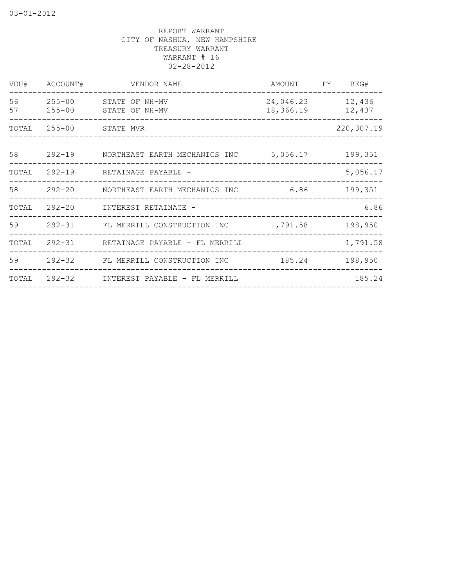| VOU#     | ACCOUNT#                 | VENDOR NAME                             | AMOUNT                 | FY | REG#             |
|----------|--------------------------|-----------------------------------------|------------------------|----|------------------|
| 56<br>57 | $255 - 00$<br>$255 - 00$ | STATE OF NH-MV<br>STATE OF NH-MV        | 24,046.23<br>18,366.19 |    | 12,436<br>12,437 |
| TOTAL    | 255-00 STATE MVR         |                                         |                        |    | 220,307.19       |
| 58       | $292 - 19$               | NORTHEAST EARTH MECHANICS INC           | 5,056.17               |    | 199,351          |
| TOTAL    | $292 - 19$               | RETAINAGE PAYABLE -                     |                        |    | 5,056.17         |
|          |                          | 58 292-20 NORTHEAST EARTH MECHANICS INC | 6.86                   |    | 199,351          |
|          |                          | TOTAL 292-20 INTEREST RETAINAGE -       |                        |    | 6.86             |
|          |                          | 59 292-31 FL MERRILL CONSTRUCTION INC   | 1,791.58               |    | 198,950          |
| TOTAL    |                          | 292-31 RETAINAGE PAYABLE - FL MERRILL   |                        |    | 1,791.58         |
| 59       | 292-32                   | FL MERRILL CONSTRUCTION INC             | 185.24                 |    | 198,950          |
| TOTAL    | 292-32                   | INTEREST PAYABLE - FL MERRILL           |                        |    | 185.24           |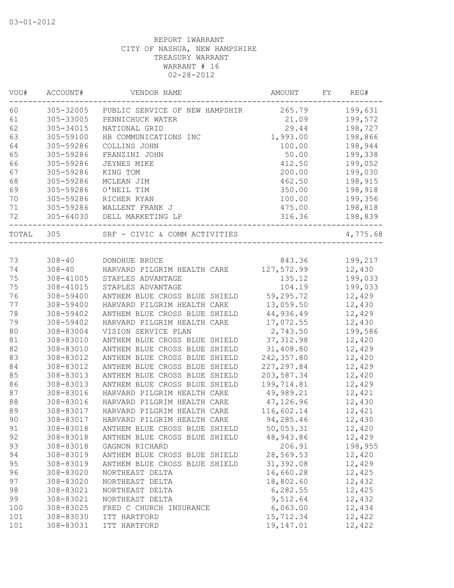| VOU#  | ACCOUNT#   | VENDOR NAME                                                 | AMOUNT      | FY | REG#     |
|-------|------------|-------------------------------------------------------------|-------------|----|----------|
| 60    | 305-32005  | PUBLIC SERVICE OF NEW HAMPSHIR                              | 265.79      |    | 199,631  |
| 61    | 305-33005  | PENNICHUCK WATER                                            | 21.09       |    | 199,572  |
| 62    | 305-34015  | NATIONAL GRID                                               | 29.44       |    | 198,727  |
| 63    | 305-59100  | HB COMMUNICATIONS INC                                       | 1,993.00    |    | 198,866  |
| 64    | 305-59286  | COLLINS JOHN                                                | 100.00      |    | 198,944  |
| 65    | 305-59286  | FRANZINI JOHN                                               | 50.00       |    | 199,338  |
| 66    | 305-59286  | JEYNES MIKE                                                 | 412.50      |    | 199,052  |
| 67    | 305-59286  | KING TOM                                                    | 200.00      |    | 199,030  |
| 68    | 305-59286  | MCLEAN JIM                                                  | 462.50      |    | 198,915  |
| 69    | 305-59286  | O'NEIL TIM                                                  | 350.00      |    | 198,918  |
| 70    | 305-59286  | RICHER RYAN                                                 | 100.00      |    | 199,356  |
| 71    | 305-59286  | WALLENT FRANK J                                             | 475.00      |    | 198,818  |
| 72    |            | 305-64030 DELL MARKETING LP                                 | 316.36      |    | 198,839  |
| TOTAL | 305        | SRF - CIVIC & COMM ACTIVITIES<br>__________________________ |             |    | 4,775.68 |
|       |            |                                                             |             |    |          |
| 73    | $308 - 40$ | DONOHUE BRUCE                                               | 843.36      |    | 199,217  |
| 74    | $308 - 40$ | HARVARD PILGRIM HEALTH CARE                                 | 127,572.99  |    | 12,430   |
| 75    | 308-41005  | STAPLES ADVANTAGE                                           | 135.12      |    | 199,033  |
| 75    | 308-41015  | STAPLES ADVANTAGE                                           | 104.19      |    | 199,033  |
| 76    | 308-59400  | ANTHEM BLUE CROSS BLUE SHIELD                               | 59,295.72   |    | 12,429   |
| 77    | 308-59400  | HARVARD PILGRIM HEALTH CARE                                 | 13,059.50   |    | 12,430   |
| 78    | 308-59402  | ANTHEM BLUE CROSS BLUE SHIELD                               | 44,936.49   |    | 12,429   |
| 79    | 308-59402  | HARVARD PILGRIM HEALTH CARE                                 | 17,072.55   |    | 12,430   |
| 80    | 308-83004  | VISION SERVICE PLAN                                         | 2,743.50    |    | 199,586  |
| 81    | 308-83010  | ANTHEM BLUE CROSS BLUE SHIELD                               | 37, 312.98  |    | 12,420   |
| 82    | 308-83010  | ANTHEM BLUE CROSS BLUE SHIELD                               | 31,408.80   |    | 12,429   |
| 83    | 308-83012  | ANTHEM BLUE CROSS BLUE SHIELD                               | 242,357.80  |    | 12,420   |
| 84    | 308-83012  | ANTHEM BLUE CROSS BLUE SHIELD                               | 227, 297.84 |    | 12,429   |
| 85    | 308-83013  | ANTHEM BLUE CROSS BLUE SHIELD                               | 203,587.34  |    | 12,420   |
| 86    | 308-83013  | ANTHEM BLUE CROSS BLUE SHIELD                               | 199,714.81  |    | 12,429   |
| 87    | 308-83016  | HARVARD PILGRIM HEALTH CARE                                 | 49,989.21   |    | 12,421   |
| 88    | 308-83016  | HARVARD PILGRIM HEALTH CARE                                 | 47,126.96   |    | 12,430   |
| 89    | 308-83017  | HARVARD PILGRIM HEALTH CARE                                 | 116,602.14  |    | 12,421   |
| 90    | 308-83017  | HARVARD PILGRIM HEALTH CARE                                 | 94,285.46   |    | 12,430   |
| 91    | 308-83018  | ANTHEM BLUE CROSS BLUE SHIELD                               | 50,053.31   |    | 12,420   |
| 92    | 308-83018  | ANTHEM BLUE CROSS BLUE SHIELD                               | 48,943.86   |    | 12,429   |
| 93    | 308-83018  | GAGNON RICHARD                                              | 206.91      |    | 198,955  |
| 94    | 308-83019  | ANTHEM BLUE CROSS BLUE SHIELD                               | 28,569.53   |    | 12,420   |
| 95    | 308-83019  | ANTHEM BLUE CROSS BLUE SHIELD                               | 31,392.08   |    | 12,429   |
| 96    | 308-83020  | NORTHEAST DELTA                                             | 16,660.28   |    | 12,425   |
| 97    | 308-83020  | NORTHEAST DELTA                                             | 18,802.60   |    | 12,432   |
| 98    | 308-83021  | NORTHEAST DELTA                                             | 6,282.55    |    | 12,425   |
| 99    | 308-83021  | NORTHEAST DELTA                                             | 9,512.64    |    | 12,432   |
| 100   | 308-83025  | FRED C CHURCH INSURANCE                                     | 6,063.00    |    | 12,434   |
| 101   | 308-83030  | ITT HARTFORD                                                | 15,712.34   |    | 12,422   |
| 101   | 308-83031  | ITT HARTFORD                                                | 19,147.01   |    | 12,422   |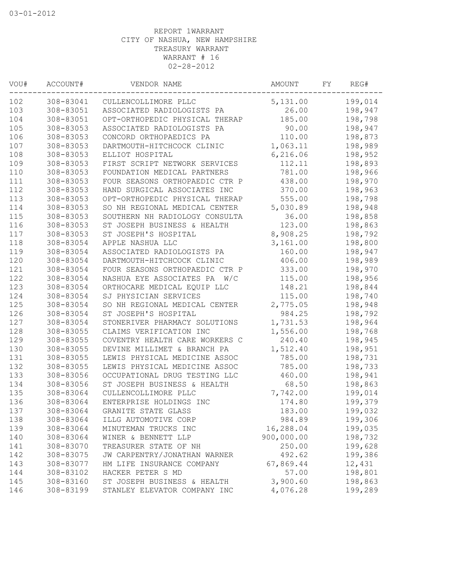| VOU# | ACCOUNT#  | VENDOR NAME                    | AMOUNT     | FY. | REG#    |
|------|-----------|--------------------------------|------------|-----|---------|
| 102  | 308-83041 | CULLENCOLLIMORE PLLC           | 5,131.00   |     | 199,014 |
| 103  | 308-83051 | ASSOCIATED RADIOLOGISTS PA     | 26.00      |     | 198,947 |
| 104  | 308-83051 | OPT-ORTHOPEDIC PHYSICAL THERAP | 185.00     |     | 198,798 |
| 105  | 308-83053 | ASSOCIATED RADIOLOGISTS PA     | 90.00      |     | 198,947 |
| 106  | 308-83053 | CONCORD ORTHOPAEDICS PA        | 110.00     |     | 198,873 |
| 107  | 308-83053 | DARTMOUTH-HITCHCOCK CLINIC     | 1,063.11   |     | 198,989 |
| 108  | 308-83053 | ELLIOT HOSPITAL                | 6,216.06   |     | 198,952 |
| 109  | 308-83053 | FIRST SCRIPT NETWORK SERVICES  | 112.11     |     | 198,893 |
| 110  | 308-83053 | FOUNDATION MEDICAL PARTNERS    | 781.00     |     | 198,966 |
| 111  | 308-83053 | FOUR SEASONS ORTHOPAEDIC CTR P | 438.00     |     | 198,970 |
| 112  | 308-83053 | HAND SURGICAL ASSOCIATES INC   | 370.00     |     | 198,963 |
| 113  | 308-83053 | OPT-ORTHOPEDIC PHYSICAL THERAP | 555.00     |     | 198,798 |
| 114  | 308-83053 | SO NH REGIONAL MEDICAL CENTER  | 5,030.89   |     | 198,948 |
| 115  | 308-83053 | SOUTHERN NH RADIOLOGY CONSULTA | 36.00      |     | 198,858 |
| 116  | 308-83053 | ST JOSEPH BUSINESS & HEALTH    | 123.00     |     | 198,863 |
| 117  | 308-83053 | ST JOSEPH'S HOSPITAL           | 8,908.25   |     | 198,792 |
| 118  | 308-83054 | APPLE NASHUA LLC               | 3,161.00   |     | 198,800 |
| 119  | 308-83054 | ASSOCIATED RADIOLOGISTS PA     | 160.00     |     | 198,947 |
| 120  | 308-83054 | DARTMOUTH-HITCHCOCK CLINIC     | 406.00     |     | 198,989 |
| 121  | 308-83054 | FOUR SEASONS ORTHOPAEDIC CTR P | 333.00     |     | 198,970 |
| 122  | 308-83054 | NASHUA EYE ASSOCIATES PA W/C   | 115.00     |     | 198,956 |
| 123  | 308-83054 | ORTHOCARE MEDICAL EQUIP LLC    | 148.21     |     | 198,844 |
| 124  | 308-83054 | SJ PHYSICIAN SERVICES          | 115.00     |     | 198,740 |
| 125  | 308-83054 | SO NH REGIONAL MEDICAL CENTER  | 2,775.05   |     | 198,948 |
| 126  | 308-83054 | ST JOSEPH'S HOSPITAL           | 984.25     |     | 198,792 |
| 127  | 308-83054 | STONERIVER PHARMACY SOLUTIONS  | 1,731.53   |     | 198,964 |
| 128  | 308-83055 | CLAIMS VERIFICATION INC        | 1,556.00   |     | 198,768 |
| 129  | 308-83055 | COVENTRY HEALTH CARE WORKERS C | 240.40     |     | 198,945 |
| 130  | 308-83055 | DEVINE MILLIMET & BRANCH PA    | 1,512.40   |     | 198,951 |
| 131  | 308-83055 | LEWIS PHYSICAL MEDICINE ASSOC  | 785.00     |     | 198,731 |
| 132  | 308-83055 | LEWIS PHYSICAL MEDICINE ASSOC  | 785.00     |     | 198,733 |
| 133  | 308-83056 | OCCUPATIONAL DRUG TESTING LLC  | 460.00     |     | 198,941 |
| 134  | 308-83056 | ST JOSEPH BUSINESS & HEALTH    | 68.50      |     | 198,863 |
| 135  | 308-83064 | CULLENCOLLIMORE PLLC           | 7,742.00   |     | 199,014 |
| 136  | 308-83064 | ENTERPRISE HOLDINGS INC        | 174.80     |     | 199,379 |
| 137  | 308-83064 | GRANITE STATE GLASS            | 183.00     |     | 199,032 |
| 138  | 308-83064 | ILLG AUTOMOTIVE CORP           | 984.89     |     | 199,306 |
| 139  | 308-83064 | MINUTEMAN TRUCKS INC           | 16,288.04  |     | 199,035 |
| 140  | 308-83064 | WINER & BENNETT LLP            | 900,000.00 |     | 198,732 |
| 141  | 308-83070 | TREASURER STATE OF NH          | 250.00     |     | 199,628 |
| 142  | 308-83075 | JW CARPENTRY/JONATHAN WARNER   | 492.62     |     | 199,386 |
| 143  | 308-83077 | HM LIFE INSURANCE COMPANY      | 67,869.44  |     | 12,431  |
| 144  | 308-83102 | HACKER PETER S MD              | 57.00      |     | 198,801 |
| 145  | 308-83160 | ST JOSEPH BUSINESS & HEALTH    | 3,900.60   |     | 198,863 |
| 146  | 308-83199 | STANLEY ELEVATOR COMPANY INC   | 4,076.28   |     | 199,289 |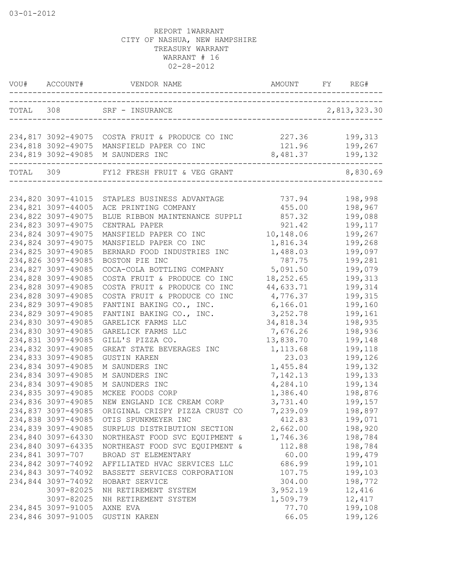| VOU#      |                    |                                                 |           | REG#                 |
|-----------|--------------------|-------------------------------------------------|-----------|----------------------|
|           |                    | TOTAL 308 SRF - INSURANCE                       |           | 2,813,323.30         |
|           |                    | 234,817 3092-49075 COSTA FRUIT & PRODUCE CO INC | 227.36    | 199,313              |
|           |                    | 234,818 3092-49075 MANSFIELD PAPER CO INC       | 121.96    | 199,267              |
|           |                    | 234,819 3092-49085 M SAUNDERS INC               | 8,481.37  | 199,132              |
| TOTAL 309 |                    | FY12 FRESH FRUIT & VEG GRANT                    |           | $------$<br>8,830.69 |
|           |                    |                                                 |           |                      |
|           | 234,820 3097-41015 | STAPLES BUSINESS ADVANTAGE                      | 737.94    | 198,998              |
|           | 234,821 3097-44005 | ACE PRINTING COMPANY                            | 455.00    | 198,967              |
|           | 234,822 3097-49075 | BLUE RIBBON MAINTENANCE SUPPLI                  | 857.32    | 199,088              |
|           | 234,823 3097-49075 | CENTRAL PAPER                                   | 921.42    | 199,117              |
|           | 234,824 3097-49075 | MANSFIELD PAPER CO INC                          | 10,148.06 | 199,267              |
|           | 234,824 3097-49075 | MANSFIELD PAPER CO INC                          | 1,816.34  | 199,268              |
|           | 234,825 3097-49085 | BERNARD FOOD INDUSTRIES INC                     | 1,488.03  | 199,097              |
|           | 234,826 3097-49085 | BOSTON PIE INC                                  | 787.75    | 199,281              |
|           | 234,827 3097-49085 | COCA-COLA BOTTLING COMPANY                      | 5,091.50  | 199,079              |
|           | 234,828 3097-49085 | COSTA FRUIT & PRODUCE CO INC                    | 18,252.65 | 199,313              |
|           | 234,828 3097-49085 | COSTA FRUIT & PRODUCE CO INC                    | 44,633.71 | 199,314              |
|           | 234,828 3097-49085 | COSTA FRUIT & PRODUCE CO INC                    | 4,776.37  | 199,315              |
|           | 234,829 3097-49085 | FANTINI BAKING CO., INC.                        | 6,166.01  | 199,160              |
|           | 234,829 3097-49085 | FANTINI BAKING CO., INC.                        | 3, 252.78 | 199,161              |
|           | 234,830 3097-49085 | GARELICK FARMS LLC                              | 34,818.34 | 198,935              |
|           | 234,830 3097-49085 | GARELICK FARMS LLC                              | 7,676.26  | 198,936              |
|           | 234,831 3097-49085 | GILL'S PIZZA CO.                                | 13,838.70 | 199,148              |
|           | 234,832 3097-49085 | GREAT STATE BEVERAGES INC                       | 1,113.68  | 199,118              |
|           | 234,833 3097-49085 | <b>GUSTIN KAREN</b>                             | 23.03     | 199,126              |
|           | 234,834 3097-49085 | M SAUNDERS INC                                  | 1,455.84  | 199,132              |
|           | 234,834 3097-49085 | M SAUNDERS INC                                  | 7,142.13  | 199,133              |
|           | 234,834 3097-49085 | M SAUNDERS INC                                  | 4,284.10  | 199,134              |
|           | 234,835 3097-49085 | MCKEE FOODS CORP                                | 1,386.40  | 198,876              |
|           | 234,836 3097-49085 | NEW ENGLAND ICE CREAM CORP                      | 3,731.40  | 199,157              |
|           | 234,837 3097-49085 | ORIGINAL CRISPY PIZZA CRUST CO                  | 7,239.09  | 198,897              |
|           | 234,838 3097-49085 | OTIS SPUNKMEYER INC                             | 412.83    | 199,071              |
|           | 234,839 3097-49085 | SURPLUS DISTRIBUTION SECTION                    | 2,662.00  | 198,920              |
|           | 234,840 3097-64330 | NORTHEAST FOOD SVC EQUIPMENT &                  | 1,746.36  | 198,784              |
|           | 234,840 3097-64335 | NORTHEAST FOOD SVC EQUIPMENT &                  | 112.88    | 198,784              |
|           | 234,841 3097-707   | BROAD ST ELEMENTARY                             | 60.00     | 199,479              |
|           | 234,842 3097-74092 | AFFILIATED HVAC SERVICES LLC                    | 686.99    | 199,101              |
|           | 234,843 3097-74092 | BASSETT SERVICES CORPORATION                    | 107.75    | 199,103              |
|           | 234,844 3097-74092 | HOBART SERVICE                                  | 304.00    | 198,772              |
|           | 3097-82025         | NH RETIREMENT SYSTEM                            | 3,952.19  | 12,416               |
|           | 3097-82025         | NH RETIREMENT SYSTEM                            | 1,509.79  | 12,417               |
|           | 234,845 3097-91005 | AXNE EVA                                        | 77.70     | 199,108              |
|           | 234,846 3097-91005 | GUSTIN KAREN                                    | 66.05     | 199,126              |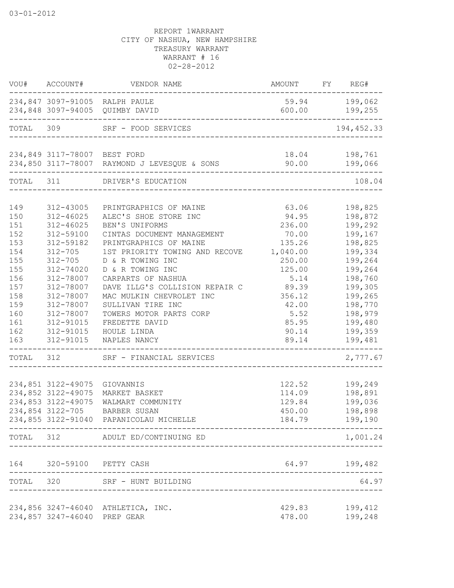|           |                                                    | VOU# ACCOUNT# VENDOR NAME                                         | AMOUNT FY REG# |                                   |
|-----------|----------------------------------------------------|-------------------------------------------------------------------|----------------|-----------------------------------|
|           |                                                    | 234,847 3097-91005 RALPH PAULE<br>234,848 3097-94005 QUIMBY DAVID |                | 59.94 199,062<br>$600.00$ 199,255 |
| TOTAL 309 |                                                    | SRF - FOOD SERVICES<br>------------------------                   |                | 194, 452.33                       |
|           | 234,849 3117-78007 BEST FORD                       |                                                                   |                | 18.04    198,761                  |
|           |                                                    | 234,850 3117-78007 RAYMOND J LEVESQUE & SONS                      | 90.00          | 199,066                           |
|           |                                                    | TOTAL 311 DRIVER'S EDUCATION                                      |                | 108.04                            |
|           |                                                    |                                                                   |                |                                   |
| 149       | 312-43005                                          | PRINTGRAPHICS OF MAINE                                            | 63.06          | 198,825                           |
| 150       | 312-46025                                          | ALEC'S SHOE STORE INC                                             | 94.95          | 198,872                           |
| 151       | $312 - 46025$                                      | BEN'S UNIFORMS                                                    | 236.00         | 199,292                           |
| 152       | 312-59100                                          | CINTAS DOCUMENT MANAGEMENT                                        | 70.00          | 199,167                           |
| 153       | 312-59182                                          | PRINTGRAPHICS OF MAINE                                            | 135.26         | 198,825                           |
| 154       | $312 - 705$                                        | 1ST PRIORITY TOWING AND RECOVE                                    | 1,040.00       | 199,334                           |
| 155       | $312 - 705$                                        | D & R TOWING INC                                                  | 250.00         | 199,264                           |
| 155       | 312-74020                                          | D & R TOWING INC                                                  | 125.00         | 199,264                           |
| 156       | 312-78007                                          | CARPARTS OF NASHUA                                                | 5.14           | 198,760                           |
| 157       | 312-78007                                          | DAVE ILLG'S COLLISION REPAIR C                                    | 89.39          | 199,305                           |
| 158       | 312-78007                                          | MAC MULKIN CHEVROLET INC                                          | 356.12         | 199,265                           |
| 159       | 312-78007                                          | SULLIVAN TIRE INC                                                 | 42.00          | 198,770                           |
| 160       | 312-78007                                          | TOWERS MOTOR PARTS CORP                                           | 5.52           | 198,979                           |
| 161       | 312-91015                                          | FREDETTE DAVID                                                    | 85.95          | 199,480                           |
| 162       | 312-91015                                          | HOULE LINDA                                                       | 90.14          | 199,359                           |
| 163       | 312-91015                                          | NAPLES NANCY<br>---------------------------------                 | 89.14          | 199,481<br>_________________      |
|           |                                                    | TOTAL 312 SRF - FINANCIAL SERVICES                                |                | 2,777.67                          |
|           |                                                    |                                                                   |                |                                   |
|           | 234,851 3122-49075 GIOVANNIS<br>234,852 3122-49075 |                                                                   | 122.52         | 199,249                           |
|           |                                                    | MARKET BASKET                                                     | 114.09         | 198,891                           |
|           | 234,853 3122-49075                                 | WALMART COMMUNITY                                                 | 129.84         | 199,036                           |
|           | 234,854 3122-705                                   | BARBER SUSAN                                                      | 450.00         | 198,898                           |
|           |                                                    | 234,855 3122-91040 PAPANICOLAU MICHELLE                           |                | 184.79 199,190                    |
|           |                                                    | TOTAL 312 ADULT ED/CONTINUING ED                                  |                | 1,001.24                          |
|           |                                                    | 164 320-59100 PETTY CASH                                          |                | 64.97 199,482                     |
|           |                                                    | TOTAL 320 SRF - HUNT BUILDING                                     |                | 64.97                             |
|           |                                                    | 234,856 3247-46040 ATHLETICA, INC.                                | 429.83         | 199,412                           |
|           | 234,857 3247-46040 PREP GEAR                       |                                                                   | 478.00         | 199,248                           |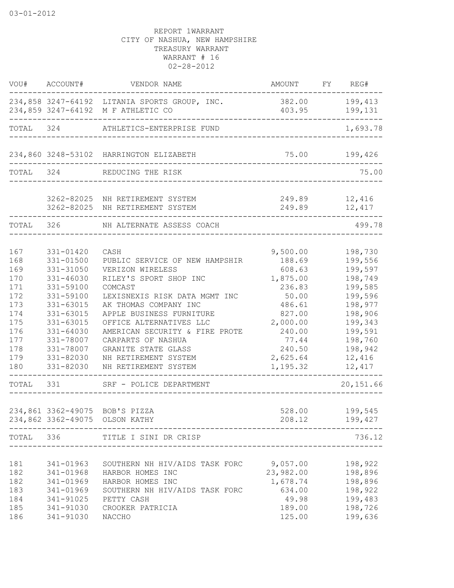|                                                                                                             | VOU# ACCOUNT#                                                                                                                                                                      | VENDOR NAME                                                                                                                                                                                                                                                                                                                                                                                                                      | AMOUNT                                                                                                                                           | FY REG#                                                                                                                                                           |
|-------------------------------------------------------------------------------------------------------------|------------------------------------------------------------------------------------------------------------------------------------------------------------------------------------|----------------------------------------------------------------------------------------------------------------------------------------------------------------------------------------------------------------------------------------------------------------------------------------------------------------------------------------------------------------------------------------------------------------------------------|--------------------------------------------------------------------------------------------------------------------------------------------------|-------------------------------------------------------------------------------------------------------------------------------------------------------------------|
|                                                                                                             |                                                                                                                                                                                    | 234,858 3247-64192 LITANIA SPORTS GROUP, INC.<br>234,859 3247-64192 M F ATHLETIC CO                                                                                                                                                                                                                                                                                                                                              | 382.00<br>403.95                                                                                                                                 | 199,413<br>199,131                                                                                                                                                |
| TOTAL 324                                                                                                   |                                                                                                                                                                                    | ATHLETICS-ENTERPRISE FUND                                                                                                                                                                                                                                                                                                                                                                                                        |                                                                                                                                                  | 1,693.78                                                                                                                                                          |
|                                                                                                             |                                                                                                                                                                                    | 234,860 3248-53102 HARRINGTON ELIZABETH                                                                                                                                                                                                                                                                                                                                                                                          | 75.00                                                                                                                                            | 199,426                                                                                                                                                           |
| TOTAL 324                                                                                                   |                                                                                                                                                                                    | REDUCING THE RISK                                                                                                                                                                                                                                                                                                                                                                                                                | _________________________                                                                                                                        | 75.00                                                                                                                                                             |
|                                                                                                             |                                                                                                                                                                                    | 3262-82025 NH RETIREMENT SYSTEM<br>3262-82025 NH RETIREMENT SYSTEM                                                                                                                                                                                                                                                                                                                                                               | 249.89<br>249.89                                                                                                                                 | 12,416<br>12,417                                                                                                                                                  |
| TOTAL 326                                                                                                   |                                                                                                                                                                                    | NH ALTERNATE ASSESS COACH                                                                                                                                                                                                                                                                                                                                                                                                        |                                                                                                                                                  | 499.78                                                                                                                                                            |
| 167<br>168<br>169<br>170<br>171<br>172<br>173<br>174<br>175<br>176<br>177<br>178<br>179<br>180<br>TOTAL 331 | 331-01420<br>331-01500<br>331-31050<br>331-46030<br>331-59100<br>331-59100<br>331-63015<br>331-63015<br>331-63015<br>331-64030<br>331-78007<br>331-78007<br>331-82030<br>331-82030 | CASH<br>PUBLIC SERVICE OF NEW HAMPSHIR<br>VERIZON WIRELESS<br>RILEY'S SPORT SHOP INC<br>COMCAST<br>LEXISNEXIS RISK DATA MGMT INC<br>AK THOMAS COMPANY INC<br>APPLE BUSINESS FURNITURE<br>OFFICE ALTERNATIVES LLC<br>AMERICAN SECURITY & FIRE PROTE<br>CARPARTS OF NASHUA<br>GRANITE STATE GLASS<br>NH RETIREMENT SYSTEM<br>NH RETIREMENT SYSTEM<br>____________________________<br>SRF - POLICE DEPARTMENT<br>------------------ | 9,500.00<br>188.69<br>608.63<br>1,875.00<br>236.83<br>50.00<br>486.61<br>827.00<br>2,000.00<br>240.00<br>77.44<br>240.50<br>2,625.64<br>1,195.32 | 198,730<br>199,556<br>199,597<br>198,749<br>199,585<br>199,596<br>198,977<br>198,906<br>199,343<br>199,591<br>198,760<br>198,942<br>12,416<br>12,417<br>20,151.66 |
|                                                                                                             |                                                                                                                                                                                    | 234,861 3362-49075 BOB'S PIZZA<br>234,862 3362-49075 OLSON KATHY                                                                                                                                                                                                                                                                                                                                                                 | 528.00                                                                                                                                           | 199,545<br>208.12 199,427                                                                                                                                         |
|                                                                                                             | _____________________<br>_______________________                                                                                                                                   | TOTAL 336 TITLE I SINI DR CRISP                                                                                                                                                                                                                                                                                                                                                                                                  |                                                                                                                                                  | 736.12                                                                                                                                                            |
| 181<br>182<br>182<br>183<br>184<br>185<br>186                                                               | 341-01963<br>341-01969<br>341-01969<br>341-91025<br>341-91030<br>341-91030                                                                                                         | SOUTHERN NH HIV/AIDS TASK FORC 9,057.00<br>341-01968 HARBOR HOMES INC<br>HARBOR HOMES INC<br>SOUTHERN NH HIV/AIDS TASK FORC<br>PETTY CASH<br>CROOKER PATRICIA<br>NACCHO                                                                                                                                                                                                                                                          | 23,982.00 198,896<br>1,678.74<br>634.00<br>49.98<br>189.00<br>125.00                                                                             | 198,922<br>198,896<br>198,922<br>199,483<br>198,726<br>199,636                                                                                                    |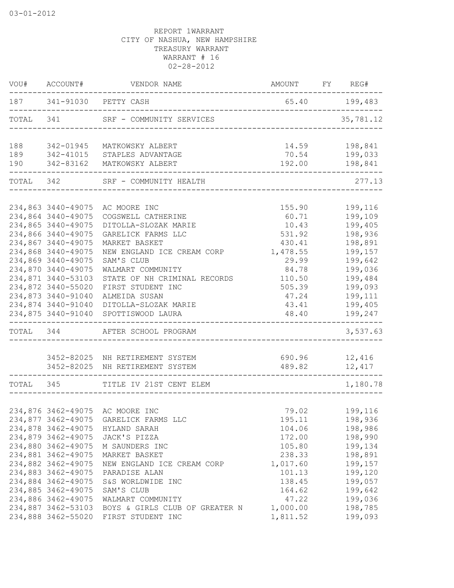| VOU#      | ACCOUNT#           | AMOUNT FY REG#<br>VENDOR NAME   |               |                          |
|-----------|--------------------|---------------------------------|---------------|--------------------------|
|           |                    | 187 341-91030 PETTY CASH        | 65.40 199,483 |                          |
| TOTAL 341 |                    | SRF - COMMUNITY SERVICES        |               | 35,781.12                |
| 188       | 342-01945          | MATKOWSKY ALBERT                | 14.59         | 198,841                  |
| 189       | 342-41015          | STAPLES ADVANTAGE               | 70.54         | 199,033                  |
| 190       | 342-83162          | MATKOWSKY ALBERT                | 192.00        | 198,841                  |
| TOTAL 342 |                    | SRF - COMMUNITY HEALTH          |               | 277.13                   |
|           |                    |                                 |               |                          |
|           | 234,863 3440-49075 | AC MOORE INC                    | 155.90        | 199,116                  |
|           | 234,864 3440-49075 | COGSWELL CATHERINE              | 60.71         | 199,109                  |
|           | 234,865 3440-49075 | DITOLLA-SLOZAK MARIE            | 10.43         | 199,405                  |
|           | 234,866 3440-49075 | GARELICK FARMS LLC              | 531.92        | 198,936                  |
|           | 234,867 3440-49075 | MARKET BASKET                   | 430.41        | 198,891                  |
|           | 234,868 3440-49075 | NEW ENGLAND ICE CREAM CORP      | 1,478.55      | 199,157                  |
|           | 234,869 3440-49075 | SAM'S CLUB                      | 29.99         | 199,642                  |
|           | 234,870 3440-49075 | WALMART COMMUNITY               | 84.78         | 199,036                  |
|           | 234,871 3440-53103 | STATE OF NH CRIMINAL RECORDS    | 110.50        | 199,484                  |
|           | 234,872 3440-55020 | FIRST STUDENT INC               | 505.39        | 199,093                  |
|           | 234,873 3440-91040 | ALMEIDA SUSAN                   | 47.24         | 199,111                  |
|           | 234,874 3440-91040 | DITOLLA-SLOZAK MARIE            | 43.41         | 199,405                  |
|           | 234,875 3440-91040 | SPOTTISWOOD LAURA               | 48.40         | 199,247<br>------------- |
|           |                    | TOTAL 344 AFTER SCHOOL PROGRAM  |               | 3,537.63                 |
|           |                    |                                 |               |                          |
|           |                    | 3452-82025 NH RETIREMENT SYSTEM | 690.96 12,416 |                          |
|           |                    | 3452-82025 NH RETIREMENT SYSTEM | 489.82 12,417 |                          |
| TOTAL 345 |                    | TITLE IV 21ST CENT ELEM         |               | 1,180.78                 |
|           |                    |                                 |               |                          |
|           |                    | 234,876 3462-49075 AC MOORE INC | 79.02         | 199,116                  |
|           | 234,877 3462-49075 | GARELICK FARMS LLC              | 195.11        | 198,936                  |
|           | 234,878 3462-49075 | HYLAND SARAH                    | 104.06        | 198,986                  |
|           | 234,879 3462-49075 | JACK'S PIZZA                    | 172.00        | 198,990                  |
|           | 234,880 3462-49075 | M SAUNDERS INC                  | 105.80        | 199,134                  |
|           | 234,881 3462-49075 | MARKET BASKET                   | 238.33        | 198,891                  |
|           | 234,882 3462-49075 | NEW ENGLAND ICE CREAM CORP      | 1,017.60      | 199,157                  |
|           | 234,883 3462-49075 | PARADISE ALAN                   | 101.13        | 199,120                  |
|           | 234,884 3462-49075 | S&S WORLDWIDE INC               | 138.45        | 199,057                  |
|           | 234,885 3462-49075 | SAM'S CLUB                      | 164.62        | 199,642                  |
|           | 234,886 3462-49075 | WALMART COMMUNITY               | 47.22         | 199,036                  |
|           | 234,887 3462-53103 | BOYS & GIRLS CLUB OF GREATER N  | 1,000.00      | 198,785                  |
|           | 234,888 3462-55020 | FIRST STUDENT INC               | 1,811.52      | 199,093                  |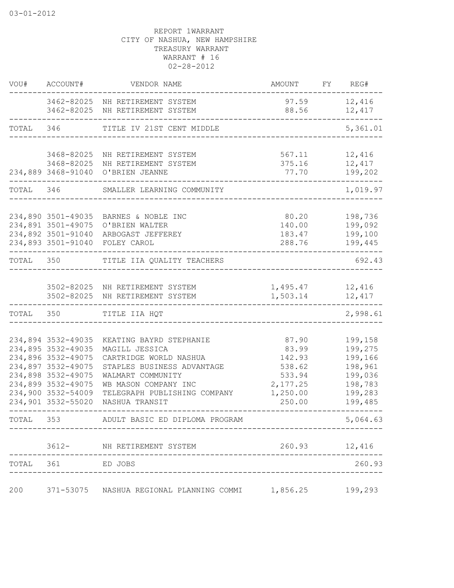| VOU#      | ACCOUNT#                                                                                                                                                                     | VENDOR NAME                                                                                                                                                                                      | AMOUNT                                                                         | FY | REG#                                                                                 |
|-----------|------------------------------------------------------------------------------------------------------------------------------------------------------------------------------|--------------------------------------------------------------------------------------------------------------------------------------------------------------------------------------------------|--------------------------------------------------------------------------------|----|--------------------------------------------------------------------------------------|
|           |                                                                                                                                                                              | 3462-82025 NH RETIREMENT SYSTEM<br>3462-82025 NH RETIREMENT SYSTEM                                                                                                                               | 97.59<br>88.56                                                                 |    | 12,416<br>12,417                                                                     |
| TOTAL     | 346                                                                                                                                                                          | TITLE IV 21ST CENT MIDDLE                                                                                                                                                                        |                                                                                |    | 5,361.01                                                                             |
|           | 3468-82025<br>3468-82025<br>234,889 3468-91040                                                                                                                               | NH RETIREMENT SYSTEM<br>NH RETIREMENT SYSTEM<br>O'BRIEN JEANNE                                                                                                                                   | 567.11<br>375.16<br>77.70                                                      |    | 12,416<br>12,417<br>199,202                                                          |
| TOTAL 346 |                                                                                                                                                                              | SMALLER LEARNING COMMUNITY                                                                                                                                                                       |                                                                                |    | 1,019.97                                                                             |
|           | 234,890 3501-49035<br>234,891 3501-49075<br>234,892 3501-91040<br>234,893 3501-91040                                                                                         | BARNES & NOBLE INC<br>O'BRIEN WALTER<br>ARBOGAST JEFFEREY<br>FOLEY CAROL                                                                                                                         | 80.20<br>140.00<br>183.47<br>288.76                                            |    | 198,736<br>199,092<br>199,100<br>199,445                                             |
| TOTAL 350 |                                                                                                                                                                              | TITLE IIA QUALITY TEACHERS                                                                                                                                                                       |                                                                                |    | 692.43                                                                               |
|           | 3502-82025                                                                                                                                                                   | 3502-82025 NH RETIREMENT SYSTEM<br>NH RETIREMENT SYSTEM                                                                                                                                          | 1,495.47<br>1,503.14                                                           |    | 12,416<br>12,417                                                                     |
| TOTAL     | 350                                                                                                                                                                          | TITLE IIA HQT                                                                                                                                                                                    |                                                                                |    | 2,998.61                                                                             |
|           | 234,894 3532-49035<br>234,895 3532-49035<br>234,896 3532-49075<br>234,897 3532-49075<br>234,898 3532-49075<br>234,899 3532-49075<br>234,900 3532-54009<br>234,901 3532-55020 | KEATING BAYRD STEPHANIE<br>MAGILL JESSICA<br>CARTRIDGE WORLD NASHUA<br>STAPLES BUSINESS ADVANTAGE<br>WALMART COMMUNITY<br>WB MASON COMPANY INC<br>TELEGRAPH PUBLISHING COMPANY<br>NASHUA TRANSIT | 87.90<br>83.99<br>142.93<br>538.62<br>533.94<br>2,177.25<br>1,250.00<br>250.00 |    | 199,158<br>199,275<br>199,166<br>198,961<br>199,036<br>198,783<br>199,283<br>199,485 |
| TOTAL     | 353                                                                                                                                                                          | ADULT BASIC ED DIPLOMA PROGRAM                                                                                                                                                                   |                                                                                |    | 5,064.63                                                                             |
|           |                                                                                                                                                                              | 3612- NH RETIREMENT SYSTEM                                                                                                                                                                       | 260.93                                                                         |    | 12,416                                                                               |
| TOTAL     | 361                                                                                                                                                                          | ED JOBS                                                                                                                                                                                          |                                                                                |    | 260.93                                                                               |
| 200       |                                                                                                                                                                              | 371-53075 NASHUA REGIONAL PLANNING COMMI                                                                                                                                                         | 1,856.25                                                                       |    | 199,293                                                                              |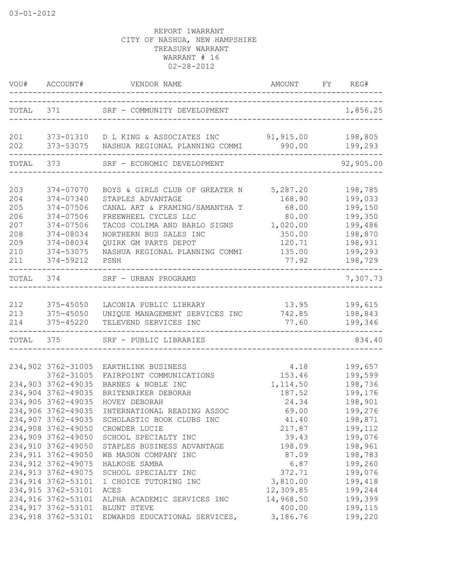|            | VOU# ACCOUNT#       | VENDOR NAME                                                                                      | AMOUNT FY REG#<br>-------------------------------- |                       |
|------------|---------------------|--------------------------------------------------------------------------------------------------|----------------------------------------------------|-----------------------|
| TOTAL 371  |                     | SRF - COMMUNITY DEVELOPMENT                                                                      |                                                    | 1,856.25              |
| 201<br>202 |                     | 373-01310 D L KING & ASSOCIATES INC 91,915.00<br>373-53075 NASHUA REGIONAL PLANNING COMMI 990.00 |                                                    | 198,805<br>199,293    |
| TOTAL 373  |                     | SRF - ECONOMIC DEVELOPMENT                                                                       |                                                    | --------<br>92,905.00 |
| 203        | 374-07070           | BOYS & GIRLS CLUB OF GREATER N                                                                   | 5,287.20                                           | 198,785               |
| 204        | 374-07340           | STAPLES ADVANTAGE                                                                                | 168.90                                             | 199,033               |
| 205        | 374-07506           | CANAL ART & FRAMING/SAMANTHA T                                                                   | 68.00                                              | 199,150               |
| 206        | 374-07506           | FREEWHEEL CYCLES LLC                                                                             | 80.00                                              | 199,350               |
| 207        | 374-07506           | TACOS COLIMA AND BARLO SIGNS                                                                     | 1,020.00                                           | 199,486               |
| 208        | 374-08034           | NORTHERN BUS SALES INC                                                                           | 350.00                                             | 198,870               |
| 209        | 374-08034           | QUIRK GM PARTS DEPOT                                                                             | 120.71                                             | 198,931               |
| 210        | 374-53075           | NASHUA REGIONAL PLANNING COMMI                                                                   | 135.00                                             | 199,293               |
| 211        | 374-59212           | PSNH                                                                                             | 77.92                                              | 198,729               |
| TOTAL 374  |                     | SRF - URBAN PROGRAMS                                                                             |                                                    | 7,307.73              |
|            |                     |                                                                                                  |                                                    |                       |
| 212        | 375-45050           | LACONIA PUBLIC LIBRARY                                                                           | 13.95                                              | 199,615               |
| 213        | 375-45050           | UNIQUE MANAGEMENT SERVICES INC 742.85                                                            |                                                    | 198,843               |
| 214        | 375-45220           | TELEVEND SERVICES INC                                                                            | 77.60                                              | 199,346               |
| TOTAL      | 375                 | SRF - PUBLIC LIBRARIES                                                                           |                                                    | 834.40                |
|            | 234,902 3762-31005  | EARTHLINK BUSINESS                                                                               | 4.18                                               |                       |
|            | 3762-31005          | FAIRPOINT COMMUNICATIONS                                                                         | 153.46                                             | 199,657<br>199,599    |
|            | 234,903 3762-49035  | BARNES & NOBLE INC                                                                               | 1, 114.50                                          | 198,736               |
|            | 234,904 3762-49035  | BRITENRIKER DEBORAH                                                                              | 187.52                                             | 199,176               |
|            | 234,905 3762-49035  | HOVEY DEBORAH                                                                                    | 24.34                                              | 198,901               |
|            | 234,906 3762-49035  | INTERNATIONAL READING ASSOC                                                                      | 69.00                                              | 199,276               |
|            | 234,907 3762-49035  | SCHOLASTIC BOOK CLUBS INC                                                                        | 41.40                                              | 198,871               |
|            | 234,908 3762-49050  | CROWDER LUCIE                                                                                    | 217.87                                             | 199,112               |
|            | 234,909 3762-49050  | SCHOOL SPECIALTY INC                                                                             | 39.43                                              | 199,076               |
|            | 234,910 3762-49050  | STAPLES BUSINESS ADVANTAGE                                                                       | 198.09                                             | 198,961               |
|            | 234, 911 3762-49050 | WB MASON COMPANY INC                                                                             | 87.09                                              | 198,783               |
|            | 234, 912 3762-49075 | HALKOSE SAMBA                                                                                    | 6.87                                               | 199,260               |
|            | 234, 913 3762-49075 | SCHOOL SPECIALTY INC                                                                             | 372.71                                             | 199,076               |
|            | 234, 914 3762-53101 | 1 CHOICE TUTORING INC                                                                            | 3,810.00                                           | 199,418               |
|            | 234, 915 3762-53101 | ACES                                                                                             | 12,309.85                                          | 199,244               |
|            | 234,916 3762-53101  | ALPHA ACADEMIC SERVICES INC                                                                      | 14,968.50                                          | 199,399               |
|            | 234,917 3762-53101  | BLUNT STEVE                                                                                      | 400.00                                             | 199,115               |
|            | 234,918 3762-53101  | EDWARDS EDUCATIONAL SERVICES,                                                                    | 3,186.76                                           | 199,220               |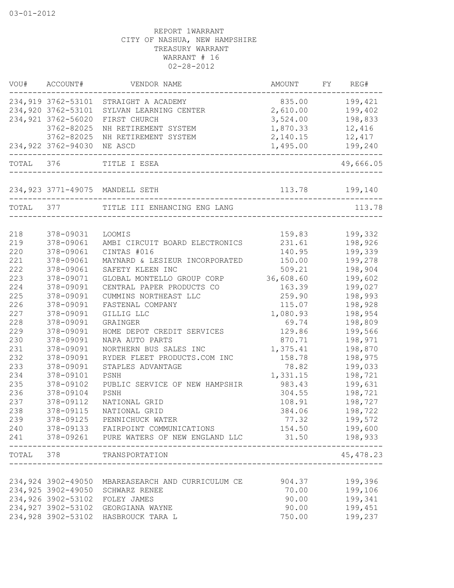|           | VOU# ACCOUNT#      | VENDOR NAME                                                   | AMOUNT            | FY REG#    |
|-----------|--------------------|---------------------------------------------------------------|-------------------|------------|
|           |                    | 234,919 3762-53101 STRAIGHT A ACADEMY                         | 835.00            | 199,421    |
|           | 234,920 3762-53101 | SYLVAN LEARNING CENTER                                        | 2,610.00          | 199,402    |
|           | 234,921 3762-56020 | FIRST CHURCH                                                  | 3,524.00          | 198,833    |
|           | 3762-82025         | NH RETIREMENT SYSTEM                                          | 1,870.33          | 12,416     |
|           | 3762-82025         | NH RETIREMENT SYSTEM                                          | 2,140.15          | 12,417     |
|           |                    | 234,922 3762-94030 NE ASCD<br>_______________________________ | 1,495.00          | 199,240    |
| TOTAL 376 |                    | TITLE I ESEA<br>_____________________________                 |                   | 49,666.05  |
|           |                    | 234,923 3771-49075 MANDELL SETH                               | 113.78    199,140 |            |
|           |                    | TOTAL 377 TITLE III ENHANCING ENG LANG                        |                   | 113.78     |
|           |                    |                                                               |                   |            |
| 218       | 378-09031          | LOOMIS                                                        | 159.83            | 199,332    |
| 219       | 378-09061          | AMBI CIRCUIT BOARD ELECTRONICS                                | 231.61            | 198,926    |
| 220       | 378-09061          | CINTAS #016                                                   | 140.95            | 199,339    |
| 221       | 378-09061          | MAYNARD & LESIEUR INCORPORATED                                | 150.00            | 199,278    |
| 222       | 378-09061          | SAFETY KLEEN INC                                              | 509.21            | 198,904    |
| 223       | 378-09071          | GLOBAL MONTELLO GROUP CORP                                    | 36,608.60         | 199,602    |
| 224       | 378-09091          | CENTRAL PAPER PRODUCTS CO                                     | 163.39            | 199,027    |
| 225       | 378-09091          | CUMMINS NORTHEAST LLC                                         | 259.90            | 198,993    |
| 226       | 378-09091          | FASTENAL COMPANY                                              | 115.07            | 198,928    |
| 227       | 378-09091          | GILLIG LLC                                                    | 1,080.93          | 198,954    |
| 228       | 378-09091          | GRAINGER                                                      | 69.74             | 198,809    |
| 229       | 378-09091          | HOME DEPOT CREDIT SERVICES                                    | 129.86            | 199,566    |
| 230       | 378-09091          | NAPA AUTO PARTS                                               | 870.71            | 198,971    |
| 231       | 378-09091          | NORTHERN BUS SALES INC                                        | 1,375.41          | 198,870    |
| 232       | 378-09091          | RYDER FLEET PRODUCTS.COM INC                                  | 158.78            | 198,975    |
| 233       | 378-09091          | STAPLES ADVANTAGE                                             | 78.82             | 199,033    |
| 234       | 378-09101          | PSNH                                                          | 1,331.15          | 198,721    |
| 235       | 378-09102          | PUBLIC SERVICE OF NEW HAMPSHIR                                | 983.43            | 199,631    |
| 236       | 378-09104          | PSNH                                                          | 304.55            | 198,721    |
| 237       | 378-09112          | NATIONAL GRID                                                 | 108.91            | 198,727    |
| 238       | 378-09115          | NATIONAL GRID                                                 | 384.06            | 198,722    |
| 239       | 378-09125          | PENNICHUCK WATER                                              | 77.32             | 199,572    |
| 240       |                    | 378-09133 FAIRPOINT COMMUNICATIONS                            | 154.50            | 199,600    |
| 241       | 378-09261          | PURE WATERS OF NEW ENGLAND LLC                                | 31.50             | 198,933    |
| TOTAL 378 |                    | TRANSPORTATION                                                |                   | 45, 478.23 |
|           |                    |                                                               |                   |            |
|           | 234,924 3902-49050 | MBAREASEARCH AND CURRICULUM CE                                | 904.37            | 199,396    |
|           | 234,925 3902-49050 | SCHWARZ RENEE                                                 | 70.00             | 199,106    |
|           | 234,926 3902-53102 | FOLEY JAMES                                                   | 90.00             | 199,341    |
|           | 234,927 3902-53102 | GEORGIANA WAYNE                                               | 90.00             | 199,451    |
|           | 234,928 3902-53102 | HASBROUCK TARA L                                              | 750.00            | 199,237    |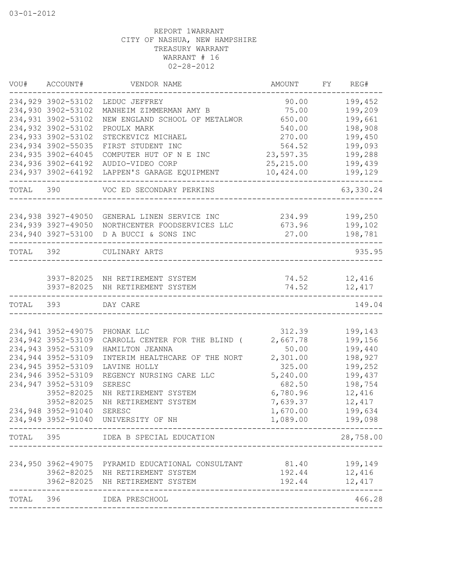|           | VOU# ACCOUNT#                            | VENDOR NAME                                               | AMOUNT           | FY REG#            |
|-----------|------------------------------------------|-----------------------------------------------------------|------------------|--------------------|
|           | 234,929 3902-53102                       | LEDUC JEFFREY                                             | 90.00            | 199,452            |
|           | 234,930 3902-53102                       | MANHEIM ZIMMERMAN AMY B                                   | 75.00            | 199,209            |
|           | 234,931 3902-53102                       | NEW ENGLAND SCHOOL OF METALWOR                            | 650.00           | 199,661            |
|           | 234,932 3902-53102                       | PROULX MARK                                               | 540.00           | 198,908            |
|           | 234,933 3902-53102                       | STECKEVICZ MICHAEL                                        | 270.00           | 199,450            |
|           | 234,934 3902-55035                       | FIRST STUDENT INC                                         | 564.52           | 199,093            |
|           | 234,935 3902-64045                       | COMPUTER HUT OF N E INC                                   | 23,597.35        | 199,288            |
|           | 234,936 3902-64192                       | AUDIO-VIDEO CORP                                          | 25, 215.00       | 199,439            |
|           | 234,937 3902-64192                       | LAPPEN'S GARAGE EQUIPMENT                                 | 10,424.00        | 199,129            |
| TOTAL 390 |                                          | VOC ED SECONDARY PERKINS                                  |                  | 63,330.24          |
|           |                                          |                                                           |                  |                    |
|           | 234,938 3927-49050<br>234,939 3927-49050 | GENERAL LINEN SERVICE INC<br>NORTHCENTER FOODSERVICES LLC | 234.99<br>673.96 | 199,250<br>199,102 |
|           | 234,940 3927-53100                       | D A BUCCI & SONS INC                                      | 27.00            | 198,781            |
|           |                                          |                                                           |                  |                    |
| TOTAL 392 |                                          | CULINARY ARTS                                             |                  | 935.95             |
|           |                                          |                                                           |                  |                    |
|           |                                          | 3937-82025 NH RETIREMENT SYSTEM                           |                  | 74.52 12,416       |
|           | 3937-82025                               | NH RETIREMENT SYSTEM                                      | 74.52            | 12,417             |
| TOTAL 393 |                                          | DAY CARE                                                  |                  | 149.04             |
|           |                                          |                                                           |                  |                    |
|           | 234,941 3952-49075                       | PHONAK LLC                                                | 312.39           | 199,143            |
|           | 234,942 3952-53109                       | CARROLL CENTER FOR THE BLIND (                            | 2,667.78         | 199,156            |
|           | 234,943 3952-53109                       | HAMILTON JEANNA                                           | 50.00            | 199,440            |
|           | 234,944 3952-53109                       | INTERIM HEALTHCARE OF THE NORT                            | 2,301.00         | 198,927            |
|           | 234,945 3952-53109                       | LAVINE HOLLY                                              | 325.00           | 199,252            |
|           | 234,946 3952-53109                       | REGENCY NURSING CARE LLC                                  | 5,240.00         | 199,437            |
|           | 234,947 3952-53109                       | SERESC                                                    | 682.50           | 198,754            |
|           | 3952-82025                               | NH RETIREMENT SYSTEM                                      | 6,780.96         | 12,416             |
|           | 3952-82025                               | NH RETIREMENT SYSTEM                                      | 7,639.37         | 12,417             |
|           | 234,948 3952-91040                       | SERESC                                                    | 1,670.00         | 199,634            |
|           |                                          | 234,949 3952-91040 UNIVERSITY OF NH                       | 1,089.00         | 199,098            |
| TOTAL     | 395                                      | IDEA B SPECIAL EDUCATION                                  |                  | 28,758.00          |
|           |                                          |                                                           |                  |                    |
|           |                                          | 234,950 3962-49075 PYRAMID EDUCATIONAL CONSULTANT         | 81.40            | 199,149            |
|           | 3962-82025                               | NH RETIREMENT SYSTEM                                      | 192.44           | 12,416             |
|           | 3962-82025                               | NH RETIREMENT SYSTEM                                      | 192.44           | 12, 417            |
| TOTAL     | 396                                      | IDEA PRESCHOOL                                            |                  | 466.28             |
|           |                                          |                                                           |                  |                    |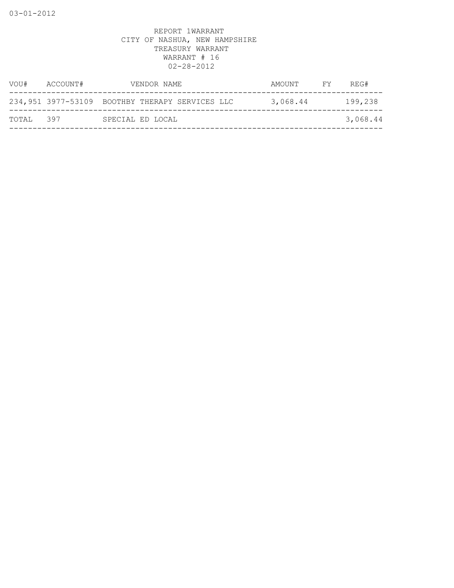| VOU#       | ACCOUNT# | VENDOR NAME                                     | AMOUNT   | FY | REG#     |
|------------|----------|-------------------------------------------------|----------|----|----------|
|            |          | 234,951 3977-53109 BOOTHBY THERAPY SERVICES LLC | 3,068.44 |    | 199,238  |
| ТОТАІ. 397 |          | SPECIAL ED LOCAL                                |          |    | 3,068.44 |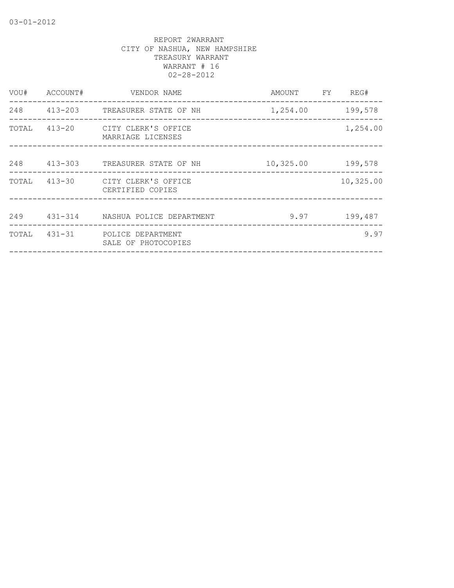| VOU#  | ACCOUNT# | VENDOR NAME                                           | AMOUNT    | FY. | REG#      |
|-------|----------|-------------------------------------------------------|-----------|-----|-----------|
| 248   |          | 413-203 TREASURER STATE OF NH                         | 1,254.00  |     | 199,578   |
|       |          | TOTAL 413-20 CITY CLERK'S OFFICE<br>MARRIAGE LICENSES |           |     | 1,254.00  |
| 248   |          | 413-303 TREASURER STATE OF NH                         | 10,325.00 |     | 199,578   |
|       |          | TOTAL 413-30 CITY CLERK'S OFFICE<br>CERTIFIED COPIES  |           |     | 10,325.00 |
| 249   |          | 431-314      NASHUA POLICE DEPARTMENT                 | 9.97      |     | 199,487   |
| TOTAL |          | 431-31 POLICE DEPARTMENT<br>SALE OF PHOTOCOPIES       |           |     | 9.97      |
|       |          |                                                       |           |     |           |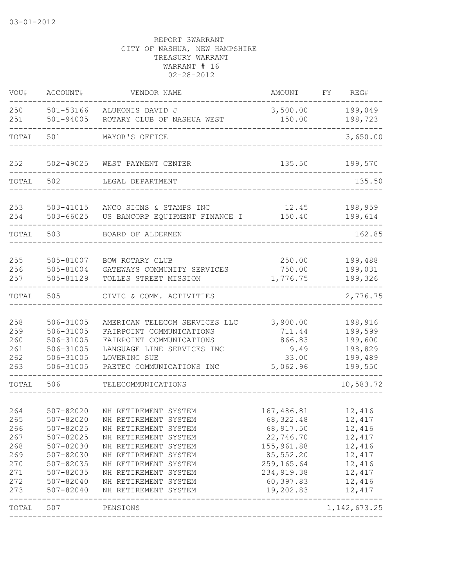| VOU#                                                               | ACCOUNT#                                                                                                                           | VENDOR NAME                                                                                                                                                                                                                                  | AMOUNT                                                                                                                                | REG#<br>FY                                                                                         |
|--------------------------------------------------------------------|------------------------------------------------------------------------------------------------------------------------------------|----------------------------------------------------------------------------------------------------------------------------------------------------------------------------------------------------------------------------------------------|---------------------------------------------------------------------------------------------------------------------------------------|----------------------------------------------------------------------------------------------------|
| 250<br>251                                                         | 501-53166<br>$501 - 94005$                                                                                                         | ALUKONIS DAVID J<br>ROTARY CLUB OF NASHUA WEST                                                                                                                                                                                               | 3,500.00<br>150.00                                                                                                                    | 199,049<br>198,723                                                                                 |
| TOTAL                                                              | 501                                                                                                                                | MAYOR'S OFFICE                                                                                                                                                                                                                               |                                                                                                                                       | 3,650.00                                                                                           |
| 252                                                                | $502 - 49025$                                                                                                                      | WEST PAYMENT CENTER                                                                                                                                                                                                                          | 135.50                                                                                                                                | 199,570                                                                                            |
| TOTAL                                                              | 502                                                                                                                                | LEGAL DEPARTMENT                                                                                                                                                                                                                             |                                                                                                                                       | 135.50                                                                                             |
| 253<br>254                                                         | 503-41015<br>503-66025                                                                                                             | ANCO SIGNS & STAMPS INC<br>US BANCORP EQUIPMENT FINANCE I                                                                                                                                                                                    | 12.45<br>150.40                                                                                                                       | 198,959<br>199,614                                                                                 |
| TOTAL                                                              | 503                                                                                                                                | BOARD OF ALDERMEN                                                                                                                                                                                                                            |                                                                                                                                       | 162.85                                                                                             |
| 255<br>256<br>257                                                  | 505-81007<br>505-81004<br>505-81129                                                                                                | BOW ROTARY CLUB<br>GATEWAYS COMMUNITY SERVICES<br>TOLLES STREET MISSION                                                                                                                                                                      | 250.00<br>750.00<br>1,776.75                                                                                                          | 199,488<br>199,031<br>199,326                                                                      |
| TOTAL                                                              | 505                                                                                                                                | CIVIC & COMM. ACTIVITIES                                                                                                                                                                                                                     |                                                                                                                                       | 2,776.75                                                                                           |
| 258<br>259<br>260<br>261<br>262<br>263                             | 506-31005<br>506-31005<br>506-31005<br>506-31005<br>506-31005<br>506-31005                                                         | AMERICAN TELECOM SERVICES LLC<br>FAIRPOINT COMMUNICATIONS<br>FAIRPOINT COMMUNICATIONS<br>LANGUAGE LINE SERVICES INC<br>LOVERING SUE<br>PAETEC COMMUNICATIONS INC                                                                             | 3,900.00<br>711.44<br>866.83<br>9.49<br>33.00<br>5,062.96                                                                             | 198,916<br>199,599<br>199,600<br>198,829<br>199,489<br>199,550                                     |
| TOTAL                                                              | 506                                                                                                                                | TELECOMMUNICATIONS                                                                                                                                                                                                                           |                                                                                                                                       | 10,583.72                                                                                          |
| 264<br>265<br>266<br>267<br>268<br>269<br>270<br>271<br>272<br>273 | 507-82020<br>507-82020<br>507-82025<br>507-82025<br>507-82030<br>507-82030<br>507-82035<br>507-82035<br>507-82040<br>$507 - 82040$ | NH RETIREMENT SYSTEM<br>NH RETIREMENT SYSTEM<br>NH RETIREMENT SYSTEM<br>NH RETIREMENT SYSTEM<br>NH RETIREMENT SYSTEM<br>NH RETIREMENT SYSTEM<br>NH RETIREMENT SYSTEM<br>NH RETIREMENT SYSTEM<br>NH RETIREMENT SYSTEM<br>NH RETIREMENT SYSTEM | 167,486.81<br>68,322.48<br>68, 917.50<br>22,746.70<br>155,961.88<br>85,552.20<br>259, 165.64<br>234, 919.38<br>60,397.83<br>19,202.83 | 12,416<br>12,417<br>12,416<br>12, 417<br>12,416<br>12, 417<br>12,416<br>12,417<br>12,416<br>12,417 |
| TOTAL                                                              | 507                                                                                                                                | PENSIONS                                                                                                                                                                                                                                     |                                                                                                                                       | 1, 142, 673.25                                                                                     |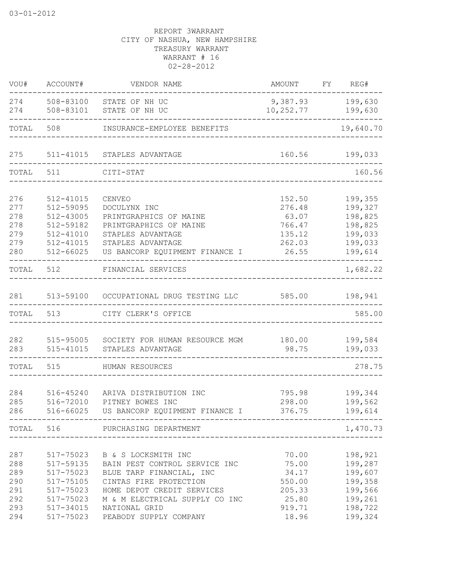| 508-83100<br>9,387.93<br>274<br>STATE OF NH UC<br>274<br>508-83101<br>STATE OF NH UC<br>10,252.77<br>508<br>TOTAL<br>INSURANCE-EMPLOYEE BENEFITS<br>275<br>511-41015<br>160.56<br>STAPLES ADVANTAGE<br>TOTAL<br>511<br>CITI-STAT<br>_____________________________<br>276<br>152.50<br>512-41015<br>CENVEO<br>512-59095<br>277<br>276.48<br>DOCULYNX INC<br>278<br>512-43005<br>63.07<br>PRINTGRAPHICS OF MAINE<br>278<br>512-59182<br>766.47<br>PRINTGRAPHICS OF MAINE<br>279<br>$512 - 41010$<br>STAPLES ADVANTAGE<br>135.12<br>279<br>512-41015<br>STAPLES ADVANTAGE<br>262.03<br>280<br>$512 - 66025$<br>US BANCORP EQUIPMENT FINANCE I<br>26.55<br>TOTAL<br>512<br>FINANCIAL SERVICES<br>281<br>513-59100<br>585.00<br>OCCUPATIONAL DRUG TESTING LLC<br>TOTAL<br>513<br>CITY CLERK'S OFFICE<br>282<br>180.00<br>515-95005<br>SOCIETY FOR HUMAN RESOURCE MGM<br>283<br>98.75<br>515-41015<br>STAPLES ADVANTAGE<br>TOTAL<br>515<br>HUMAN RESOURCES<br>284<br>795.98<br>516-45240<br>ARIVA DISTRIBUTION INC<br>285<br>516-72010<br>PITNEY BOWES INC<br>298.00<br>286<br>516-66025<br>376.75<br>US BANCORP EQUIPMENT FINANCE I<br>TOTAL 516 PURCHASING DEPARTMENT<br>-------------------------------------<br>517-75023 B & S LOCKSMITH INC<br>70.00<br>517-59135 BAIN PEST CONTROL SERVICE INC 75.00<br>288<br>289<br>517-75023 BLUE TARP FINANCIAL, INC<br>34.17<br>290<br>517-75105<br>CINTAS FIRE PROTECTION<br>550.00<br>291<br>517-75023<br>HOME DEPOT CREDIT SERVICES<br>205.33<br>292<br>25.80<br>517-75023<br>M & M ELECTRICAL SUPPLY CO INC | VOU# | ACCOUNT# | VENDOR NAME | AMOUNT | FY | REG#                                                                      |
|-------------------------------------------------------------------------------------------------------------------------------------------------------------------------------------------------------------------------------------------------------------------------------------------------------------------------------------------------------------------------------------------------------------------------------------------------------------------------------------------------------------------------------------------------------------------------------------------------------------------------------------------------------------------------------------------------------------------------------------------------------------------------------------------------------------------------------------------------------------------------------------------------------------------------------------------------------------------------------------------------------------------------------------------------------------------------------------------------------------------------------------------------------------------------------------------------------------------------------------------------------------------------------------------------------------------------------------------------------------------------------------------------------------------------------------------------------------------------------------------------------------------------------------------------------|------|----------|-------------|--------|----|---------------------------------------------------------------------------|
| 287                                                                                                                                                                                                                                                                                                                                                                                                                                                                                                                                                                                                                                                                                                                                                                                                                                                                                                                                                                                                                                                                                                                                                                                                                                                                                                                                                                                                                                                                                                                                                   |      |          |             |        |    | 199,630<br>199,630                                                        |
|                                                                                                                                                                                                                                                                                                                                                                                                                                                                                                                                                                                                                                                                                                                                                                                                                                                                                                                                                                                                                                                                                                                                                                                                                                                                                                                                                                                                                                                                                                                                                       |      |          |             |        |    | 19,640.70                                                                 |
|                                                                                                                                                                                                                                                                                                                                                                                                                                                                                                                                                                                                                                                                                                                                                                                                                                                                                                                                                                                                                                                                                                                                                                                                                                                                                                                                                                                                                                                                                                                                                       |      |          |             |        |    | 199,033                                                                   |
|                                                                                                                                                                                                                                                                                                                                                                                                                                                                                                                                                                                                                                                                                                                                                                                                                                                                                                                                                                                                                                                                                                                                                                                                                                                                                                                                                                                                                                                                                                                                                       |      |          |             |        |    | 160.56                                                                    |
|                                                                                                                                                                                                                                                                                                                                                                                                                                                                                                                                                                                                                                                                                                                                                                                                                                                                                                                                                                                                                                                                                                                                                                                                                                                                                                                                                                                                                                                                                                                                                       |      |          |             |        |    | 199,355<br>199,327<br>198,825<br>198,825<br>199,033<br>199,033<br>199,614 |
|                                                                                                                                                                                                                                                                                                                                                                                                                                                                                                                                                                                                                                                                                                                                                                                                                                                                                                                                                                                                                                                                                                                                                                                                                                                                                                                                                                                                                                                                                                                                                       |      |          |             |        |    | 1,682.22                                                                  |
|                                                                                                                                                                                                                                                                                                                                                                                                                                                                                                                                                                                                                                                                                                                                                                                                                                                                                                                                                                                                                                                                                                                                                                                                                                                                                                                                                                                                                                                                                                                                                       |      |          |             |        |    | 198,941<br>585.00                                                         |
|                                                                                                                                                                                                                                                                                                                                                                                                                                                                                                                                                                                                                                                                                                                                                                                                                                                                                                                                                                                                                                                                                                                                                                                                                                                                                                                                                                                                                                                                                                                                                       |      |          |             |        |    | 199,584<br>199,033                                                        |
|                                                                                                                                                                                                                                                                                                                                                                                                                                                                                                                                                                                                                                                                                                                                                                                                                                                                                                                                                                                                                                                                                                                                                                                                                                                                                                                                                                                                                                                                                                                                                       |      |          |             |        |    | 278.75                                                                    |
|                                                                                                                                                                                                                                                                                                                                                                                                                                                                                                                                                                                                                                                                                                                                                                                                                                                                                                                                                                                                                                                                                                                                                                                                                                                                                                                                                                                                                                                                                                                                                       |      |          |             |        |    | 199,344<br>199,562<br>199,614                                             |
|                                                                                                                                                                                                                                                                                                                                                                                                                                                                                                                                                                                                                                                                                                                                                                                                                                                                                                                                                                                                                                                                                                                                                                                                                                                                                                                                                                                                                                                                                                                                                       |      |          |             |        |    | 1,470.73                                                                  |
| 293<br>517-34015<br>NATIONAL GRID<br>919.71                                                                                                                                                                                                                                                                                                                                                                                                                                                                                                                                                                                                                                                                                                                                                                                                                                                                                                                                                                                                                                                                                                                                                                                                                                                                                                                                                                                                                                                                                                           |      |          |             |        |    | 198,921<br>199,287<br>199,607<br>199,358<br>199,566<br>199,261<br>198,722 |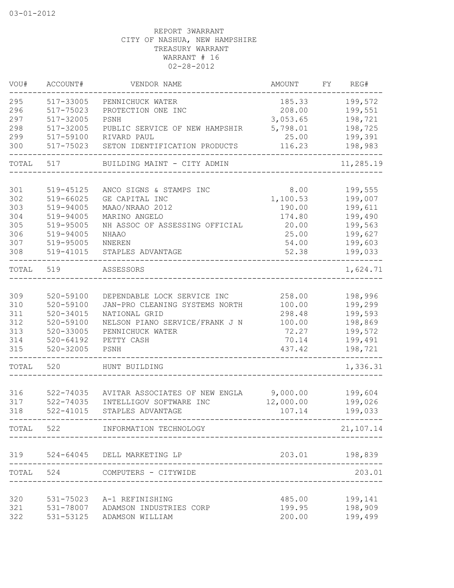| VOU#       | ACCOUNT#               | VENDOR NAME                                               | AMOUNT                | FY | REG#               |
|------------|------------------------|-----------------------------------------------------------|-----------------------|----|--------------------|
| 295        | 517-33005              | PENNICHUCK WATER                                          | 185.33                |    | 199,572            |
| 296        | 517-75023              | PROTECTION ONE INC                                        | 208.00                |    | 199,551            |
| 297        | 517-32005              | PSNH                                                      | 3,053.65              |    | 198,721            |
| 298        | 517-32005              | PUBLIC SERVICE OF NEW HAMPSHIR                            | 5,798.01              |    | 198,725            |
| 299        | 517-59100              | RIVARD PAUL                                               | 25.00                 |    | 199,391            |
| 300        | 517-75023              | SETON IDENTIFICATION PRODUCTS                             | 116.23                |    | 198,983            |
| TOTAL      | 517                    | BUILDING MAINT - CITY ADMIN                               |                       |    | 11,285.19          |
|            |                        |                                                           |                       |    |                    |
| 301        | 519-45125              | ANCO SIGNS & STAMPS INC                                   | 8.00                  |    | 199,555            |
| 302        | 519-66025              | GE CAPITAL INC                                            | 1,100.53              |    | 199,007            |
| 303        | 519-94005              | MAAO/NRAAO 2012                                           | 190.00                |    | 199,611            |
| 304        | 519-94005              | MARINO ANGELO                                             | 174.80                |    | 199,490            |
| 305        | 519-95005              | NH ASSOC OF ASSESSING OFFICIAL                            | 20.00                 |    | 199,563            |
| 306        | 519-94005              | <b>NHAAO</b>                                              | 25.00                 |    | 199,627            |
| 307        | 519-95005              | NNEREN                                                    | 54.00                 |    | 199,603            |
| 308        | 519-41015              | STAPLES ADVANTAGE                                         | 52.38                 |    | 199,033            |
| TOTAL      | 519                    | ASSESSORS                                                 |                       |    | 1,624.71           |
| 309        | 520-59100              | DEPENDABLE LOCK SERVICE INC                               | 258.00                |    | 198,996            |
| 310        | 520-59100              | JAN-PRO CLEANING SYSTEMS NORTH                            | 100.00                |    | 199,299            |
| 311        | $520 - 34015$          | NATIONAL GRID                                             | 298.48                |    | 199,593            |
| 312        | 520-59100              | NELSON PIANO SERVICE/FRANK J N                            | 100.00                |    | 198,869            |
| 313        | 520-33005              | PENNICHUCK WATER                                          | 72.27                 |    | 199,572            |
| 314        | $520 - 64192$          | PETTY CASH                                                | 70.14                 |    | 199,491            |
| 315        | $520 - 32005$          | PSNH                                                      | 437.42                |    | 198,721            |
| TOTAL      | 520                    | HUNT BUILDING                                             |                       |    | 1,336.31           |
|            |                        |                                                           |                       |    |                    |
| 316<br>317 | 522-74035<br>522-74035 | AVITAR ASSOCIATES OF NEW ENGLA<br>INTELLIGOV SOFTWARE INC | 9,000.00<br>12,000.00 |    | 199,604            |
|            | $522 - 41015$          |                                                           |                       |    | 199,026<br>199,033 |
| 318        |                        | STAPLES ADVANTAGE                                         | 107.14                |    |                    |
|            |                        | TOTAL 522 INFORMATION TECHNOLOGY                          |                       |    | 21,107.14          |
| 319        |                        | 524-64045 DELL MARKETING LP                               |                       |    | 203.01 198,839     |
|            |                        | TOTAL 524 COMPUTERS - CITYWIDE                            |                       |    | 203.01             |
|            |                        |                                                           |                       |    |                    |
| 320        | 531-75023              | A-1 REFINISHING                                           | 485.00                |    | 199,141            |
| 321        | 531-78007              | ADAMSON INDUSTRIES CORP                                   | 199.95                |    | 198,909            |
| 322        | 531-53125              | ADAMSON WILLIAM                                           | 200.00                |    | 199,499            |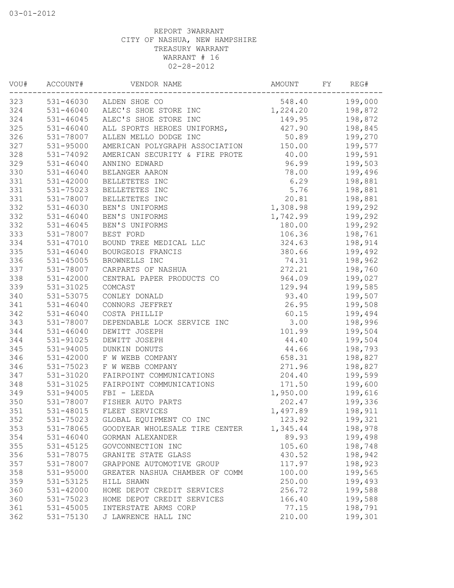| VOU# | ACCOUNT#      | VENDOR NAME                     | AMOUNT   | FY | REG#    |
|------|---------------|---------------------------------|----------|----|---------|
| 323  |               | 531-46030 ALDEN SHOE CO         | 548.40   |    | 199,000 |
| 324  |               | 531-46040 ALEC'S SHOE STORE INC | 1,224.20 |    | 198,872 |
| 324  | 531-46045     | ALEC'S SHOE STORE INC           | 149.95   |    | 198,872 |
| 325  | 531-46040     | ALL SPORTS HEROES UNIFORMS,     | 427.90   |    | 198,845 |
| 326  | 531-78007     | ALLEN MELLO DODGE INC           | 50.89    |    | 199,270 |
| 327  | 531-95000     | AMERICAN POLYGRAPH ASSOCIATION  | 150.00   |    | 199,577 |
| 328  | 531-74092     | AMERICAN SECURITY & FIRE PROTE  | 40.00    |    | 199,591 |
| 329  | 531-46040     | ANNINO EDWARD                   | 96.99    |    | 199,503 |
| 330  | $531 - 46040$ | BELANGER AARON                  | 78.00    |    | 199,496 |
| 331  | 531-42000     | BELLETETES INC                  | 6.29     |    | 198,881 |
| 331  | 531-75023     | BELLETETES INC                  | 5.76     |    | 198,881 |
| 331  | 531-78007     | BELLETETES INC                  | 20.81    |    | 198,881 |
| 332  | 531-46030     | BEN'S UNIFORMS                  | 1,308.98 |    | 199,292 |
| 332  | 531-46040     | BEN'S UNIFORMS                  | 1,742.99 |    | 199,292 |
| 332  | 531-46045     | BEN'S UNIFORMS                  | 180.00   |    | 199,292 |
| 333  | 531-78007     | BEST FORD                       | 106.36   |    | 198,761 |
| 334  | 531-47010     | BOUND TREE MEDICAL LLC          | 324.63   |    | 198,914 |
| 335  | $531 - 46040$ | BOURGEOIS FRANCIS               | 380.66   |    | 199,492 |
| 336  | 531-45005     | BROWNELLS INC                   | 74.31    |    | 198,962 |
| 337  | 531-78007     | CARPARTS OF NASHUA              | 272.21   |    | 198,760 |
| 338  | 531-42000     | CENTRAL PAPER PRODUCTS CO       | 964.09   |    | 199,027 |
| 339  | 531-31025     | COMCAST                         | 129.94   |    | 199,585 |
| 340  | 531-53075     | CONLEY DONALD                   | 93.40    |    | 199,507 |
| 341  | $531 - 46040$ | CONNORS JEFFREY                 | 26.95    |    | 199,508 |
| 342  | $531 - 46040$ | COSTA PHILLIP                   | 60.15    |    | 199,494 |
| 343  | 531-78007     | DEPENDABLE LOCK SERVICE INC     | 3.00     |    | 198,996 |
| 344  | $531 - 46040$ | DEWITT JOSEPH                   | 101.99   |    | 199,504 |
| 344  | 531-91025     | DEWITT JOSEPH                   | 44.40    |    | 199,504 |
| 345  | 531-94005     | DUNKIN DONUTS                   | 44.66    |    | 198,793 |
| 346  | 531-42000     | F W WEBB COMPANY                | 658.31   |    | 198,827 |
| 346  | 531-75023     | F W WEBB COMPANY                | 271.96   |    | 198,827 |
| 347  | 531-31020     | FAIRPOINT COMMUNICATIONS        | 204.40   |    | 199,599 |
| 348  | 531-31025     | FAIRPOINT COMMUNICATIONS        | 171.50   |    | 199,600 |
| 349  | 531-94005     | FBI - LEEDA                     | 1,950.00 |    | 199,616 |
| 350  | 531-78007     | FISHER AUTO PARTS               | 202.47   |    | 199,336 |
| 351  | 531-48015     | FLEET SERVICES                  | 1,497.89 |    | 198,911 |
| 352  | 531-75023     | GLOBAL EQUIPMENT CO INC         | 123.92   |    | 199,321 |
| 353  | 531-78065     | GOODYEAR WHOLESALE TIRE CENTER  | 1,345.44 |    | 198,978 |
| 354  | 531-46040     | GORMAN ALEXANDER                | 89.93    |    | 199,498 |
| 355  | 531-45125     | GOVCONNECTION INC               | 105.60   |    | 198,748 |
| 356  | 531-78075     | GRANITE STATE GLASS             | 430.52   |    | 198,942 |
| 357  | 531-78007     | GRAPPONE AUTOMOTIVE GROUP       | 117.97   |    | 198,923 |
| 358  | 531-95000     | GREATER NASHUA CHAMBER OF COMM  | 100.00   |    | 199,565 |
| 359  | 531-53125     | HILL SHAWN                      | 250.00   |    | 199,493 |
| 360  | $531 - 42000$ | HOME DEPOT CREDIT SERVICES      | 256.72   |    | 199,588 |
| 360  | 531-75023     | HOME DEPOT CREDIT SERVICES      | 166.40   |    | 199,588 |
| 361  | 531-45005     | INTERSTATE ARMS CORP            | 77.15    |    | 198,791 |
| 362  | 531-75130     | J LAWRENCE HALL INC             | 210.00   |    | 199,301 |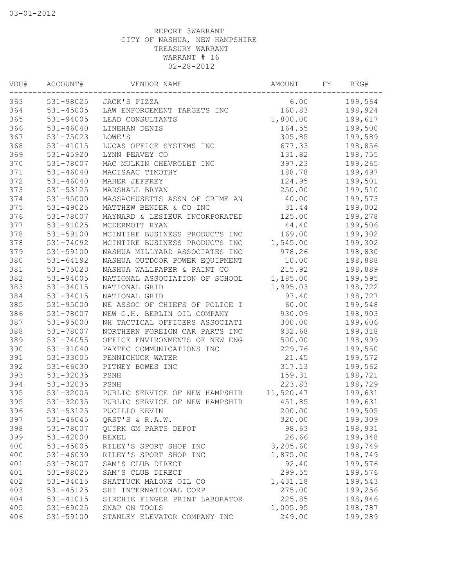| VOU# | ACCOUNT#      | VENDOR NAME                    | <b>AMOUNT</b> | FΥ | REG#    |
|------|---------------|--------------------------------|---------------|----|---------|
| 363  | 531-98025     | JACK'S PIZZA                   | 6.00          |    | 199,564 |
| 364  | 531-45005     | LAW ENFORCEMENT TARGETS INC    | 160.83        |    | 198,924 |
| 365  | 531-94005     | LEAD CONSULTANTS               | 1,800.00      |    | 199,617 |
| 366  | 531-46040     | LINEHAN DENIS                  | 164.55        |    | 199,500 |
| 367  | 531-75023     | LOWE'S                         | 305.85        |    | 199,589 |
| 368  | 531-41015     | LUCAS OFFICE SYSTEMS INC       | 677.33        |    | 198,856 |
| 369  | 531-45920     | LYNN PEAVEY CO                 | 131.82        |    | 198,755 |
| 370  | 531-78007     | MAC MULKIN CHEVROLET INC       | 397.23        |    | 199,265 |
| 371  | $531 - 46040$ | MACISAAC TIMOTHY               | 188.78        |    | 199,497 |
| 372  | $531 - 46040$ | MAHER JEFFREY                  | 124.95        |    | 199,501 |
| 373  | 531-53125     | MARSHALL BRYAN                 | 250.00        |    | 199,510 |
| 374  | 531-95000     | MASSACHUSETTS ASSN OF CRIME AN | 40.00         |    | 199,573 |
| 375  | 531-49025     | MATTHEW BENDER & CO INC        | 31.44         |    | 199,002 |
| 376  | 531-78007     | MAYNARD & LESIEUR INCORPORATED | 125.00        |    | 199,278 |
| 377  | 531-91025     | MCDERMOTT RYAN                 | 44.40         |    | 199,506 |
| 378  | 531-59100     | MCINTIRE BUSINESS PRODUCTS INC | 169.00        |    | 199,302 |
| 378  | 531-74092     | MCINTIRE BUSINESS PRODUCTS INC | 1,545.00      |    | 199,302 |
| 379  | 531-59100     | NASHUA MILLYARD ASSOCIATES INC | 978.26        |    | 198,830 |
| 380  | 531-64192     | NASHUA OUTDOOR POWER EQUIPMENT | 10.00         |    | 198,888 |
| 381  | 531-75023     | NASHUA WALLPAPER & PAINT CO    | 215.92        |    | 198,889 |
| 382  | 531-94005     | NATIONAL ASSOCIATION OF SCHOOL | 1,185.00      |    | 199,595 |
| 383  | 531-34015     | NATIONAL GRID                  | 1,995.03      |    | 198,722 |
| 384  | 531-34015     | NATIONAL GRID                  | 97.40         |    | 198,727 |
| 385  | 531-95000     | NE ASSOC OF CHIEFS OF POLICE I | 60.00         |    | 199,548 |
| 386  | 531-78007     | NEW G.H. BERLIN OIL COMPANY    | 930.09        |    | 198,903 |
| 387  | 531-95000     | NH TACTICAL OFFICERS ASSOCIATI | 300.00        |    | 199,606 |
| 388  | 531-78007     | NORTHERN FOREIGN CAR PARTS INC | 932.68        |    | 199,318 |
| 389  | 531-74055     | OFFICE ENVIRONMENTS OF NEW ENG | 500.00        |    | 198,999 |
| 390  | 531-31040     | PAETEC COMMUNICATIONS INC      | 229.76        |    | 199,550 |
| 391  | 531-33005     | PENNICHUCK WATER               | 21.45         |    | 199,572 |
| 392  | 531-66030     | PITNEY BOWES INC               | 317.13        |    | 199,562 |
| 393  | 531-32035     | PSNH                           | 159.31        |    | 198,721 |
| 394  | 531-32035     | PSNH                           | 223.83        |    | 198,729 |
| 395  | 531-32005     | PUBLIC SERVICE OF NEW HAMPSHIR | 11,520.47     |    | 199,631 |
| 395  | 531-32035     | PUBLIC SERVICE OF NEW HAMPSHIR | 451.85        |    | 199,631 |
| 396  | 531-53125     | PUCILLO KEVIN                  | 200.00        |    | 199,505 |
| 397  | 531-46045     | QRST'S & R.A.W.                | 320.00        |    | 199,309 |
| 398  | 531-78007     | QUIRK GM PARTS DEPOT           | 98.63         |    | 198,931 |
| 399  | 531-42000     | REXEL                          | 26.66         |    | 199,348 |
| 400  | $531 - 45005$ | RILEY'S SPORT SHOP INC         | 3,205.60      |    | 198,749 |
| 400  | 531-46030     | RILEY'S SPORT SHOP INC         | 1,875.00      |    | 198,749 |
| 401  | 531-78007     | SAM'S CLUB DIRECT              | 92.40         |    | 199,576 |
| 401  | 531-98025     | SAM'S CLUB DIRECT              | 299.55        |    | 199,576 |
| 402  | 531-34015     | SHATTUCK MALONE OIL CO         | 1,431.18      |    | 199,543 |
| 403  | 531-45125     | SHI INTERNATIONAL CORP         | 275.00        |    | 199,256 |
| 404  | 531-41015     | SIRCHIE FINGER PRINT LABORATOR | 225.85        |    | 198,946 |
| 405  | 531-69025     | SNAP ON TOOLS                  | 1,005.95      |    | 198,787 |
| 406  | 531-59100     | STANLEY ELEVATOR COMPANY INC   | 249.00        |    | 199,289 |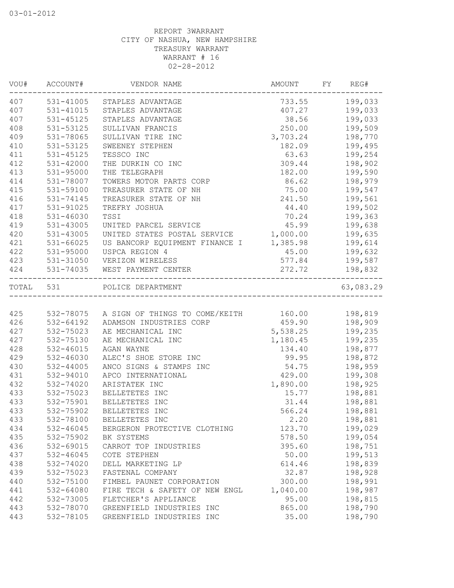| VOU#      | ACCOUNT#      | VENDOR NAME                                     | AMOUNT         | FY | REG#                 |
|-----------|---------------|-------------------------------------------------|----------------|----|----------------------|
| 407       |               | 531-41005 STAPLES ADVANTAGE                     | 733.55         |    | 199,033              |
| 407       | 531-41015     | STAPLES ADVANTAGE                               | 407.27         |    | 199,033              |
| 407       | 531-45125     | STAPLES ADVANTAGE                               | 38.56          |    | 199,033              |
| 408       | 531-53125     | SULLIVAN FRANCIS                                | 250.00         |    | 199,509              |
| 409       | 531-78065     | SULLIVAN TIRE INC                               | 3,703.24       |    | 198,770              |
| 410       | 531-53125     | SWEENEY STEPHEN                                 | 182.09         |    | 199,495              |
| 411       | 531-45125     | TESSCO INC                                      | 63.63          |    | 199,254              |
| 412       | 531-42000     | THE DURKIN CO INC                               | 309.44         |    | 198,902              |
| 413       | 531-95000     | THE TELEGRAPH                                   | 182.00         |    | 199,590              |
| 414       | 531-78007     | TOWERS MOTOR PARTS CORP                         | 86.62          |    | 198,979              |
| 415       | 531-59100     | TREASURER STATE OF NH                           | 75.00          |    | 199,547              |
| 416       | 531-74145     | TREASURER STATE OF NH                           | 241.50         |    | 199,561              |
| 417       | 531-91025     | TREFRY JOSHUA                                   | 44.40          |    | 199,502              |
| 418       | $531 - 46030$ | TSSI                                            | 70.24          |    | 199,363              |
| 419       | 531-43005     | UNITED PARCEL SERVICE                           | 45.99          |    | 199,638              |
| 420       | 531-43005     | UNITED STATES POSTAL SERVICE                    | 1,000.00       |    | 199,635              |
| 421       | $531 - 66025$ | US BANCORP EQUIPMENT FINANCE I                  | 1,385.98       |    | 199,614              |
| 422       | 531-95000     | USPCA REGION 4                                  | 45.00          |    | 199,632              |
| 423       | 531-31050     | VERIZON WIRELESS                                | 577.84         |    | 199,587              |
| 424       | 531-74035     | WEST PAYMENT CENTER                             | 272.72         |    | 198,832<br>--------- |
| TOTAL 531 |               | POLICE DEPARTMENT                               |                |    | 63,083.29            |
|           |               |                                                 |                |    |                      |
| 425       |               | 532-78075 A SIGN OF THINGS TO COME/KEITH 160.00 |                |    | 198,819              |
| 426       | 532-64192     | ADAMSON INDUSTRIES CORP                         | 459.90 198,909 |    |                      |
| 427       | 532-75023     | AE MECHANICAL INC                               | 5,538.25       |    | 199,235              |
| 427       | 532-75130     | AE MECHANICAL INC                               | 1,180.45       |    | 199,235              |
| 428       | 532-46015     | AGAN WAYNE                                      | 134.40         |    | 198,877              |
| 429       | 532-46030     | ALEC'S SHOE STORE INC                           | 99.95          |    | 198,872              |
| 430       | 532-44005     | ANCO SIGNS & STAMPS INC                         | 54.75          |    | 198,959              |
| 431       | 532-94010     | APCO INTERNATIONAL                              | 429.00         |    | 199,308              |
| 432       | 532-74020     | ARISTATEK INC                                   | 1,890.00       |    | 198,925              |
| 433       | 532-75023     | BELLETETES INC                                  | 15.77          |    | 198,881              |
| 433       | 532-75901     | BELLETETES INC                                  | 31.44          |    | 198,881              |
| 433       | 532-75902     | BELLETETES INC                                  | 566.24         |    | 198,881              |
| 433       | 532-78100     | BELLETETES INC                                  | 2.20           |    | 198,881              |
| 434       | 532-46045     | BERGERON PROTECTIVE CLOTHING                    | 123.70         |    | 199,029              |
| 435       | 532-75902     | BK SYSTEMS                                      | 578.50         |    | 199,054              |
| 436       | 532-69015     | CARROT TOP INDUSTRIES                           | 395.60         |    | 198,751              |
| 437       | $532 - 46045$ | COTE STEPHEN                                    | 50.00          |    | 199,513              |
| 438       | 532-74020     | DELL MARKETING LP                               | 614.46         |    | 198,839              |
| 439       | 532-75023     | FASTENAL COMPANY                                | 32.87          |    | 198,928              |
| 440       | 532-75100     | FIMBEL PAUNET CORPORATION                       | 300.00         |    | 198,991              |
| 441       | 532-64080     | FIRE TECH & SAFETY OF NEW ENGL                  | 1,040.00       |    | 198,987              |
| 442       | 532-73005     | FLETCHER'S APPLIANCE                            | 95.00          |    | 198,815              |
| 443       | 532-78070     | GREENFIELD INDUSTRIES INC                       | 865.00         |    | 198,790              |
| 443       | 532-78105     | GREENFIELD INDUSTRIES INC                       | 35.00          |    | 198,790              |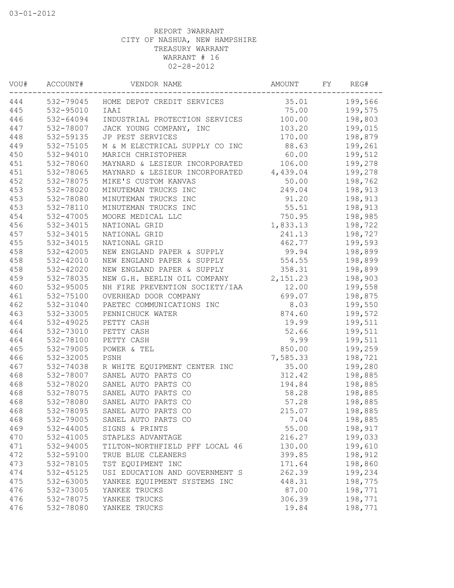| VOU# | ACCOUNT#  | VENDOR NAME                          | AMOUNT   | FΥ | REG#    |
|------|-----------|--------------------------------------|----------|----|---------|
| 444  |           | 532-79045 HOME DEPOT CREDIT SERVICES | 35.01    |    | 199,566 |
| 445  | 532-95010 | IAAI                                 | 75.00    |    | 199,575 |
| 446  | 532-64094 | INDUSTRIAL PROTECTION SERVICES       | 100.00   |    | 198,803 |
| 447  | 532-78007 | JACK YOUNG COMPANY, INC              | 103.20   |    | 199,015 |
| 448  | 532-59135 | JP PEST SERVICES                     | 170.00   |    | 198,879 |
| 449  | 532-75105 | M & M ELECTRICAL SUPPLY CO INC       | 88.63    |    | 199,261 |
| 450  | 532-94010 | MARICH CHRISTOPHER                   | 60.00    |    | 199,512 |
| 451  | 532-78060 | MAYNARD & LESIEUR INCORPORATED       | 106.00   |    | 199,278 |
| 451  | 532-78065 | MAYNARD & LESIEUR INCORPORATED       | 4,439.04 |    | 199,278 |
| 452  | 532-78075 | MIKE'S CUSTOM KANVAS                 | 50.00    |    | 198,762 |
| 453  | 532-78020 | MINUTEMAN TRUCKS INC                 | 249.04   |    | 198,913 |
| 453  | 532-78080 | MINUTEMAN TRUCKS INC                 | 91.20    |    | 198,913 |
| 453  | 532-78110 | MINUTEMAN TRUCKS INC                 | 55.51    |    | 198,913 |
| 454  | 532-47005 | MOORE MEDICAL LLC                    | 750.95   |    | 198,985 |
| 456  | 532-34015 | NATIONAL GRID                        | 1,833.13 |    | 198,722 |
| 457  | 532-34015 | NATIONAL GRID                        | 241.13   |    | 198,727 |
| 455  | 532-34015 | NATIONAL GRID                        | 462.77   |    | 199,593 |
| 458  | 532-42005 | NEW ENGLAND PAPER & SUPPLY           | 99.94    |    | 198,899 |
| 458  | 532-42010 | NEW ENGLAND PAPER & SUPPLY           | 554.55   |    | 198,899 |
| 458  | 532-42020 | NEW ENGLAND PAPER & SUPPLY           | 358.31   |    | 198,899 |
| 459  | 532-78035 | NEW G.H. BERLIN OIL COMPANY          | 2,151.23 |    | 198,903 |
| 460  | 532-95005 | NH FIRE PREVENTION SOCIETY/IAA       | 12.00    |    | 199,558 |
| 461  | 532-75100 | OVERHEAD DOOR COMPANY                | 699.07   |    | 198,875 |
| 462  | 532-31040 | PAETEC COMMUNICATIONS INC            | 8.03     |    | 199,550 |
| 463  | 532-33005 | PENNICHUCK WATER                     | 874.60   |    | 199,572 |
| 464  | 532-49025 | PETTY CASH                           | 19.99    |    | 199,511 |
| 464  | 532-73010 | PETTY CASH                           | 52.66    |    | 199,511 |
| 464  | 532-78100 | PETTY CASH                           | 9.99     |    | 199,511 |
| 465  | 532-79005 | POWER & TEL                          | 850.00   |    | 199,259 |
| 466  | 532-32005 | PSNH                                 | 7,585.33 |    | 198,721 |
| 467  | 532-74038 | R WHITE EQUIPMENT CENTER INC         | 35.00    |    | 199,280 |
| 468  | 532-78007 | SANEL AUTO PARTS CO                  | 312.42   |    | 198,885 |
| 468  | 532-78020 | SANEL AUTO PARTS CO                  | 194.84   |    | 198,885 |
| 468  | 532-78075 | SANEL AUTO PARTS CO                  | 58.28    |    | 198,885 |
| 468  | 532-78080 | SANEL AUTO PARTS CO                  | 57.28    |    | 198,885 |
| 468  | 532-78095 | SANEL AUTO PARTS CO                  | 215.07   |    | 198,885 |
| 468  | 532-79005 | SANEL AUTO PARTS CO                  | 7.04     |    | 198,885 |
| 469  | 532-44005 | SIGNS & PRINTS                       | 55.00    |    | 198,917 |
| 470  | 532-41005 | STAPLES ADVANTAGE                    | 216.27   |    | 199,033 |
| 471  | 532-94005 | TILTON-NORTHFIELD PFF LOCAL 46       | 130.00   |    | 199,610 |
| 472  | 532-59100 | TRUE BLUE CLEANERS                   | 399.85   |    | 198,912 |
| 473  | 532-78105 | TST EQUIPMENT INC                    | 171.64   |    | 198,860 |
| 474  | 532-45125 | USI EDUCATION AND GOVERNMENT S       | 262.39   |    | 199,234 |
| 475  | 532-63005 | YANKEE EQUIPMENT SYSTEMS INC         | 448.31   |    | 198,775 |
| 476  | 532-73005 | YANKEE TRUCKS                        | 87.00    |    | 198,771 |
| 476  | 532-78075 | YANKEE TRUCKS                        | 306.39   |    | 198,771 |
| 476  | 532-78080 | YANKEE TRUCKS                        | 19.84    |    | 198,771 |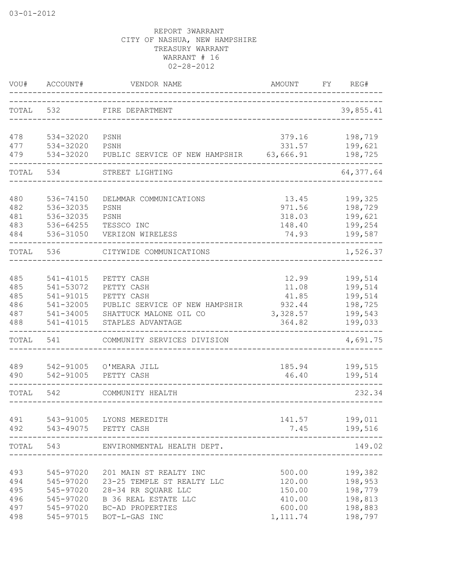| VOU#      | ACCOUNT#  | VENDOR NAME                    | <b>AMOUNT</b> | FY | REG#       |
|-----------|-----------|--------------------------------|---------------|----|------------|
| TOTAL     | 532       | FIRE DEPARTMENT                |               |    | 39,855.41  |
| 478       | 534-32020 | PSNH                           | 379.16        |    | 198,719    |
| 477       | 534-32020 | PSNH                           | 331.57        |    | 199,621    |
| 479       | 534-32020 | PUBLIC SERVICE OF NEW HAMPSHIR | 63,666.91     |    | 198,725    |
| TOTAL     | 534       | STREET LIGHTING                |               |    | 64, 377.64 |
| 480       | 536-74150 | DELMMAR COMMUNICATIONS         | 13.45         |    | 199,325    |
| 482       | 536-32035 | PSNH                           | 971.56        |    | 198,729    |
| 481       | 536-32035 | PSNH                           | 318.03        |    | 199,621    |
| 483       | 536-64255 | TESSCO INC                     | 148.40        |    | 199,254    |
| 484       | 536-31050 | VERIZON WIRELESS               | 74.93         |    | 199,587    |
| TOTAL     | 536       | CITYWIDE COMMUNICATIONS        |               |    | 1,526.37   |
| 485       | 541-41015 | PETTY CASH                     | 12.99         |    | 199,514    |
| 485       | 541-53072 | PETTY CASH                     | 11.08         |    | 199,514    |
| 485       | 541-91015 | PETTY CASH                     | 41.85         |    | 199,514    |
| 486       | 541-32005 | PUBLIC SERVICE OF NEW HAMPSHIR | 932.44        |    | 198,725    |
| 487       | 541-34005 | SHATTUCK MALONE OIL CO         | 3,328.57      |    | 199,543    |
| 488       | 541-41015 | STAPLES ADVANTAGE              | 364.82        |    | 199,033    |
| TOTAL     | 541       | COMMUNITY SERVICES DIVISION    |               |    | 4,691.75   |
| 489       | 542-91005 | O'MEARA JILL                   | 185.94        |    | 199,515    |
| 490       | 542-91005 | PETTY CASH                     | 46.40         |    | 199,514    |
| TOTAL     | 542       | COMMUNITY HEALTH               |               |    | 232.34     |
| 491       |           | 543-91005 LYONS MEREDITH       | 141.57        |    | 199,011    |
| 492       |           | 543-49075 PETTY CASH           | 7.45          |    | 199,516    |
| TOTAL 543 |           | ENVIRONMENTAL HEALTH DEPT.     |               |    | 149.02     |
| 493       | 545-97020 | 201 MAIN ST REALTY INC         | 500.00        |    | 199,382    |
| 494       | 545-97020 | 23-25 TEMPLE ST REALTY LLC     | 120.00        |    | 198,953    |
| 495       | 545-97020 | 28-34 RR SQUARE LLC            | 150.00        |    | 198,779    |
| 496       | 545-97020 | B 36 REAL ESTATE LLC           | 410.00        |    | 198,813    |
| 497       | 545-97020 | BC-AD PROPERTIES               | 600.00        |    | 198,883    |
| 498       | 545-97015 | BOT-L-GAS INC                  | 1, 111.74     |    | 198,797    |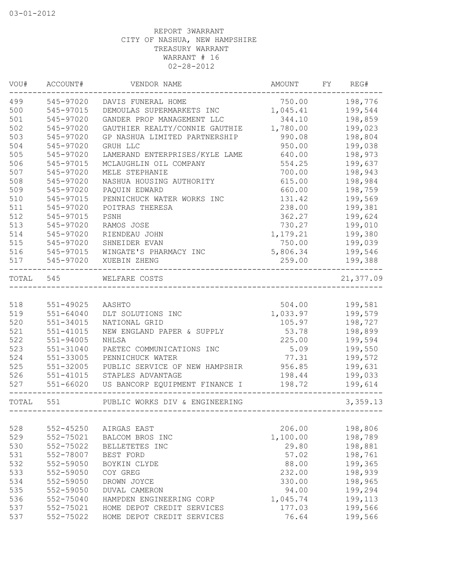| VOU#      | ACCOUNT#      | VENDOR NAME                    | AMOUNT   | FY | REG#      |
|-----------|---------------|--------------------------------|----------|----|-----------|
| 499       | 545-97020     | DAVIS FUNERAL HOME             | 750.00   |    | 198,776   |
| 500       | 545-97015     | DEMOULAS SUPERMARKETS INC      | 1,045.41 |    | 199,544   |
| 501       | 545-97020     | GANDER PROP MANAGEMENT LLC     | 344.10   |    | 198,859   |
| 502       | 545-97020     | GAUTHIER REALTY/CONNIE GAUTHIE | 1,780.00 |    | 199,023   |
| 503       | 545-97020     | GP NASHUA LIMITED PARTNERSHIP  | 990.08   |    | 198,804   |
| 504       | 545-97020     | GRUH LLC                       | 950.00   |    | 199,038   |
| 505       | 545-97020     | LAMERAND ENTERPRISES/KYLE LAME | 640.00   |    | 198,973   |
| 506       | 545-97015     | MCLAUGHLIN OIL COMPANY         | 554.25   |    | 199,637   |
| 507       | 545-97020     | MELE STEPHANIE                 | 700.00   |    | 198,943   |
| 508       | 545-97020     | NASHUA HOUSING AUTHORITY       | 615.00   |    | 198,984   |
| 509       | 545-97020     | PAQUIN EDWARD                  | 660.00   |    | 198,759   |
| 510       | 545-97015     | PENNICHUCK WATER WORKS INC     | 131.42   |    | 199,569   |
| 511       | 545-97020     | POITRAS THERESA                | 238.00   |    | 199,381   |
| 512       | 545-97015     | PSNH                           | 362.27   |    | 199,624   |
| 513       | 545-97020     | RAMOS JOSE                     | 730.27   |    | 199,010   |
| 514       | 545-97020     | RIENDEAU JOHN                  | 1,179.21 |    | 199,380   |
| 515       | 545-97020     | SHNEIDER EVAN                  | 750.00   |    | 199,039   |
| 516       | 545-97015     | WINGATE'S PHARMACY INC         | 5,806.34 |    | 199,546   |
| 517       | 545-97020     | XUEBIN ZHENG                   | 259.00   |    | 199,388   |
| TOTAL 545 |               | WELFARE COSTS                  |          |    | 21,377.09 |
|           |               |                                |          |    |           |
| 518       | 551-49025     | AASHTO                         | 504.00   |    | 199,581   |
| 519       | $551 - 64040$ | DLT SOLUTIONS INC              | 1,033.97 |    | 199,579   |
| 520       | 551-34015     | NATIONAL GRID                  | 105.97   |    | 198,727   |
| 521       | $551 - 41015$ | NEW ENGLAND PAPER & SUPPLY     | 53.78    |    | 198,899   |
| 522       | 551-94005     | NHLSA                          | 225.00   |    | 199,594   |
| 523       | 551-31040     | PAETEC COMMUNICATIONS INC      | 5.09     |    | 199,550   |
| 524       | 551-33005     | PENNICHUCK WATER               | 77.31    |    | 199,572   |
| 525       | 551-32005     | PUBLIC SERVICE OF NEW HAMPSHIR | 956.85   |    | 199,631   |
| 526       | 551-41015     | STAPLES ADVANTAGE              | 198.44   |    | 199,033   |
| 527       | $551 - 66020$ | US BANCORP EQUIPMENT FINANCE I | 198.72   |    | 199,614   |
| TOTAL     | 551           | PUBLIC WORKS DIV & ENGINEERING |          |    | 3,359.13  |
|           |               |                                |          |    |           |
| 528       | $552 - 45250$ | AIRGAS EAST                    | 206.00   |    | 198,806   |
| 529       | 552-75021     | BALCOM BROS INC                | 1,100.00 |    | 198,789   |
| 530       | 552-75022     | BELLETETES INC                 | 29.80    |    | 198,881   |
| 531       | 552-78007     | BEST FORD                      | 57.02    |    | 198,761   |
| 532       | 552-59050     | BOYKIN CLYDE                   | 88.00    |    | 199,365   |
| 533       | 552-59050     | COY GREG                       | 232.00   |    | 198,939   |
| 534       | 552-59050     | DROWN JOYCE                    | 330.00   |    | 198,965   |
| 535       | 552-59050     | DUVAL CAMERON                  | 94.00    |    | 199,294   |
| 536       | 552-75040     | HAMPDEN ENGINEERING CORP       | 1,045.74 |    | 199,113   |
| 537       | 552-75021     | HOME DEPOT CREDIT SERVICES     | 177.03   |    | 199,566   |
| 537       | 552-75022     | HOME DEPOT CREDIT SERVICES     | 76.64    |    | 199,566   |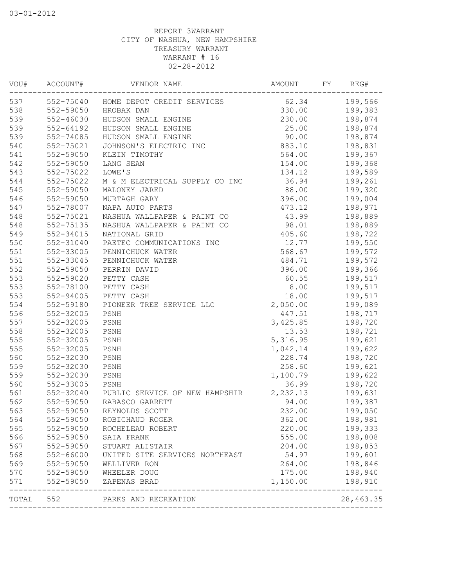| WOU#  | ACCOUNT#      | VENDOR NAME                          | AMOUNT   | FY. | REG#             |
|-------|---------------|--------------------------------------|----------|-----|------------------|
| 537   |               | 552-75040 HOME DEPOT CREDIT SERVICES | 62.34    |     | 199,566          |
| 538   | 552-59050     | HROBAK DAN                           | 330.00   |     | 199,383          |
| 539   | 552-46030     | HUDSON SMALL ENGINE                  | 230.00   |     | 198,874          |
| 539   | $552 - 64192$ | HUDSON SMALL ENGINE                  | 25.00    |     | 198,874          |
| 539   | 552-74085     | HUDSON SMALL ENGINE                  | 90.00    |     | 198,874          |
| 540   | 552-75021     | JOHNSON'S ELECTRIC INC               | 883.10   |     | 198,831          |
| 541   | 552-59050     | KLEIN TIMOTHY                        | 564.00   |     | 199,367          |
| 542   | 552-59050     | LANG SEAN                            | 154.00   |     | 199,368          |
| 543   | 552-75022     | LOWE'S                               | 134.12   |     | 199,589          |
| 544   | 552-75022     | M & M ELECTRICAL SUPPLY CO INC       | 36.94    |     | 199,261          |
| 545   | 552-59050     | MALONEY JARED                        | 88.00    |     | 199,320          |
| 546   | 552-59050     | MURTAGH GARY                         | 396.00   |     | 199,004          |
| 547   | 552-78007     | NAPA AUTO PARTS                      | 473.12   |     | 198,971          |
| 548   | 552-75021     | NASHUA WALLPAPER & PAINT CO          | 43.99    |     | 198,889          |
| 548   | 552-75135     | NASHUA WALLPAPER & PAINT CO          | 98.01    |     | 198,889          |
| 549   | 552-34015     | NATIONAL GRID                        | 405.60   |     | 198,722          |
| 550   | 552-31040     | PAETEC COMMUNICATIONS INC            | 12.77    |     | 199,550          |
| 551   | 552-33005     | PENNICHUCK WATER                     | 568.67   |     | 199,572          |
| 551   | 552-33045     | PENNICHUCK WATER                     | 484.71   |     | 199,572          |
| 552   | 552-59050     | PERRIN DAVID                         | 396.00   |     | 199,366          |
| 553   | 552-59020     | PETTY CASH                           | 60.55    |     | 199,517          |
| 553   | 552-78100     | PETTY CASH                           | 8.00     |     | 199,517          |
| 553   | $552 - 94005$ | PETTY CASH                           | 18.00    |     | 199,517          |
| 554   | 552-59180     | PIONEER TREE SERVICE LLC             | 2,050.00 |     | 199,089          |
| 556   | 552-32005     | PSNH                                 | 447.51   |     | 198,717          |
| 557   | 552-32005     | PSNH                                 | 3,425.85 |     | 198,720          |
| 558   | 552-32005     | PSNH                                 | 13.53    |     | 198,721          |
| 555   | 552-32005     | PSNH                                 | 5,316.95 |     | 199,621          |
| 555   | 552-32005     | PSNH                                 | 1,042.14 |     | 199,622          |
| 560   | 552-32030     | PSNH                                 | 228.74   |     | 198,720          |
| 559   | 552-32030     | PSNH                                 | 258.60   |     | 199,621          |
| 559   | 552-32030     | PSNH                                 | 1,100.79 |     | 199,622          |
| 560   | 552-33005     | PSNH                                 | 36.99    |     | 198,720          |
| 561   | 552-32040     | PUBLIC SERVICE OF NEW HAMPSHIR       | 2,232.13 |     | 199,631          |
| 562   | 552-59050     | RABASCO GARRETT                      | 94.00    |     | 199,387          |
| 563   | 552-59050     | REYNOLDS SCOTT                       | 232.00   |     | 199,050          |
| 564   | 552-59050     | ROBICHAUD ROGER                      | 362.00   |     | 198,981          |
| 565   | 552-59050     | ROCHELEAU ROBERT                     | 220.00   |     | 199,333          |
| 566   | 552-59050     | SAIA FRANK                           | 555.00   |     | 198,808          |
| 567   | 552-59050     | STUART ALISTAIR                      | 204.00   |     | 198,853          |
| 568   | 552-66000     | UNITED SITE SERVICES NORTHEAST       | 54.97    |     | 199,601          |
| 569   | 552-59050     | WELLIVER RON                         | 264.00   |     | 198,846          |
| 570   | 552-59050     | WHEELER DOUG                         | 175.00   |     | 198,940          |
| 571   | 552-59050     | ZAPENAS BRAD                         | 1,150.00 |     | 198,910<br>----- |
| TOTAL | 552           | PARKS AND RECREATION                 |          |     | 28, 463.35       |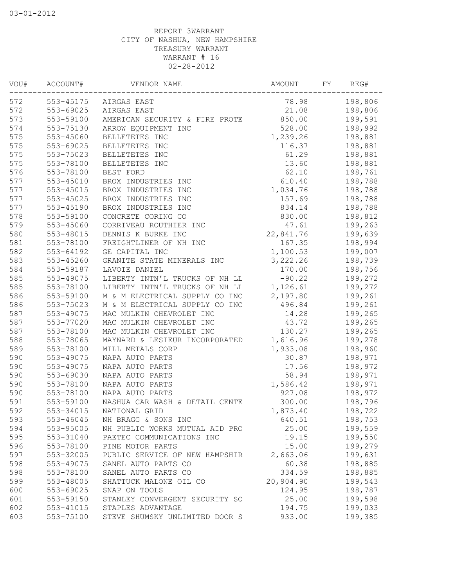| VOU# | ACCOUNT#      | VENDOR NAME                    | AMOUNT    | FΥ | REG#    |
|------|---------------|--------------------------------|-----------|----|---------|
| 572  | 553-45175     | AIRGAS EAST                    | 78.98     |    | 198,806 |
| 572  | 553-69025     | AIRGAS EAST                    | 21.08     |    | 198,806 |
| 573  | 553-59100     | AMERICAN SECURITY & FIRE PROTE | 850.00    |    | 199,591 |
| 574  | 553-75130     | ARROW EQUIPMENT INC            | 528.00    |    | 198,992 |
| 575  | 553-45060     | BELLETETES INC                 | 1,239.26  |    | 198,881 |
| 575  | 553-69025     | BELLETETES INC                 | 116.37    |    | 198,881 |
| 575  | 553-75023     | BELLETETES INC                 | 61.29     |    | 198,881 |
| 575  | 553-78100     | BELLETETES INC                 | 13.60     |    | 198,881 |
| 576  | 553-78100     | BEST FORD                      | 62.10     |    | 198,761 |
| 577  | $553 - 45010$ | BROX INDUSTRIES INC            | 610.40    |    | 198,788 |
| 577  | $553 - 45015$ | BROX INDUSTRIES INC            | 1,034.76  |    | 198,788 |
| 577  | 553-45025     | BROX INDUSTRIES INC            | 157.69    |    | 198,788 |
| 577  | 553-45190     | BROX INDUSTRIES INC            | 834.14    |    | 198,788 |
| 578  | 553-59100     | CONCRETE CORING CO             | 830.00    |    | 198,812 |
| 579  | 553-45060     | CORRIVEAU ROUTHIER INC         | 47.61     |    | 199,263 |
| 580  | 553-48015     | DENNIS K BURKE INC             | 22,841.76 |    | 199,639 |
| 581  | 553-78100     | FREIGHTLINER OF NH INC         | 167.35    |    | 198,994 |
| 582  | 553-64192     | GE CAPITAL INC                 | 1,100.53  |    | 199,007 |
| 583  | 553-45260     | GRANITE STATE MINERALS INC     | 3,222.26  |    | 198,739 |
| 584  | 553-59187     | LAVOIE DANIEL                  | 170.00    |    | 198,756 |
| 585  | 553-49075     | LIBERTY INTN'L TRUCKS OF NH LL | $-90.22$  |    | 199,272 |
| 585  | 553-78100     | LIBERTY INTN'L TRUCKS OF NH LL | 1,126.61  |    | 199,272 |
| 586  | 553-59100     | M & M ELECTRICAL SUPPLY CO INC | 2,197.80  |    | 199,261 |
| 586  | 553-75023     | M & M ELECTRICAL SUPPLY CO INC | 496.84    |    | 199,261 |
| 587  | 553-49075     | MAC MULKIN CHEVROLET INC       | 14.28     |    | 199,265 |
| 587  | 553-77020     | MAC MULKIN CHEVROLET INC       | 43.72     |    | 199,265 |
| 587  | 553-78100     | MAC MULKIN CHEVROLET INC       | 130.27    |    | 199,265 |
| 588  | 553-78065     | MAYNARD & LESIEUR INCORPORATED | 1,616.96  |    | 199,278 |
| 589  | 553-78100     | MILL METALS CORP               | 1,933.08  |    | 198,960 |
| 590  | 553-49075     | NAPA AUTO PARTS                | 30.87     |    | 198,971 |
| 590  | 553-49075     | NAPA AUTO PARTS                | 17.56     |    | 198,972 |
| 590  | 553-69030     | NAPA AUTO PARTS                | 58.94     |    | 198,971 |
| 590  | 553-78100     | NAPA AUTO PARTS                | 1,586.42  |    | 198,971 |
| 590  | 553-78100     | NAPA AUTO PARTS                | 927.08    |    | 198,972 |
| 591  | 553-59100     | NASHUA CAR WASH & DETAIL CENTE | 300.00    |    | 198,796 |
| 592  | 553-34015     | NATIONAL GRID                  | 1,873.40  |    | 198,722 |
| 593  | $553 - 46045$ | NH BRAGG & SONS INC            | 640.51    |    | 198,753 |
| 594  | 553-95005     | NH PUBLIC WORKS MUTUAL AID PRO | 25.00     |    | 199,559 |
| 595  | 553-31040     | PAETEC COMMUNICATIONS INC      | 19.15     |    | 199,550 |
| 596  | 553-78100     | PINE MOTOR PARTS               | 15.00     |    | 199,279 |
| 597  | 553-32005     | PUBLIC SERVICE OF NEW HAMPSHIR | 2,663.06  |    | 199,631 |
| 598  | 553-49075     | SANEL AUTO PARTS CO            | 60.38     |    | 198,885 |
| 598  | 553-78100     | SANEL AUTO PARTS CO            | 334.59    |    | 198,885 |
| 599  | 553-48005     | SHATTUCK MALONE OIL CO         | 20,904.90 |    | 199,543 |
| 600  | 553-69025     | SNAP ON TOOLS                  | 124.95    |    | 198,787 |
| 601  | 553-59150     | STANLEY CONVERGENT SECURITY SO | 25.00     |    | 199,598 |
| 602  | 553-41015     | STAPLES ADVANTAGE              | 194.75    |    | 199,033 |
| 603  | 553-75100     | STEVE SHUMSKY UNLIMITED DOOR S | 933.00    |    | 199,385 |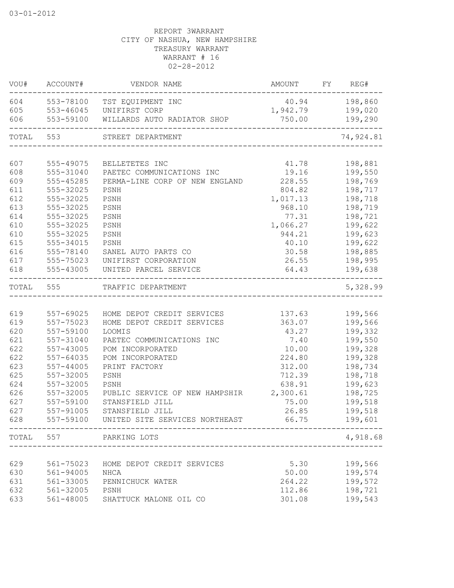| VOU#      | ACCOUNT#               | VENDOR NAME                                                 | AMOUNT         | FY | REG#               |
|-----------|------------------------|-------------------------------------------------------------|----------------|----|--------------------|
| 604       | 553-78100              | TST EQUIPMENT INC                                           | 40.94          |    | 198,860            |
| 605       | 553-46045              | UNIFIRST CORP                                               | 1,942.79       |    | 199,020            |
| 606       | 553-59100              | WILLARDS AUTO RADIATOR SHOP                                 | 750.00         |    | 199,290            |
| TOTAL 553 |                        | STREET DEPARTMENT                                           |                |    | 74,924.81          |
| 607       |                        |                                                             |                |    |                    |
| 608       | 555-49075<br>555-31040 | BELLETETES INC                                              | 41.78<br>19.16 |    | 198,881<br>199,550 |
| 609       | 555-45285              | PAETEC COMMUNICATIONS INC<br>PERMA-LINE CORP OF NEW ENGLAND | 228.55         |    | 198,769            |
| 611       | 555-32025              | PSNH                                                        | 804.82         |    | 198,717            |
| 612       | 555-32025              | PSNH                                                        | 1,017.13       |    | 198,718            |
| 613       | 555-32025              | PSNH                                                        | 968.10         |    | 198,719            |
| 614       | 555-32025              | PSNH                                                        | 77.31          |    | 198,721            |
| 610       | 555-32025              | PSNH                                                        | 1,066.27       |    | 199,622            |
| 610       | 555-32025              | PSNH                                                        | 944.21         |    | 199,623            |
| 615       | 555-34015              | PSNH                                                        | 40.10          |    | 199,622            |
| 616       | 555-78140              | SANEL AUTO PARTS CO                                         | 30.58          |    | 198,885            |
| 617       | 555-75023              | UNIFIRST CORPORATION                                        | 26.55          |    | 198,995            |
| 618       | 555-43005              | UNITED PARCEL SERVICE                                       | 64.43          |    | 199,638            |
| TOTAL     | 555                    | TRAFFIC DEPARTMENT                                          |                |    | 5,328.99           |
|           |                        |                                                             |                |    |                    |
| 619       | 557-69025              | HOME DEPOT CREDIT SERVICES                                  | 137.63         |    | 199,566            |
| 619       | 557-75023              | HOME DEPOT CREDIT SERVICES                                  | 363.07         |    | 199,566            |
| 620       | 557-59100              | LOOMIS                                                      | 43.27          |    | 199,332            |
| 621       | 557-31040              | PAETEC COMMUNICATIONS INC                                   | 7.40           |    | 199,550            |
| 622       | 557-43005              | POM INCORPORATED                                            | 10.00          |    | 199,328            |
| 622       | 557-64035              | POM INCORPORATED                                            | 224.80         |    | 199,328            |
| 623       | 557-44005              | PRINT FACTORY                                               | 312.00         |    | 198,734            |
| 625       | 557-32005              | PSNH                                                        | 712.39         |    | 198,718            |
| 624       | 557-32005              | PSNH                                                        | 638.91         |    | 199,623            |
| 626       | 557-32005              | PUBLIC SERVICE OF NEW HAMPSHIR                              | 2,300.61       |    | 198,725            |
| 627       | 557-59100              | STANSFIELD JILL                                             | 75.00          |    | 199,518            |
| 627       | 557-91005              | STANSFIELD JILL                                             | 26.85          |    | 199,518            |
| 628       |                        | 557-59100 UNITED SITE SERVICES NORTHEAST 66.75              |                |    | 199,601            |
| TOTAL 557 |                        | PARKING LOTS<br>_____________________                       |                |    | 4,918.68           |
|           |                        |                                                             |                |    |                    |
| 629       | 561-75023              | HOME DEPOT CREDIT SERVICES                                  | 5.30           |    | 199,566            |
| 630       | 561-94005              | NHCA                                                        | 50.00          |    | 199,574            |
| 631       | 561-33005              | PENNICHUCK WATER                                            | 264.22         |    | 199,572            |
| 632       | 561-32005              | PSNH                                                        | 112.86         |    | 198,721            |
| 633       | 561-48005              | SHATTUCK MALONE OIL CO                                      | 301.08         |    | 199,543            |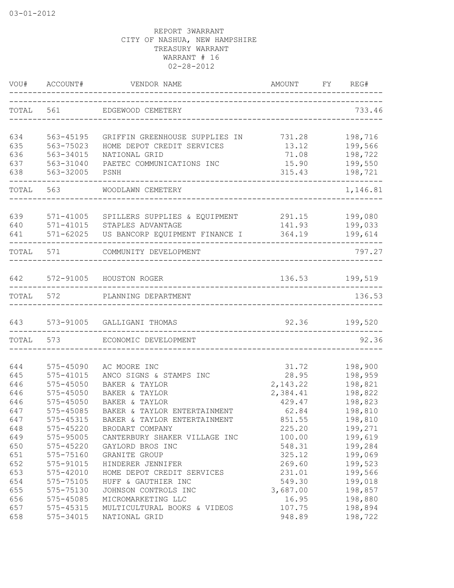| VOU#  | ACCOUNT#                        | VENDOR NAME<br>-----------------------------------    | <b>AMOUNT</b>                      | FY. | REG#     |
|-------|---------------------------------|-------------------------------------------------------|------------------------------------|-----|----------|
|       |                                 | TOTAL 561 EDGEWOOD CEMETERY                           |                                    |     | 733.46   |
| 634   | 563-45195                       | GRIFFIN GREENHOUSE SUPPLIES IN                        | 731.28                             |     | 198,716  |
| 635   | 563-75023                       | HOME DEPOT CREDIT SERVICES                            | 13.12                              |     | 199,566  |
| 636   | 563-34015                       | NATIONAL GRID                                         | 71.08                              |     | 198,722  |
| 637   | 563-31040                       | PAETEC COMMUNICATIONS INC                             | 15.90                              |     | 199,550  |
| 638   | 563-32005                       | PSNH                                                  | 315.43                             |     | 198,721  |
| TOTAL | 563                             | WOODLAWN CEMETERY                                     |                                    |     | 1,146.81 |
| 639   | 571-41005                       | SPILLERS SUPPLIES & EQUIPMENT                         | 291.15                             |     | 199,080  |
| 640   | 571-41015                       | STAPLES ADVANTAGE                                     | 141.93                             |     | 199,033  |
| 641   | 571-62025<br>------------------ | US BANCORP EQUIPMENT FINANCE I                        | 364.19                             |     | 199,614  |
| TOTAL | 571                             | COMMUNITY DEVELOPMENT                                 | __________________________________ |     | 797.27   |
| 642   | 572-91005                       | HOUSTON ROGER                                         | 136.53                             |     | 199,519  |
| TOTAL |                                 | 572 PLANNING DEPARTMENT                               |                                    |     | 136.53   |
|       |                                 |                                                       |                                    |     |          |
| 643   |                                 | 573-91005 GALLIGANI THOMAS<br>----------------------- | 92.36                              |     | 199,520  |
| TOTAL | 573                             | ECONOMIC DEVELOPMENT                                  |                                    |     | 92.36    |
| 644   | 575-45090                       | AC MOORE INC                                          | 31.72                              |     | 198,900  |
| 645   | 575-41015                       | ANCO SIGNS & STAMPS INC                               | 28.95                              |     | 198,959  |
| 646   | 575-45050                       | BAKER & TAYLOR                                        | 2,143.22                           |     | 198,821  |
| 646   | $575 - 45050$                   | BAKER & TAYLOR                                        | 2,384.41                           |     | 198,822  |
| 646   | $575 - 45050$                   | BAKER & TAYLOR                                        | 429.47                             |     | 198,823  |
| 647   | 575-45085                       | BAKER & TAYLOR ENTERTAINMENT                          | 62.84                              |     | 198,810  |
| 647   | 575-45315                       | BAKER & TAYLOR ENTERTAINMENT                          | 851.55                             |     | 198,810  |
| 648   | 575-45220                       | BRODART COMPANY                                       | 225.20                             |     | 199,271  |
| 649   | 575-95005                       | CANTERBURY SHAKER VILLAGE INC                         | 100.00                             |     | 199,619  |
| 650   | 575-45220                       | GAYLORD BROS INC                                      | 548.31                             |     | 199,284  |
| 651   | 575-75160                       | GRANITE GROUP                                         | 325.12                             |     | 199,069  |
| 652   | 575-91015                       | HINDERER JENNIFER                                     | 269.60                             |     | 199,523  |
| 653   | 575-42010                       | HOME DEPOT CREDIT SERVICES                            | 231.01                             |     | 199,566  |
| 654   | 575-75105                       | HUFF & GAUTHIER INC                                   | 549.30                             |     | 199,018  |
| 655   | 575-75130                       | JOHNSON CONTROLS INC                                  | 3,687.00                           |     | 198,857  |
| 656   | 575-45085                       | MICROMARKETING LLC                                    | 16.95                              |     | 198,880  |
| 657   | 575-45315                       | MULTICULTURAL BOOKS & VIDEOS                          | 107.75                             |     | 198,894  |
| 658   | 575-34015                       | NATIONAL GRID                                         | 948.89                             |     | 198,722  |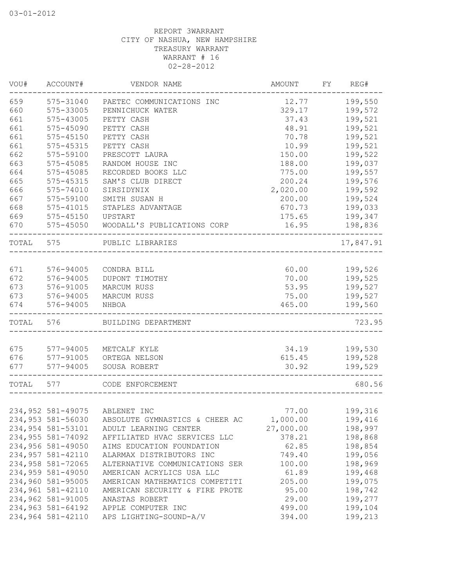| 575-31040<br>12.77<br>199,550<br>PAETEC COMMUNICATIONS INC<br>199,572<br>575-33005<br>329.17<br>PENNICHUCK WATER<br>575-43005<br>37.43<br>199,521<br>PETTY CASH<br>575-45090<br>48.91<br>199,521<br>PETTY CASH<br>199,521<br>575-45150<br>70.78<br>PETTY CASH<br>10.99<br>199,521<br>575-45315<br>PETTY CASH<br>150.00<br>199,522<br>575-59100<br>PRESCOTT LAURA<br>188.00<br>199,037<br>575-45085<br>RANDOM HOUSE INC<br>575-45085<br>RECORDED BOOKS LLC<br>775.00<br>199,557<br>200.24<br>199,576<br>575-45315<br>SAM'S CLUB DIRECT<br>2,020.00<br>199,592<br>575-74010<br>SIRSIDYNIX<br>199,524<br>575-59100<br>200.00<br>SMITH SUSAN H<br>668<br>199,033<br>575-41015<br>670.73<br>STAPLES ADVANTAGE<br>669<br>199,347<br>575-45150<br>UPSTART<br>175.65<br>575-45050<br>WOODALL'S PUBLICATIONS CORP<br>16.95<br>198,836<br>TOTAL 575<br>PUBLIC LIBRARIES<br>576-94005<br>60.00<br>199,526<br>CONDRA BILL<br>576-94005<br>70.00<br>199,525<br>DUPONT TIMOTHY<br>673<br>576-91005<br>MARCUM RUSS<br>53.95<br>199,527<br>673<br>576-94005<br>MARCUM RUSS<br>75.00<br>199,527<br>576-94005<br>465.00<br>199,560<br>NHBOA<br>TOTAL 576<br>BUILDING DEPARTMENT<br>577-94005<br>199,530<br>34.19<br>METCALF KYLE<br>577-91005<br>ORTEGA NELSON<br>615.45<br>199,528<br>577-94005<br>SOUSA ROBERT<br>30.92<br>199,529<br>577<br>CODE ENFORCEMENT<br>234,952 581-49075<br>199,316<br>ABLENET INC<br>77.00<br>234,953 581-56030<br>1,000.00<br>199,416<br>ABSOLUTE GYMNASTICS & CHEER AC<br>234,954 581-53101<br>27,000.00<br>198,997<br>ADULT LEARNING CENTER<br>234,955 581-74092<br>198,868<br>AFFILIATED HVAC SERVICES LLC<br>378.21<br>234,956 581-49050<br>62.85<br>198,854<br>AIMS EDUCATION FOUNDATION<br>234,957 581-42110<br>199,056<br>ALARMAX DISTRIBUTORS INC<br>749.40<br>234,958 581-72065<br>198,969<br>ALTERNATIVE COMMUNICATIONS SER<br>100.00<br>234,959 581-49050<br>61.89<br>199,468<br>AMERICAN ACRYLICS USA LLC<br>234,960 581-95005<br>205.00<br>199,075<br>AMERICAN MATHEMATICS COMPETITI<br>234,961 581-42110<br>95.00<br>198,742<br>AMERICAN SECURITY & FIRE PROTE<br>234,962 581-91005<br>29.00<br>199,277<br>ANASTAS ROBERT<br>234,963 581-64192<br>499.00<br>199,104<br>APPLE COMPUTER INC<br>234,964 581-42110<br>APS LIGHTING-SOUND-A/V<br>394.00<br>199,213 | VOU#  | ACCOUNT# | VENDOR NAME | AMOUNT | FY REG#   |
|-----------------------------------------------------------------------------------------------------------------------------------------------------------------------------------------------------------------------------------------------------------------------------------------------------------------------------------------------------------------------------------------------------------------------------------------------------------------------------------------------------------------------------------------------------------------------------------------------------------------------------------------------------------------------------------------------------------------------------------------------------------------------------------------------------------------------------------------------------------------------------------------------------------------------------------------------------------------------------------------------------------------------------------------------------------------------------------------------------------------------------------------------------------------------------------------------------------------------------------------------------------------------------------------------------------------------------------------------------------------------------------------------------------------------------------------------------------------------------------------------------------------------------------------------------------------------------------------------------------------------------------------------------------------------------------------------------------------------------------------------------------------------------------------------------------------------------------------------------------------------------------------------------------------------------------------------------------------------------------------------------------------------------------------------------------------------------------------------------------------------------------------------------------------------------------------------------------------------------------------------------------------------------------------|-------|----------|-------------|--------|-----------|
|                                                                                                                                                                                                                                                                                                                                                                                                                                                                                                                                                                                                                                                                                                                                                                                                                                                                                                                                                                                                                                                                                                                                                                                                                                                                                                                                                                                                                                                                                                                                                                                                                                                                                                                                                                                                                                                                                                                                                                                                                                                                                                                                                                                                                                                                                         | 659   |          |             |        |           |
|                                                                                                                                                                                                                                                                                                                                                                                                                                                                                                                                                                                                                                                                                                                                                                                                                                                                                                                                                                                                                                                                                                                                                                                                                                                                                                                                                                                                                                                                                                                                                                                                                                                                                                                                                                                                                                                                                                                                                                                                                                                                                                                                                                                                                                                                                         | 660   |          |             |        |           |
|                                                                                                                                                                                                                                                                                                                                                                                                                                                                                                                                                                                                                                                                                                                                                                                                                                                                                                                                                                                                                                                                                                                                                                                                                                                                                                                                                                                                                                                                                                                                                                                                                                                                                                                                                                                                                                                                                                                                                                                                                                                                                                                                                                                                                                                                                         | 661   |          |             |        |           |
|                                                                                                                                                                                                                                                                                                                                                                                                                                                                                                                                                                                                                                                                                                                                                                                                                                                                                                                                                                                                                                                                                                                                                                                                                                                                                                                                                                                                                                                                                                                                                                                                                                                                                                                                                                                                                                                                                                                                                                                                                                                                                                                                                                                                                                                                                         | 661   |          |             |        |           |
|                                                                                                                                                                                                                                                                                                                                                                                                                                                                                                                                                                                                                                                                                                                                                                                                                                                                                                                                                                                                                                                                                                                                                                                                                                                                                                                                                                                                                                                                                                                                                                                                                                                                                                                                                                                                                                                                                                                                                                                                                                                                                                                                                                                                                                                                                         | 661   |          |             |        |           |
|                                                                                                                                                                                                                                                                                                                                                                                                                                                                                                                                                                                                                                                                                                                                                                                                                                                                                                                                                                                                                                                                                                                                                                                                                                                                                                                                                                                                                                                                                                                                                                                                                                                                                                                                                                                                                                                                                                                                                                                                                                                                                                                                                                                                                                                                                         | 661   |          |             |        |           |
|                                                                                                                                                                                                                                                                                                                                                                                                                                                                                                                                                                                                                                                                                                                                                                                                                                                                                                                                                                                                                                                                                                                                                                                                                                                                                                                                                                                                                                                                                                                                                                                                                                                                                                                                                                                                                                                                                                                                                                                                                                                                                                                                                                                                                                                                                         | 662   |          |             |        |           |
|                                                                                                                                                                                                                                                                                                                                                                                                                                                                                                                                                                                                                                                                                                                                                                                                                                                                                                                                                                                                                                                                                                                                                                                                                                                                                                                                                                                                                                                                                                                                                                                                                                                                                                                                                                                                                                                                                                                                                                                                                                                                                                                                                                                                                                                                                         | 663   |          |             |        |           |
|                                                                                                                                                                                                                                                                                                                                                                                                                                                                                                                                                                                                                                                                                                                                                                                                                                                                                                                                                                                                                                                                                                                                                                                                                                                                                                                                                                                                                                                                                                                                                                                                                                                                                                                                                                                                                                                                                                                                                                                                                                                                                                                                                                                                                                                                                         | 664   |          |             |        |           |
|                                                                                                                                                                                                                                                                                                                                                                                                                                                                                                                                                                                                                                                                                                                                                                                                                                                                                                                                                                                                                                                                                                                                                                                                                                                                                                                                                                                                                                                                                                                                                                                                                                                                                                                                                                                                                                                                                                                                                                                                                                                                                                                                                                                                                                                                                         | 665   |          |             |        |           |
|                                                                                                                                                                                                                                                                                                                                                                                                                                                                                                                                                                                                                                                                                                                                                                                                                                                                                                                                                                                                                                                                                                                                                                                                                                                                                                                                                                                                                                                                                                                                                                                                                                                                                                                                                                                                                                                                                                                                                                                                                                                                                                                                                                                                                                                                                         | 666   |          |             |        |           |
|                                                                                                                                                                                                                                                                                                                                                                                                                                                                                                                                                                                                                                                                                                                                                                                                                                                                                                                                                                                                                                                                                                                                                                                                                                                                                                                                                                                                                                                                                                                                                                                                                                                                                                                                                                                                                                                                                                                                                                                                                                                                                                                                                                                                                                                                                         | 667   |          |             |        |           |
|                                                                                                                                                                                                                                                                                                                                                                                                                                                                                                                                                                                                                                                                                                                                                                                                                                                                                                                                                                                                                                                                                                                                                                                                                                                                                                                                                                                                                                                                                                                                                                                                                                                                                                                                                                                                                                                                                                                                                                                                                                                                                                                                                                                                                                                                                         |       |          |             |        |           |
|                                                                                                                                                                                                                                                                                                                                                                                                                                                                                                                                                                                                                                                                                                                                                                                                                                                                                                                                                                                                                                                                                                                                                                                                                                                                                                                                                                                                                                                                                                                                                                                                                                                                                                                                                                                                                                                                                                                                                                                                                                                                                                                                                                                                                                                                                         |       |          |             |        |           |
|                                                                                                                                                                                                                                                                                                                                                                                                                                                                                                                                                                                                                                                                                                                                                                                                                                                                                                                                                                                                                                                                                                                                                                                                                                                                                                                                                                                                                                                                                                                                                                                                                                                                                                                                                                                                                                                                                                                                                                                                                                                                                                                                                                                                                                                                                         | 670   |          |             |        |           |
|                                                                                                                                                                                                                                                                                                                                                                                                                                                                                                                                                                                                                                                                                                                                                                                                                                                                                                                                                                                                                                                                                                                                                                                                                                                                                                                                                                                                                                                                                                                                                                                                                                                                                                                                                                                                                                                                                                                                                                                                                                                                                                                                                                                                                                                                                         |       |          |             |        | 17,847.91 |
|                                                                                                                                                                                                                                                                                                                                                                                                                                                                                                                                                                                                                                                                                                                                                                                                                                                                                                                                                                                                                                                                                                                                                                                                                                                                                                                                                                                                                                                                                                                                                                                                                                                                                                                                                                                                                                                                                                                                                                                                                                                                                                                                                                                                                                                                                         |       |          |             |        |           |
|                                                                                                                                                                                                                                                                                                                                                                                                                                                                                                                                                                                                                                                                                                                                                                                                                                                                                                                                                                                                                                                                                                                                                                                                                                                                                                                                                                                                                                                                                                                                                                                                                                                                                                                                                                                                                                                                                                                                                                                                                                                                                                                                                                                                                                                                                         | 671   |          |             |        |           |
|                                                                                                                                                                                                                                                                                                                                                                                                                                                                                                                                                                                                                                                                                                                                                                                                                                                                                                                                                                                                                                                                                                                                                                                                                                                                                                                                                                                                                                                                                                                                                                                                                                                                                                                                                                                                                                                                                                                                                                                                                                                                                                                                                                                                                                                                                         | 672   |          |             |        |           |
|                                                                                                                                                                                                                                                                                                                                                                                                                                                                                                                                                                                                                                                                                                                                                                                                                                                                                                                                                                                                                                                                                                                                                                                                                                                                                                                                                                                                                                                                                                                                                                                                                                                                                                                                                                                                                                                                                                                                                                                                                                                                                                                                                                                                                                                                                         |       |          |             |        |           |
|                                                                                                                                                                                                                                                                                                                                                                                                                                                                                                                                                                                                                                                                                                                                                                                                                                                                                                                                                                                                                                                                                                                                                                                                                                                                                                                                                                                                                                                                                                                                                                                                                                                                                                                                                                                                                                                                                                                                                                                                                                                                                                                                                                                                                                                                                         |       |          |             |        |           |
|                                                                                                                                                                                                                                                                                                                                                                                                                                                                                                                                                                                                                                                                                                                                                                                                                                                                                                                                                                                                                                                                                                                                                                                                                                                                                                                                                                                                                                                                                                                                                                                                                                                                                                                                                                                                                                                                                                                                                                                                                                                                                                                                                                                                                                                                                         | 674   |          |             |        |           |
|                                                                                                                                                                                                                                                                                                                                                                                                                                                                                                                                                                                                                                                                                                                                                                                                                                                                                                                                                                                                                                                                                                                                                                                                                                                                                                                                                                                                                                                                                                                                                                                                                                                                                                                                                                                                                                                                                                                                                                                                                                                                                                                                                                                                                                                                                         |       |          |             |        | 723.95    |
|                                                                                                                                                                                                                                                                                                                                                                                                                                                                                                                                                                                                                                                                                                                                                                                                                                                                                                                                                                                                                                                                                                                                                                                                                                                                                                                                                                                                                                                                                                                                                                                                                                                                                                                                                                                                                                                                                                                                                                                                                                                                                                                                                                                                                                                                                         |       |          |             |        |           |
|                                                                                                                                                                                                                                                                                                                                                                                                                                                                                                                                                                                                                                                                                                                                                                                                                                                                                                                                                                                                                                                                                                                                                                                                                                                                                                                                                                                                                                                                                                                                                                                                                                                                                                                                                                                                                                                                                                                                                                                                                                                                                                                                                                                                                                                                                         | 675   |          |             |        |           |
|                                                                                                                                                                                                                                                                                                                                                                                                                                                                                                                                                                                                                                                                                                                                                                                                                                                                                                                                                                                                                                                                                                                                                                                                                                                                                                                                                                                                                                                                                                                                                                                                                                                                                                                                                                                                                                                                                                                                                                                                                                                                                                                                                                                                                                                                                         | 676   |          |             |        |           |
|                                                                                                                                                                                                                                                                                                                                                                                                                                                                                                                                                                                                                                                                                                                                                                                                                                                                                                                                                                                                                                                                                                                                                                                                                                                                                                                                                                                                                                                                                                                                                                                                                                                                                                                                                                                                                                                                                                                                                                                                                                                                                                                                                                                                                                                                                         | 677   |          |             |        |           |
|                                                                                                                                                                                                                                                                                                                                                                                                                                                                                                                                                                                                                                                                                                                                                                                                                                                                                                                                                                                                                                                                                                                                                                                                                                                                                                                                                                                                                                                                                                                                                                                                                                                                                                                                                                                                                                                                                                                                                                                                                                                                                                                                                                                                                                                                                         | TOTAL |          |             |        | 680.56    |
|                                                                                                                                                                                                                                                                                                                                                                                                                                                                                                                                                                                                                                                                                                                                                                                                                                                                                                                                                                                                                                                                                                                                                                                                                                                                                                                                                                                                                                                                                                                                                                                                                                                                                                                                                                                                                                                                                                                                                                                                                                                                                                                                                                                                                                                                                         |       |          |             |        |           |
|                                                                                                                                                                                                                                                                                                                                                                                                                                                                                                                                                                                                                                                                                                                                                                                                                                                                                                                                                                                                                                                                                                                                                                                                                                                                                                                                                                                                                                                                                                                                                                                                                                                                                                                                                                                                                                                                                                                                                                                                                                                                                                                                                                                                                                                                                         |       |          |             |        |           |
|                                                                                                                                                                                                                                                                                                                                                                                                                                                                                                                                                                                                                                                                                                                                                                                                                                                                                                                                                                                                                                                                                                                                                                                                                                                                                                                                                                                                                                                                                                                                                                                                                                                                                                                                                                                                                                                                                                                                                                                                                                                                                                                                                                                                                                                                                         |       |          |             |        |           |
|                                                                                                                                                                                                                                                                                                                                                                                                                                                                                                                                                                                                                                                                                                                                                                                                                                                                                                                                                                                                                                                                                                                                                                                                                                                                                                                                                                                                                                                                                                                                                                                                                                                                                                                                                                                                                                                                                                                                                                                                                                                                                                                                                                                                                                                                                         |       |          |             |        |           |
|                                                                                                                                                                                                                                                                                                                                                                                                                                                                                                                                                                                                                                                                                                                                                                                                                                                                                                                                                                                                                                                                                                                                                                                                                                                                                                                                                                                                                                                                                                                                                                                                                                                                                                                                                                                                                                                                                                                                                                                                                                                                                                                                                                                                                                                                                         |       |          |             |        |           |
|                                                                                                                                                                                                                                                                                                                                                                                                                                                                                                                                                                                                                                                                                                                                                                                                                                                                                                                                                                                                                                                                                                                                                                                                                                                                                                                                                                                                                                                                                                                                                                                                                                                                                                                                                                                                                                                                                                                                                                                                                                                                                                                                                                                                                                                                                         |       |          |             |        |           |
|                                                                                                                                                                                                                                                                                                                                                                                                                                                                                                                                                                                                                                                                                                                                                                                                                                                                                                                                                                                                                                                                                                                                                                                                                                                                                                                                                                                                                                                                                                                                                                                                                                                                                                                                                                                                                                                                                                                                                                                                                                                                                                                                                                                                                                                                                         |       |          |             |        |           |
|                                                                                                                                                                                                                                                                                                                                                                                                                                                                                                                                                                                                                                                                                                                                                                                                                                                                                                                                                                                                                                                                                                                                                                                                                                                                                                                                                                                                                                                                                                                                                                                                                                                                                                                                                                                                                                                                                                                                                                                                                                                                                                                                                                                                                                                                                         |       |          |             |        |           |
|                                                                                                                                                                                                                                                                                                                                                                                                                                                                                                                                                                                                                                                                                                                                                                                                                                                                                                                                                                                                                                                                                                                                                                                                                                                                                                                                                                                                                                                                                                                                                                                                                                                                                                                                                                                                                                                                                                                                                                                                                                                                                                                                                                                                                                                                                         |       |          |             |        |           |
|                                                                                                                                                                                                                                                                                                                                                                                                                                                                                                                                                                                                                                                                                                                                                                                                                                                                                                                                                                                                                                                                                                                                                                                                                                                                                                                                                                                                                                                                                                                                                                                                                                                                                                                                                                                                                                                                                                                                                                                                                                                                                                                                                                                                                                                                                         |       |          |             |        |           |
|                                                                                                                                                                                                                                                                                                                                                                                                                                                                                                                                                                                                                                                                                                                                                                                                                                                                                                                                                                                                                                                                                                                                                                                                                                                                                                                                                                                                                                                                                                                                                                                                                                                                                                                                                                                                                                                                                                                                                                                                                                                                                                                                                                                                                                                                                         |       |          |             |        |           |
|                                                                                                                                                                                                                                                                                                                                                                                                                                                                                                                                                                                                                                                                                                                                                                                                                                                                                                                                                                                                                                                                                                                                                                                                                                                                                                                                                                                                                                                                                                                                                                                                                                                                                                                                                                                                                                                                                                                                                                                                                                                                                                                                                                                                                                                                                         |       |          |             |        |           |
|                                                                                                                                                                                                                                                                                                                                                                                                                                                                                                                                                                                                                                                                                                                                                                                                                                                                                                                                                                                                                                                                                                                                                                                                                                                                                                                                                                                                                                                                                                                                                                                                                                                                                                                                                                                                                                                                                                                                                                                                                                                                                                                                                                                                                                                                                         |       |          |             |        |           |
|                                                                                                                                                                                                                                                                                                                                                                                                                                                                                                                                                                                                                                                                                                                                                                                                                                                                                                                                                                                                                                                                                                                                                                                                                                                                                                                                                                                                                                                                                                                                                                                                                                                                                                                                                                                                                                                                                                                                                                                                                                                                                                                                                                                                                                                                                         |       |          |             |        |           |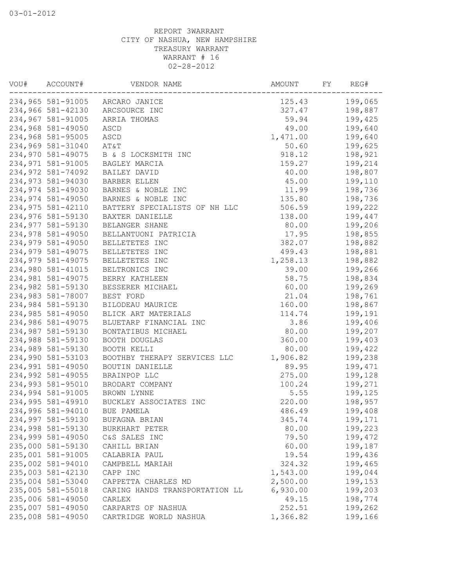|                   | AMOUNT FY<br>---------------------------<br>VOU# ACCOUNT# VENDOR NAME |                  | REG#               |
|-------------------|-----------------------------------------------------------------------|------------------|--------------------|
|                   | 234,965 581-91005 ARCARO JANICE                                       | 125.43           | 199,065            |
|                   | 234,966 581-42130 ARCSOURCE INC                                       |                  | 327.47 198,887     |
| 234,967 581-91005 | ARRIA THOMAS                                                          | 59.94 199,425    |                    |
| 234,968 581-49050 | ASCD                                                                  | 49.00 199,640    |                    |
| 234,968 581-95005 | ASCD                                                                  | 1,471.00         | 199,640            |
| 234,969 581-31040 | AT&T                                                                  | 50.60            | 199,625            |
| 234,970 581-49075 | B & S LOCKSMITH INC                                                   | 918.12           | 198,921            |
| 234,971 581-91005 | BAGLEY MARCIA                                                         | 159.27           | 199,214            |
| 234,972 581-74092 | BAILEY DAVID                                                          | 40.00            | 198,807            |
| 234,973 581-94030 | BARBER ELLEN                                                          | 45.00            | 199,110            |
| 234,974 581-49030 | BARNES & NOBLE INC                                                    | 11.99 198,736    |                    |
| 234,974 581-49050 | BARNES & NOBLE INC                                                    | 135.80 198,736   |                    |
| 234,975 581-42110 | BATTERY SPECIALISTS OF NH LLC 506.59 199,222                          |                  |                    |
| 234,976 581-59130 | BAXTER DANIELLE                                                       | 138.00           | 199,447            |
| 234,977 581-59130 | BELANGER SHANE                                                        | 80.00            | 199,206            |
| 234,978 581-49050 | BELLANTUONI PATRICIA                                                  | 17.95            | 198,855            |
| 234,979 581-49050 | BELLETETES INC                                                        | 382.07           | 198,882            |
| 234,979 581-49075 | BELLETETES INC                                                        | 499.43           | 198,881            |
| 234,979 581-49075 | BELLETETES INC                                                        | 1,258.13 198,882 |                    |
| 234,980 581-41015 | BELTRONICS INC                                                        | 39.00            | 199,266            |
| 234,981 581-49075 | BERRY KATHLEEN                                                        | 58.75            | 198,834            |
| 234,982 581-59130 | BESSERER MICHAEL                                                      | 60.00            | 199,269            |
| 234,983 581-78007 | BEST FORD                                                             | 21.04            | 198,761            |
| 234,984 581-59130 | BILODEAU MAURICE                                                      | 160.00           | 198,867            |
| 234,985 581-49050 | BLICK ART MATERIALS                                                   | 114.74           | 199,191            |
| 234,986 581-49075 | BLUETARP FINANCIAL INC                                                | 3.86             | 199,406            |
| 234,987 581-59130 | BONTATIBUS MICHAEL                                                    | 80.00            | 199,207            |
| 234,988 581-59130 | BOOTH DOUGLAS                                                         | 360.00           | 199,403            |
| 234,989 581-59130 | BOOTH KELLI                                                           | 80.00            | 199,422            |
| 234,990 581-53103 | BOOTHBY THERAPY SERVICES LLC                                          | 1,906.82         | 199,238            |
| 234,991 581-49050 | BOUTIN DANIELLE                                                       | 89.95            | 199,471            |
| 234,992 581-49055 | BRAINPOP LLC                                                          | 275.00           | 199,128            |
|                   | 234,993 581-95010 BRODART COMPANY                                     | 100.24           | 199,271            |
|                   | 234,994 581-91005 BROWN LYNNE                                         | 5.55             |                    |
| 234,995 581-49910 | BUCKLEY ASSOCIATES INC                                                | 220.00           | 199,125<br>198,957 |
|                   | 234,996 581-94010 BUE PAMELA                                          | 486.49           | 199,408            |
| 234,997 581-59130 | BUFAGNA BRIAN                                                         | 345.74           | 199,171            |
| 234,998 581-59130 | BURKHART PETER                                                        | 80.00            | 199,223            |
| 234,999 581-49050 | C&S SALES INC                                                         | 79.50            | 199,472            |
| 235,000 581-59130 | CAHILL BRIAN                                                          | 60.00            | 199,187            |
| 235,001 581-91005 | CALABRIA PAUL                                                         | 19.54            | 199,436            |
| 235,002 581-94010 | CAMPBELL MARIAH                                                       | 324.32           | 199,465            |
| 235,003 581-42130 | CAPP INC                                                              | 1,543.00         | 199,044            |
| 235,004 581-53040 | CAPPETTA CHARLES MD                                                   | 2,500.00         | 199,153            |
| 235,005 581-55018 | CARING HANDS TRANSPORTATION LL                                        | 6,930.00         | 199,203            |
| 235,006 581-49050 | CARLEX                                                                | 49.15            | 198,774            |
| 235,007 581-49050 | CARPARTS OF NASHUA                                                    | 252.51           | 199,262            |
| 235,008 581-49050 | CARTRIDGE WORLD NASHUA                                                | 1,366.82         | 199,166            |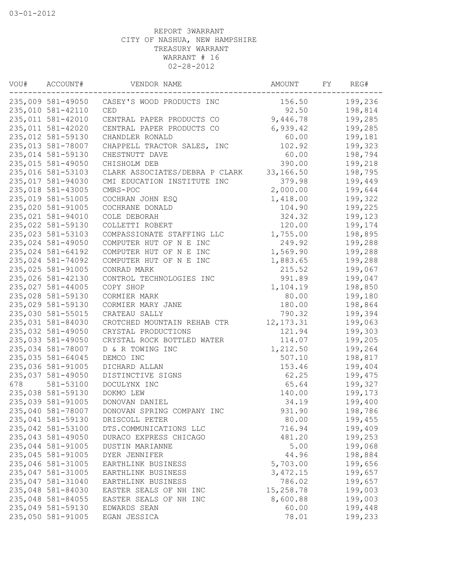| ACCOUNT#          | VENDOR NAME                                                                                                                                                                                                                                                                                                                                                                                                                                                                                                                                                                                                                                                                          | AMOUNT                                                                                                                                                                                                                                                                                                                                                                                                                                                                                                                                                                                                                                        | FΥ                                                                                                                                                                                                                                                                                                              | REG#    |
|-------------------|--------------------------------------------------------------------------------------------------------------------------------------------------------------------------------------------------------------------------------------------------------------------------------------------------------------------------------------------------------------------------------------------------------------------------------------------------------------------------------------------------------------------------------------------------------------------------------------------------------------------------------------------------------------------------------------|-----------------------------------------------------------------------------------------------------------------------------------------------------------------------------------------------------------------------------------------------------------------------------------------------------------------------------------------------------------------------------------------------------------------------------------------------------------------------------------------------------------------------------------------------------------------------------------------------------------------------------------------------|-----------------------------------------------------------------------------------------------------------------------------------------------------------------------------------------------------------------------------------------------------------------------------------------------------------------|---------|
|                   | CASEY'S WOOD PRODUCTS INC                                                                                                                                                                                                                                                                                                                                                                                                                                                                                                                                                                                                                                                            | 156.50                                                                                                                                                                                                                                                                                                                                                                                                                                                                                                                                                                                                                                        |                                                                                                                                                                                                                                                                                                                 | 199,236 |
| 235,010 581-42110 | CED                                                                                                                                                                                                                                                                                                                                                                                                                                                                                                                                                                                                                                                                                  | 92.50                                                                                                                                                                                                                                                                                                                                                                                                                                                                                                                                                                                                                                         |                                                                                                                                                                                                                                                                                                                 | 198,814 |
| 235,011 581-42010 | CENTRAL PAPER PRODUCTS CO                                                                                                                                                                                                                                                                                                                                                                                                                                                                                                                                                                                                                                                            | 9,446.78                                                                                                                                                                                                                                                                                                                                                                                                                                                                                                                                                                                                                                      |                                                                                                                                                                                                                                                                                                                 | 199,285 |
| 235,011 581-42020 | CENTRAL PAPER PRODUCTS CO                                                                                                                                                                                                                                                                                                                                                                                                                                                                                                                                                                                                                                                            | 6,939.42                                                                                                                                                                                                                                                                                                                                                                                                                                                                                                                                                                                                                                      |                                                                                                                                                                                                                                                                                                                 | 199,285 |
| 235,012 581-59130 | CHANDLER RONALD                                                                                                                                                                                                                                                                                                                                                                                                                                                                                                                                                                                                                                                                      | 60.00                                                                                                                                                                                                                                                                                                                                                                                                                                                                                                                                                                                                                                         |                                                                                                                                                                                                                                                                                                                 | 199,181 |
|                   | CHAPPELL TRACTOR SALES, INC                                                                                                                                                                                                                                                                                                                                                                                                                                                                                                                                                                                                                                                          | 102.92                                                                                                                                                                                                                                                                                                                                                                                                                                                                                                                                                                                                                                        |                                                                                                                                                                                                                                                                                                                 | 199,323 |
|                   | CHESTNUTT DAVE                                                                                                                                                                                                                                                                                                                                                                                                                                                                                                                                                                                                                                                                       | 60.00                                                                                                                                                                                                                                                                                                                                                                                                                                                                                                                                                                                                                                         |                                                                                                                                                                                                                                                                                                                 | 198,794 |
|                   | CHISHOLM DEB                                                                                                                                                                                                                                                                                                                                                                                                                                                                                                                                                                                                                                                                         |                                                                                                                                                                                                                                                                                                                                                                                                                                                                                                                                                                                                                                               |                                                                                                                                                                                                                                                                                                                 | 199,218 |
|                   |                                                                                                                                                                                                                                                                                                                                                                                                                                                                                                                                                                                                                                                                                      |                                                                                                                                                                                                                                                                                                                                                                                                                                                                                                                                                                                                                                               |                                                                                                                                                                                                                                                                                                                 | 198,795 |
|                   |                                                                                                                                                                                                                                                                                                                                                                                                                                                                                                                                                                                                                                                                                      |                                                                                                                                                                                                                                                                                                                                                                                                                                                                                                                                                                                                                                               |                                                                                                                                                                                                                                                                                                                 | 199,449 |
|                   |                                                                                                                                                                                                                                                                                                                                                                                                                                                                                                                                                                                                                                                                                      |                                                                                                                                                                                                                                                                                                                                                                                                                                                                                                                                                                                                                                               |                                                                                                                                                                                                                                                                                                                 | 199,644 |
|                   |                                                                                                                                                                                                                                                                                                                                                                                                                                                                                                                                                                                                                                                                                      |                                                                                                                                                                                                                                                                                                                                                                                                                                                                                                                                                                                                                                               |                                                                                                                                                                                                                                                                                                                 | 199,322 |
|                   |                                                                                                                                                                                                                                                                                                                                                                                                                                                                                                                                                                                                                                                                                      |                                                                                                                                                                                                                                                                                                                                                                                                                                                                                                                                                                                                                                               |                                                                                                                                                                                                                                                                                                                 | 199,225 |
|                   |                                                                                                                                                                                                                                                                                                                                                                                                                                                                                                                                                                                                                                                                                      |                                                                                                                                                                                                                                                                                                                                                                                                                                                                                                                                                                                                                                               |                                                                                                                                                                                                                                                                                                                 | 199,123 |
|                   |                                                                                                                                                                                                                                                                                                                                                                                                                                                                                                                                                                                                                                                                                      |                                                                                                                                                                                                                                                                                                                                                                                                                                                                                                                                                                                                                                               |                                                                                                                                                                                                                                                                                                                 | 199,174 |
|                   |                                                                                                                                                                                                                                                                                                                                                                                                                                                                                                                                                                                                                                                                                      |                                                                                                                                                                                                                                                                                                                                                                                                                                                                                                                                                                                                                                               |                                                                                                                                                                                                                                                                                                                 | 198,895 |
|                   |                                                                                                                                                                                                                                                                                                                                                                                                                                                                                                                                                                                                                                                                                      |                                                                                                                                                                                                                                                                                                                                                                                                                                                                                                                                                                                                                                               |                                                                                                                                                                                                                                                                                                                 | 199,288 |
|                   |                                                                                                                                                                                                                                                                                                                                                                                                                                                                                                                                                                                                                                                                                      |                                                                                                                                                                                                                                                                                                                                                                                                                                                                                                                                                                                                                                               |                                                                                                                                                                                                                                                                                                                 | 199,288 |
|                   |                                                                                                                                                                                                                                                                                                                                                                                                                                                                                                                                                                                                                                                                                      |                                                                                                                                                                                                                                                                                                                                                                                                                                                                                                                                                                                                                                               |                                                                                                                                                                                                                                                                                                                 | 199,288 |
|                   |                                                                                                                                                                                                                                                                                                                                                                                                                                                                                                                                                                                                                                                                                      |                                                                                                                                                                                                                                                                                                                                                                                                                                                                                                                                                                                                                                               |                                                                                                                                                                                                                                                                                                                 | 199,067 |
|                   |                                                                                                                                                                                                                                                                                                                                                                                                                                                                                                                                                                                                                                                                                      |                                                                                                                                                                                                                                                                                                                                                                                                                                                                                                                                                                                                                                               |                                                                                                                                                                                                                                                                                                                 | 199,047 |
|                   |                                                                                                                                                                                                                                                                                                                                                                                                                                                                                                                                                                                                                                                                                      |                                                                                                                                                                                                                                                                                                                                                                                                                                                                                                                                                                                                                                               |                                                                                                                                                                                                                                                                                                                 | 198,850 |
|                   |                                                                                                                                                                                                                                                                                                                                                                                                                                                                                                                                                                                                                                                                                      |                                                                                                                                                                                                                                                                                                                                                                                                                                                                                                                                                                                                                                               |                                                                                                                                                                                                                                                                                                                 |         |
|                   |                                                                                                                                                                                                                                                                                                                                                                                                                                                                                                                                                                                                                                                                                      |                                                                                                                                                                                                                                                                                                                                                                                                                                                                                                                                                                                                                                               |                                                                                                                                                                                                                                                                                                                 | 199,180 |
|                   |                                                                                                                                                                                                                                                                                                                                                                                                                                                                                                                                                                                                                                                                                      |                                                                                                                                                                                                                                                                                                                                                                                                                                                                                                                                                                                                                                               |                                                                                                                                                                                                                                                                                                                 | 198,864 |
|                   |                                                                                                                                                                                                                                                                                                                                                                                                                                                                                                                                                                                                                                                                                      |                                                                                                                                                                                                                                                                                                                                                                                                                                                                                                                                                                                                                                               |                                                                                                                                                                                                                                                                                                                 | 199,394 |
|                   |                                                                                                                                                                                                                                                                                                                                                                                                                                                                                                                                                                                                                                                                                      |                                                                                                                                                                                                                                                                                                                                                                                                                                                                                                                                                                                                                                               |                                                                                                                                                                                                                                                                                                                 | 199,063 |
|                   |                                                                                                                                                                                                                                                                                                                                                                                                                                                                                                                                                                                                                                                                                      |                                                                                                                                                                                                                                                                                                                                                                                                                                                                                                                                                                                                                                               |                                                                                                                                                                                                                                                                                                                 | 199,303 |
|                   |                                                                                                                                                                                                                                                                                                                                                                                                                                                                                                                                                                                                                                                                                      |                                                                                                                                                                                                                                                                                                                                                                                                                                                                                                                                                                                                                                               |                                                                                                                                                                                                                                                                                                                 | 199,205 |
|                   |                                                                                                                                                                                                                                                                                                                                                                                                                                                                                                                                                                                                                                                                                      |                                                                                                                                                                                                                                                                                                                                                                                                                                                                                                                                                                                                                                               |                                                                                                                                                                                                                                                                                                                 | 199,264 |
|                   |                                                                                                                                                                                                                                                                                                                                                                                                                                                                                                                                                                                                                                                                                      |                                                                                                                                                                                                                                                                                                                                                                                                                                                                                                                                                                                                                                               |                                                                                                                                                                                                                                                                                                                 | 198,817 |
|                   |                                                                                                                                                                                                                                                                                                                                                                                                                                                                                                                                                                                                                                                                                      |                                                                                                                                                                                                                                                                                                                                                                                                                                                                                                                                                                                                                                               |                                                                                                                                                                                                                                                                                                                 | 199,404 |
|                   |                                                                                                                                                                                                                                                                                                                                                                                                                                                                                                                                                                                                                                                                                      |                                                                                                                                                                                                                                                                                                                                                                                                                                                                                                                                                                                                                                               |                                                                                                                                                                                                                                                                                                                 | 199,475 |
|                   |                                                                                                                                                                                                                                                                                                                                                                                                                                                                                                                                                                                                                                                                                      |                                                                                                                                                                                                                                                                                                                                                                                                                                                                                                                                                                                                                                               |                                                                                                                                                                                                                                                                                                                 | 199,327 |
|                   |                                                                                                                                                                                                                                                                                                                                                                                                                                                                                                                                                                                                                                                                                      |                                                                                                                                                                                                                                                                                                                                                                                                                                                                                                                                                                                                                                               |                                                                                                                                                                                                                                                                                                                 | 199,173 |
|                   |                                                                                                                                                                                                                                                                                                                                                                                                                                                                                                                                                                                                                                                                                      |                                                                                                                                                                                                                                                                                                                                                                                                                                                                                                                                                                                                                                               |                                                                                                                                                                                                                                                                                                                 | 199,400 |
|                   |                                                                                                                                                                                                                                                                                                                                                                                                                                                                                                                                                                                                                                                                                      |                                                                                                                                                                                                                                                                                                                                                                                                                                                                                                                                                                                                                                               |                                                                                                                                                                                                                                                                                                                 | 198,786 |
|                   | DRISCOLL PETER                                                                                                                                                                                                                                                                                                                                                                                                                                                                                                                                                                                                                                                                       | 80.00                                                                                                                                                                                                                                                                                                                                                                                                                                                                                                                                                                                                                                         |                                                                                                                                                                                                                                                                                                                 | 199,455 |
| 235,042 581-53100 | DTS.COMMUNICATIONS LLC                                                                                                                                                                                                                                                                                                                                                                                                                                                                                                                                                                                                                                                               | 716.94                                                                                                                                                                                                                                                                                                                                                                                                                                                                                                                                                                                                                                        |                                                                                                                                                                                                                                                                                                                 | 199,409 |
| 235,043 581-49050 | DURACO EXPRESS CHICAGO                                                                                                                                                                                                                                                                                                                                                                                                                                                                                                                                                                                                                                                               | 481.20                                                                                                                                                                                                                                                                                                                                                                                                                                                                                                                                                                                                                                        |                                                                                                                                                                                                                                                                                                                 | 199,253 |
| 235,044 581-91005 | DUSTIN MARIANNE                                                                                                                                                                                                                                                                                                                                                                                                                                                                                                                                                                                                                                                                      | 5.00                                                                                                                                                                                                                                                                                                                                                                                                                                                                                                                                                                                                                                          |                                                                                                                                                                                                                                                                                                                 | 199,068 |
| 235,045 581-91005 | DYER JENNIFER                                                                                                                                                                                                                                                                                                                                                                                                                                                                                                                                                                                                                                                                        | 44.96                                                                                                                                                                                                                                                                                                                                                                                                                                                                                                                                                                                                                                         |                                                                                                                                                                                                                                                                                                                 | 198,884 |
| 235,046 581-31005 | EARTHLINK BUSINESS                                                                                                                                                                                                                                                                                                                                                                                                                                                                                                                                                                                                                                                                   | 5,703.00                                                                                                                                                                                                                                                                                                                                                                                                                                                                                                                                                                                                                                      |                                                                                                                                                                                                                                                                                                                 | 199,656 |
| 235,047 581-31005 | EARTHLINK BUSINESS                                                                                                                                                                                                                                                                                                                                                                                                                                                                                                                                                                                                                                                                   | 3, 472.15                                                                                                                                                                                                                                                                                                                                                                                                                                                                                                                                                                                                                                     |                                                                                                                                                                                                                                                                                                                 | 199,657 |
| 235,047 581-31040 | EARTHLINK BUSINESS                                                                                                                                                                                                                                                                                                                                                                                                                                                                                                                                                                                                                                                                   | 786.02                                                                                                                                                                                                                                                                                                                                                                                                                                                                                                                                                                                                                                        |                                                                                                                                                                                                                                                                                                                 | 199,657 |
| 235,048 581-84030 | EASTER SEALS OF NH INC                                                                                                                                                                                                                                                                                                                                                                                                                                                                                                                                                                                                                                                               | 15,258.78                                                                                                                                                                                                                                                                                                                                                                                                                                                                                                                                                                                                                                     |                                                                                                                                                                                                                                                                                                                 | 199,003 |
| 235,048 581-84055 | EASTER SEALS OF NH INC                                                                                                                                                                                                                                                                                                                                                                                                                                                                                                                                                                                                                                                               | 8,600.88                                                                                                                                                                                                                                                                                                                                                                                                                                                                                                                                                                                                                                      |                                                                                                                                                                                                                                                                                                                 | 199,003 |
| 235,049 581-59130 | EDWARDS SEAN                                                                                                                                                                                                                                                                                                                                                                                                                                                                                                                                                                                                                                                                         | 60.00                                                                                                                                                                                                                                                                                                                                                                                                                                                                                                                                                                                                                                         |                                                                                                                                                                                                                                                                                                                 | 199,448 |
| 235,050 581-91005 | EGAN JESSICA                                                                                                                                                                                                                                                                                                                                                                                                                                                                                                                                                                                                                                                                         | 78.01                                                                                                                                                                                                                                                                                                                                                                                                                                                                                                                                                                                                                                         |                                                                                                                                                                                                                                                                                                                 | 199,233 |
|                   | 235,013 581-78007<br>235,014 581-59130<br>235,015 581-49050<br>235,016 581-53103<br>235,017 581-94030<br>235,018 581-43005<br>235,019 581-51005<br>235,020 581-91005<br>235,021 581-94010<br>235,022 581-59130<br>235,023 581-53103<br>235,024 581-49050<br>235,024 581-64192<br>235,024 581-74092<br>235,025 581-91005<br>235,026 581-42130<br>235,027 581-44005<br>235,028 581-59130<br>235,029 581-59130<br>235,030 581-55015<br>235,031 581-84030<br>235,032 581-49050<br>235,033 581-49050<br>235,034 581-78007<br>235,035 581-64045<br>235,036 581-91005<br>235,037 581-49050<br>581-53100<br>235,038 581-59130<br>235,039 581-91005<br>235,040 581-78007<br>235,041 581-59130 | 235,009 581-49050<br>CLARK ASSOCIATES/DEBRA P CLARK<br>CMI EDUCATION INSTITUTE INC<br>CMRS-POC<br>COCHRAN JOHN ESQ<br>COCHRANE DONALD<br>COLE DEBORAH<br>COLLETTI ROBERT<br>COMPASSIONATE STAFFING LLC<br>COMPUTER HUT OF N E INC<br>COMPUTER HUT OF N E INC<br>COMPUTER HUT OF N E INC<br>CONRAD MARK<br>CONTROL TECHNOLOGIES INC<br>COPY SHOP<br>CORMIER MARK<br>CORMIER MARY JANE<br>CRATEAU SALLY<br>CROTCHED MOUNTAIN REHAB CTR<br>CRYSTAL PRODUCTIONS<br>CRYSTAL ROCK BOTTLED WATER<br>D & R TOWING INC<br>DEMCO INC<br>DICHARD ALLAN<br>DISTINCTIVE SIGNS<br>DOCULYNX INC<br>DOKMO LEW<br>DONOVAN DANIEL<br>DONOVAN SPRING COMPANY INC | 390.00<br>33,166.50<br>379.98<br>2,000.00<br>1,418.00<br>104.90<br>324.32<br>120.00<br>1,755.00<br>249.92<br>1,569.90<br>1,883.65<br>215.52<br>991.89<br>1,104.19<br>80.00<br>180.00<br>790.32<br>12, 173.31<br>121.94<br>114.07<br>1,212.50<br>507.10<br>153.46<br>62.25<br>65.64<br>140.00<br>34.19<br>931.90 |         |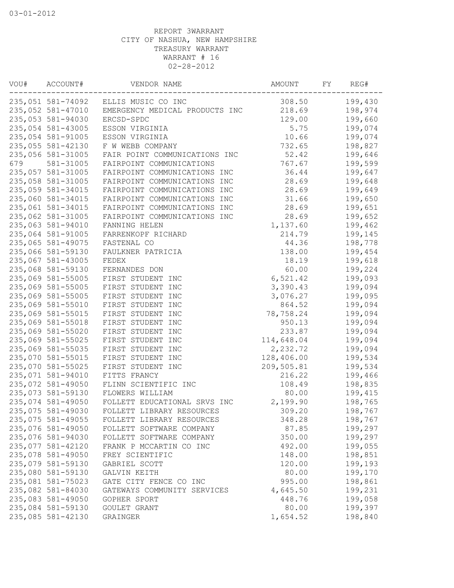| VOU# | ACCOUNT#          | VENDOR NAME                          | AMOUNT     | FY. | REG#    |
|------|-------------------|--------------------------------------|------------|-----|---------|
|      |                   | 235,051 581-74092 ELLIS MUSIC CO INC | 308.50     |     | 199,430 |
|      | 235,052 581-47010 | EMERGENCY MEDICAL PRODUCTS INC       | 218.69     |     | 198,974 |
|      | 235,053 581-94030 | ERCSD-SPDC                           | 129.00     |     | 199,660 |
|      | 235,054 581-43005 | ESSON VIRGINIA                       | 5.75       |     | 199,074 |
|      | 235,054 581-91005 | ESSON VIRGINIA                       | 10.66      |     | 199,074 |
|      | 235,055 581-42130 | F W WEBB COMPANY                     | 732.65     |     | 198,827 |
|      | 235,056 581-31005 | FAIR POINT COMMUNICATIONS INC        | 52.42      |     | 199,646 |
| 679  | 581-31005         | FAIRPOINT COMMUNICATIONS             | 767.67     |     | 199,599 |
|      | 235,057 581-31005 | FAIRPOINT COMMUNICATIONS INC         | 36.44      |     | 199,647 |
|      | 235,058 581-31005 | FAIRPOINT COMMUNICATIONS INC         | 28.69      |     | 199,648 |
|      | 235,059 581-34015 | FAIRPOINT COMMUNICATIONS INC         | 28.69      |     | 199,649 |
|      | 235,060 581-34015 | FAIRPOINT COMMUNICATIONS INC         | 31.66      |     | 199,650 |
|      | 235,061 581-34015 | FAIRPOINT COMMUNICATIONS INC         | 28.69      |     | 199,651 |
|      | 235,062 581-31005 | FAIRPOINT COMMUNICATIONS INC         | 28.69      |     | 199,652 |
|      | 235,063 581-94010 | FANNING HELEN                        | 1,137.60   |     | 199,462 |
|      | 235,064 581-91005 | FARRENKOPF RICHARD                   | 214.79     |     | 199,145 |
|      | 235,065 581-49075 | FASTENAL CO                          | 44.36      |     | 198,778 |
|      | 235,066 581-59130 | FAULKNER PATRICIA                    | 138.00     |     | 199,454 |
|      | 235,067 581-43005 | FEDEX                                | 18.19      |     | 199,618 |
|      | 235,068 581-59130 | FERNANDES DON                        | 60.00      |     | 199,224 |
|      | 235,069 581-55005 | FIRST STUDENT INC                    | 6,521.42   |     | 199,093 |
|      | 235,069 581-55005 | FIRST STUDENT INC                    | 3,390.43   |     | 199,094 |
|      | 235,069 581-55005 | FIRST STUDENT INC                    | 3,076.27   |     | 199,095 |
|      | 235,069 581-55010 | FIRST STUDENT INC                    | 864.52     |     | 199,094 |
|      | 235,069 581-55015 | FIRST STUDENT INC                    | 78,758.24  |     | 199,094 |
|      | 235,069 581-55018 | FIRST STUDENT INC                    | 950.13     |     | 199,094 |
|      | 235,069 581-55020 | FIRST STUDENT INC                    | 233.87     |     | 199,094 |
|      | 235,069 581-55025 | FIRST STUDENT INC                    | 114,648.04 |     | 199,094 |
|      | 235,069 581-55035 | FIRST STUDENT INC                    | 2,232.72   |     | 199,094 |
|      | 235,070 581-55015 | FIRST STUDENT INC                    | 128,406.00 |     | 199,534 |
|      | 235,070 581-55025 | FIRST STUDENT INC                    | 209,505.81 |     | 199,534 |
|      | 235,071 581-94010 | FITTS FRANCY                         | 216.22     |     | 199,466 |
|      | 235,072 581-49050 | FLINN SCIENTIFIC INC                 | 108.49     |     | 198,835 |
|      | 235,073 581-59130 | FLOWERS WILLIAM                      | 80.00      |     | 199,415 |
|      | 235,074 581-49050 | FOLLETT EDUCATIONAL SRVS INC         | 2,199.90   |     | 198,765 |
|      | 235,075 581-49030 | FOLLETT LIBRARY RESOURCES            | 309.20     |     | 198,767 |
|      | 235,075 581-49055 | FOLLETT LIBRARY RESOURCES            | 348.28     |     | 198,767 |
|      | 235,076 581-49050 | FOLLETT SOFTWARE COMPANY             | 87.85      |     | 199,297 |
|      | 235,076 581-94030 | FOLLETT SOFTWARE COMPANY             | 350.00     |     | 199,297 |
|      | 235,077 581-42120 | FRANK P MCCARTIN CO INC              | 492.00     |     | 199,055 |
|      | 235,078 581-49050 | FREY SCIENTIFIC                      | 148.00     |     | 198,851 |
|      | 235,079 581-59130 | GABRIEL SCOTT                        | 120.00     |     | 199,193 |
|      | 235,080 581-59130 | GALVIN KEITH                         | 80.00      |     | 199,170 |
|      | 235,081 581-75023 | GATE CITY FENCE CO INC               | 995.00     |     | 198,861 |
|      | 235,082 581-84030 | GATEWAYS COMMUNITY SERVICES          | 4,645.50   |     | 199,231 |
|      | 235,083 581-49050 | GOPHER SPORT                         | 448.76     |     | 199,058 |
|      | 235,084 581-59130 | GOULET GRANT                         | 80.00      |     | 199,397 |
|      | 235,085 581-42130 | GRAINGER                             | 1,654.52   |     | 198,840 |
|      |                   |                                      |            |     |         |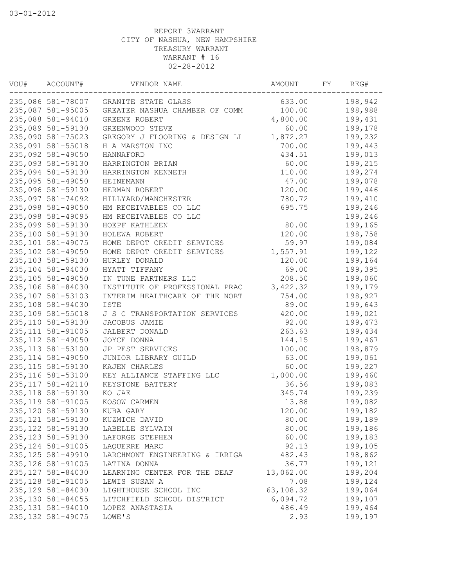| VOU# | ACCOUNT#           | VENDOR NAME                           | AMOUNT    | FΥ | REG#    |
|------|--------------------|---------------------------------------|-----------|----|---------|
|      |                    | 235,086 581-78007 GRANITE STATE GLASS | 633.00    |    | 198,942 |
|      | 235,087 581-95005  | GREATER NASHUA CHAMBER OF COMM        | 100.00    |    | 198,988 |
|      | 235,088 581-94010  | GREENE ROBERT                         | 4,800.00  |    | 199,431 |
|      | 235,089 581-59130  | GREENWOOD STEVE                       | 60.00     |    | 199,178 |
|      | 235,090 581-75023  | GREGORY J FLOORING & DESIGN LL        | 1,872.27  |    | 199,232 |
|      | 235,091 581-55018  | H A MARSTON INC                       | 700.00    |    | 199,443 |
|      | 235,092 581-49050  | HANNAFORD                             | 434.51    |    | 199,013 |
|      | 235,093 581-59130  | HARRINGTON BRIAN                      | 60.00     |    | 199,215 |
|      | 235,094 581-59130  | HARRINGTON KENNETH                    | 110.00    |    | 199,274 |
|      | 235,095 581-49050  | HEINEMANN                             | 47.00     |    | 199,078 |
|      | 235,096 581-59130  | HERMAN ROBERT                         | 120.00    |    | 199,446 |
|      | 235,097 581-74092  | HILLYARD/MANCHESTER                   | 780.72    |    | 199,410 |
|      | 235,098 581-49050  | HM RECEIVABLES CO LLC                 | 695.75    |    | 199,246 |
|      | 235,098 581-49095  | HM RECEIVABLES CO LLC                 |           |    | 199,246 |
|      | 235,099 581-59130  | HOEPF KATHLEEN                        | 80.00     |    | 199,165 |
|      | 235,100 581-59130  | HOLEWA ROBERT                         | 120.00    |    | 198,758 |
|      | 235,101 581-49075  | HOME DEPOT CREDIT SERVICES            | 59.97     |    | 199,084 |
|      | 235,102 581-49050  | HOME DEPOT CREDIT SERVICES            | 1,557.91  |    | 199,122 |
|      | 235,103 581-59130  | HURLEY DONALD                         | 120.00    |    | 199,164 |
|      | 235, 104 581-94030 | HYATT TIFFANY                         | 69.00     |    | 199,395 |
|      | 235,105 581-49050  | IN TUNE PARTNERS LLC                  | 208.50    |    | 199,060 |
|      | 235,106 581-84030  | INSTITUTE OF PROFESSIONAL PRAC        | 3,422.32  |    | 199,179 |
|      | 235, 107 581-53103 | INTERIM HEALTHCARE OF THE NORT        | 754.00    |    | 198,927 |
|      | 235,108 581-94030  | ISTE                                  | 89.00     |    | 199,643 |
|      | 235,109 581-55018  | J S C TRANSPORTATION SERVICES         | 420.00    |    | 199,021 |
|      | 235, 110 581-59130 | JACOBUS JAMIE                         | 92.00     |    | 199,473 |
|      | 235, 111 581-91005 | JALBERT DONALD                        | 263.63    |    | 199,434 |
|      | 235, 112 581-49050 | JOYCE DONNA                           | 144.15    |    | 199,467 |
|      | 235, 113 581-53100 | JP PEST SERVICES                      | 100.00    |    | 198,879 |
|      | 235, 114 581-49050 | JUNIOR LIBRARY GUILD                  | 63.00     |    | 199,061 |
|      | 235, 115 581-59130 | KAJEN CHARLES                         | 60.00     |    | 199,227 |
|      | 235, 116 581-53100 | KEY ALLIANCE STAFFING LLC             | 1,000.00  |    | 199,460 |
|      | 235, 117 581-42110 | KEYSTONE BATTERY                      | 36.56     |    | 199,083 |
|      | 235, 118 581-59130 | KO JAE                                | 345.74    |    | 199,239 |
|      | 235, 119 581-91005 | KOSOW CARMEN                          | 13.88     |    | 199,082 |
|      | 235,120 581-59130  | KUBA GARY                             | 120.00    |    | 199,182 |
|      | 235, 121 581-59130 | KUZMICH DAVID                         | 80.00     |    | 199,189 |
|      | 235, 122 581-59130 | LABELLE SYLVAIN                       | 80.00     |    | 199,186 |
|      | 235, 123 581-59130 | LAFORGE STEPHEN                       | 60.00     |    | 199,183 |
|      | 235, 124 581-91005 | LAQUERRE MARC                         | 92.13     |    | 199,105 |
|      | 235, 125 581-49910 | LARCHMONT ENGINEERING & IRRIGA        | 482.43    |    | 198,862 |
|      | 235, 126 581-91005 | LATINA DONNA                          | 36.77     |    | 199,121 |
|      | 235, 127 581-84030 | LEARNING CENTER FOR THE DEAF          | 13,062.00 |    | 199,204 |
|      | 235, 128 581-91005 | LEWIS SUSAN A                         | 7.08      |    | 199,124 |
|      | 235, 129 581-84030 | LIGHTHOUSE SCHOOL INC                 | 63,108.32 |    | 199,064 |
|      | 235, 130 581-84055 | LITCHFIELD SCHOOL DISTRICT            | 6,094.72  |    | 199,107 |
|      | 235, 131 581-94010 | LOPEZ ANASTASIA                       | 486.49    |    | 199,464 |
|      | 235, 132 581-49075 | LOWE'S                                | 2.93      |    | 199,197 |
|      |                    |                                       |           |    |         |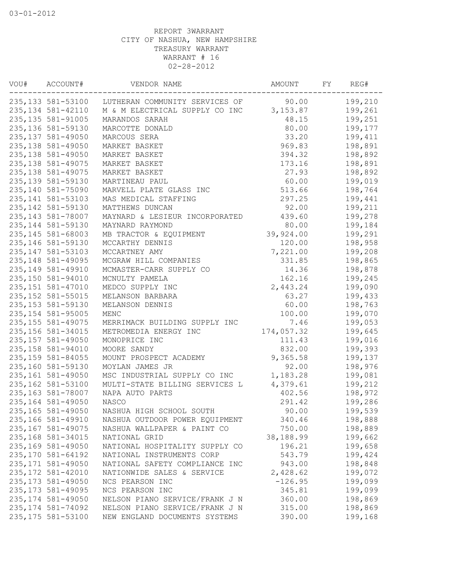| VOU# | ACCOUNT#           | VENDOR NAME                    | AMOUNT             | FY | REG#    |
|------|--------------------|--------------------------------|--------------------|----|---------|
|      | 235,133 581-53100  | LUTHERAN COMMUNITY SERVICES OF | 90.00              |    | 199,210 |
|      | 235, 134 581-42110 | M & M ELECTRICAL SUPPLY CO INC | 3,153.87           |    | 199,261 |
|      | 235, 135 581-91005 | MARANDOS SARAH                 | 48.15              |    | 199,251 |
|      | 235, 136 581-59130 | MARCOTTE DONALD                | 80.00              |    | 199,177 |
|      | 235, 137 581-49050 | MARCOUS SERA                   | 33.20              |    | 199,411 |
|      | 235, 138 581-49050 | MARKET BASKET                  | 969.83             |    | 198,891 |
|      | 235, 138 581-49050 | MARKET BASKET                  | 394.32             |    | 198,892 |
|      | 235, 138 581-49075 | MARKET BASKET                  | 173.16             |    | 198,891 |
|      | 235, 138 581-49075 | MARKET BASKET                  | 27.93              |    | 198,892 |
|      | 235, 139 581-59130 | MARTINEAU PAUL                 | 60.00              |    | 199,019 |
|      | 235, 140 581-75090 | MARVELL PLATE GLASS INC        | 513.66             |    | 198,764 |
|      | 235, 141 581-53103 | MAS MEDICAL STAFFING           | 297.25             |    | 199,441 |
|      | 235, 142 581-59130 | MATTHEWS DUNCAN                | 92.00              |    | 199,211 |
|      | 235, 143 581-78007 | MAYNARD & LESIEUR INCORPORATED | 439.60             |    | 199,278 |
|      | 235, 144 581-59130 | MAYNARD RAYMOND                | 80.00              |    | 199,184 |
|      | 235, 145 581-68003 | MB TRACTOR & EQUIPMENT         | 39,924.00          |    | 199,291 |
|      | 235, 146 581-59130 | MCCARTHY DENNIS                | 120.00             |    | 198,958 |
|      | 235, 147 581-53103 | MCCARTNEY AMY                  | 7,221.00           |    | 199,208 |
|      | 235, 148 581-49095 | MCGRAW HILL COMPANIES          | 331.85             |    | 198,865 |
|      | 235, 149 581-49910 | MCMASTER-CARR SUPPLY CO        | 14.36              |    | 198,878 |
|      | 235,150 581-94010  | MCNULTY PAMELA                 | 162.16             |    | 199,245 |
|      | 235, 151 581-47010 | MEDCO SUPPLY INC               | 2,443.24           |    | 199,090 |
|      | 235, 152 581-55015 | MELANSON BARBARA               | 63.27              |    | 199,433 |
|      | 235, 153 581-59130 | MELANSON DENNIS                | 60.00              |    | 198,763 |
|      | 235, 154 581-95005 | MENC                           | 100.00             |    | 199,070 |
|      | 235, 155 581-49075 | MERRIMACK BUILDING SUPPLY INC  |                    |    | 199,053 |
|      | 235, 156 581-34015 | METROMEDIA ENERGY INC          | 7.46<br>174,057.32 |    | 199,645 |
|      | 235, 157 581-49050 | MONOPRICE INC                  |                    |    |         |
|      | 235, 158 581-94010 |                                | 111.43             |    | 199,016 |
|      |                    | MOORE SANDY                    | 832.00             |    | 199,393 |
|      | 235, 159 581-84055 | MOUNT PROSPECT ACADEMY         | 9,365.58           |    | 199,137 |
|      | 235,160 581-59130  | MOYLAN JAMES JR                | 92.00              |    | 198,976 |
|      | 235,161 581-49050  | MSC INDUSTRIAL SUPPLY CO INC   | 1,183.28           |    | 199,081 |
|      | 235,162 581-53100  | MULTI-STATE BILLING SERVICES L | 4,379.61           |    | 199,212 |
|      | 235, 163 581-78007 | NAPA AUTO PARTS                | 402.56             |    | 198,972 |
|      | 235, 164 581-49050 | NASCO                          | 291.42             |    | 199,286 |
|      | 235, 165 581-49050 | NASHUA HIGH SCHOOL SOUTH       | 90.00              |    | 199,539 |
|      | 235,166 581-49910  | NASHUA OUTDOOR POWER EQUIPMENT | 340.46             |    | 198,888 |
|      | 235, 167 581-49075 | NASHUA WALLPAPER & PAINT CO    | 750.00             |    | 198,889 |
|      | 235, 168 581-34015 | NATIONAL GRID                  | 38,188.99          |    | 199,662 |
|      | 235,169 581-49050  | NATIONAL HOSPITALITY SUPPLY CO | 196.21             |    | 199,658 |
|      | 235, 170 581-64192 | NATIONAL INSTRUMENTS CORP      | 543.79             |    | 199,424 |
|      | 235, 171 581-49050 | NATIONAL SAFETY COMPLIANCE INC | 943.00             |    | 198,848 |
|      | 235, 172 581-42010 | NATIONWIDE SALES & SERVICE     | 2,428.62           |    | 199,072 |
|      | 235, 173 581-49050 | NCS PEARSON INC                | $-126.95$          |    | 199,099 |
|      | 235, 173 581-49095 | NCS PEARSON INC                | 345.81             |    | 199,099 |
|      | 235, 174 581-49050 | NELSON PIANO SERVICE/FRANK J N | 360.00             |    | 198,869 |
|      | 235, 174 581-74092 | NELSON PIANO SERVICE/FRANK J N | 315.00             |    | 198,869 |
|      | 235, 175 581-53100 | NEW ENGLAND DOCUMENTS SYSTEMS  | 390.00             |    | 199,168 |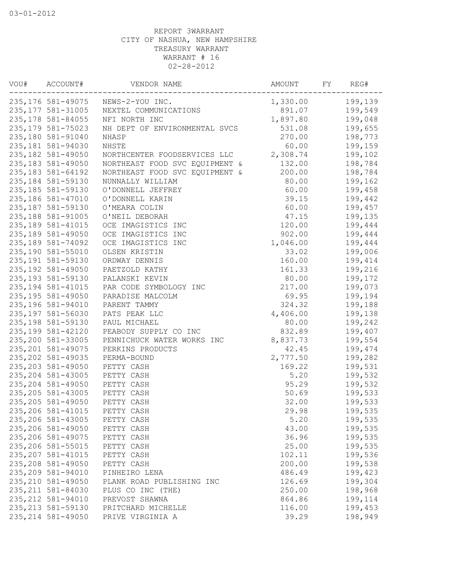| VOU# | ACCOUNT#           | VENDOR NAME                       | AMOUNT   | FY | REG#    |
|------|--------------------|-----------------------------------|----------|----|---------|
|      |                    | 235,176 581-49075 NEWS-2-YOU INC. | 1,330.00 |    | 199,139 |
|      | 235, 177 581-31005 | NEXTEL COMMUNICATIONS             | 891.07   |    | 199,549 |
|      | 235, 178 581-84055 | NFI NORTH INC                     | 1,897.80 |    | 199,048 |
|      | 235, 179 581-75023 | NH DEPT OF ENVIRONMENTAL SVCS     | 531.08   |    | 199,655 |
|      | 235,180 581-91040  | NHASP                             | 270.00   |    | 198,773 |
|      | 235,181 581-94030  | NHSTE                             | 60.00    |    | 199,159 |
|      | 235, 182 581-49050 | NORTHCENTER FOODSERVICES LLC      | 2,308.74 |    | 199,102 |
|      | 235, 183 581-49050 | NORTHEAST FOOD SVC EQUIPMENT &    | 132.00   |    | 198,784 |
|      | 235, 183 581-64192 | NORTHEAST FOOD SVC EQUIPMENT &    | 200.00   |    | 198,784 |
|      | 235, 184 581-59130 | NUNNALLY WILLIAM                  | 80.00    |    | 199,162 |
|      | 235, 185 581-59130 | O'DONNELL JEFFREY                 | 60.00    |    | 199,458 |
|      | 235, 186 581-47010 | O'DONNELL KARIN                   | 39.15    |    | 199,442 |
|      | 235, 187 581-59130 | O'MEARA COLIN                     | 60.00    |    | 199,457 |
|      | 235,188 581-91005  | O'NEIL DEBORAH                    | 47.15    |    | 199,135 |
|      | 235, 189 581-41015 | OCE IMAGISTICS INC                | 120.00   |    | 199,444 |
|      | 235,189 581-49050  | OCE IMAGISTICS INC                | 902.00   |    | 199,444 |
|      | 235, 189 581-74092 | OCE IMAGISTICS INC                | 1,046.00 |    | 199,444 |
|      | 235,190 581-55010  | OLSEN KRISTIN                     | 33.02    |    | 199,006 |
|      | 235, 191 581-59130 | ORDWAY DENNIS                     | 160.00   |    | 199,414 |
|      | 235, 192 581-49050 | PAETZOLD KATHY                    | 161.33   |    | 199,216 |
|      | 235, 193 581-59130 | PALANSKI KEVIN                    | 80.00    |    | 199,172 |
|      | 235, 194 581-41015 | PAR CODE SYMBOLOGY INC            | 217.00   |    | 199,073 |
|      | 235, 195 581-49050 | PARADISE MALCOLM                  | 69.95    |    | 199,194 |
|      | 235, 196 581-94010 |                                   | 324.32   |    | 199,188 |
|      | 235, 197 581-56030 | PARENT TAMMY                      |          |    |         |
|      |                    | PATS PEAK LLC                     | 4,406.00 |    | 199,138 |
|      | 235, 198 581-59130 | PAUL MICHAEL                      | 80.00    |    | 199,242 |
|      | 235, 199 581-42120 | PEABODY SUPPLY CO INC             | 832.89   |    | 199,407 |
|      | 235,200 581-33005  | PENNICHUCK WATER WORKS INC        | 8,837.73 |    | 199,554 |
|      | 235, 201 581-49075 | PERKINS PRODUCTS                  | 42.45    |    | 199,474 |
|      | 235, 202 581-49035 | PERMA-BOUND                       | 2,777.50 |    | 199,282 |
|      | 235, 203 581-49050 | PETTY CASH                        | 169.22   |    | 199,531 |
|      | 235, 204 581-43005 | PETTY CASH                        | 5.20     |    | 199,532 |
|      | 235, 204 581-49050 | PETTY CASH                        | 95.29    |    | 199,532 |
|      | 235, 205 581-43005 | PETTY CASH                        | 50.69    |    | 199,533 |
|      | 235, 205 581-49050 | PETTY CASH                        | 32.00    |    | 199,533 |
|      | 235, 206 581-41015 | PETTY CASH                        | 29.98    |    | 199,535 |
|      | 235,206 581-43005  | PETTY CASH                        | 5.20     |    | 199,535 |
|      | 235,206 581-49050  | PETTY CASH                        | 43.00    |    | 199,535 |
|      | 235, 206 581-49075 | PETTY CASH                        | 36.96    |    | 199,535 |
|      | 235,206 581-55015  | PETTY CASH                        | 25.00    |    | 199,535 |
|      | 235, 207 581-41015 | PETTY CASH                        | 102.11   |    | 199,536 |
|      | 235, 208 581-49050 | PETTY CASH                        | 200.00   |    | 199,538 |
|      | 235, 209 581-94010 | PINHEIRO LENA                     | 486.49   |    | 199,423 |
|      | 235, 210 581-49050 | PLANK ROAD PUBLISHING INC         | 126.69   |    | 199,304 |
|      | 235, 211 581-84030 | PLUS CO INC (THE)                 | 250.00   |    | 198,968 |
|      | 235, 212 581-94010 | PREVOST SHAWNA                    | 864.86   |    | 199,114 |
|      | 235, 213 581-59130 | PRITCHARD MICHELLE                | 116.00   |    | 199,453 |
|      | 235, 214 581-49050 | PRIVE VIRGINIA A                  | 39.29    |    | 198,949 |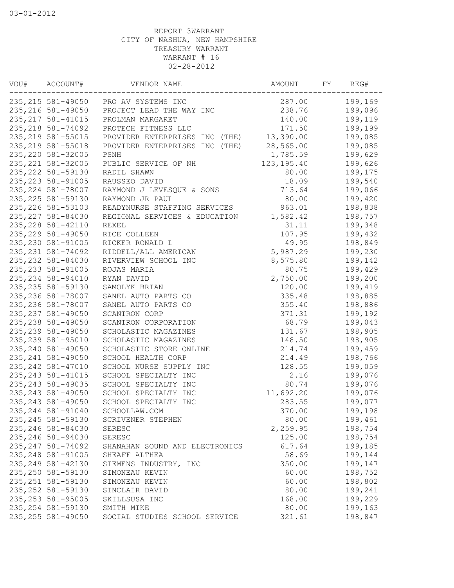| 235, 215 581-49050 PRO AV SYSTEMS INC<br>287.00<br>199,169<br>238.76<br>199,096<br>235, 216 581-49050<br>PROJECT LEAD THE WAY INC<br>235, 217 581-41015<br>199,119<br>140.00<br>PROLMAN MARGARET<br>235, 218 581-74092<br>171.50<br>199,199<br>PROTECH FITNESS LLC<br>13,390.00<br>235, 219 581-55015<br>199,085<br>PROVIDER ENTERPRISES INC (THE)<br>235, 219 581-55018<br>28,565.00<br>199,085<br>PROVIDER ENTERPRISES INC (THE)<br>235, 220 581-32005<br>199,629<br>PSNH<br>1,785.59<br>235, 221 581-32005<br>123, 195.40<br>199,626<br>PUBLIC SERVICE OF NH<br>235, 222 581-59130<br>199,175<br>RADIL SHAWN<br>80.00<br>235, 223 581-91005<br>RAUSSEO DAVID<br>18.09<br>199,540<br>235, 224 581-78007<br>RAYMOND J LEVESQUE & SONS<br>713.64<br>199,066<br>235, 225 581-59130<br>80.00<br>RAYMOND JR PAUL<br>199,420<br>235, 226 581-53103<br>963.01<br>READYNURSE STAFFING SERVICES<br>198,838<br>235, 227 581-84030<br>1,582.42<br>198,757<br>REGIONAL SERVICES & EDUCATION<br>235, 228 581-42110<br>31.11<br>199,348<br>REXEL<br>235, 229 581-49050<br>107.95<br>199,432<br>RICE COLLEEN<br>235, 230 581-91005<br>49.95<br>198,849<br>RICKER RONALD L<br>235, 231 581-74092<br>5,987.29<br>RIDDELL/ALL AMERICAN<br>199,230<br>235, 232 581-84030<br>RIVERVIEW SCHOOL INC<br>8,575.80<br>199,142<br>235, 233 581-91005<br>199,429<br>ROJAS MARIA<br>80.75<br>2,750.00<br>235, 234 581-94010<br>RYAN DAVID<br>199,200<br>235, 235 581-59130<br>SAMOLYK BRIAN<br>120.00<br>199,419<br>235, 236 581-78007<br>335.48<br>198,885<br>SANEL AUTO PARTS CO<br>235, 236 581-78007<br>SANEL AUTO PARTS CO<br>355.40<br>198,886<br>235, 237 581-49050<br>SCANTRON CORP<br>371.31<br>199,192<br>235, 238 581-49050<br>SCANTRON CORPORATION<br>68.79<br>199,043<br>235, 239 581-49050<br>SCHOLASTIC MAGAZINES<br>131.67<br>198,905<br>235, 239 581-95010<br>SCHOLASTIC MAGAZINES<br>148.50<br>198,905<br>235, 240 581-49050<br>199,459<br>SCHOLASTIC STORE ONLINE<br>214.74<br>235, 241 581-49050<br>SCHOOL HEALTH CORP<br>214.49<br>198,766<br>235, 242 581-47010<br>SCHOOL NURSE SUPPLY INC<br>128.55<br>199,059<br>235, 243 581-41015<br>SCHOOL SPECIALTY INC<br>2.16<br>199,076<br>235, 243 581-49035<br>SCHOOL SPECIALTY INC<br>80.74<br>199,076<br>235, 243 581-49050<br>SCHOOL SPECIALTY INC<br>11,692.20<br>199,076<br>235, 243 581-49050<br>SCHOOL SPECIALTY INC<br>283.55<br>199,077<br>235, 244 581-91040<br>199,198<br>SCHOOLLAW.COM<br>370.00<br>235, 245 581-59130<br>199,461<br>SCRIVENER STEPHEN<br>80.00<br>235, 246 581-84030<br>2,259.95<br>198,754<br><b>SERESC</b><br>235, 246 581-94030<br>125.00<br>198,754<br>SERESC<br>235, 247 581-74092<br>617.64<br>199,185<br>SHANAHAN SOUND AND ELECTRONICS<br>235, 248 581-91005<br>58.69<br>199,144<br>SHEAFF ALTHEA<br>235, 249 581-42130<br>199,147<br>350.00<br>SIEMENS INDUSTRY, INC<br>235, 250 581-59130<br>60.00<br>198,752<br>SIMONEAU KEVIN<br>235, 251 581-59130<br>60.00<br>198,802<br>SIMONEAU KEVIN<br>235, 252 581-59130<br>80.00<br>199,241<br>SINCLAIR DAVID<br>235, 253 581-95005<br>199,229<br>168.00<br>SKILLSUSA INC<br>235, 254 581-59130<br>80.00<br>199,163<br>SMITH MIKE<br>235, 255 581-49050 | VOU# | ACCOUNT# | VENDOR NAME                   | AMOUNT | FΥ | REG#    |
|---------------------------------------------------------------------------------------------------------------------------------------------------------------------------------------------------------------------------------------------------------------------------------------------------------------------------------------------------------------------------------------------------------------------------------------------------------------------------------------------------------------------------------------------------------------------------------------------------------------------------------------------------------------------------------------------------------------------------------------------------------------------------------------------------------------------------------------------------------------------------------------------------------------------------------------------------------------------------------------------------------------------------------------------------------------------------------------------------------------------------------------------------------------------------------------------------------------------------------------------------------------------------------------------------------------------------------------------------------------------------------------------------------------------------------------------------------------------------------------------------------------------------------------------------------------------------------------------------------------------------------------------------------------------------------------------------------------------------------------------------------------------------------------------------------------------------------------------------------------------------------------------------------------------------------------------------------------------------------------------------------------------------------------------------------------------------------------------------------------------------------------------------------------------------------------------------------------------------------------------------------------------------------------------------------------------------------------------------------------------------------------------------------------------------------------------------------------------------------------------------------------------------------------------------------------------------------------------------------------------------------------------------------------------------------------------------------------------------------------------------------------------------------------------------------------------------------------------------------------------------------------------------------------------------------------------------------------------------------------------------------------------------------------------------------------------------------------------------------------------------------------------------------------------------------|------|----------|-------------------------------|--------|----|---------|
|                                                                                                                                                                                                                                                                                                                                                                                                                                                                                                                                                                                                                                                                                                                                                                                                                                                                                                                                                                                                                                                                                                                                                                                                                                                                                                                                                                                                                                                                                                                                                                                                                                                                                                                                                                                                                                                                                                                                                                                                                                                                                                                                                                                                                                                                                                                                                                                                                                                                                                                                                                                                                                                                                                                                                                                                                                                                                                                                                                                                                                                                                                                                                                                 |      |          |                               |        |    |         |
|                                                                                                                                                                                                                                                                                                                                                                                                                                                                                                                                                                                                                                                                                                                                                                                                                                                                                                                                                                                                                                                                                                                                                                                                                                                                                                                                                                                                                                                                                                                                                                                                                                                                                                                                                                                                                                                                                                                                                                                                                                                                                                                                                                                                                                                                                                                                                                                                                                                                                                                                                                                                                                                                                                                                                                                                                                                                                                                                                                                                                                                                                                                                                                                 |      |          |                               |        |    |         |
|                                                                                                                                                                                                                                                                                                                                                                                                                                                                                                                                                                                                                                                                                                                                                                                                                                                                                                                                                                                                                                                                                                                                                                                                                                                                                                                                                                                                                                                                                                                                                                                                                                                                                                                                                                                                                                                                                                                                                                                                                                                                                                                                                                                                                                                                                                                                                                                                                                                                                                                                                                                                                                                                                                                                                                                                                                                                                                                                                                                                                                                                                                                                                                                 |      |          |                               |        |    |         |
|                                                                                                                                                                                                                                                                                                                                                                                                                                                                                                                                                                                                                                                                                                                                                                                                                                                                                                                                                                                                                                                                                                                                                                                                                                                                                                                                                                                                                                                                                                                                                                                                                                                                                                                                                                                                                                                                                                                                                                                                                                                                                                                                                                                                                                                                                                                                                                                                                                                                                                                                                                                                                                                                                                                                                                                                                                                                                                                                                                                                                                                                                                                                                                                 |      |          |                               |        |    |         |
|                                                                                                                                                                                                                                                                                                                                                                                                                                                                                                                                                                                                                                                                                                                                                                                                                                                                                                                                                                                                                                                                                                                                                                                                                                                                                                                                                                                                                                                                                                                                                                                                                                                                                                                                                                                                                                                                                                                                                                                                                                                                                                                                                                                                                                                                                                                                                                                                                                                                                                                                                                                                                                                                                                                                                                                                                                                                                                                                                                                                                                                                                                                                                                                 |      |          |                               |        |    |         |
|                                                                                                                                                                                                                                                                                                                                                                                                                                                                                                                                                                                                                                                                                                                                                                                                                                                                                                                                                                                                                                                                                                                                                                                                                                                                                                                                                                                                                                                                                                                                                                                                                                                                                                                                                                                                                                                                                                                                                                                                                                                                                                                                                                                                                                                                                                                                                                                                                                                                                                                                                                                                                                                                                                                                                                                                                                                                                                                                                                                                                                                                                                                                                                                 |      |          |                               |        |    |         |
|                                                                                                                                                                                                                                                                                                                                                                                                                                                                                                                                                                                                                                                                                                                                                                                                                                                                                                                                                                                                                                                                                                                                                                                                                                                                                                                                                                                                                                                                                                                                                                                                                                                                                                                                                                                                                                                                                                                                                                                                                                                                                                                                                                                                                                                                                                                                                                                                                                                                                                                                                                                                                                                                                                                                                                                                                                                                                                                                                                                                                                                                                                                                                                                 |      |          |                               |        |    |         |
|                                                                                                                                                                                                                                                                                                                                                                                                                                                                                                                                                                                                                                                                                                                                                                                                                                                                                                                                                                                                                                                                                                                                                                                                                                                                                                                                                                                                                                                                                                                                                                                                                                                                                                                                                                                                                                                                                                                                                                                                                                                                                                                                                                                                                                                                                                                                                                                                                                                                                                                                                                                                                                                                                                                                                                                                                                                                                                                                                                                                                                                                                                                                                                                 |      |          |                               |        |    |         |
|                                                                                                                                                                                                                                                                                                                                                                                                                                                                                                                                                                                                                                                                                                                                                                                                                                                                                                                                                                                                                                                                                                                                                                                                                                                                                                                                                                                                                                                                                                                                                                                                                                                                                                                                                                                                                                                                                                                                                                                                                                                                                                                                                                                                                                                                                                                                                                                                                                                                                                                                                                                                                                                                                                                                                                                                                                                                                                                                                                                                                                                                                                                                                                                 |      |          |                               |        |    |         |
|                                                                                                                                                                                                                                                                                                                                                                                                                                                                                                                                                                                                                                                                                                                                                                                                                                                                                                                                                                                                                                                                                                                                                                                                                                                                                                                                                                                                                                                                                                                                                                                                                                                                                                                                                                                                                                                                                                                                                                                                                                                                                                                                                                                                                                                                                                                                                                                                                                                                                                                                                                                                                                                                                                                                                                                                                                                                                                                                                                                                                                                                                                                                                                                 |      |          |                               |        |    |         |
|                                                                                                                                                                                                                                                                                                                                                                                                                                                                                                                                                                                                                                                                                                                                                                                                                                                                                                                                                                                                                                                                                                                                                                                                                                                                                                                                                                                                                                                                                                                                                                                                                                                                                                                                                                                                                                                                                                                                                                                                                                                                                                                                                                                                                                                                                                                                                                                                                                                                                                                                                                                                                                                                                                                                                                                                                                                                                                                                                                                                                                                                                                                                                                                 |      |          |                               |        |    |         |
|                                                                                                                                                                                                                                                                                                                                                                                                                                                                                                                                                                                                                                                                                                                                                                                                                                                                                                                                                                                                                                                                                                                                                                                                                                                                                                                                                                                                                                                                                                                                                                                                                                                                                                                                                                                                                                                                                                                                                                                                                                                                                                                                                                                                                                                                                                                                                                                                                                                                                                                                                                                                                                                                                                                                                                                                                                                                                                                                                                                                                                                                                                                                                                                 |      |          |                               |        |    |         |
|                                                                                                                                                                                                                                                                                                                                                                                                                                                                                                                                                                                                                                                                                                                                                                                                                                                                                                                                                                                                                                                                                                                                                                                                                                                                                                                                                                                                                                                                                                                                                                                                                                                                                                                                                                                                                                                                                                                                                                                                                                                                                                                                                                                                                                                                                                                                                                                                                                                                                                                                                                                                                                                                                                                                                                                                                                                                                                                                                                                                                                                                                                                                                                                 |      |          |                               |        |    |         |
|                                                                                                                                                                                                                                                                                                                                                                                                                                                                                                                                                                                                                                                                                                                                                                                                                                                                                                                                                                                                                                                                                                                                                                                                                                                                                                                                                                                                                                                                                                                                                                                                                                                                                                                                                                                                                                                                                                                                                                                                                                                                                                                                                                                                                                                                                                                                                                                                                                                                                                                                                                                                                                                                                                                                                                                                                                                                                                                                                                                                                                                                                                                                                                                 |      |          |                               |        |    |         |
|                                                                                                                                                                                                                                                                                                                                                                                                                                                                                                                                                                                                                                                                                                                                                                                                                                                                                                                                                                                                                                                                                                                                                                                                                                                                                                                                                                                                                                                                                                                                                                                                                                                                                                                                                                                                                                                                                                                                                                                                                                                                                                                                                                                                                                                                                                                                                                                                                                                                                                                                                                                                                                                                                                                                                                                                                                                                                                                                                                                                                                                                                                                                                                                 |      |          |                               |        |    |         |
|                                                                                                                                                                                                                                                                                                                                                                                                                                                                                                                                                                                                                                                                                                                                                                                                                                                                                                                                                                                                                                                                                                                                                                                                                                                                                                                                                                                                                                                                                                                                                                                                                                                                                                                                                                                                                                                                                                                                                                                                                                                                                                                                                                                                                                                                                                                                                                                                                                                                                                                                                                                                                                                                                                                                                                                                                                                                                                                                                                                                                                                                                                                                                                                 |      |          |                               |        |    |         |
|                                                                                                                                                                                                                                                                                                                                                                                                                                                                                                                                                                                                                                                                                                                                                                                                                                                                                                                                                                                                                                                                                                                                                                                                                                                                                                                                                                                                                                                                                                                                                                                                                                                                                                                                                                                                                                                                                                                                                                                                                                                                                                                                                                                                                                                                                                                                                                                                                                                                                                                                                                                                                                                                                                                                                                                                                                                                                                                                                                                                                                                                                                                                                                                 |      |          |                               |        |    |         |
|                                                                                                                                                                                                                                                                                                                                                                                                                                                                                                                                                                                                                                                                                                                                                                                                                                                                                                                                                                                                                                                                                                                                                                                                                                                                                                                                                                                                                                                                                                                                                                                                                                                                                                                                                                                                                                                                                                                                                                                                                                                                                                                                                                                                                                                                                                                                                                                                                                                                                                                                                                                                                                                                                                                                                                                                                                                                                                                                                                                                                                                                                                                                                                                 |      |          |                               |        |    |         |
|                                                                                                                                                                                                                                                                                                                                                                                                                                                                                                                                                                                                                                                                                                                                                                                                                                                                                                                                                                                                                                                                                                                                                                                                                                                                                                                                                                                                                                                                                                                                                                                                                                                                                                                                                                                                                                                                                                                                                                                                                                                                                                                                                                                                                                                                                                                                                                                                                                                                                                                                                                                                                                                                                                                                                                                                                                                                                                                                                                                                                                                                                                                                                                                 |      |          |                               |        |    |         |
|                                                                                                                                                                                                                                                                                                                                                                                                                                                                                                                                                                                                                                                                                                                                                                                                                                                                                                                                                                                                                                                                                                                                                                                                                                                                                                                                                                                                                                                                                                                                                                                                                                                                                                                                                                                                                                                                                                                                                                                                                                                                                                                                                                                                                                                                                                                                                                                                                                                                                                                                                                                                                                                                                                                                                                                                                                                                                                                                                                                                                                                                                                                                                                                 |      |          |                               |        |    |         |
|                                                                                                                                                                                                                                                                                                                                                                                                                                                                                                                                                                                                                                                                                                                                                                                                                                                                                                                                                                                                                                                                                                                                                                                                                                                                                                                                                                                                                                                                                                                                                                                                                                                                                                                                                                                                                                                                                                                                                                                                                                                                                                                                                                                                                                                                                                                                                                                                                                                                                                                                                                                                                                                                                                                                                                                                                                                                                                                                                                                                                                                                                                                                                                                 |      |          |                               |        |    |         |
|                                                                                                                                                                                                                                                                                                                                                                                                                                                                                                                                                                                                                                                                                                                                                                                                                                                                                                                                                                                                                                                                                                                                                                                                                                                                                                                                                                                                                                                                                                                                                                                                                                                                                                                                                                                                                                                                                                                                                                                                                                                                                                                                                                                                                                                                                                                                                                                                                                                                                                                                                                                                                                                                                                                                                                                                                                                                                                                                                                                                                                                                                                                                                                                 |      |          |                               |        |    |         |
|                                                                                                                                                                                                                                                                                                                                                                                                                                                                                                                                                                                                                                                                                                                                                                                                                                                                                                                                                                                                                                                                                                                                                                                                                                                                                                                                                                                                                                                                                                                                                                                                                                                                                                                                                                                                                                                                                                                                                                                                                                                                                                                                                                                                                                                                                                                                                                                                                                                                                                                                                                                                                                                                                                                                                                                                                                                                                                                                                                                                                                                                                                                                                                                 |      |          |                               |        |    |         |
|                                                                                                                                                                                                                                                                                                                                                                                                                                                                                                                                                                                                                                                                                                                                                                                                                                                                                                                                                                                                                                                                                                                                                                                                                                                                                                                                                                                                                                                                                                                                                                                                                                                                                                                                                                                                                                                                                                                                                                                                                                                                                                                                                                                                                                                                                                                                                                                                                                                                                                                                                                                                                                                                                                                                                                                                                                                                                                                                                                                                                                                                                                                                                                                 |      |          |                               |        |    |         |
|                                                                                                                                                                                                                                                                                                                                                                                                                                                                                                                                                                                                                                                                                                                                                                                                                                                                                                                                                                                                                                                                                                                                                                                                                                                                                                                                                                                                                                                                                                                                                                                                                                                                                                                                                                                                                                                                                                                                                                                                                                                                                                                                                                                                                                                                                                                                                                                                                                                                                                                                                                                                                                                                                                                                                                                                                                                                                                                                                                                                                                                                                                                                                                                 |      |          |                               |        |    |         |
|                                                                                                                                                                                                                                                                                                                                                                                                                                                                                                                                                                                                                                                                                                                                                                                                                                                                                                                                                                                                                                                                                                                                                                                                                                                                                                                                                                                                                                                                                                                                                                                                                                                                                                                                                                                                                                                                                                                                                                                                                                                                                                                                                                                                                                                                                                                                                                                                                                                                                                                                                                                                                                                                                                                                                                                                                                                                                                                                                                                                                                                                                                                                                                                 |      |          |                               |        |    |         |
|                                                                                                                                                                                                                                                                                                                                                                                                                                                                                                                                                                                                                                                                                                                                                                                                                                                                                                                                                                                                                                                                                                                                                                                                                                                                                                                                                                                                                                                                                                                                                                                                                                                                                                                                                                                                                                                                                                                                                                                                                                                                                                                                                                                                                                                                                                                                                                                                                                                                                                                                                                                                                                                                                                                                                                                                                                                                                                                                                                                                                                                                                                                                                                                 |      |          |                               |        |    |         |
|                                                                                                                                                                                                                                                                                                                                                                                                                                                                                                                                                                                                                                                                                                                                                                                                                                                                                                                                                                                                                                                                                                                                                                                                                                                                                                                                                                                                                                                                                                                                                                                                                                                                                                                                                                                                                                                                                                                                                                                                                                                                                                                                                                                                                                                                                                                                                                                                                                                                                                                                                                                                                                                                                                                                                                                                                                                                                                                                                                                                                                                                                                                                                                                 |      |          |                               |        |    |         |
|                                                                                                                                                                                                                                                                                                                                                                                                                                                                                                                                                                                                                                                                                                                                                                                                                                                                                                                                                                                                                                                                                                                                                                                                                                                                                                                                                                                                                                                                                                                                                                                                                                                                                                                                                                                                                                                                                                                                                                                                                                                                                                                                                                                                                                                                                                                                                                                                                                                                                                                                                                                                                                                                                                                                                                                                                                                                                                                                                                                                                                                                                                                                                                                 |      |          |                               |        |    |         |
|                                                                                                                                                                                                                                                                                                                                                                                                                                                                                                                                                                                                                                                                                                                                                                                                                                                                                                                                                                                                                                                                                                                                                                                                                                                                                                                                                                                                                                                                                                                                                                                                                                                                                                                                                                                                                                                                                                                                                                                                                                                                                                                                                                                                                                                                                                                                                                                                                                                                                                                                                                                                                                                                                                                                                                                                                                                                                                                                                                                                                                                                                                                                                                                 |      |          |                               |        |    |         |
|                                                                                                                                                                                                                                                                                                                                                                                                                                                                                                                                                                                                                                                                                                                                                                                                                                                                                                                                                                                                                                                                                                                                                                                                                                                                                                                                                                                                                                                                                                                                                                                                                                                                                                                                                                                                                                                                                                                                                                                                                                                                                                                                                                                                                                                                                                                                                                                                                                                                                                                                                                                                                                                                                                                                                                                                                                                                                                                                                                                                                                                                                                                                                                                 |      |          |                               |        |    |         |
|                                                                                                                                                                                                                                                                                                                                                                                                                                                                                                                                                                                                                                                                                                                                                                                                                                                                                                                                                                                                                                                                                                                                                                                                                                                                                                                                                                                                                                                                                                                                                                                                                                                                                                                                                                                                                                                                                                                                                                                                                                                                                                                                                                                                                                                                                                                                                                                                                                                                                                                                                                                                                                                                                                                                                                                                                                                                                                                                                                                                                                                                                                                                                                                 |      |          |                               |        |    |         |
|                                                                                                                                                                                                                                                                                                                                                                                                                                                                                                                                                                                                                                                                                                                                                                                                                                                                                                                                                                                                                                                                                                                                                                                                                                                                                                                                                                                                                                                                                                                                                                                                                                                                                                                                                                                                                                                                                                                                                                                                                                                                                                                                                                                                                                                                                                                                                                                                                                                                                                                                                                                                                                                                                                                                                                                                                                                                                                                                                                                                                                                                                                                                                                                 |      |          |                               |        |    |         |
|                                                                                                                                                                                                                                                                                                                                                                                                                                                                                                                                                                                                                                                                                                                                                                                                                                                                                                                                                                                                                                                                                                                                                                                                                                                                                                                                                                                                                                                                                                                                                                                                                                                                                                                                                                                                                                                                                                                                                                                                                                                                                                                                                                                                                                                                                                                                                                                                                                                                                                                                                                                                                                                                                                                                                                                                                                                                                                                                                                                                                                                                                                                                                                                 |      |          |                               |        |    |         |
|                                                                                                                                                                                                                                                                                                                                                                                                                                                                                                                                                                                                                                                                                                                                                                                                                                                                                                                                                                                                                                                                                                                                                                                                                                                                                                                                                                                                                                                                                                                                                                                                                                                                                                                                                                                                                                                                                                                                                                                                                                                                                                                                                                                                                                                                                                                                                                                                                                                                                                                                                                                                                                                                                                                                                                                                                                                                                                                                                                                                                                                                                                                                                                                 |      |          |                               |        |    |         |
|                                                                                                                                                                                                                                                                                                                                                                                                                                                                                                                                                                                                                                                                                                                                                                                                                                                                                                                                                                                                                                                                                                                                                                                                                                                                                                                                                                                                                                                                                                                                                                                                                                                                                                                                                                                                                                                                                                                                                                                                                                                                                                                                                                                                                                                                                                                                                                                                                                                                                                                                                                                                                                                                                                                                                                                                                                                                                                                                                                                                                                                                                                                                                                                 |      |          |                               |        |    |         |
|                                                                                                                                                                                                                                                                                                                                                                                                                                                                                                                                                                                                                                                                                                                                                                                                                                                                                                                                                                                                                                                                                                                                                                                                                                                                                                                                                                                                                                                                                                                                                                                                                                                                                                                                                                                                                                                                                                                                                                                                                                                                                                                                                                                                                                                                                                                                                                                                                                                                                                                                                                                                                                                                                                                                                                                                                                                                                                                                                                                                                                                                                                                                                                                 |      |          |                               |        |    |         |
|                                                                                                                                                                                                                                                                                                                                                                                                                                                                                                                                                                                                                                                                                                                                                                                                                                                                                                                                                                                                                                                                                                                                                                                                                                                                                                                                                                                                                                                                                                                                                                                                                                                                                                                                                                                                                                                                                                                                                                                                                                                                                                                                                                                                                                                                                                                                                                                                                                                                                                                                                                                                                                                                                                                                                                                                                                                                                                                                                                                                                                                                                                                                                                                 |      |          |                               |        |    |         |
|                                                                                                                                                                                                                                                                                                                                                                                                                                                                                                                                                                                                                                                                                                                                                                                                                                                                                                                                                                                                                                                                                                                                                                                                                                                                                                                                                                                                                                                                                                                                                                                                                                                                                                                                                                                                                                                                                                                                                                                                                                                                                                                                                                                                                                                                                                                                                                                                                                                                                                                                                                                                                                                                                                                                                                                                                                                                                                                                                                                                                                                                                                                                                                                 |      |          |                               |        |    |         |
|                                                                                                                                                                                                                                                                                                                                                                                                                                                                                                                                                                                                                                                                                                                                                                                                                                                                                                                                                                                                                                                                                                                                                                                                                                                                                                                                                                                                                                                                                                                                                                                                                                                                                                                                                                                                                                                                                                                                                                                                                                                                                                                                                                                                                                                                                                                                                                                                                                                                                                                                                                                                                                                                                                                                                                                                                                                                                                                                                                                                                                                                                                                                                                                 |      |          |                               |        |    |         |
|                                                                                                                                                                                                                                                                                                                                                                                                                                                                                                                                                                                                                                                                                                                                                                                                                                                                                                                                                                                                                                                                                                                                                                                                                                                                                                                                                                                                                                                                                                                                                                                                                                                                                                                                                                                                                                                                                                                                                                                                                                                                                                                                                                                                                                                                                                                                                                                                                                                                                                                                                                                                                                                                                                                                                                                                                                                                                                                                                                                                                                                                                                                                                                                 |      |          |                               |        |    |         |
|                                                                                                                                                                                                                                                                                                                                                                                                                                                                                                                                                                                                                                                                                                                                                                                                                                                                                                                                                                                                                                                                                                                                                                                                                                                                                                                                                                                                                                                                                                                                                                                                                                                                                                                                                                                                                                                                                                                                                                                                                                                                                                                                                                                                                                                                                                                                                                                                                                                                                                                                                                                                                                                                                                                                                                                                                                                                                                                                                                                                                                                                                                                                                                                 |      |          |                               |        |    |         |
|                                                                                                                                                                                                                                                                                                                                                                                                                                                                                                                                                                                                                                                                                                                                                                                                                                                                                                                                                                                                                                                                                                                                                                                                                                                                                                                                                                                                                                                                                                                                                                                                                                                                                                                                                                                                                                                                                                                                                                                                                                                                                                                                                                                                                                                                                                                                                                                                                                                                                                                                                                                                                                                                                                                                                                                                                                                                                                                                                                                                                                                                                                                                                                                 |      |          |                               |        |    |         |
|                                                                                                                                                                                                                                                                                                                                                                                                                                                                                                                                                                                                                                                                                                                                                                                                                                                                                                                                                                                                                                                                                                                                                                                                                                                                                                                                                                                                                                                                                                                                                                                                                                                                                                                                                                                                                                                                                                                                                                                                                                                                                                                                                                                                                                                                                                                                                                                                                                                                                                                                                                                                                                                                                                                                                                                                                                                                                                                                                                                                                                                                                                                                                                                 |      |          |                               |        |    |         |
|                                                                                                                                                                                                                                                                                                                                                                                                                                                                                                                                                                                                                                                                                                                                                                                                                                                                                                                                                                                                                                                                                                                                                                                                                                                                                                                                                                                                                                                                                                                                                                                                                                                                                                                                                                                                                                                                                                                                                                                                                                                                                                                                                                                                                                                                                                                                                                                                                                                                                                                                                                                                                                                                                                                                                                                                                                                                                                                                                                                                                                                                                                                                                                                 |      |          |                               |        |    |         |
|                                                                                                                                                                                                                                                                                                                                                                                                                                                                                                                                                                                                                                                                                                                                                                                                                                                                                                                                                                                                                                                                                                                                                                                                                                                                                                                                                                                                                                                                                                                                                                                                                                                                                                                                                                                                                                                                                                                                                                                                                                                                                                                                                                                                                                                                                                                                                                                                                                                                                                                                                                                                                                                                                                                                                                                                                                                                                                                                                                                                                                                                                                                                                                                 |      |          |                               |        |    |         |
|                                                                                                                                                                                                                                                                                                                                                                                                                                                                                                                                                                                                                                                                                                                                                                                                                                                                                                                                                                                                                                                                                                                                                                                                                                                                                                                                                                                                                                                                                                                                                                                                                                                                                                                                                                                                                                                                                                                                                                                                                                                                                                                                                                                                                                                                                                                                                                                                                                                                                                                                                                                                                                                                                                                                                                                                                                                                                                                                                                                                                                                                                                                                                                                 |      |          |                               |        |    |         |
|                                                                                                                                                                                                                                                                                                                                                                                                                                                                                                                                                                                                                                                                                                                                                                                                                                                                                                                                                                                                                                                                                                                                                                                                                                                                                                                                                                                                                                                                                                                                                                                                                                                                                                                                                                                                                                                                                                                                                                                                                                                                                                                                                                                                                                                                                                                                                                                                                                                                                                                                                                                                                                                                                                                                                                                                                                                                                                                                                                                                                                                                                                                                                                                 |      |          | SOCIAL STUDIES SCHOOL SERVICE | 321.61 |    | 198,847 |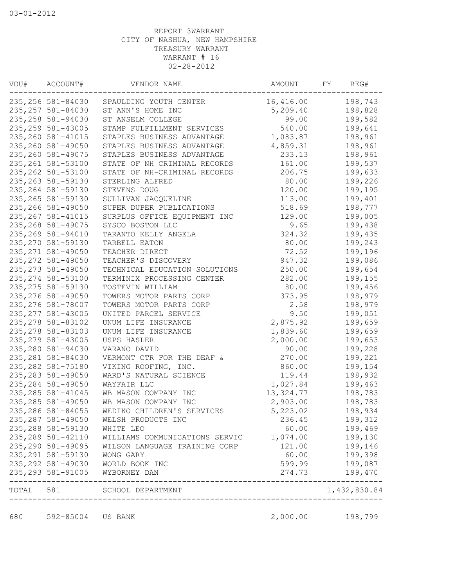| VOU#  | ACCOUNT#           | VENDOR NAME                    | AMOUNT    | FΥ | REG#         |
|-------|--------------------|--------------------------------|-----------|----|--------------|
|       | 235,256 581-84030  | SPAULDING YOUTH CENTER         | 16,416.00 |    | 198,743      |
|       | 235, 257 581-84030 | ST ANN'S HOME INC              | 5,209.40  |    | 198,828      |
|       | 235, 258 581-94030 | ST ANSELM COLLEGE              | 99.00     |    | 199,582      |
|       | 235, 259 581-43005 | STAMP FULFILLMENT SERVICES     | 540.00    |    | 199,641      |
|       | 235, 260 581-41015 | STAPLES BUSINESS ADVANTAGE     | 1,083.87  |    | 198,961      |
|       | 235, 260 581-49050 | STAPLES BUSINESS ADVANTAGE     | 4,859.31  |    | 198,961      |
|       | 235, 260 581-49075 | STAPLES BUSINESS ADVANTAGE     | 233.13    |    | 198,961      |
|       | 235, 261 581-53100 | STATE OF NH CRIMINAL RECORDS   | 161.00    |    | 199,537      |
|       | 235, 262 581-53100 | STATE OF NH-CRIMINAL RECORDS   | 206.75    |    | 199,633      |
|       | 235, 263 581-59130 | STERLING ALFRED                | 80.00     |    | 199,226      |
|       | 235, 264 581-59130 | STEVENS DOUG                   | 120.00    |    | 199,195      |
|       | 235, 265 581-59130 | SULLIVAN JACQUELINE            | 113.00    |    | 199,401      |
|       | 235, 266 581-49050 | SUPER DUPER PUBLICATIONS       | 518.69    |    | 198,777      |
|       | 235, 267 581-41015 | SURPLUS OFFICE EQUIPMENT INC   | 129.00    |    | 199,005      |
|       | 235, 268 581-49075 | SYSCO BOSTON LLC               | 9.65      |    | 199,438      |
|       | 235, 269 581-94010 | TARANTO KELLY ANGELA           | 324.32    |    | 199,435      |
|       | 235, 270 581-59130 | TARBELL EATON                  | 80.00     |    | 199,243      |
|       | 235, 271 581-49050 | TEACHER DIRECT                 | 72.52     |    | 199,196      |
|       | 235, 272 581-49050 | TEACHER'S DISCOVERY            | 947.32    |    | 199,086      |
|       | 235, 273 581-49050 | TECHNICAL EDUCATION SOLUTIONS  | 250.00    |    | 199,654      |
|       | 235, 274 581-53100 | TERMINIX PROCESSING CENTER     | 282.00    |    | 199,155      |
|       | 235, 275 581-59130 | TOSTEVIN WILLIAM               | 80.00     |    | 199,456      |
|       | 235, 276 581-49050 | TOWERS MOTOR PARTS CORP        | 373.95    |    | 198,979      |
|       | 235, 276 581-78007 | TOWERS MOTOR PARTS CORP        | 2.58      |    | 198,979      |
|       | 235, 277 581-43005 | UNITED PARCEL SERVICE          | 9.50      |    | 199,051      |
|       | 235, 278 581-83102 | UNUM LIFE INSURANCE            | 2,875.92  |    | 199,659      |
|       | 235, 278 581-83103 | UNUM LIFE INSURANCE            | 1,839.60  |    | 199,659      |
|       | 235, 279 581-43005 | USPS HASLER                    | 2,000.00  |    | 199,653      |
|       | 235,280 581-94030  | VARANO DAVID                   | 90.00     |    | 199,228      |
|       | 235, 281 581-84030 | VERMONT CTR FOR THE DEAF &     | 270.00    |    | 199,221      |
|       | 235, 282 581-75180 | VIKING ROOFING, INC.           | 860.00    |    | 199,154      |
|       | 235, 283 581-49050 | WARD'S NATURAL SCIENCE         | 119.44    |    | 198,932      |
|       | 235, 284 581-49050 | WAYFAIR LLC                    | 1,027.84  |    | 199,463      |
|       | 235, 285 581-41045 | WB MASON COMPANY INC           | 13,324.77 |    | 198,783      |
|       | 235, 285 581-49050 | WB MASON COMPANY INC           | 2,903.00  |    | 198,783      |
|       | 235, 286 581-84055 | WEDIKO CHILDREN'S SERVICES     | 5,223.02  |    | 198,934      |
|       | 235, 287 581-49050 | WELSH PRODUCTS INC             | 236.45    |    | 199,312      |
|       | 235, 288 581-59130 | WHITE LEO                      | 60.00     |    | 199,469      |
|       | 235, 289 581-42110 | WILLIAMS COMMUNICATIONS SERVIC | 1,074.00  |    | 199,130      |
|       | 235, 290 581-49095 | WILSON LANGUAGE TRAINING CORP  | 121.00    |    | 199,146      |
|       | 235, 291 581-59130 | WONG GARY                      | 60.00     |    | 199,398      |
|       | 235, 292 581-49030 | WORLD BOOK INC                 | 599.99    |    | 199,087      |
|       | 235, 293 581-91005 | WYBORNEY DAN                   | 274.73    |    | 199,470      |
| TOTAL | 581                | SCHOOL DEPARTMENT              |           |    | 1,432,830.84 |

680 592-85004 US BANK 2,000.00 198,799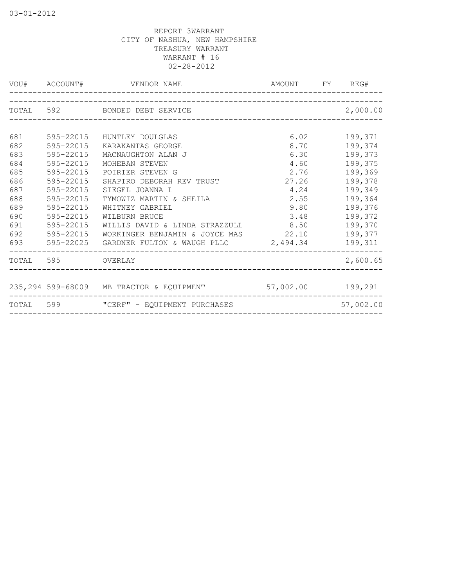|     |                   | VOU# ACCOUNT# VENDOR NAME                                  | AMOUNT FY REG# |           |
|-----|-------------------|------------------------------------------------------------|----------------|-----------|
|     |                   | TOTAL 592 BONDED DEBT SERVICE                              |                | 2,000.00  |
|     |                   |                                                            |                |           |
| 681 | 595-22015         | HUNTLEY DOULGLAS                                           | 6.02           | 199,371   |
| 682 | 595-22015         | KARAKANTAS GEORGE                                          | 8.70           | 199,374   |
| 683 | 595-22015         | MACNAUGHTON ALAN J                                         | 6.30           | 199,373   |
| 684 | 595-22015         | MOHEBAN STEVEN                                             | 4.60           | 199,375   |
| 685 | 595-22015         | POIRIER STEVEN G                                           | 2.76           | 199,369   |
| 686 | 595-22015         | SHAPIRO DEBORAH REV TRUST                                  | 27.26          | 199,378   |
| 687 | 595-22015         | SIEGEL JOANNA L                                            | 4.24           | 199,349   |
| 688 | 595-22015         | TYMOWIZ MARTIN & SHEILA                                    | 2.55           | 199,364   |
| 689 | 595-22015         | WHITNEY GABRIEL                                            | 9.80           | 199,376   |
| 690 | 595-22015         | WILBURN BRUCE                                              | 3.48           | 199,372   |
| 691 | 595-22015         | WILLIS DAVID & LINDA STRAZZULL                             | 8.50           | 199,370   |
| 692 | 595-22015         | WORKINGER BENJAMIN & JOYCE MAS 22.10                       |                | 199,377   |
| 693 |                   | $595-22025$ GARDNER FULTON & WAUGH PLLC $2,494.34$         |                | 199,311   |
|     | TOTAL 595 OVERLAY |                                                            |                | 2,600.65  |
|     |                   |                                                            |                |           |
|     |                   | 235,294 599-68009 MB TRACTOR & EQUIPMENT 57,002.00 199,291 |                |           |
|     |                   | TOTAL 599 "CERF" - EQUIPMENT PURCHASES                     |                | 57,002.00 |
|     |                   |                                                            |                |           |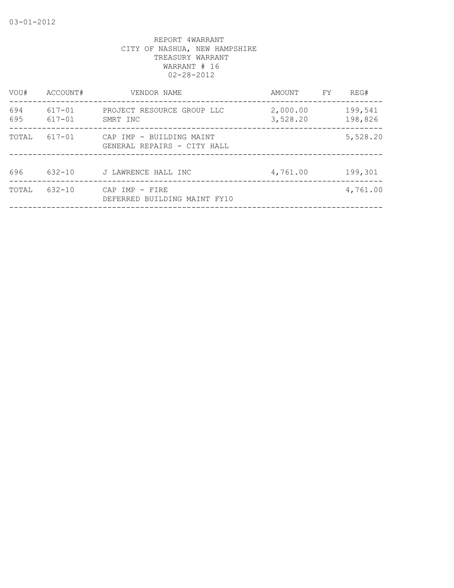| VOU#       | ACCOUNT#         | VENDOR NAME                                             | AMOUNT               | FY | REG#               |
|------------|------------------|---------------------------------------------------------|----------------------|----|--------------------|
| 694<br>695 | 617-01<br>617-01 | PROJECT RESOURCE GROUP LLC<br>SMRT INC                  | 2,000.00<br>3,528.20 |    | 199,541<br>198,826 |
| TOTAL      | 617-01           | CAP IMP - BUILDING MAINT<br>GENERAL REPAIRS - CITY HALL |                      |    | 5,528.20           |
| 696        | 632-10           | J LAWRENCE HALL INC                                     | 4,761.00             |    | 199,301            |
| TOTAL      | $632 - 10$       | CAP IMP - FIRE<br>DEFERRED BUILDING MAINT FY10          |                      |    | 4,761.00           |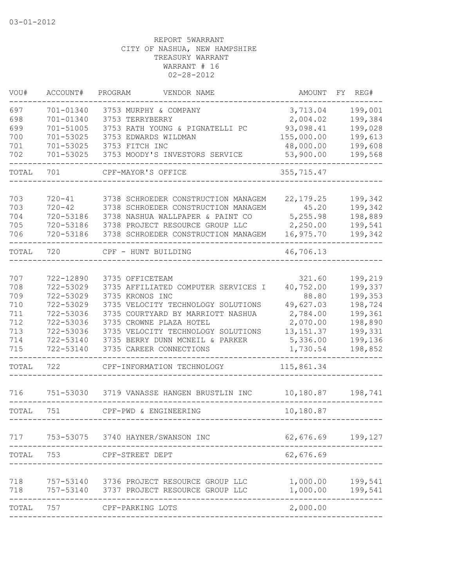| VOU#       | ACCOUNT#               | PROGRAM<br>VENDOR NAME                                                 | AMOUNT                | FY | REG#               |
|------------|------------------------|------------------------------------------------------------------------|-----------------------|----|--------------------|
| 697        | 701-01340              | 3753 MURPHY & COMPANY                                                  | 3,713.04              |    | 199,001            |
| 698        | 701-01340              | 3753 TERRYBERRY                                                        | 2,004.02              |    | 199,384            |
| 699        | 701-51005              | 3753 RATH YOUNG & PIGNATELLI PC                                        | 93,098.41             |    | 199,028            |
| 700        | 701-53025              | 3753 EDWARDS WILDMAN                                                   | 155,000.00            |    | 199,613            |
| 701        | 701-53025              | 3753 FITCH INC                                                         | 48,000.00             |    | 199,608            |
| 702        | 701-53025              | 3753 MOODY'S INVESTORS SERVICE                                         | 53,900.00             |    | 199,568            |
| TOTAL      | 701                    | CPF-MAYOR'S OFFICE                                                     | 355,715.47            |    |                    |
|            |                        |                                                                        |                       |    |                    |
| 703        | $720 - 41$             | 3738 SCHROEDER CONSTRUCTION MANAGEM                                    | 22, 179.25            |    | 199,342            |
| 703        | $720 - 42$             | 3738 SCHROEDER CONSTRUCTION MANAGEM                                    | 45.20                 |    | 199,342            |
| 704        | 720-53186              | 3738 NASHUA WALLPAPER & PAINT CO                                       | 5,255.98              |    | 198,889            |
| 705<br>706 | 720-53186<br>720-53186 | 3738 PROJECT RESOURCE GROUP LLC<br>3738 SCHROEDER CONSTRUCTION MANAGEM | 2,250.00<br>16,975.70 |    | 199,541<br>199,342 |
| TOTAL      | 720                    | CPF - HUNT BUILDING                                                    | 46,706.13             |    |                    |
|            |                        |                                                                        |                       |    |                    |
| 707        | 722-12890              | 3735 OFFICETEAM                                                        | 321.60                |    | 199,219            |
| 708        | 722-53029              | 3735 AFFILIATED COMPUTER SERVICES I                                    | 40,752.00             |    | 199,337            |
| 709        | 722-53029              | 3735 KRONOS INC                                                        | 88.80                 |    | 199,353            |
| 710        | 722-53029              | 3735 VELOCITY TECHNOLOGY SOLUTIONS                                     | 49,627.03             |    | 198,724            |
| 711        | 722-53036              | 3735 COURTYARD BY MARRIOTT NASHUA                                      | 2,784.00              |    | 199,361            |
| 712        | 722-53036              | 3735 CROWNE PLAZA HOTEL                                                | 2,070.00              |    | 198,890            |
| 713        | 722-53036              | 3735 VELOCITY TECHNOLOGY SOLUTIONS                                     | 13, 151.37            |    | 199,331            |
| 714        | 722-53140              | 3735 BERRY DUNN MCNEIL & PARKER                                        | 5,336.00              |    | 199,136            |
| 715        | 722-53140              | 3735 CAREER CONNECTIONS                                                | 1,730.54              |    | 198,852            |
| TOTAL      | 722                    | CPF-INFORMATION TECHNOLOGY                                             | 115,861.34            |    |                    |
| 716        |                        | 751-53030 3719 VANASSE HANGEN BRUSTLIN INC                             | 10,180.87             |    | 198,741            |
| TOTAL      | 751                    | CPF-PWD & ENGINEERING                                                  | 10,180.87             |    |                    |
|            |                        |                                                                        |                       |    |                    |
| 717        |                        | 753-53075 3740 HAYNER/SWANSON INC                                      | 62,676.69             |    | 199,127            |
| TOTAL      | 753                    | CPF-STREET DEPT                                                        | 62,676.69             |    |                    |
|            |                        |                                                                        |                       |    |                    |
| 718<br>718 | 757-53140<br>757-53140 | 3736 PROJECT RESOURCE GROUP LLC<br>3737 PROJECT RESOURCE GROUP LLC     | 1,000.00<br>1,000.00  |    | 199,541<br>199,541 |
|            |                        |                                                                        |                       |    |                    |
| TOTAL      | 757                    | CPF-PARKING LOTS                                                       | 2,000.00              |    |                    |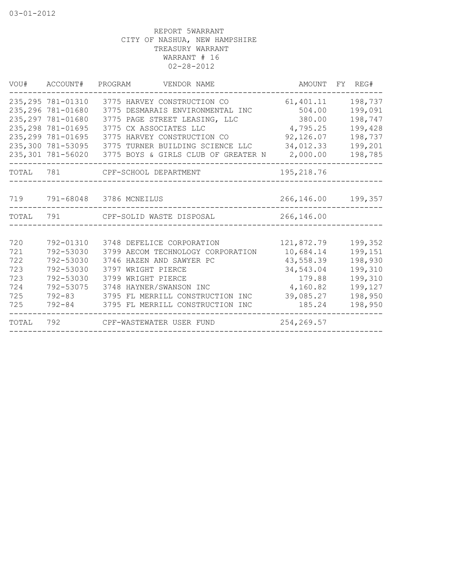| VOU#      | ACCOUNT# PROGRAM                                               | VENDOR NAME                                                                                      | AMOUNT                        | FY REG#                       |  |
|-----------|----------------------------------------------------------------|--------------------------------------------------------------------------------------------------|-------------------------------|-------------------------------|--|
|           | 235, 295 781-01310<br>235, 296 781-01680<br>235, 297 781-01680 | 3775 HARVEY CONSTRUCTION CO<br>3775 DESMARAIS ENVIRONMENTAL INC<br>3775 PAGE STREET LEASING, LLC | 61,401.11<br>504.00<br>380.00 | 198,737<br>199,091<br>198,747 |  |
|           | 235, 298 781-01695                                             | 3775 CX ASSOCIATES LLC                                                                           | 4,795.25                      | 199,428                       |  |
|           | 235, 299 781-01695                                             | 3775 HARVEY CONSTRUCTION CO                                                                      | 92,126.07                     | 198,737                       |  |
|           | 235,300 781-53095                                              | 3775 TURNER BUILDING SCIENCE LLC                                                                 | 34,012.33                     | 199,201                       |  |
|           | 235,301 781-56020                                              | 3775 BOYS & GIRLS CLUB OF GREATER N                                                              | 2,000.00                      | 198,785                       |  |
| TOTAL 781 |                                                                | CPF-SCHOOL DEPARTMENT                                                                            | 195,218.76                    |                               |  |
|           |                                                                |                                                                                                  |                               |                               |  |
| 719       |                                                                | 791-68048 3786 MCNEILUS                                                                          | 266,146.00                    | 199,357                       |  |
| TOTAL     | 791                                                            | CPF-SOLID WASTE DISPOSAL                                                                         | 266,146.00                    |                               |  |
|           |                                                                |                                                                                                  |                               |                               |  |
| 720       | 792-01310                                                      | 3748 DEFELICE CORPORATION                                                                        | 121,872.79                    | 199,352                       |  |
| 721       | 792-53030                                                      | 3799 AECOM TECHNOLOGY CORPORATION                                                                | 10,684.14                     | 199,151                       |  |
| 722       | 792-53030                                                      | 3746 HAZEN AND SAWYER PC                                                                         | 43,558.39                     | 198,930                       |  |
| 723       | 792-53030                                                      | 3797 WRIGHT PIERCE                                                                               | 34,543.04                     | 199,310                       |  |
| 723       | 792-53030                                                      | 3799 WRIGHT PIERCE                                                                               | 179.88                        | 199,310                       |  |
| 724       | 792-53075                                                      | 3748 HAYNER/SWANSON INC                                                                          | 4,160.82                      | 199,127                       |  |
| 725       | $792 - 83$                                                     | 3795 FL MERRILL CONSTRUCTION INC                                                                 | 39,085.27                     | 198,950                       |  |
| 725       | 792-84                                                         | 3795 FL MERRILL CONSTRUCTION INC                                                                 | 185.24                        | 198,950                       |  |
| TOTAL     | 792                                                            | CPF-WASTEWATER USER FUND                                                                         | 254, 269.57                   |                               |  |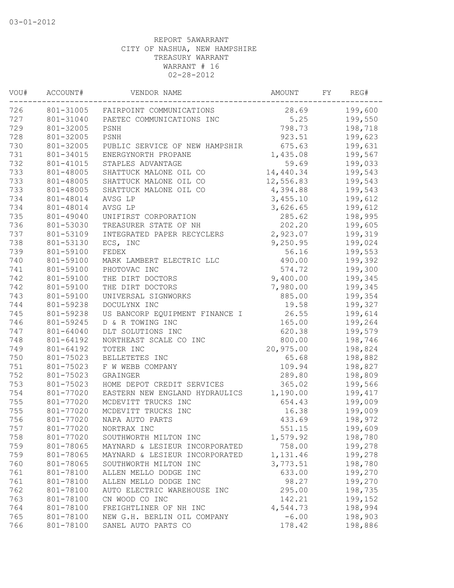| VOU# | ACCOUNT#  | VENDOR NAME                    | AMOUNT    | FΥ | REG#    |
|------|-----------|--------------------------------|-----------|----|---------|
| 726  | 801-31005 | FAIRPOINT COMMUNICATIONS       | 28.69     |    | 199,600 |
| 727  | 801-31040 | PAETEC COMMUNICATIONS INC      | 5.25      |    | 199,550 |
| 729  | 801-32005 | PSNH                           | 798.73    |    | 198,718 |
| 728  | 801-32005 | PSNH                           | 923.51    |    | 199,623 |
| 730  | 801-32005 | PUBLIC SERVICE OF NEW HAMPSHIR | 675.63    |    | 199,631 |
| 731  | 801-34015 | ENERGYNORTH PROPANE            | 1,435.08  |    | 199,567 |
| 732  | 801-41015 | STAPLES ADVANTAGE              | 59.69     |    | 199,033 |
| 733  | 801-48005 | SHATTUCK MALONE OIL CO         | 14,440.34 |    | 199,543 |
| 733  | 801-48005 | SHATTUCK MALONE OIL CO         | 12,556.83 |    | 199,543 |
| 733  | 801-48005 | SHATTUCK MALONE OIL CO         | 4,394.88  |    | 199,543 |
| 734  | 801-48014 | AVSG LP                        | 3,455.10  |    | 199,612 |
| 734  | 801-48014 | AVSG LP                        | 3,626.65  |    | 199,612 |
| 735  | 801-49040 | UNIFIRST CORPORATION           | 285.62    |    | 198,995 |
| 736  | 801-53030 | TREASURER STATE OF NH          | 202.20    |    | 199,605 |
| 737  | 801-53109 | INTEGRATED PAPER RECYCLERS     | 2,923.07  |    | 199,319 |
| 738  | 801-53130 | ECS, INC                       | 9,250.95  |    | 199,024 |
| 739  | 801-59100 | FEDEX                          | 56.16     |    | 199,553 |
| 740  | 801-59100 | MARK LAMBERT ELECTRIC LLC      | 490.00    |    | 199,392 |
| 741  | 801-59100 | PHOTOVAC INC                   | 574.72    |    | 199,300 |
| 742  | 801-59100 | THE DIRT DOCTORS               | 9,400.00  |    | 199,345 |
| 742  | 801-59100 | THE DIRT DOCTORS               | 7,980.00  |    | 199,345 |
| 743  | 801-59100 | UNIVERSAL SIGNWORKS            | 885.00    |    | 199,354 |
| 744  | 801-59238 | DOCULYNX INC                   | 19.58     |    | 199,327 |
| 745  | 801-59238 | US BANCORP EQUIPMENT FINANCE I | 26.55     |    | 199,614 |
| 746  | 801-59245 | D & R TOWING INC               | 165.00    |    | 199,264 |
| 747  | 801-64040 | DLT SOLUTIONS INC              | 620.38    |    | 199,579 |
| 748  | 801-64192 | NORTHEAST SCALE CO INC         | 800.00    |    | 198,746 |
| 749  | 801-64192 | TOTER INC                      | 20,975.00 |    | 198,824 |
| 750  | 801-75023 | BELLETETES INC                 | 65.68     |    | 198,882 |
| 751  | 801-75023 | F W WEBB COMPANY               | 109.94    |    | 198,827 |
| 752  | 801-75023 | GRAINGER                       | 289.80    |    | 198,809 |
| 753  | 801-75023 | HOME DEPOT CREDIT SERVICES     | 365.02    |    | 199,566 |
| 754  | 801-77020 | EASTERN NEW ENGLAND HYDRAULICS | 1,190.00  |    | 199,417 |
| 755  | 801-77020 | MCDEVITT TRUCKS INC            | 654.43    |    | 199,009 |
| 755  | 801-77020 | MCDEVITT TRUCKS INC            | 16.38     |    | 199,009 |
| 756  | 801-77020 | NAPA AUTO PARTS                | 433.69    |    | 198,972 |
| 757  | 801-77020 | NORTRAX INC                    | 551.15    |    | 199,609 |
| 758  | 801-77020 | SOUTHWORTH MILTON INC          | 1,579.92  |    | 198,780 |
| 759  | 801-78065 | MAYNARD & LESIEUR INCORPORATED | 758.00    |    | 199,278 |
| 759  | 801-78065 | MAYNARD & LESIEUR INCORPORATED | 1,131.46  |    | 199,278 |
| 760  | 801-78065 | SOUTHWORTH MILTON INC          | 3,773.51  |    | 198,780 |
| 761  | 801-78100 | ALLEN MELLO DODGE INC          | 633.00    |    | 199,270 |
| 761  | 801-78100 | ALLEN MELLO DODGE INC          | 98.27     |    | 199,270 |
| 762  | 801-78100 | AUTO ELECTRIC WAREHOUSE INC    | 295.00    |    | 198,735 |
| 763  | 801-78100 | CN WOOD CO INC                 | 142.21    |    | 199,152 |
| 764  | 801-78100 | FREIGHTLINER OF NH INC         | 4,544.73  |    | 198,994 |
| 765  | 801-78100 | NEW G.H. BERLIN OIL COMPANY    | $-6.00$   |    | 198,903 |
| 766  | 801-78100 | SANEL AUTO PARTS CO            | 178.42    |    | 198,886 |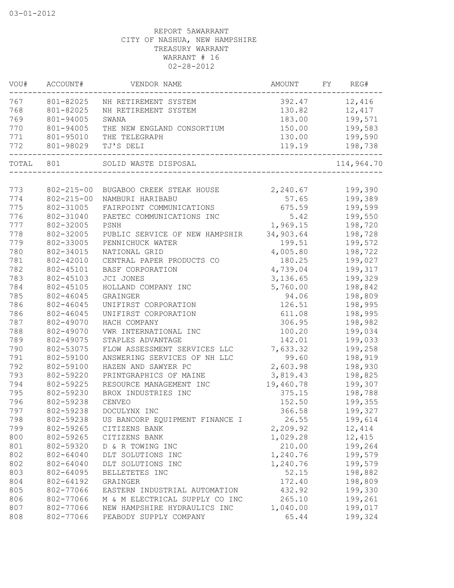| VOU#  | ACCOUNT#         | VENDOR NAME                    | AMOUNT    | FY | REG#       |
|-------|------------------|--------------------------------|-----------|----|------------|
| 767   | 801-82025        | NH RETIREMENT SYSTEM           | 392.47    |    | 12,416     |
| 768   | 801-82025        | NH RETIREMENT SYSTEM           | 130.82    |    | 12,417     |
| 769   | 801-94005        | SWANA                          | 183.00    |    | 199,571    |
| 770   | 801-94005        | THE NEW ENGLAND CONSORTIUM     | 150.00    |    | 199,583    |
| 771   | 801-95010        | THE TELEGRAPH                  | 130.00    |    | 199,590    |
| 772   | 801-98029        | TJ'S DELI                      | 119.19    |    | 198,738    |
| TOTAL | 801              | SOLID WASTE DISPOSAL           |           |    | 114,964.70 |
|       |                  |                                |           |    |            |
| 773   | $802 - 215 - 00$ | BUGABOO CREEK STEAK HOUSE      | 2,240.67  |    | 199,390    |
| 774   | $802 - 215 - 00$ | NAMBURI HARIBABU               | 57.65     |    | 199,389    |
| 775   | 802-31005        | FAIRPOINT COMMUNICATIONS       | 675.59    |    | 199,599    |
| 776   | 802-31040        | PAETEC COMMUNICATIONS INC      | 5.42      |    | 199,550    |
| 777   | 802-32005        | PSNH                           | 1,969.15  |    | 198,720    |
| 778   | 802-32005        | PUBLIC SERVICE OF NEW HAMPSHIR | 34,903.64 |    | 198,728    |
| 779   | 802-33005        | PENNICHUCK WATER               | 199.51    |    | 199,572    |
| 780   | 802-34015        | NATIONAL GRID                  | 4,005.80  |    | 198,722    |
| 781   | 802-42010        | CENTRAL PAPER PRODUCTS CO      | 180.25    |    | 199,027    |
| 782   | 802-45101        | BASF CORPORATION               | 4,739.04  |    | 199,317    |
| 783   | 802-45103        | JCI JONES                      | 3,136.65  |    | 199,329    |
| 784   | 802-45105        | HOLLAND COMPANY INC            | 5,760.00  |    | 198,842    |
| 785   | 802-46045        | GRAINGER                       | 94.06     |    | 198,809    |
| 786   | 802-46045        | UNIFIRST CORPORATION           | 126.51    |    | 198,995    |
| 786   | 802-46045        | UNIFIRST CORPORATION           | 611.08    |    | 198,995    |
| 787   | 802-49070        | HACH COMPANY                   | 306.95    |    | 198,982    |
| 788   | 802-49070        | VWR INTERNATIONAL INC          | 100.20    |    | 199,034    |
| 789   | 802-49075        | STAPLES ADVANTAGE              | 142.01    |    | 199,033    |
| 790   | 802-53075        | FLOW ASSESSMENT SERVICES LLC   | 7,633.32  |    | 199,258    |
| 791   | 802-59100        | ANSWERING SERVICES OF NH LLC   | 99.60     |    | 198,919    |
| 792   | 802-59100        | HAZEN AND SAWYER PC            | 2,603.98  |    | 198,930    |
| 793   | 802-59220        | PRINTGRAPHICS OF MAINE         | 3,819.43  |    | 198,825    |
| 794   | 802-59225        | RESOURCE MANAGEMENT INC        | 19,460.78 |    | 199,307    |
| 795   | 802-59230        | BROX INDUSTRIES INC            | 375.15    |    | 198,788    |
| 796   | 802-59238        | CENVEO                         | 152.50    |    | 199,355    |
| 797   | 802-59238        | DOCULYNX INC                   | 366.58    |    | 199,327    |
| 798   | 802-59238        | US BANCORP EQUIPMENT FINANCE I | 26.55     |    | 199,614    |
| 799   | 802-59265        | CITIZENS BANK                  | 2,209.92  |    | 12,414     |
| 800   | 802-59265        | CITIZENS BANK                  | 1,029.28  |    | 12,415     |
| 801   | 802-59320        | D & R TOWING INC               | 210.00    |    | 199,264    |
| 802   | 802-64040        | DLT SOLUTIONS INC              | 1,240.76  |    | 199,579    |
| 802   | 802-64040        | DLT SOLUTIONS INC              | 1,240.76  |    | 199,579    |
| 803   | 802-64095        | BELLETETES INC                 | 52.15     |    | 198,882    |
| 804   | 802-64192        | GRAINGER                       | 172.40    |    | 198,809    |
| 805   | 802-77066        | EASTERN INDUSTRIAL AUTOMATION  | 432.92    |    | 199,330    |
| 806   | 802-77066        | M & M ELECTRICAL SUPPLY CO INC | 265.10    |    | 199,261    |
| 807   | 802-77066        | NEW HAMPSHIRE HYDRAULICS INC   | 1,040.00  |    | 199,017    |
| 808   | 802-77066        | PEABODY SUPPLY COMPANY         | 65.44     |    | 199,324    |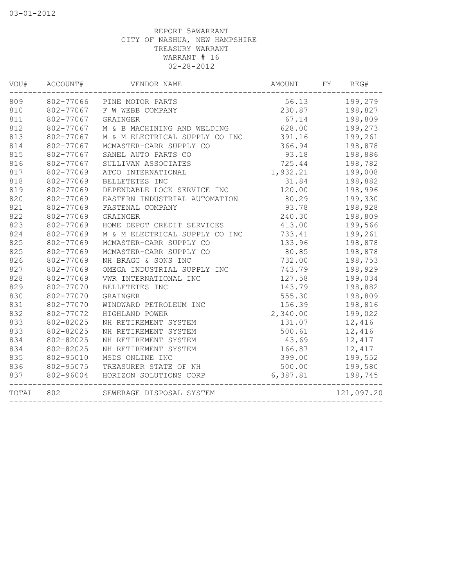| VOU#  | ACCOUNT#  | VENDOR NAME                      | <b>AMOUNT</b> | FY | REG#       |
|-------|-----------|----------------------------------|---------------|----|------------|
| 809   |           | 802-77066 PINE MOTOR PARTS       | 56.13         |    | 199,279    |
| 810   |           | 802-77067 F W WEBB COMPANY       | 230.87        |    | 198,827    |
| 811   | 802-77067 | GRAINGER                         | 67.14         |    | 198,809    |
| 812   | 802-77067 | M & B MACHINING AND WELDING      | 628.00        |    | 199,273    |
| 813   | 802-77067 | M & M ELECTRICAL SUPPLY CO INC   | 391.16        |    | 199,261    |
| 814   | 802-77067 | MCMASTER-CARR SUPPLY CO          | 366.94        |    | 198,878    |
| 815   | 802-77067 | SANEL AUTO PARTS CO              | 93.18         |    | 198,886    |
| 816   | 802-77067 | SULLIVAN ASSOCIATES              | 725.44        |    | 198,782    |
| 817   | 802-77069 | ATCO INTERNATIONAL               | 1,932.21      |    | 199,008    |
| 818   | 802-77069 | BELLETETES INC                   | 31.84         |    | 198,882    |
| 819   | 802-77069 | DEPENDABLE LOCK SERVICE INC      | 120.00        |    | 198,996    |
| 820   | 802-77069 | EASTERN INDUSTRIAL AUTOMATION    | 80.29         |    | 199,330    |
| 821   | 802-77069 | FASTENAL COMPANY                 | 93.78         |    | 198,928    |
| 822   | 802-77069 | GRAINGER                         | 240.30        |    | 198,809    |
| 823   | 802-77069 | HOME DEPOT CREDIT SERVICES       | 413.00        |    | 199,566    |
| 824   | 802-77069 | M & M ELECTRICAL SUPPLY CO INC   | 733.41        |    | 199,261    |
| 825   | 802-77069 | MCMASTER-CARR SUPPLY CO          | 133.96        |    | 198,878    |
| 825   | 802-77069 | MCMASTER-CARR SUPPLY CO          | 80.85         |    | 198,878    |
| 826   | 802-77069 | NH BRAGG & SONS INC              | 732.00        |    | 198,753    |
| 827   | 802-77069 | OMEGA INDUSTRIAL SUPPLY INC      | 743.79        |    | 198,929    |
| 828   | 802-77069 | VWR INTERNATIONAL INC            | 127.58        |    | 199,034    |
| 829   | 802-77070 | BELLETETES INC                   | 143.79        |    | 198,882    |
| 830   | 802-77070 | GRAINGER                         | 555.30        |    | 198,809    |
| 831   | 802-77070 | WINDWARD PETROLEUM INC           | 156.39        |    | 198,816    |
| 832   | 802-77072 | HIGHLAND POWER                   | 2,340.00      |    | 199,022    |
| 833   | 802-82025 | NH RETIREMENT SYSTEM             | 131.07        |    | 12,416     |
| 833   | 802-82025 | NH RETIREMENT SYSTEM             | 500.61        |    | 12,416     |
| 834   | 802-82025 | NH RETIREMENT SYSTEM             | 43.69         |    | 12,417     |
| 834   | 802-82025 | NH RETIREMENT SYSTEM             | 166.87        |    | 12,417     |
| 835   | 802-95010 | MSDS ONLINE INC                  | 399.00        |    | 199,552    |
| 836   | 802-95075 | TREASURER STATE OF NH            | 500.00        |    | 199,580    |
| 837   |           | 802-96004 HORIZON SOLUTIONS CORP | 6,387.81      |    | 198,745    |
| TOTAL | 802       | SEWERAGE DISPOSAL SYSTEM         |               |    | 121,097.20 |
|       |           |                                  |               |    |            |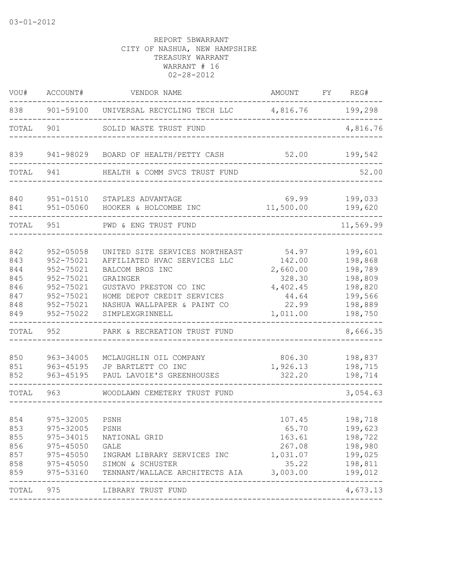| VOU#                                                 | ACCOUNT#                                                                                                 | VENDOR NAME                                                                                                                                                                                             | AMOUNT                                                                          | FY | REG#                                                                                 |
|------------------------------------------------------|----------------------------------------------------------------------------------------------------------|---------------------------------------------------------------------------------------------------------------------------------------------------------------------------------------------------------|---------------------------------------------------------------------------------|----|--------------------------------------------------------------------------------------|
| 838                                                  |                                                                                                          | 901-59100 UNIVERSAL RECYCLING TECH LLC 4,816.76 199,298                                                                                                                                                 |                                                                                 |    |                                                                                      |
| TOTAL                                                | 901                                                                                                      | SOLID WASTE TRUST FUND                                                                                                                                                                                  |                                                                                 |    | 4,816.76                                                                             |
| 839                                                  | 941-98029                                                                                                | BOARD OF HEALTH/PETTY CASH                                                                                                                                                                              | 52.00                                                                           |    | 199,542                                                                              |
| TOTAL                                                | 941                                                                                                      | HEALTH & COMM SVCS TRUST FUND                                                                                                                                                                           |                                                                                 |    | 52.00                                                                                |
| 840<br>841                                           | 951-01510<br>951-05060                                                                                   | STAPLES ADVANTAGE<br>HOOKER & HOLCOMBE INC                                                                                                                                                              | 69.99<br>11,500.00                                                              |    | 199,033<br>199,620                                                                   |
| TOTAL                                                | 951                                                                                                      | PWD & ENG TRUST FUND                                                                                                                                                                                    |                                                                                 |    | 11,569.99                                                                            |
| 842<br>843<br>844<br>845<br>846<br>847<br>848<br>849 | $952 - 05058$<br>952-75021<br>952-75021<br>952-75021<br>952-75021<br>952-75021<br>952-75021<br>952-75022 | UNITED SITE SERVICES NORTHEAST<br>AFFILIATED HVAC SERVICES LLC<br>BALCOM BROS INC<br>GRAINGER<br>GUSTAVO PRESTON CO INC<br>HOME DEPOT CREDIT SERVICES<br>NASHUA WALLPAPER & PAINT CO<br>SIMPLEXGRINNELL | 54.97<br>142.00<br>2,660.00<br>328.30<br>4,402.45<br>44.64<br>22.99<br>1,011.00 |    | 199,601<br>198,868<br>198,789<br>198,809<br>198,820<br>199,566<br>198,889<br>198,750 |
| TOTAL                                                | 952                                                                                                      | PARK & RECREATION TRUST FUND                                                                                                                                                                            |                                                                                 |    | 8,666.35                                                                             |
| 850<br>851<br>852                                    | 963-34005<br>963-45195<br>963-45195                                                                      | MCLAUGHLIN OIL COMPANY<br>JP BARTLETT CO INC<br>PAUL LAVOIE'S GREENHOUSES                                                                                                                               | 806.30<br>1,926.13<br>322.20                                                    |    | 198,837<br>198,715<br>198,714                                                        |
| TOTAL                                                | 963                                                                                                      | WOODLAWN CEMETERY TRUST FUND                                                                                                                                                                            |                                                                                 |    | 3,054.63                                                                             |
| 854<br>853<br>855<br>856<br>857<br>858<br>859        | 975-32005<br>975-32005<br>975-34015<br>975-45050<br>975-45050<br>975-53160                               | PSNH<br>PSNH<br>NATIONAL GRID<br>GALE<br>INGRAM LIBRARY SERVICES INC<br>975-45050 SIMON & SCHUSTER<br>TENNANT/WALLACE ARCHITECTS AIA                                                                    | 107.45<br>65.70<br>163.61<br>267.08<br>1,031.07<br>35.22<br>3,003.00            |    | 198,718<br>199,623<br>198,722<br>198,980<br>199,025<br>198,811<br>199,012            |
| TOTAL                                                | 975                                                                                                      | LIBRARY TRUST FUND                                                                                                                                                                                      |                                                                                 |    | 4,673.13                                                                             |
|                                                      |                                                                                                          |                                                                                                                                                                                                         |                                                                                 |    |                                                                                      |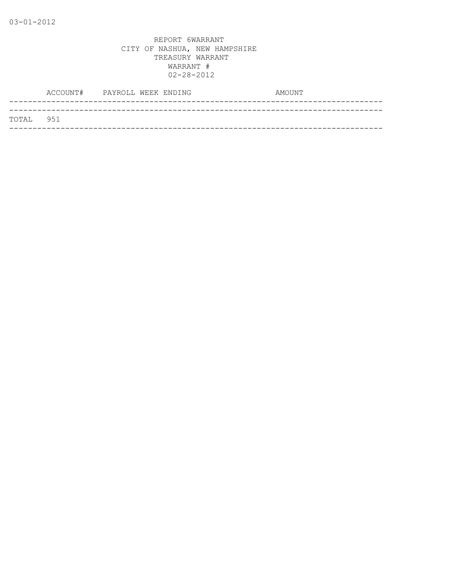|           | ACCOUNT# PAYROLL WEEK ENDING | AMOUNT |
|-----------|------------------------------|--------|
| TOTAL 951 |                              |        |
|           |                              |        |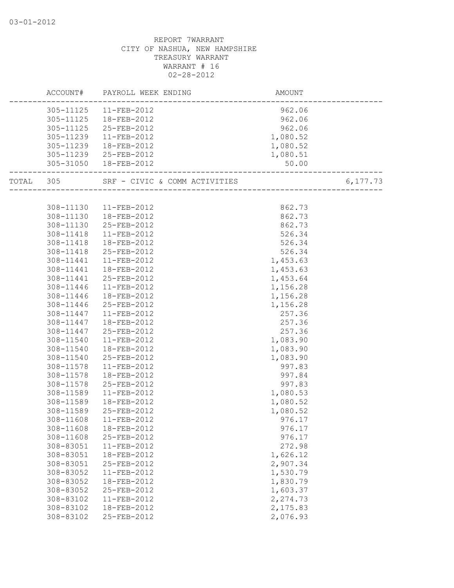|           | ACCOUNT# PAYROLL WEEK ENDING  | AMOUNT   |          |
|-----------|-------------------------------|----------|----------|
| 305-11125 | 11-FEB-2012                   | 962.06   |          |
| 305-11125 | 18-FEB-2012                   | 962.06   |          |
| 305-11125 | 25-FEB-2012                   | 962.06   |          |
| 305-11239 | 11-FEB-2012                   | 1,080.52 |          |
| 305-11239 | 18-FEB-2012                   | 1,080.52 |          |
| 305-11239 | 25-FEB-2012                   | 1,080.51 |          |
|           | 305-31050  18-FEB-2012        | 50.00    |          |
| TOTAL 305 | SRF - CIVIC & COMM ACTIVITIES |          | 6,177.73 |
|           |                               |          |          |
| 308-11130 | 11-FEB-2012                   | 862.73   |          |
| 308-11130 | 18-FEB-2012                   | 862.73   |          |
| 308-11130 | 25-FEB-2012                   | 862.73   |          |
| 308-11418 | 11-FEB-2012                   | 526.34   |          |
| 308-11418 | 18-FEB-2012                   | 526.34   |          |
| 308-11418 | 25-FEB-2012                   | 526.34   |          |
| 308-11441 | 11-FEB-2012                   | 1,453.63 |          |
| 308-11441 | 18-FEB-2012                   | 1,453.63 |          |
|           | 308-11441 25-FEB-2012         | 1,453.64 |          |
| 308-11446 | 11-FEB-2012                   | 1,156.28 |          |
| 308-11446 | 18-FEB-2012                   | 1,156.28 |          |
| 308-11446 | 25-FEB-2012                   | 1,156.28 |          |
| 308-11447 | 11-FEB-2012                   | 257.36   |          |
| 308-11447 | 18-FEB-2012                   | 257.36   |          |
| 308-11447 | 25-FEB-2012                   | 257.36   |          |
| 308-11540 | 11-FEB-2012                   | 1,083.90 |          |
| 308-11540 | 18-FEB-2012                   | 1,083.90 |          |
| 308-11540 | 25-FEB-2012                   | 1,083.90 |          |
| 308-11578 | 11-FEB-2012                   | 997.83   |          |
| 308-11578 | 18-FEB-2012                   | 997.84   |          |
| 308-11578 | 25-FEB-2012                   | 997.83   |          |
| 308-11589 | 11-FEB-2012                   | 1,080.53 |          |
| 308-11589 | 18-FEB-2012                   | 1,080.52 |          |
| 308-11589 | 25-FEB-2012                   | 1,080.52 |          |
| 308-11608 | 11-FEB-2012                   | 976.17   |          |
| 308-11608 | 18-FEB-2012                   | 976.17   |          |
| 308-11608 | 25-FEB-2012                   | 976.17   |          |
| 308-83051 | 11-FEB-2012                   | 272.98   |          |
| 308-83051 | 18-FEB-2012                   | 1,626.12 |          |
| 308-83051 | 25-FEB-2012                   | 2,907.34 |          |
| 308-83052 | 11-FEB-2012                   | 1,530.79 |          |
| 308-83052 | 18-FEB-2012                   | 1,830.79 |          |
| 308-83052 | 25-FEB-2012                   | 1,603.37 |          |
| 308-83102 | 11-FEB-2012                   | 2,274.73 |          |
| 308-83102 | 18-FEB-2012                   | 2,175.83 |          |
| 308-83102 | 25-FEB-2012                   | 2,076.93 |          |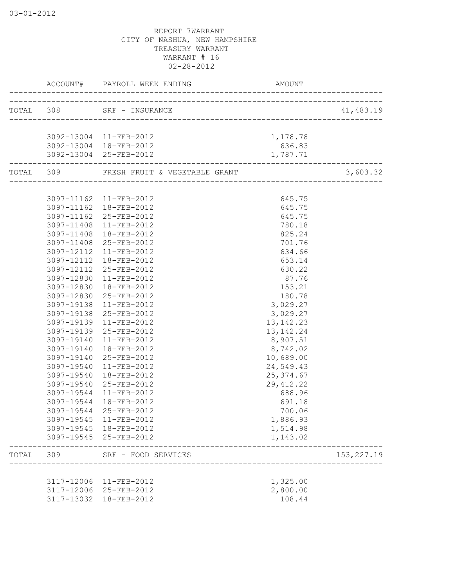|       |            | ACCOUNT# PAYROLL WEEK ENDING                             | AMOUNT               |              |
|-------|------------|----------------------------------------------------------|----------------------|--------------|
|       |            | TOTAL 308 SRF - INSURANCE<br>___________________________ |                      | 41,483.19    |
|       |            |                                                          |                      |              |
|       |            | 3092-13004 11-FEB-2012                                   | 1,178.78             |              |
|       |            | 3092-13004 18-FEB-2012                                   | 636.83               |              |
|       |            | 3092-13004 25-FEB-2012                                   | 1,787.71             |              |
|       |            | TOTAL 309 FRESH FRUIT & VEGETABLE GRANT                  |                      | 3,603.32     |
|       |            |                                                          |                      |              |
|       |            | 3097-11162 11-FEB-2012                                   | 645.75               |              |
|       |            | 3097-11162  18-FEB-2012                                  | 645.75               |              |
|       |            | 3097-11162 25-FEB-2012                                   | 645.75               |              |
|       |            | 3097-11408 11-FEB-2012                                   | 780.18               |              |
|       | 3097-11408 | 18-FEB-2012                                              | 825.24               |              |
|       | 3097-11408 | 25-FEB-2012                                              | 701.76               |              |
|       | 3097-12112 | 11-FEB-2012                                              | 634.66               |              |
|       | 3097-12112 | 18-FEB-2012                                              | 653.14               |              |
|       | 3097-12112 | 25-FEB-2012                                              | 630.22               |              |
|       | 3097-12830 | 11-FEB-2012                                              | 87.76                |              |
|       |            | 3097-12830  18-FEB-2012                                  | 153.21               |              |
|       | 3097-12830 | 25-FEB-2012                                              | 180.78               |              |
|       | 3097-19138 | 11-FEB-2012                                              | 3,029.27             |              |
|       | 3097-19138 | 25-FEB-2012                                              | 3,029.27             |              |
|       | 3097-19139 | 11-FEB-2012                                              | 13, 142. 23          |              |
|       | 3097-19139 | 25-FEB-2012                                              | 13, 142. 24          |              |
|       | 3097-19140 | 11-FEB-2012                                              | 8,907.51             |              |
|       | 3097-19140 | 18-FEB-2012                                              | 8,742.02             |              |
|       | 3097-19140 | 25-FEB-2012                                              | 10,689.00            |              |
|       | 3097-19540 | 11-FEB-2012                                              | 24,549.43            |              |
|       | 3097-19540 | 18-FEB-2012                                              | 25, 374.67           |              |
|       | 3097-19540 | 25-FEB-2012                                              | 29, 412.22           |              |
|       | 3097-19544 | 11-FEB-2012                                              | 688.96               |              |
|       | 3097-19544 | 18-FEB-2012                                              | 691.18               |              |
|       | 3097-19544 | 25-FEB-2012                                              | 700.06               |              |
|       | 3097-19545 | 11-FEB-2012<br>3097-19545  18-FEB-2012                   | 1,886.93             |              |
|       |            | 3097-19545 25-FEB-2012                                   | 1,514.98<br>1,143.02 |              |
| TOTAL | 309        | SRF - FOOD SERVICES                                      |                      | 153, 227. 19 |
|       |            | ________________                                         |                      |              |
|       | 3117-12006 | 11-FEB-2012                                              | 1,325.00             |              |
|       | 3117-12006 | 25-FEB-2012                                              | 2,800.00             |              |
|       |            | 3117-13032 18-FEB-2012                                   | 108.44               |              |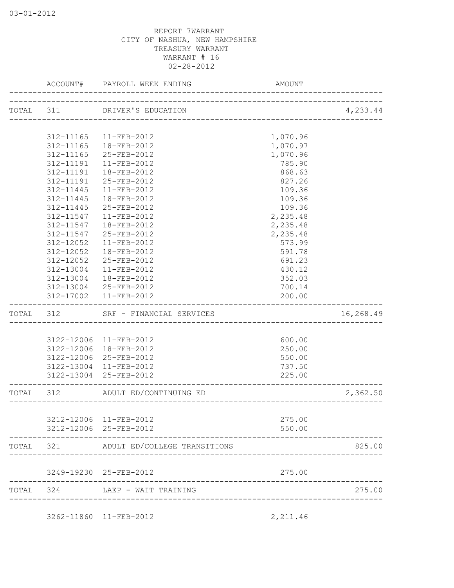|           | ACCOUNT#      | PAYROLL WEEK ENDING                                    | <b>AMOUNT</b>           |           |
|-----------|---------------|--------------------------------------------------------|-------------------------|-----------|
|           |               | TOTAL 311 DRIVER'S EDUCATION<br>______________________ |                         | 4,233.44  |
|           |               |                                                        |                         |           |
|           | 312-11165     | 11-FEB-2012                                            | 1,070.96                |           |
|           | 312-11165     | 18-FEB-2012                                            | 1,070.97                |           |
|           | 312-11165     | 25-FEB-2012                                            | 1,070.96                |           |
|           | 312-11191     | 11-FEB-2012                                            | 785.90                  |           |
|           | 312-11191     | 18-FEB-2012                                            | 868.63                  |           |
|           | 312-11191     | 25-FEB-2012                                            | 827.26                  |           |
|           | 312-11445     | $11-FEB-2012$                                          | 109.36                  |           |
|           | 312-11445     | 18-FEB-2012                                            | 109.36                  |           |
|           | 312-11445     | 25-FEB-2012                                            | 109.36                  |           |
|           | 312-11547     | $11 - FEB - 2012$                                      | 2,235.48                |           |
|           | 312-11547     | 18-FEB-2012                                            | 2,235.48                |           |
|           | 312-11547     | 25-FEB-2012                                            | 2,235.48                |           |
|           | $312 - 12052$ | $11 - FEB - 2012$                                      | 573.99                  |           |
|           | 312-12052     | 18-FEB-2012                                            | 591.78                  |           |
|           | 312-12052     | 25-FEB-2012                                            | 691.23                  |           |
|           | 312-13004     | 11-FEB-2012                                            | 430.12                  |           |
|           |               | 312-13004  18-FEB-2012                                 | 352.03                  |           |
|           |               | 312-13004 25-FEB-2012                                  | 700.14                  |           |
|           |               | 312-17002  11-FEB-2012                                 | 200.00                  |           |
| TOTAL 312 |               | SRF - FINANCIAL SERVICES                               |                         | 16,268.49 |
|           |               |                                                        |                         |           |
|           |               | 3122-12006 11-FEB-2012                                 | 600.00                  |           |
|           | 3122-12006    | 18-FEB-2012                                            | 250.00                  |           |
|           | 3122-12006    | 25-FEB-2012                                            | 550.00                  |           |
|           | 3122-13004    | 11-FEB-2012                                            | 737.50                  |           |
|           | 3122-13004    | 25-FEB-2012                                            | 225.00                  |           |
| TOTAL     | 312           | ADULT ED/CONTINUING ED                                 | _______________________ | 2,362.50  |
|           |               |                                                        |                         |           |
|           | 3212-12006    | 11-FEB-2012                                            | 275.00                  |           |
|           |               | 3212-12006 25-FEB-2012                                 | 550.00                  |           |
|           |               |                                                        |                         | 825.00    |
| TOTAL     | 321           | ADULT ED/COLLEGE TRANSITIONS                           |                         |           |
|           |               | 3249-19230 25-FEB-2012                                 | 275.00                  |           |

3262-11860 11-FEB-2012 2,211.46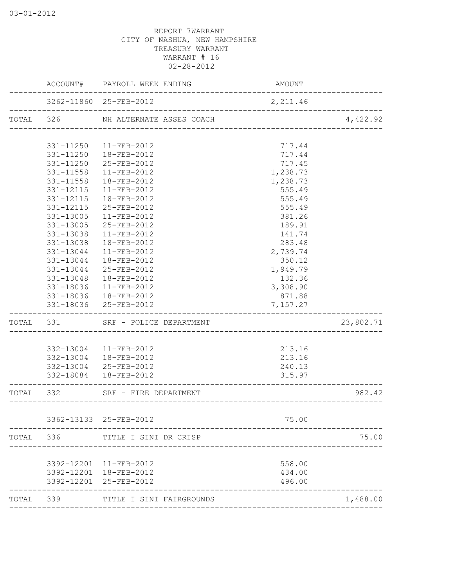|           |               | ACCOUNT# PAYROLL WEEK ENDING | AMOUNT   |           |
|-----------|---------------|------------------------------|----------|-----------|
|           |               | 3262-11860 25-FEB-2012       | 2,211.46 |           |
| TOTAL 326 |               | NH ALTERNATE ASSES COACH     |          | 4,422.92  |
|           | 331-11250     | 11-FEB-2012                  | 717.44   |           |
|           | $331 - 11250$ | 18-FEB-2012                  | 717.44   |           |
|           | 331-11250     | 25-FEB-2012                  | 717.45   |           |
|           | 331-11558     | $11 - FEB - 2012$            | 1,238.73 |           |
|           | 331-11558     | 18-FEB-2012                  | 1,238.73 |           |
|           | 331-12115     | 11-FEB-2012                  | 555.49   |           |
|           | 331-12115     | 18-FEB-2012                  | 555.49   |           |
|           | 331-12115     | 25-FEB-2012                  | 555.49   |           |
|           | 331-13005     | 11-FEB-2012                  | 381.26   |           |
|           | 331-13005     | 25-FEB-2012                  | 189.91   |           |
|           | 331-13038     | 11-FEB-2012                  | 141.74   |           |
|           | 331-13038     | 18-FEB-2012                  | 283.48   |           |
|           | 331-13044     | 11-FEB-2012                  | 2,739.74 |           |
|           | 331-13044     | 18-FEB-2012                  | 350.12   |           |
|           | 331-13044     | 25-FEB-2012                  | 1,949.79 |           |
|           | 331-13048     | 18-FEB-2012                  | 132.36   |           |
|           | 331-18036     | 11-FEB-2012                  | 3,308.90 |           |
|           | 331-18036     | 18-FEB-2012                  | 871.88   |           |
|           |               | 331-18036 25-FEB-2012        | 7,157.27 |           |
| TOTAL 331 |               | SRF - POLICE DEPARTMENT      |          | 23,802.71 |
|           |               |                              |          |           |
|           |               | 332-13004 11-FEB-2012        | 213.16   |           |
|           | 332-13004     | 18-FEB-2012                  | 213.16   |           |
|           |               | 332-13004 25-FEB-2012        | 240.13   |           |
|           |               | 332-18084  18-FEB-2012       | 315.97   |           |
| TOTAL     | 332           | SRF - FIRE DEPARTMENT        |          | 982.42    |
|           |               | 3362-13133 25-FEB-2012       |          |           |
|           |               |                              | 75.00    |           |
|           | TOTAL 336     | TITLE I SINI DR CRISP        |          | 75.00     |
|           |               | 3392-12201 11-FEB-2012       | 558.00   |           |
|           |               | 3392-12201 18-FEB-2012       | 434.00   |           |
|           |               | 3392-12201 25-FEB-2012       | 496.00   |           |
|           | TOTAL 339     | TITLE I SINI FAIRGROUNDS     |          | 1,488.00  |
|           |               |                              |          |           |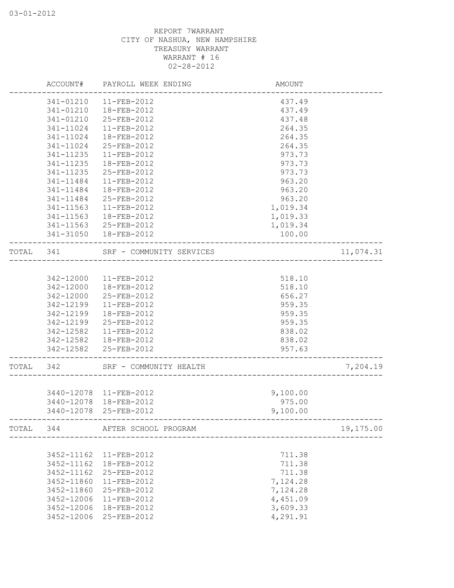|           |            | ACCOUNT# PAYROLL WEEK ENDING   | AMOUNT   |           |
|-----------|------------|--------------------------------|----------|-----------|
|           | 341-01210  | 11-FEB-2012                    | 437.49   |           |
|           | 341-01210  | 18-FEB-2012                    | 437.49   |           |
|           | 341-01210  | 25-FEB-2012                    | 437.48   |           |
|           | 341-11024  | 11-FEB-2012                    | 264.35   |           |
|           | 341-11024  | 18-FEB-2012                    | 264.35   |           |
|           | 341-11024  | 25-FEB-2012                    | 264.35   |           |
|           | 341-11235  | 11-FEB-2012                    | 973.73   |           |
|           | 341-11235  | 18-FEB-2012                    | 973.73   |           |
|           | 341-11235  | 25-FEB-2012                    | 973.73   |           |
|           | 341-11484  | 11-FEB-2012                    | 963.20   |           |
|           | 341-11484  | 18-FEB-2012                    | 963.20   |           |
|           | 341-11484  | 25-FEB-2012                    | 963.20   |           |
|           | 341-11563  | 11-FEB-2012                    | 1,019.34 |           |
|           | 341-11563  | 18-FEB-2012                    | 1,019.33 |           |
|           |            | 341-11563 25-FEB-2012          | 1,019.34 |           |
|           |            | 341-31050  18-FEB-2012         | 100.00   |           |
| TOTAL 341 |            | SRF - COMMUNITY SERVICES       |          | 11,074.31 |
|           |            |                                |          |           |
|           |            | 342-12000 11-FEB-2012          | 518.10   |           |
|           |            | 342-12000  18-FEB-2012         | 518.10   |           |
|           | 342-12000  | 25-FEB-2012                    | 656.27   |           |
|           | 342-12199  | 11-FEB-2012                    | 959.35   |           |
|           | 342-12199  | 18-FEB-2012                    | 959.35   |           |
|           | 342-12199  | 25-FEB-2012                    | 959.35   |           |
|           | 342-12582  | 11-FEB-2012                    | 838.02   |           |
|           | 342-12582  | 18-FEB-2012                    | 838.02   |           |
|           | 342-12582  | 25-FEB-2012                    | 957.63   |           |
| TOTAL     | 342        | SRF - COMMUNITY HEALTH         |          | 7,204.19  |
|           |            |                                |          |           |
|           |            | 3440-12078 11-FEB-2012         | 9,100.00 |           |
|           | 3440-12078 | 18-FEB-2012                    | 975.00   |           |
|           | 3440-12078 | 25-FEB-2012                    | 9,100.00 |           |
|           |            | TOTAL 344 AFTER SCHOOL PROGRAM |          | 19,175.00 |
|           |            |                                |          |           |
|           | 3452-11162 | 11-FEB-2012                    | 711.38   |           |
|           | 3452-11162 | 18-FEB-2012                    | 711.38   |           |
|           | 3452-11162 | 25-FEB-2012                    | 711.38   |           |
|           | 3452-11860 | 11-FEB-2012                    | 7,124.28 |           |
|           | 3452-11860 | 25-FEB-2012                    | 7,124.28 |           |
|           | 3452-12006 | 11-FEB-2012                    | 4,451.09 |           |
|           | 3452-12006 | 18-FEB-2012                    | 3,609.33 |           |
|           | 3452-12006 | 25-FEB-2012                    | 4,291.91 |           |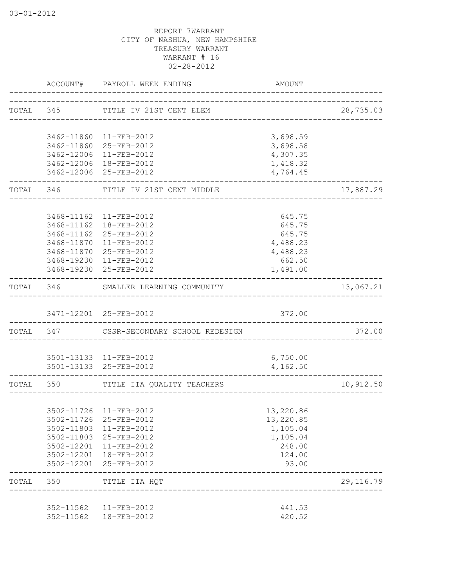|           |                          | ACCOUNT# PAYROLL WEEK ENDING                                 | AMOUNT           |            |
|-----------|--------------------------|--------------------------------------------------------------|------------------|------------|
|           |                          | TOTAL 345 TITLE IV 21ST CENT ELEM                            |                  | 28,735.03  |
|           |                          | 3462-11860 11-FEB-2012                                       | 3,698.59         |            |
|           |                          | 3462-11860 25-FEB-2012                                       | 3,698.58         |            |
|           |                          | 3462-12006 11-FEB-2012                                       | 4,307.35         |            |
|           |                          | 3462-12006 18-FEB-2012                                       | 1,418.32         |            |
|           |                          | 3462-12006 25-FEB-2012                                       | 4,764.45         |            |
|           |                          | TOTAL 346 TITLE IV 21ST CENT MIDDLE<br>_____________________ |                  | 17,887.29  |
|           |                          | 3468-11162 11-FEB-2012                                       | 645.75           |            |
|           |                          | 3468-11162  18-FEB-2012                                      | 645.75           |            |
|           |                          | 3468-11162 25-FEB-2012                                       | 645.75           |            |
|           |                          | 3468-11870 11-FEB-2012                                       | 4,488.23         |            |
|           |                          | 3468-11870 25-FEB-2012                                       | 4,488.23         |            |
|           |                          | 3468-19230 11-FEB-2012                                       | 662.50           |            |
|           |                          | 3468-19230 25-FEB-2012                                       | 1,491.00         |            |
|           |                          | TOTAL 346 SMALLER LEARNING COMMUNITY                         |                  | 13,067.21  |
|           |                          | 3471-12201 25-FEB-2012                                       | 372.00           |            |
| TOTAL 347 |                          | CSSR-SECONDARY SCHOOL REDESIGN                               |                  | 372.00     |
|           |                          |                                                              |                  |            |
|           |                          | 3501-13133 11-FEB-2012                                       | 6,750.00         |            |
|           |                          | 3501-13133 25-FEB-2012                                       | 4,162.50         |            |
|           |                          | TOTAL 350 TITLE IIA QUALITY TEACHERS                         |                  | 10,912.50  |
|           |                          |                                                              |                  |            |
|           |                          | 3502-11726 11-FEB-2012                                       | 13,220.86        |            |
|           | 3502-11726               | 25-FEB-2012                                                  | 13,220.85        |            |
|           | 3502-11803               | 11-FEB-2012                                                  | 1,105.04         |            |
|           | 3502-11803               | 25-FEB-2012                                                  | 1,105.04         |            |
|           | 3502-12201               | 11-FEB-2012                                                  | 248.00           |            |
|           | 3502-12201<br>3502-12201 | 18-FEB-2012<br>25-FEB-2012                                   | 124.00<br>93.00  |            |
| TOTAL     | 350                      | ______________<br>TITLE IIA HQT                              |                  | 29, 116.79 |
|           |                          |                                                              |                  |            |
|           | 352-11562<br>352-11562   | 11-FEB-2012<br>18-FEB-2012                                   | 441.53<br>420.52 |            |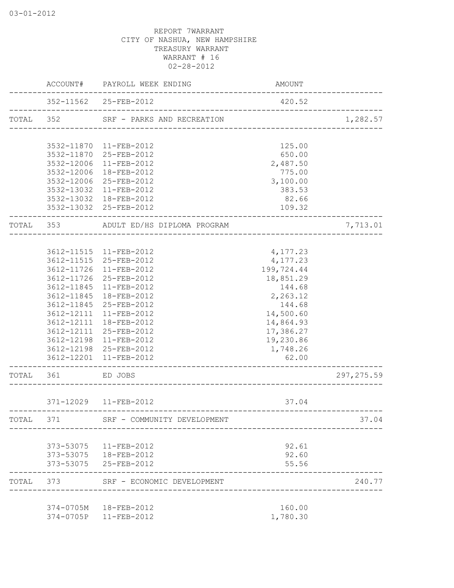|           |            | ACCOUNT# PAYROLL WEEK ENDING                    | AMOUNT                 |             |
|-----------|------------|-------------------------------------------------|------------------------|-------------|
|           |            | 352-11562 25-FEB-2012                           | 420.52                 |             |
| TOTAL 352 |            | SRF - PARKS AND RECREATION                      |                        | 1,282.57    |
|           |            | 3532-11870 11-FEB-2012                          | 125.00                 |             |
|           |            | 3532-11870 25-FEB-2012                          | 650.00                 |             |
|           | 3532-12006 | 11-FEB-2012                                     | 2,487.50               |             |
|           | 3532-12006 | 18-FEB-2012                                     | 775.00                 |             |
|           |            | 3532-12006 25-FEB-2012                          | 3,100.00               |             |
|           |            | 3532-13032 11-FEB-2012                          | 383.53                 |             |
|           |            | 3532-13032 18-FEB-2012                          | 82.66                  |             |
|           |            | 3532-13032 25-FEB-2012                          | 109.32                 |             |
|           |            | TOTAL 353 ADULT ED/HS DIPLOMA PROGRAM           |                        | 7,713.01    |
|           |            |                                                 |                        |             |
|           |            | 3612-11515 11-FEB-2012                          | 4,177.23               |             |
|           |            | 3612-11515 25-FEB-2012                          | 4,177.23               |             |
|           |            | 3612-11726 11-FEB-2012                          | 199,724.44             |             |
|           |            | 3612-11726 25-FEB-2012                          | 18,851.29              |             |
|           |            | 3612-11845 11-FEB-2012                          | 144.68                 |             |
|           |            | 3612-11845 18-FEB-2012                          | 2,263.12               |             |
|           |            | 3612-11845 25-FEB-2012                          | 144.68                 |             |
|           | 3612-12111 | 3612-12111 11-FEB-2012<br>18-FEB-2012           | 14,500.60<br>14,864.93 |             |
|           |            | 3612-12111 25-FEB-2012                          | 17,386.27              |             |
|           |            | 3612-12198 11-FEB-2012                          | 19,230.86              |             |
|           |            | 3612-12198 25-FEB-2012                          | 1,748.26               |             |
|           | 3612-12201 | 11-FEB-2012                                     | 62.00                  |             |
| TOTAL     | 361        | ED JOBS                                         |                        | 297, 275.59 |
|           |            | 371-12029   11-FEB-2012                         | 37.04                  |             |
|           |            | ____________________________                    |                        |             |
| TOTAL     | 371        | SRF - COMMUNITY DEVELOPMENT                     |                        | 37.04       |
|           |            | 373-53075   11-FEB-2012                         | 92.61                  |             |
|           |            | 373-53075   18-FEB-2012                         | 92.60                  |             |
|           |            | 373-53075 25-FEB-2012                           | 55.56                  |             |
| TOTAL     | 373        | SRF - ECONOMIC DEVELOPMENT                      |                        | 240.77      |
|           |            |                                                 |                        |             |
|           |            | 374-0705M  18-FEB-2012<br>374-0705P 11-FEB-2012 | 160.00<br>1,780.30     |             |
|           |            |                                                 |                        |             |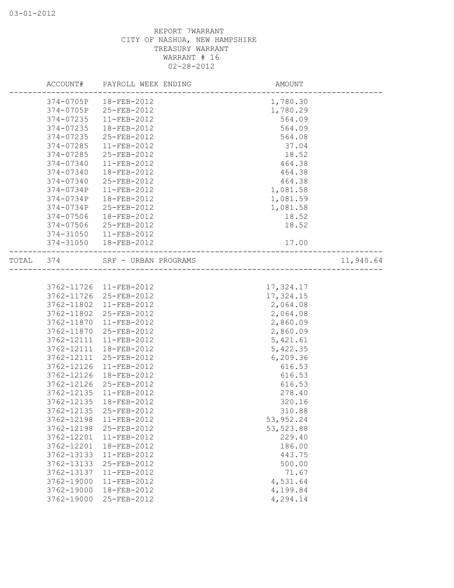|       | ACCOUNT#   | PAYROLL WEEK ENDING      | AMOUNT                        |           |
|-------|------------|--------------------------|-------------------------------|-----------|
|       |            | 374-0705P    18-FEB-2012 | 1,780.30                      |           |
|       |            | 374-0705P 25-FEB-2012    | 1,780.29                      |           |
|       | 374-07235  | 11-FEB-2012              | 564.09                        |           |
|       | 374-07235  | 18-FEB-2012              | 564.09                        |           |
|       | 374-07235  | 25-FEB-2012              | 564.08                        |           |
|       | 374-07285  | 11-FEB-2012              | 37.04                         |           |
|       | 374-07285  | 25-FEB-2012              | 18.52                         |           |
|       | 374-07340  | 11-FEB-2012              | 464.38                        |           |
|       | 374-07340  | 18-FEB-2012              | 464.38                        |           |
|       | 374-07340  | 25-FEB-2012              | 464.38                        |           |
|       | 374-0734P  | 11-FEB-2012              | 1,081.58                      |           |
|       | 374-0734P  | 18-FEB-2012              | 1,081.59                      |           |
|       | 374-0734P  | 25-FEB-2012              | 1,081.58                      |           |
|       | 374-07506  | 18-FEB-2012              | 18.52                         |           |
|       | 374-07506  | 25-FEB-2012              | 18.52                         |           |
|       | 374-31050  | $11 - FEB - 2012$        |                               |           |
|       | 374-31050  | 18-FEB-2012              | 17.00<br>-------------------- |           |
| TOTAL | 374        | SRF - URBAN PROGRAMS     |                               | 11,940.64 |
|       |            |                          |                               |           |
|       | 3762-11726 | 11-FEB-2012              | 17,324.17                     |           |
|       | 3762-11726 | 25-FEB-2012              | 17,324.15                     |           |
|       | 3762-11802 | 11-FEB-2012              | 2,064.08                      |           |
|       | 3762-11802 | 25-FEB-2012              | 2,064.08                      |           |
|       | 3762-11870 | 11-FEB-2012              | 2,860.09                      |           |
|       | 3762-11870 | 25-FEB-2012              | 2,860.09                      |           |
|       | 3762-12111 | 11-FEB-2012              | 5,421.61                      |           |
|       | 3762-12111 | 18-FEB-2012              | 5,422.35                      |           |
|       | 3762-12111 | 25-FEB-2012              | 6,209.36                      |           |
|       | 3762-12126 | 11-FEB-2012              | 616.53                        |           |
|       | 3762-12126 | 18-FEB-2012              | 616.53                        |           |
|       | 3762-12126 | 25-FEB-2012              | 616.53                        |           |
|       | 3762-12135 | 11-FEB-2012              | 278.40                        |           |
|       | 3762-12135 | 18-FEB-2012              | 320.16                        |           |
|       | 3762-12135 | 25-FEB-2012              | 310.88                        |           |
|       | 3762-12198 | 11-FEB-2012              | 53, 952.24                    |           |
|       | 3762-12198 | 25-FEB-2012              | 53,523.88                     |           |
|       | 3762-12201 | 11-FEB-2012              | 229.40                        |           |
|       | 3762-12201 | 18-FEB-2012              | 186.00                        |           |
|       | 3762-13133 | 11-FEB-2012              | 443.75                        |           |
|       | 3762-13133 | 25-FEB-2012              | 500.00                        |           |
|       | 3762-13137 | $11 - FEB - 2012$        | 71.67                         |           |
|       | 3762-19000 | 11-FEB-2012              | 4,531.64                      |           |
|       | 3762-19000 | 18-FEB-2012              | 4,199.84                      |           |
|       | 3762-19000 | 25-FEB-2012              | 4,294.14                      |           |
|       |            |                          |                               |           |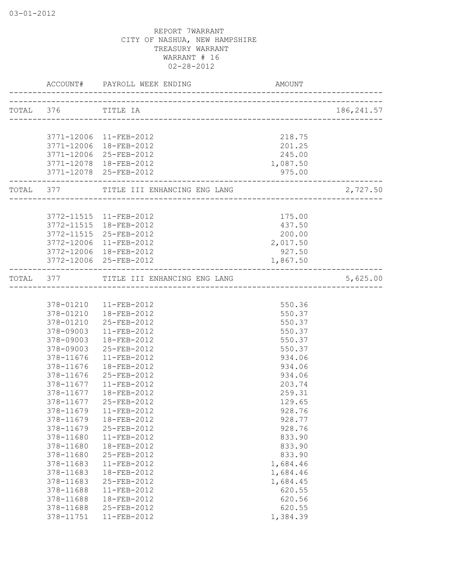|                        | ACCOUNT# PAYROLL WEEK ENDING           | AMOUNT             |             |
|------------------------|----------------------------------------|--------------------|-------------|
| TOTAL 376 TITLE IA     | ---------------------------------      |                    | 186, 241.57 |
|                        |                                        |                    |             |
|                        | 3771-12006 11-FEB-2012                 | 218.75             |             |
| 3771-12006             | 18-FEB-2012                            | 201.25             |             |
| 3771-12006             | 25-FEB-2012                            | 245.00             |             |
| 3771-12078             | 18-FEB-2012<br>3771-12078 25-FEB-2012  | 1,087.50<br>975.00 |             |
| ----------------       | TOTAL 377 TITLE III ENHANCING ENG LANG |                    | 2,727.50    |
|                        |                                        |                    |             |
|                        | 3772-11515 11-FEB-2012                 | 175.00             |             |
| 3772-11515             | 18-FEB-2012                            | 437.50             |             |
| 3772-11515             | 25-FEB-2012                            | 200.00             |             |
| 3772-12006             | 11-FEB-2012                            | 2,017.50           |             |
| 3772-12006             | 18-FEB-2012                            | 927.50             |             |
| ---------------------  | 3772-12006 25-FEB-2012                 | 1,867.50           |             |
|                        | TOTAL 377 TITLE III ENHANCING ENG LANG |                    | 5,625.00    |
|                        |                                        |                    |             |
|                        | 378-01210  11-FEB-2012                 | 550.36             |             |
|                        | 378-01210  18-FEB-2012                 | 550.37             |             |
| 378-01210              | 25-FEB-2012                            | 550.37             |             |
| 378-09003              | $11 - FEB - 2012$                      | 550.37             |             |
| 378-09003              | $18 - FEB - 2012$                      | 550.37             |             |
| 378-09003              | 25-FEB-2012                            | 550.37             |             |
| 378-11676              | $11 - FEB - 2012$                      | 934.06             |             |
| 378-11676              | 18-FEB-2012<br>25-FEB-2012             | 934.06<br>934.06   |             |
| 378-11676<br>378-11677 | 11-FEB-2012                            | 203.74             |             |
| 378-11677              | 18-FEB-2012                            | 259.31             |             |
| 378-11677              | 25-FEB-2012                            | 129.65             |             |
| 378-11679              | $11$ -FEB-2012                         | 928.76             |             |
| 378-11679              | 18-FEB-2012                            | 928.77             |             |
| 378-11679              | 25-FEB-2012                            | 928.76             |             |
| 378-11680              | 11-FEB-2012                            | 833.90             |             |
| 378-11680              | 18-FEB-2012                            | 833.90             |             |
| 378-11680              | 25-FEB-2012                            | 833.90             |             |
| 378-11683              | 11-FEB-2012                            | 1,684.46           |             |
| 378-11683              | 18-FEB-2012                            | 1,684.46           |             |
| 378-11683              | 25-FEB-2012                            | 1,684.45           |             |
| 378-11688              | 11-FEB-2012                            | 620.55             |             |
| 378-11688              | 18-FEB-2012                            | 620.56             |             |
| 378-11688              | 25-FEB-2012                            | 620.55             |             |
| 378-11751              | 11-FEB-2012                            | 1,384.39           |             |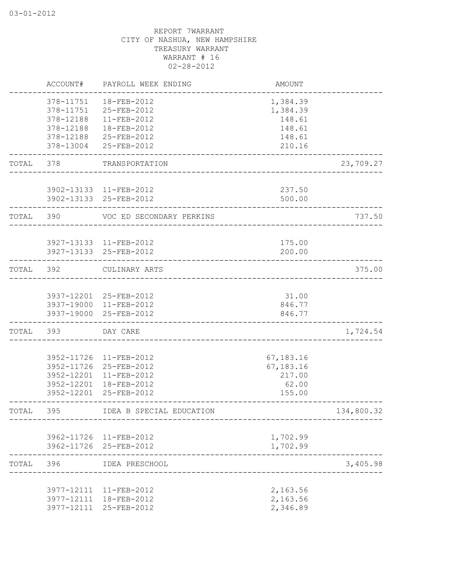|       | ACCOUNT#                 | PAYROLL WEEK ENDING        | <b>AMOUNT</b>        |            |
|-------|--------------------------|----------------------------|----------------------|------------|
|       | 378-11751<br>378-11751   | 18-FEB-2012<br>25-FEB-2012 | 1,384.39<br>1,384.39 |            |
|       | 378-12188<br>378-12188   | 11-FEB-2012<br>18-FEB-2012 | 148.61<br>148.61     |            |
|       | 378-12188                | 25-FEB-2012                | 148.61               |            |
|       | 378-13004                | 25-FEB-2012                | 210.16               |            |
| TOTAL | 378                      | TRANSPORTATION             |                      | 23,709.27  |
|       |                          | 3902-13133 11-FEB-2012     | 237.50               |            |
|       |                          | 3902-13133 25-FEB-2012     | 500.00               |            |
| TOTAL | 390                      | VOC ED SECONDARY PERKINS   |                      | 737.50     |
|       |                          | 3927-13133 11-FEB-2012     | 175.00               |            |
|       |                          | 3927-13133 25-FEB-2012     | 200.00               |            |
| TOTAL | 392                      | CULINARY ARTS              |                      | 375.00     |
|       |                          | 3937-12201 25-FEB-2012     | 31.00                |            |
|       |                          | 3937-19000 11-FEB-2012     | 846.77               |            |
|       |                          | 3937-19000 25-FEB-2012     | 846.77               |            |
| TOTAL | 393                      | DAY CARE                   |                      | 1,724.54   |
|       | 3952-11726               | 11-FEB-2012                | 67,183.16            |            |
|       |                          | 3952-11726 25-FEB-2012     | 67,183.16            |            |
|       | 3952-12201               | 11-FEB-2012                | 217.00               |            |
|       | 3952-12201<br>3952-12201 | 18-FEB-2012<br>25-FEB-2012 | 62.00<br>155.00      |            |
| TOTAL | 395                      | IDEA B SPECIAL EDUCATION   |                      | 134,800.32 |
|       |                          | 3962-11726 11-FEB-2012     | 1,702.99             |            |
|       |                          | 3962-11726 25-FEB-2012     | 1,702.99             |            |
| TOTAL | 396                      | IDEA PRESCHOOL             |                      | 3,405.98   |
|       |                          | 3977-12111 11-FEB-2012     | 2,163.56             |            |
|       | 3977-12111               | 18-FEB-2012                | 2,163.56             |            |
|       |                          | 3977-12111 25-FEB-2012     | 2,346.89             |            |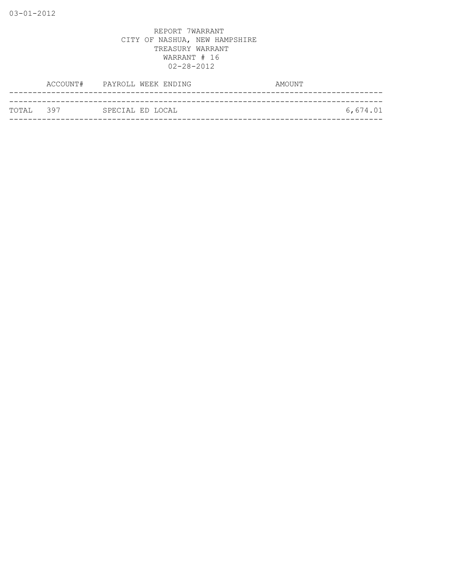| ТОТАІ. 397 | SPECIAL ED LOCAL | 6,674.01 |
|------------|------------------|----------|
|            |                  |          |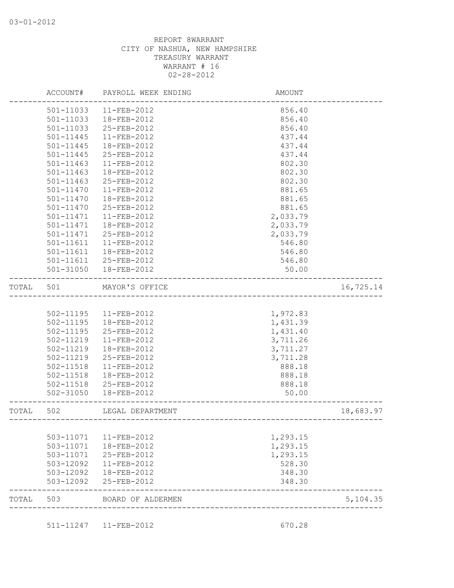|       | ACCOUNT#      | PAYROLL WEEK ENDING   | AMOUNT                                 |           |
|-------|---------------|-----------------------|----------------------------------------|-----------|
|       | 501-11033     | 11-FEB-2012           | 856.40                                 |           |
|       | 501-11033     | 18-FEB-2012           | 856.40                                 |           |
|       | 501-11033     | 25-FEB-2012           | 856.40                                 |           |
|       | 501-11445     | 11-FEB-2012           | 437.44                                 |           |
|       | 501-11445     | 18-FEB-2012           | 437.44                                 |           |
|       | 501-11445     | 25-FEB-2012           | 437.44                                 |           |
|       | 501-11463     | 11-FEB-2012           | 802.30                                 |           |
|       | 501-11463     | 18-FEB-2012           | 802.30                                 |           |
|       | $501 - 11463$ | 25-FEB-2012           | 802.30                                 |           |
|       | $501 - 11470$ | 11-FEB-2012           | 881.65                                 |           |
|       | 501-11470     | 18-FEB-2012           | 881.65                                 |           |
|       | 501-11470     | 25-FEB-2012           | 881.65                                 |           |
|       | 501-11471     | 11-FEB-2012           | 2,033.79                               |           |
|       | 501-11471     | 18-FEB-2012           | 2,033.79                               |           |
|       | 501-11471     | 25-FEB-2012           | 2,033.79                               |           |
|       | 501-11611     | 11-FEB-2012           | 546.80                                 |           |
|       | 501-11611     | 18-FEB-2012           | 546.80                                 |           |
|       |               | 501-11611 25-FEB-2012 | 546.80                                 |           |
|       | 501-31050     | 18-FEB-2012           | 50.00                                  |           |
| TOTAL | 501           | MAYOR'S OFFICE        | _____________________________________  | 16,725.14 |
|       |               |                       |                                        |           |
|       | 502-11195     | 11-FEB-2012           | 1,972.83                               |           |
|       | $502 - 11195$ | 18-FEB-2012           | 1,431.39                               |           |
|       | 502-11195     | 25-FEB-2012           | 1,431.40                               |           |
|       | 502-11219     | 11-FEB-2012           | 3,711.26                               |           |
|       | 502-11219     | 18-FEB-2012           | 3,711.27                               |           |
|       | 502-11219     | 25-FEB-2012           | 3,711.28                               |           |
|       | 502-11518     | $11-FEB-2012$         | 888.18                                 |           |
|       | 502-11518     | 18-FEB-2012           | 888.18                                 |           |
|       | 502-11518     | 25-FEB-2012           | 888.18                                 |           |
|       | $502 - 31050$ | 18-FEB-2012           | 50.00                                  |           |
| TOTAL | 502           | LEGAL DEPARTMENT      | -------------------------------------- | 18,683.97 |
|       |               |                       |                                        |           |
|       | 503-11071     | 11-FEB-2012           | 1,293.15                               |           |
|       | 503-11071     | 18-FEB-2012           | 1,293.15                               |           |
|       | 503-11071     | 25-FEB-2012           | 1,293.15                               |           |
|       | 503-12092     | 11-FEB-2012           | 528.30                                 |           |
|       | 503-12092     | 18-FEB-2012           | 348.30                                 |           |
|       | 503-12092     | 25-FEB-2012           | 348.30                                 |           |
| TOTAL | 503           | BOARD OF ALDERMEN     |                                        | 5,104.35  |
|       |               |                       |                                        |           |

511-11247 11-FEB-2012 670.28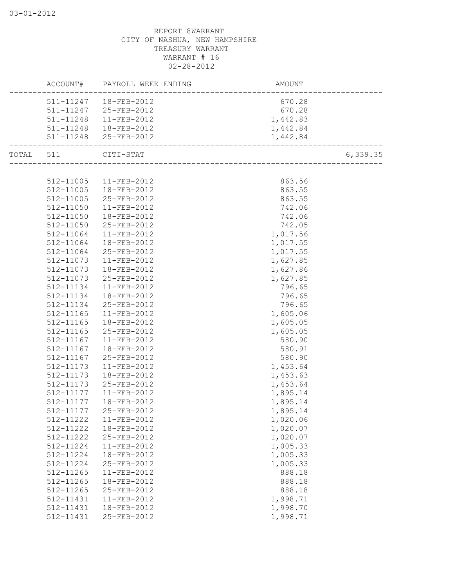|           | ACCOUNT#  | PAYROLL WEEK ENDING   | AMOUNT   |           |
|-----------|-----------|-----------------------|----------|-----------|
|           | 511-11247 | 18-FEB-2012           | 670.28   |           |
|           | 511-11247 | 25-FEB-2012           | 670.28   |           |
|           | 511-11248 | 11-FEB-2012           | 1,442.83 |           |
|           | 511-11248 | 18-FEB-2012           | 1,442.84 |           |
|           |           | 511-11248 25-FEB-2012 | 1,442.84 |           |
| TOTAL 511 |           | $CITI-STAT$           |          | 6, 339.35 |
|           |           |                       |          |           |
|           | 512-11005 | 11-FEB-2012           | 863.56   |           |
|           | 512-11005 | 18-FEB-2012           | 863.55   |           |
|           | 512-11005 | 25-FEB-2012           | 863.55   |           |
|           | 512-11050 | 11-FEB-2012           | 742.06   |           |
|           | 512-11050 | 18-FEB-2012           | 742.06   |           |
|           | 512-11050 | 25-FEB-2012           | 742.05   |           |
|           | 512-11064 | 11-FEB-2012           | 1,017.56 |           |
|           | 512-11064 | 18-FEB-2012           | 1,017.55 |           |
|           | 512-11064 | 25-FEB-2012           | 1,017.55 |           |
|           | 512-11073 | 11-FEB-2012           | 1,627.85 |           |
|           | 512-11073 | 18-FEB-2012           | 1,627.86 |           |
|           | 512-11073 | 25-FEB-2012           | 1,627.85 |           |
|           | 512-11134 | 11-FEB-2012           | 796.65   |           |
|           | 512-11134 | 18-FEB-2012           | 796.65   |           |
|           | 512-11134 | 25-FEB-2012           | 796.65   |           |
|           | 512-11165 | $11-FEB-2012$         | 1,605.06 |           |
|           | 512-11165 | 18-FEB-2012           | 1,605.05 |           |
|           | 512-11165 | 25-FEB-2012           | 1,605.05 |           |
|           | 512-11167 | 11-FEB-2012           | 580.90   |           |
|           | 512-11167 | 18-FEB-2012           | 580.91   |           |
|           | 512-11167 | 25-FEB-2012           | 580.90   |           |
|           | 512-11173 | $11-FEB-2012$         | 1,453.64 |           |
|           | 512-11173 | 18-FEB-2012           | 1,453.63 |           |
|           | 512-11173 | 25-FEB-2012           | 1,453.64 |           |
|           | 512-11177 | 11-FEB-2012           | 1,895.14 |           |
|           | 512-11177 | 18-FEB-2012           | 1,895.14 |           |
|           | 512-11177 | 25-FEB-2012           | 1,895.14 |           |
|           | 512-11222 | 11-FEB-2012           | 1,020.06 |           |
|           | 512-11222 | 18-FEB-2012           | 1,020.07 |           |
|           | 512-11222 | 25-FEB-2012           | 1,020.07 |           |
|           | 512-11224 | 11-FEB-2012           | 1,005.33 |           |
|           | 512-11224 | 18-FEB-2012           | 1,005.33 |           |
|           | 512-11224 | 25-FEB-2012           | 1,005.33 |           |
|           | 512-11265 | 11-FEB-2012           | 888.18   |           |
|           | 512-11265 | 18-FEB-2012           | 888.18   |           |
|           | 512-11265 | 25-FEB-2012           | 888.18   |           |
|           | 512-11431 | 11-FEB-2012           | 1,998.71 |           |
|           | 512-11431 | 18-FEB-2012           | 1,998.70 |           |
|           | 512-11431 | 25-FEB-2012           | 1,998.71 |           |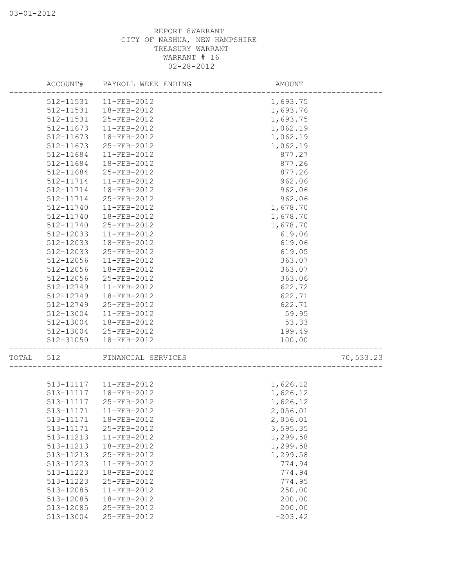|       |           | ACCOUNT# PAYROLL WEEK ENDING | AMOUNT    |           |
|-------|-----------|------------------------------|-----------|-----------|
|       |           | 512-11531   11-FEB-2012      | 1,693.75  |           |
|       | 512-11531 | 18-FEB-2012                  | 1,693.76  |           |
|       | 512-11531 | 25-FEB-2012                  | 1,693.75  |           |
|       | 512-11673 | 11-FEB-2012                  | 1,062.19  |           |
|       | 512-11673 | 18-FEB-2012                  | 1,062.19  |           |
|       | 512-11673 | 25-FEB-2012                  | 1,062.19  |           |
|       | 512-11684 | 11-FEB-2012                  | 877.27    |           |
|       | 512-11684 | 18-FEB-2012                  | 877.26    |           |
|       | 512-11684 | 25-FEB-2012                  | 877.26    |           |
|       | 512-11714 | $11-FEB-2012$                | 962.06    |           |
|       | 512-11714 | 18-FEB-2012                  | 962.06    |           |
|       | 512-11714 | 25-FEB-2012                  | 962.06    |           |
|       | 512-11740 | 11-FEB-2012                  | 1,678.70  |           |
|       | 512-11740 | 18-FEB-2012                  | 1,678.70  |           |
|       | 512-11740 | 25-FEB-2012                  | 1,678.70  |           |
|       | 512-12033 | 11-FEB-2012                  | 619.06    |           |
|       | 512-12033 | 18-FEB-2012                  | 619.06    |           |
|       | 512-12033 | 25-FEB-2012                  | 619.05    |           |
|       | 512-12056 | 11-FEB-2012                  | 363.07    |           |
|       | 512-12056 | 18-FEB-2012                  | 363.07    |           |
|       | 512-12056 | 25-FEB-2012                  | 363.06    |           |
|       | 512-12749 | 11-FEB-2012                  | 622.72    |           |
|       | 512-12749 | 18-FEB-2012                  | 622.71    |           |
|       | 512-12749 | 25-FEB-2012                  | 622.71    |           |
|       | 512-13004 | 11-FEB-2012                  | 59.95     |           |
|       | 512-13004 | 18-FEB-2012                  | 53.33     |           |
|       |           | 512-13004 25-FEB-2012        | 199.49    |           |
|       | 512-31050 | 18-FEB-2012                  | 100.00    |           |
| TOTAL | 512       | FINANCIAL SERVICES           |           | 70,533.23 |
|       |           |                              |           |           |
|       |           | 513-11117  11-FEB-2012       | 1,626.12  |           |
|       | 513-11117 | 18-FEB-2012                  | 1,626.12  |           |
|       | 513-11117 | 25-FEB-2012                  | 1,626.12  |           |
|       | 513-11171 | 11-FEB-2012                  | 2,056.01  |           |
|       | 513-11171 | 18-FEB-2012                  | 2,056.01  |           |
|       | 513-11171 | 25-FEB-2012                  | 3,595.35  |           |
|       | 513-11213 | 11-FEB-2012                  | 1,299.58  |           |
|       | 513-11213 | 18-FEB-2012                  | 1,299.58  |           |
|       | 513-11213 | 25-FEB-2012                  | 1,299.58  |           |
|       | 513-11223 | 11-FEB-2012                  | 774.94    |           |
|       | 513-11223 | 18-FEB-2012                  | 774.94    |           |
|       | 513-11223 | 25-FEB-2012                  | 774.95    |           |
|       | 513-12085 | 11-FEB-2012                  | 250.00    |           |
|       | 513-12085 | 18-FEB-2012                  | 200.00    |           |
|       | 513-12085 | 25-FEB-2012                  | 200.00    |           |
|       | 513-13004 | 25-FEB-2012                  | $-203.42$ |           |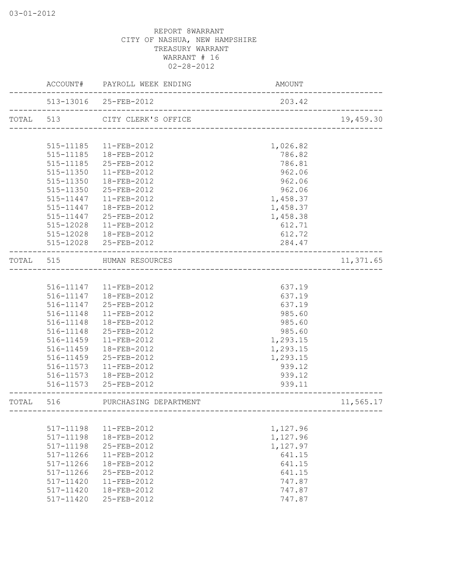|           |               | ACCOUNT# PAYROLL WEEK ENDING | AMOUNT                            |           |
|-----------|---------------|------------------------------|-----------------------------------|-----------|
|           |               | 513-13016 25-FEB-2012        | 203.42<br>_______________________ |           |
|           | TOTAL 513     | CITY CLERK'S OFFICE          |                                   | 19,459.30 |
|           |               |                              |                                   |           |
|           | 515-11185     | 11-FEB-2012                  | 1,026.82                          |           |
|           |               | 515-11185  18-FEB-2012       | 786.82                            |           |
|           | 515-11185     | 25-FEB-2012                  | 786.81                            |           |
|           | $515 - 11350$ | $11 - FEB - 2012$            | 962.06                            |           |
|           | 515-11350     | 18-FEB-2012                  | 962.06                            |           |
|           | 515-11350     | 25-FEB-2012                  | 962.06                            |           |
|           | 515-11447     | $11 - FEB - 2012$            | 1,458.37                          |           |
|           | 515-11447     | 18-FEB-2012                  | 1,458.37                          |           |
|           |               | 515-11447 25-FEB-2012        | 1,458.38                          |           |
|           |               | 515-12028  11-FEB-2012       | 612.71                            |           |
|           |               | 515-12028  18-FEB-2012       | 612.72                            |           |
|           |               | 515-12028 25-FEB-2012        | 284.47                            |           |
| TOTAL 515 |               | HUMAN RESOURCES              |                                   | 11,371.65 |
|           |               |                              |                                   |           |
|           |               | 516-11147   11-FEB-2012      | 637.19                            |           |
|           |               | 516-11147  18-FEB-2012       | 637.19                            |           |
|           |               | 516-11147 25-FEB-2012        | 637.19                            |           |
|           | 516-11148     | 11-FEB-2012                  | 985.60                            |           |
|           | 516-11148     | 18-FEB-2012                  | 985.60                            |           |
|           | 516-11148     | 25-FEB-2012                  | 985.60                            |           |
|           | 516-11459     | 11-FEB-2012                  | 1,293.15                          |           |
|           | 516-11459     | 18-FEB-2012                  | 1,293.15                          |           |
|           | 516-11459     | 25-FEB-2012                  | 1,293.15                          |           |
|           | 516-11573     | 11-FEB-2012                  | 939.12                            |           |
|           | 516-11573     | 18-FEB-2012                  | 939.12                            |           |
|           | 516-11573     | 25-FEB-2012                  | 939.11                            |           |
| TOTAL     | 516           | PURCHASING DEPARTMENT        |                                   | 11,565.17 |
|           |               |                              |                                   |           |
|           | 517-11198     | 11-FEB-2012                  | 1,127.96                          |           |
|           | 517-11198     | 18-FEB-2012                  | 1,127.96                          |           |
|           | 517-11198     | 25-FEB-2012                  | 1,127.97                          |           |
|           | 517-11266     | $11-FEB-2012$                | 641.15                            |           |
|           | 517-11266     | 18-FEB-2012                  | 641.15                            |           |
|           | 517-11266     | 25-FEB-2012                  | 641.15                            |           |
|           | 517-11420     | 11-FEB-2012                  | 747.87                            |           |
|           | 517-11420     | 18-FEB-2012                  | 747.87                            |           |
|           | 517-11420     | 25-FEB-2012                  | 747.87                            |           |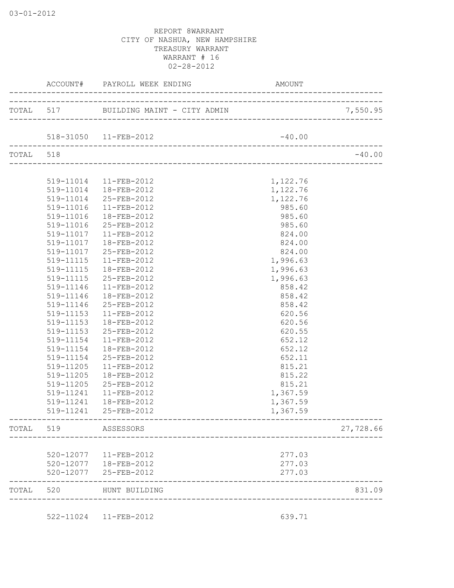|           |           | ACCOUNT# PAYROLL WEEK ENDING          | AMOUNT   |           |
|-----------|-----------|---------------------------------------|----------|-----------|
|           |           | TOTAL 517 BUILDING MAINT - CITY ADMIN |          | 7,550.95  |
|           |           | 518-31050  11-FEB-2012                | $-40.00$ |           |
| TOTAL 518 |           | ________________________________      |          | $-40.00$  |
|           |           |                                       |          |           |
|           |           | 519-11014  11-FEB-2012                | 1,122.76 |           |
|           |           | 519-11014  18-FEB-2012                | 1,122.76 |           |
|           | 519-11014 | 25-FEB-2012                           | 1,122.76 |           |
|           | 519-11016 | 11-FEB-2012                           | 985.60   |           |
|           | 519-11016 | 18-FEB-2012                           | 985.60   |           |
|           | 519-11016 | 25-FEB-2012                           | 985.60   |           |
|           | 519-11017 | $11 - FEB - 2012$                     | 824.00   |           |
|           | 519-11017 | $18 - FEB - 2012$                     | 824.00   |           |
|           | 519-11017 | 25-FEB-2012                           | 824.00   |           |
|           | 519-11115 | $11 - FEB - 2012$                     | 1,996.63 |           |
|           | 519-11115 | 18-FEB-2012                           | 1,996.63 |           |
|           | 519-11115 | 25-FEB-2012                           | 1,996.63 |           |
|           | 519-11146 | $11 - FEB - 2012$                     | 858.42   |           |
|           | 519-11146 | 18-FEB-2012                           | 858.42   |           |
|           | 519-11146 | 25-FEB-2012                           | 858.42   |           |
|           | 519-11153 | 11-FEB-2012                           | 620.56   |           |
|           | 519-11153 | 18-FEB-2012                           | 620.56   |           |
|           | 519-11153 | 25-FEB-2012                           | 620.55   |           |
|           | 519-11154 | 11-FEB-2012                           | 652.12   |           |
|           | 519-11154 | 18-FEB-2012                           | 652.12   |           |
|           | 519-11154 | 25-FEB-2012                           | 652.11   |           |
|           | 519-11205 | 11-FEB-2012                           | 815.21   |           |
|           | 519-11205 | 18-FEB-2012                           | 815.22   |           |
|           | 519-11205 | 25-FEB-2012                           | 815.21   |           |
|           | 519-11241 | 11-FEB-2012                           | 1,367.59 |           |
|           | 519-11241 | 18-FEB-2012                           | 1,367.59 |           |
|           | 519-11241 | 25-FEB-2012                           | 1,367.59 |           |
| TOTAL     | 519       | ASSESSORS                             |          | 27,728.66 |
|           | 520-12077 | 11-FEB-2012                           | 277.03   |           |
|           |           | 520-12077  18-FEB-2012                | 277.03   |           |
|           | 520-12077 | 25-FEB-2012                           | 277.03   |           |
| TOTAL     | 520       | HUNT BUILDING                         |          | 831.09    |

522-11024 11-FEB-2012 639.71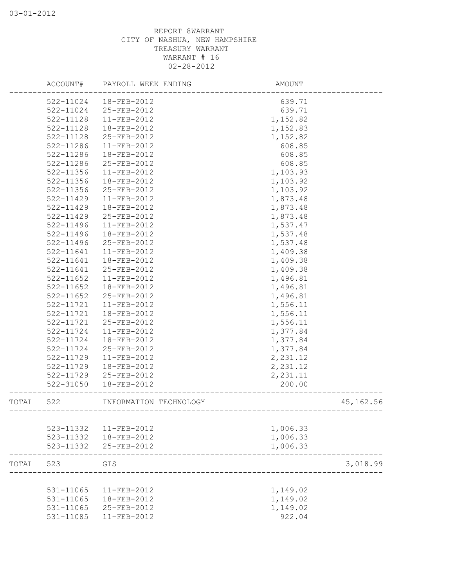|       |           | ACCOUNT# PAYROLL WEEK ENDING | AMOUNT                            |            |
|-------|-----------|------------------------------|-----------------------------------|------------|
|       | 522-11024 | 18-FEB-2012                  | 639.71                            |            |
|       | 522-11024 | 25-FEB-2012                  | 639.71                            |            |
|       | 522-11128 | 11-FEB-2012                  | 1,152.82                          |            |
|       | 522-11128 | 18-FEB-2012                  | 1,152.83                          |            |
|       | 522-11128 | 25-FEB-2012                  | 1,152.82                          |            |
|       | 522-11286 | 11-FEB-2012                  | 608.85                            |            |
|       | 522-11286 | 18-FEB-2012                  | 608.85                            |            |
|       | 522-11286 | 25-FEB-2012                  | 608.85                            |            |
|       | 522-11356 | 11-FEB-2012                  | 1,103.93                          |            |
|       | 522-11356 | 18-FEB-2012                  | 1,103.92                          |            |
|       | 522-11356 | 25-FEB-2012                  | 1,103.92                          |            |
|       | 522-11429 | 11-FEB-2012                  | 1,873.48                          |            |
|       | 522-11429 | 18-FEB-2012                  | 1,873.48                          |            |
|       | 522-11429 | 25-FEB-2012                  | 1,873.48                          |            |
|       | 522-11496 | 11-FEB-2012                  | 1,537.47                          |            |
|       | 522-11496 | 18-FEB-2012                  | 1,537.48                          |            |
|       | 522-11496 | 25-FEB-2012                  | 1,537.48                          |            |
|       | 522-11641 | 11-FEB-2012                  | 1,409.38                          |            |
|       | 522-11641 | 18-FEB-2012                  | 1,409.38                          |            |
|       | 522-11641 | 25-FEB-2012                  | 1,409.38                          |            |
|       | 522-11652 | 11-FEB-2012                  | 1,496.81                          |            |
|       | 522-11652 | 18-FEB-2012                  | 1,496.81                          |            |
|       | 522-11652 | 25-FEB-2012                  | 1,496.81                          |            |
|       | 522-11721 | 11-FEB-2012                  | 1,556.11                          |            |
|       | 522-11721 | 18-FEB-2012                  | 1,556.11                          |            |
|       | 522-11721 | 25-FEB-2012                  | 1,556.11                          |            |
|       | 522-11724 | 11-FEB-2012                  | 1,377.84                          |            |
|       | 522-11724 | 18-FEB-2012                  | 1,377.84                          |            |
|       | 522-11724 | 25-FEB-2012                  | 1,377.84                          |            |
|       | 522-11729 | 11-FEB-2012                  | 2,231.12                          |            |
|       | 522-11729 | 18-FEB-2012                  | 2,231.12                          |            |
|       | 522-11729 | 25-FEB-2012                  | 2,231.11                          |            |
|       | 522-31050 | 18-FEB-2012                  | 200.00                            |            |
| TOTAL | 522       | INFORMATION TECHNOLOGY       | --------------------------------- | 45, 162.56 |
|       |           |                              |                                   |            |
|       | 523-11332 | 11-FEB-2012                  | 1,006.33                          |            |
|       | 523-11332 | 18-FEB-2012                  | 1,006.33                          |            |
|       | 523-11332 | 25-FEB-2012                  | 1,006.33                          |            |
| TOTAL | 523       | GIS                          |                                   | 3,018.99   |
|       |           |                              |                                   |            |
|       | 531-11065 | 11-FEB-2012                  | 1,149.02                          |            |
|       | 531-11065 | 18-FEB-2012                  | 1,149.02                          |            |
|       | 531-11065 | 25-FEB-2012                  | 1,149.02                          |            |
|       | 531-11085 | 11-FEB-2012                  | 922.04                            |            |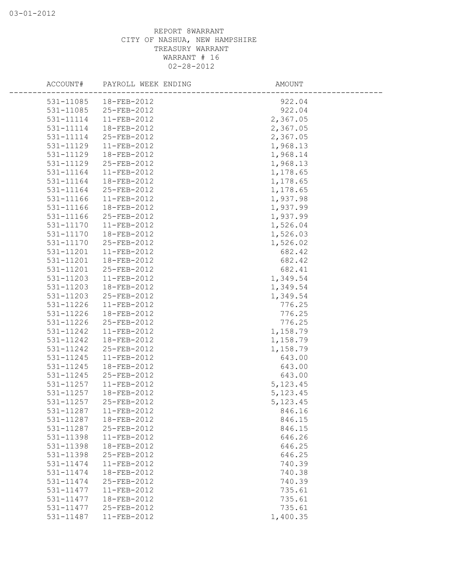| ACCOUNT#  | PAYROLL WEEK ENDING    | AMOUNT    |  |
|-----------|------------------------|-----------|--|
|           | 531-11085  18-FEB-2012 | 922.04    |  |
| 531-11085 | 25-FEB-2012            | 922.04    |  |
| 531-11114 | 11-FEB-2012            | 2,367.05  |  |
| 531-11114 | 18-FEB-2012            | 2,367.05  |  |
| 531-11114 | 25-FEB-2012            | 2,367.05  |  |
| 531-11129 | 11-FEB-2012            | 1,968.13  |  |
| 531-11129 | 18-FEB-2012            | 1,968.14  |  |
| 531-11129 | 25-FEB-2012            | 1,968.13  |  |
| 531-11164 | 11-FEB-2012            | 1,178.65  |  |
| 531-11164 | 18-FEB-2012            | 1,178.65  |  |
| 531-11164 | 25-FEB-2012            | 1,178.65  |  |
| 531-11166 | $11-FEB-2012$          | 1,937.98  |  |
| 531-11166 | 18-FEB-2012            | 1,937.99  |  |
| 531-11166 | 25-FEB-2012            | 1,937.99  |  |
| 531-11170 | 11-FEB-2012            | 1,526.04  |  |
| 531-11170 | 18-FEB-2012            | 1,526.03  |  |
| 531-11170 | 25-FEB-2012            | 1,526.02  |  |
| 531-11201 | 11-FEB-2012            | 682.42    |  |
| 531-11201 | 18-FEB-2012            | 682.42    |  |
| 531-11201 | 25-FEB-2012            | 682.41    |  |
| 531-11203 | 11-FEB-2012            | 1,349.54  |  |
| 531-11203 | 18-FEB-2012            | 1,349.54  |  |
| 531-11203 | 25-FEB-2012            | 1,349.54  |  |
| 531-11226 | 11-FEB-2012            | 776.25    |  |
| 531-11226 | 18-FEB-2012            | 776.25    |  |
| 531-11226 | 25-FEB-2012            | 776.25    |  |
| 531-11242 | 11-FEB-2012            | 1,158.79  |  |
| 531-11242 | 18-FEB-2012            | 1,158.79  |  |
| 531-11242 | 25-FEB-2012            | 1,158.79  |  |
| 531-11245 | 11-FEB-2012            | 643.00    |  |
| 531-11245 | 18-FEB-2012            | 643.00    |  |
| 531-11245 | 25-FEB-2012            | 643.00    |  |
| 531-11257 | 11-FEB-2012            | 5, 123.45 |  |
| 531-11257 | 18-FEB-2012            | 5, 123.45 |  |
| 531-11257 | 25-FEB-2012            | 5, 123.45 |  |
| 531-11287 | 11-FEB-2012            | 846.16    |  |
| 531-11287 | 18-FEB-2012            | 846.15    |  |
| 531-11287 | 25-FEB-2012            | 846.15    |  |
| 531-11398 | 11-FEB-2012            | 646.26    |  |
| 531-11398 | 18-FEB-2012            | 646.25    |  |
| 531-11398 | 25-FEB-2012            | 646.25    |  |
| 531-11474 | 11-FEB-2012            | 740.39    |  |
| 531-11474 | 18-FEB-2012            | 740.38    |  |
| 531-11474 | 25-FEB-2012            | 740.39    |  |
| 531-11477 | 11-FEB-2012            | 735.61    |  |
| 531-11477 | 18-FEB-2012            | 735.61    |  |
| 531-11477 | 25-FEB-2012            | 735.61    |  |
| 531-11487 | 11-FEB-2012            | 1,400.35  |  |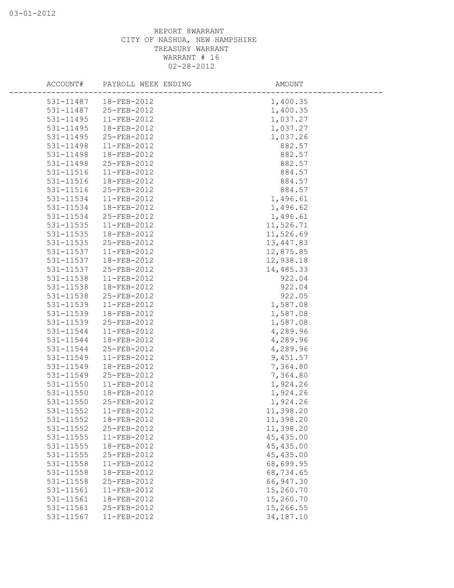|               | ACCOUNT# PAYROLL WEEK ENDING | AMOUNT     |  |
|---------------|------------------------------|------------|--|
| 531-11487     | 18-FEB-2012                  | 1,400.35   |  |
| 531-11487     | 25-FEB-2012                  | 1,400.35   |  |
| 531-11495     | 11-FEB-2012                  | 1,037.27   |  |
| 531-11495     | 18-FEB-2012                  | 1,037.27   |  |
| 531-11495     | 25-FEB-2012                  | 1,037.26   |  |
| 531-11498     | 11-FEB-2012                  | 882.57     |  |
| 531-11498     | 18-FEB-2012                  | 882.57     |  |
| 531-11498     | 25-FEB-2012                  | 882.57     |  |
| 531-11516     | 11-FEB-2012                  | 884.57     |  |
| 531-11516     | 18-FEB-2012                  | 884.57     |  |
| 531-11516     | 25-FEB-2012                  | 884.57     |  |
| 531-11534     | $11 - FEB - 2012$            | 1,496.61   |  |
| 531-11534     | 18-FEB-2012                  | 1,496.62   |  |
| 531-11534     | 25-FEB-2012                  | 1,496.61   |  |
| 531-11535     | 11-FEB-2012                  | 11,526.71  |  |
| 531-11535     | 18-FEB-2012                  | 11,526.69  |  |
| 531-11535     | 25-FEB-2012                  | 13,447.83  |  |
| 531-11537     | 11-FEB-2012                  | 12,875.85  |  |
| 531-11537     | 18-FEB-2012                  | 12,938.18  |  |
| 531-11537     | 25-FEB-2012                  | 14,485.33  |  |
| 531-11538     | 11-FEB-2012                  | 922.04     |  |
| 531-11538     | 18-FEB-2012                  | 922.04     |  |
| 531-11538     | 25-FEB-2012                  | 922.05     |  |
| 531-11539     | 11-FEB-2012                  | 1,587.08   |  |
| 531-11539     | 18-FEB-2012                  | 1,587.08   |  |
| 531-11539     | 25-FEB-2012                  | 1,587.08   |  |
| 531-11544     | 11-FEB-2012                  | 4,289.96   |  |
| 531-11544     | 18-FEB-2012                  | 4,289.96   |  |
| 531-11544     | 25-FEB-2012                  | 4,289.96   |  |
| 531-11549     | 11-FEB-2012                  | 9,451.57   |  |
| 531-11549     | 18-FEB-2012                  | 7,364.80   |  |
| 531-11549     | 25-FEB-2012                  | 7,364.80   |  |
| 531-11550     | 11-FEB-2012                  | 1,924.26   |  |
| 531-11550     | 18-FEB-2012                  | 1,924.26   |  |
| 531-11550     | 25-FEB-2012                  | 1,924.26   |  |
| 531-11552     | 11-FEB-2012                  | 11,398.20  |  |
| 531-11552     | 18-FEB-2012                  | 11,398.20  |  |
| $531 - 11552$ | 25-FEB-2012                  | 11,398.20  |  |
| 531-11555     | $11 - FEB - 2012$            | 45, 435.00 |  |
| 531-11555     | 18-FEB-2012                  | 45, 435.00 |  |
| 531-11555     | 25-FEB-2012                  | 45,435.00  |  |
| 531-11558     | 11-FEB-2012                  | 68,699.95  |  |
| 531-11558     | 18-FEB-2012                  | 68,734.65  |  |
| 531-11558     | 25-FEB-2012                  | 66,947.30  |  |
| 531-11561     | 11-FEB-2012                  | 15,260.70  |  |
| 531-11561     | 18-FEB-2012                  | 15,260.70  |  |
| 531-11561     | 25-FEB-2012                  | 15,266.55  |  |
| 531-11567     | 11-FEB-2012                  | 34,187.10  |  |
|               |                              |            |  |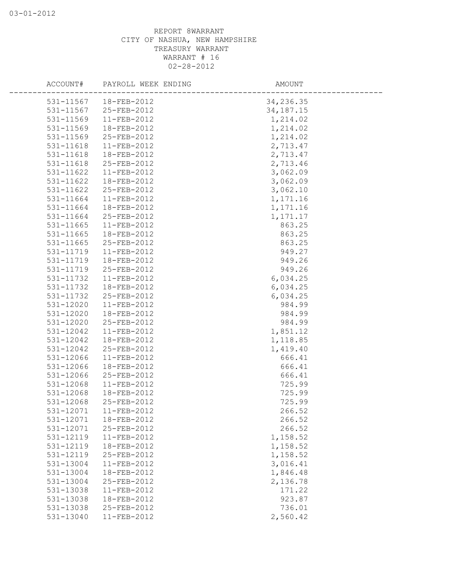|           | ACCOUNT# PAYROLL WEEK ENDING | AMOUNT      |  |
|-----------|------------------------------|-------------|--|
| 531-11567 | 18-FEB-2012                  | 34,236.35   |  |
| 531-11567 | 25-FEB-2012                  | 34, 187. 15 |  |
| 531-11569 | 11-FEB-2012                  | 1,214.02    |  |
| 531-11569 | 18-FEB-2012                  | 1,214.02    |  |
| 531-11569 | 25-FEB-2012                  | 1,214.02    |  |
| 531-11618 | 11-FEB-2012                  | 2,713.47    |  |
| 531-11618 | 18-FEB-2012                  | 2,713.47    |  |
| 531-11618 | 25-FEB-2012                  | 2,713.46    |  |
| 531-11622 | 11-FEB-2012                  | 3,062.09    |  |
| 531-11622 | 18-FEB-2012                  | 3,062.09    |  |
| 531-11622 | 25-FEB-2012                  | 3,062.10    |  |
| 531-11664 | $11-FEB-2012$                | 1,171.16    |  |
| 531-11664 | 18-FEB-2012                  | 1,171.16    |  |
| 531-11664 | 25-FEB-2012                  | 1, 171. 17  |  |
| 531-11665 | 11-FEB-2012                  | 863.25      |  |
| 531-11665 | 18-FEB-2012                  | 863.25      |  |
| 531-11665 | 25-FEB-2012                  | 863.25      |  |
| 531-11719 | 11-FEB-2012                  | 949.27      |  |
| 531-11719 | 18-FEB-2012                  | 949.26      |  |
| 531-11719 | 25-FEB-2012                  | 949.26      |  |
| 531-11732 | 11-FEB-2012                  | 6,034.25    |  |
| 531-11732 | 18-FEB-2012                  | 6,034.25    |  |
| 531-11732 | 25-FEB-2012                  | 6,034.25    |  |
| 531-12020 | 11-FEB-2012                  | 984.99      |  |
| 531-12020 | 18-FEB-2012                  | 984.99      |  |
| 531-12020 | 25-FEB-2012                  | 984.99      |  |
| 531-12042 | 11-FEB-2012                  | 1,851.12    |  |
| 531-12042 | 18-FEB-2012                  | 1,118.85    |  |
| 531-12042 | 25-FEB-2012                  | 1,419.40    |  |
| 531-12066 | 11-FEB-2012                  | 666.41      |  |
| 531-12066 | 18-FEB-2012                  | 666.41      |  |
| 531-12066 | 25-FEB-2012                  | 666.41      |  |
| 531-12068 | 11-FEB-2012                  | 725.99      |  |
| 531-12068 | 18-FEB-2012                  | 725.99      |  |
| 531-12068 | 25-FEB-2012                  | 725.99      |  |
| 531-12071 | 11-FEB-2012                  | 266.52      |  |
| 531-12071 | 18-FEB-2012                  | 266.52      |  |
| 531-12071 | 25-FEB-2012                  | 266.52      |  |
| 531-12119 | 11-FEB-2012                  | 1,158.52    |  |
| 531-12119 | 18-FEB-2012                  | 1,158.52    |  |
| 531-12119 | 25-FEB-2012                  | 1,158.52    |  |
| 531-13004 | 11-FEB-2012                  | 3,016.41    |  |
| 531-13004 | 18-FEB-2012                  | 1,846.48    |  |
| 531-13004 | 25-FEB-2012                  | 2,136.78    |  |
| 531-13038 | 11-FEB-2012                  | 171.22      |  |
| 531-13038 | 18-FEB-2012                  | 923.87      |  |
| 531-13038 | 25-FEB-2012                  | 736.01      |  |
| 531-13040 | 11-FEB-2012                  | 2,560.42    |  |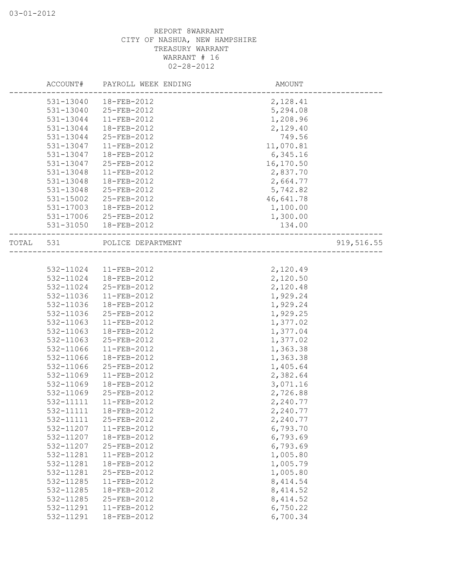|           | ACCOUNT# PAYROLL WEEK ENDING | AMOUNT    |            |
|-----------|------------------------------|-----------|------------|
| 531-13040 | 18-FEB-2012                  | 2,128.41  |            |
| 531-13040 | 25-FEB-2012                  | 5,294.08  |            |
| 531-13044 | 11-FEB-2012                  | 1,208.96  |            |
| 531-13044 | 18-FEB-2012                  | 2,129.40  |            |
| 531-13044 | 25-FEB-2012                  | 749.56    |            |
| 531-13047 | 11-FEB-2012                  | 11,070.81 |            |
| 531-13047 | 18-FEB-2012                  | 6,345.16  |            |
| 531-13047 | 25-FEB-2012                  | 16,170.50 |            |
| 531-13048 | $11-FEB-2012$                | 2,837.70  |            |
| 531-13048 | 18-FEB-2012                  | 2,664.77  |            |
| 531-13048 | 25-FEB-2012                  | 5,742.82  |            |
| 531-15002 | 25-FEB-2012                  | 46,641.78 |            |
| 531-17003 | 18-FEB-2012                  | 1,100.00  |            |
|           | 531-17006 25-FEB-2012        | 1,300.00  |            |
| 531-31050 | 18-FEB-2012                  | 134.00    |            |
| TOTAL 531 | POLICE DEPARTMENT            |           | 919,516.55 |
|           |                              |           |            |
|           | 532-11024   11-FEB-2012      | 2,120.49  |            |
| 532-11024 | 18-FEB-2012                  | 2,120.50  |            |
| 532-11024 | 25-FEB-2012                  | 2,120.48  |            |
| 532-11036 | $11-FEB-2012$                | 1,929.24  |            |
| 532-11036 | 18-FEB-2012                  | 1,929.24  |            |
| 532-11036 | 25-FEB-2012                  | 1,929.25  |            |
| 532-11063 | 11-FEB-2012                  | 1,377.02  |            |
| 532-11063 | 18-FEB-2012                  | 1,377.04  |            |
| 532-11063 | 25-FEB-2012                  | 1,377.02  |            |
| 532-11066 | 11-FEB-2012                  | 1,363.38  |            |
| 532-11066 | 18-FEB-2012                  | 1,363.38  |            |
| 532-11066 | 25-FEB-2012                  | 1,405.64  |            |
| 532-11069 | 11-FEB-2012                  | 2,382.64  |            |
| 532-11069 | 18-FEB-2012                  | 3,071.16  |            |
| 532-11069 | 25-FEB-2012                  | 2,726.88  |            |
| 532-11111 | 11-FEB-2012                  | 2,240.77  |            |
| 532-11111 | 18-FEB-2012                  | 2,240.77  |            |
| 532-11111 | 25-FEB-2012                  | 2,240.77  |            |
| 532-11207 | 11-FEB-2012                  | 6,793.70  |            |
| 532-11207 | 18-FEB-2012                  | 6,793.69  |            |
| 532-11207 | 25-FEB-2012                  | 6,793.69  |            |
| 532-11281 | 11-FEB-2012                  | 1,005.80  |            |
| 532-11281 | 18-FEB-2012                  | 1,005.79  |            |
| 532-11281 | 25-FEB-2012                  | 1,005.80  |            |
| 532-11285 | 11-FEB-2012                  | 8, 414.54 |            |
| 532-11285 | 18-FEB-2012                  | 8, 414.52 |            |
| 532-11285 | 25-FEB-2012                  | 8, 414.52 |            |
| 532-11291 | 11-FEB-2012                  | 6,750.22  |            |
| 532-11291 | 18-FEB-2012                  | 6,700.34  |            |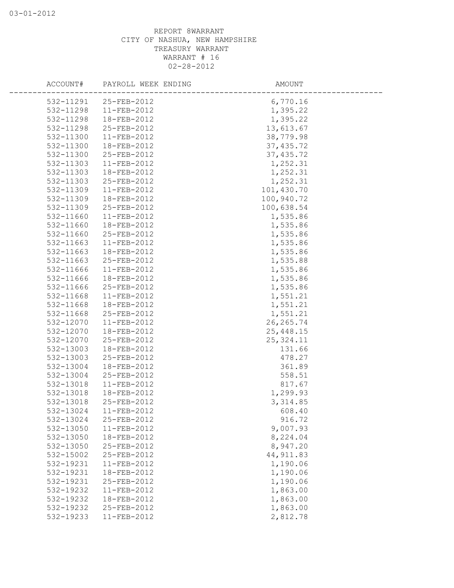|           | ACCOUNT# PAYROLL WEEK ENDING | AMOUNT     |  |
|-----------|------------------------------|------------|--|
|           | 532-11291 25-FEB-2012        | 6,770.16   |  |
| 532-11298 | $11-FEB-2012$                | 1,395.22   |  |
| 532-11298 | 18-FEB-2012                  | 1,395.22   |  |
| 532-11298 | 25-FEB-2012                  | 13,613.67  |  |
| 532-11300 | 11-FEB-2012                  | 38,779.98  |  |
| 532-11300 | 18-FEB-2012                  | 37, 435.72 |  |
| 532-11300 | 25-FEB-2012                  | 37, 435.72 |  |
| 532-11303 | 11-FEB-2012                  | 1,252.31   |  |
| 532-11303 | 18-FEB-2012                  | 1,252.31   |  |
| 532-11303 | 25-FEB-2012                  | 1,252.31   |  |
| 532-11309 | 11-FEB-2012                  | 101,430.70 |  |
| 532-11309 | 18-FEB-2012                  | 100,940.72 |  |
| 532-11309 | 25-FEB-2012                  | 100,638.54 |  |
| 532-11660 | $11-FEB-2012$                | 1,535.86   |  |
| 532-11660 | 18-FEB-2012                  | 1,535.86   |  |
| 532-11660 | 25-FEB-2012                  | 1,535.86   |  |
| 532-11663 | $11-FEB-2012$                | 1,535.86   |  |
| 532-11663 | 18-FEB-2012                  | 1,535.86   |  |
| 532-11663 | 25-FEB-2012                  | 1,535.88   |  |
| 532-11666 | $11-FEB-2012$                | 1,535.86   |  |
| 532-11666 | 18-FEB-2012                  | 1,535.86   |  |
| 532-11666 | 25-FEB-2012                  | 1,535.86   |  |
| 532-11668 | 11-FEB-2012                  | 1,551.21   |  |
| 532-11668 | 18-FEB-2012                  | 1,551.21   |  |
| 532-11668 | 25-FEB-2012                  | 1,551.21   |  |
| 532-12070 | 11-FEB-2012                  | 26, 265.74 |  |
| 532-12070 | 18-FEB-2012                  | 25,448.15  |  |
| 532-12070 | 25-FEB-2012                  | 25, 324.11 |  |
| 532-13003 | 18-FEB-2012                  | 131.66     |  |
| 532-13003 | 25-FEB-2012                  | 478.27     |  |
| 532-13004 | 18-FEB-2012                  | 361.89     |  |
| 532-13004 | 25-FEB-2012                  | 558.51     |  |
| 532-13018 | 11-FEB-2012                  | 817.67     |  |
| 532-13018 | 18-FEB-2012                  | 1,299.93   |  |
| 532-13018 | 25-FEB-2012                  | 3, 314.85  |  |
| 532-13024 | 11-FEB-2012                  | 608.40     |  |
| 532-13024 | 25-FEB-2012                  | 916.72     |  |
| 532-13050 | 11-FEB-2012                  | 9,007.93   |  |
| 532-13050 | 18-FEB-2012                  | 8,224.04   |  |
| 532-13050 | 25-FEB-2012                  | 8,947.20   |  |
| 532-15002 | 25-FEB-2012                  | 44, 911.83 |  |
| 532-19231 | 11-FEB-2012                  | 1,190.06   |  |
| 532-19231 | 18-FEB-2012                  | 1,190.06   |  |
| 532-19231 | 25-FEB-2012                  | 1,190.06   |  |
| 532-19232 | 11-FEB-2012                  | 1,863.00   |  |
| 532-19232 | 18-FEB-2012                  | 1,863.00   |  |
| 532-19232 | 25-FEB-2012                  | 1,863.00   |  |
| 532-19233 | 11-FEB-2012                  | 2,812.78   |  |
|           |                              |            |  |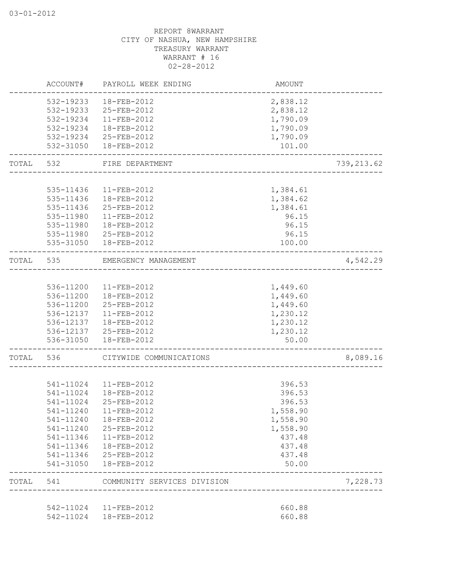|           | ACCOUNT#  | PAYROLL WEEK ENDING                                    | AMOUNT                           |            |
|-----------|-----------|--------------------------------------------------------|----------------------------------|------------|
|           | 532-19233 | 18-FEB-2012                                            | 2,838.12                         |            |
|           | 532-19233 | 25-FEB-2012                                            | 2,838.12                         |            |
|           | 532-19234 | 11-FEB-2012                                            | 1,790.09                         |            |
|           | 532-19234 | 18-FEB-2012                                            | 1,790.09                         |            |
|           | 532-19234 | 25-FEB-2012                                            | 1,790.09                         |            |
|           |           | 532-31050  18-FEB-2012                                 | 101.00                           |            |
| TOTAL 532 |           | FIRE DEPARTMENT                                        |                                  | 739,213.62 |
|           |           |                                                        |                                  |            |
|           | 535-11436 | 11-FEB-2012                                            | 1,384.61                         |            |
|           | 535-11436 | 18-FEB-2012                                            | 1,384.62                         |            |
|           | 535-11436 | 25-FEB-2012                                            | 1,384.61                         |            |
|           | 535-11980 | 11-FEB-2012                                            | 96.15                            |            |
|           | 535-11980 | 18-FEB-2012                                            | 96.15                            |            |
|           | 535-11980 | 25-FEB-2012                                            | 96.15                            |            |
|           |           | 535-31050  18-FEB-2012                                 | 100.00                           |            |
| TOTAL     | 535       | EMERGENCY MANAGEMENT<br>______________________________ |                                  | 4,542.29   |
|           |           | 536-11200 11-FEB-2012                                  | 1,449.60                         |            |
|           |           | 536-11200  18-FEB-2012                                 | 1,449.60                         |            |
|           | 536-11200 | 25-FEB-2012                                            |                                  |            |
|           |           |                                                        | 1,449.60                         |            |
|           |           | 536-12137   11-FEB-2012                                | 1,230.12                         |            |
|           |           | 536-12137  18-FEB-2012                                 | 1,230.12                         |            |
|           | 536-31050 | 536-12137 25-FEB-2012<br>18-FEB-2012                   | 1,230.12<br>50.00                |            |
| TOTAL     | 536       | CITYWIDE COMMUNICATIONS                                |                                  | 8,089.16   |
|           |           |                                                        | ________________________________ |            |
|           |           | 541-11024  11-FEB-2012                                 | 396.53                           |            |
|           |           | 541-11024  18-FEB-2012                                 | 396.53                           |            |
|           | 541-11024 | 25-FEB-2012                                            | 396.53                           |            |
|           | 541-11240 | 11-FEB-2012                                            | 1,558.90                         |            |
|           | 541-11240 | 18-FEB-2012                                            | 1,558.90                         |            |
|           | 541-11240 | 25-FEB-2012                                            | 1,558.90                         |            |
|           | 541-11346 | 11-FEB-2012                                            | 437.48                           |            |
|           | 541-11346 | 18-FEB-2012                                            | 437.48                           |            |
|           | 541-11346 | 25-FEB-2012                                            | 437.48                           |            |
|           | 541-31050 | 18-FEB-2012                                            | 50.00                            |            |
| TOTAL     | 541       | COMMUNITY SERVICES DIVISION                            |                                  | 7,228.73   |
|           | 542-11024 |                                                        |                                  |            |
|           |           | 11-FEB-2012<br>542-11024  18-FEB-2012                  | 660.88<br>660.88                 |            |
|           |           |                                                        |                                  |            |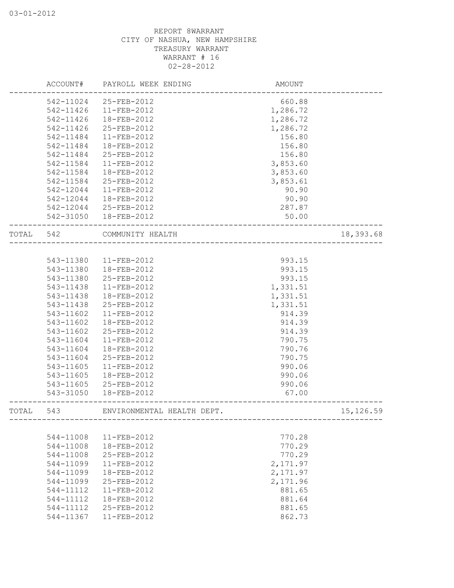|       | ACCOUNT#  | PAYROLL WEEK ENDING        | <b>AMOUNT</b> |            |
|-------|-----------|----------------------------|---------------|------------|
|       | 542-11024 | 25-FEB-2012                | 660.88        |            |
|       | 542-11426 | 11-FEB-2012                | 1,286.72      |            |
|       | 542-11426 | 18-FEB-2012                | 1,286.72      |            |
|       | 542-11426 | 25-FEB-2012                | 1,286.72      |            |
|       | 542-11484 | 11-FEB-2012                | 156.80        |            |
|       | 542-11484 | 18-FEB-2012                | 156.80        |            |
|       | 542-11484 | 25-FEB-2012                | 156.80        |            |
|       | 542-11584 | 11-FEB-2012                | 3,853.60      |            |
|       | 542-11584 | 18-FEB-2012                | 3,853.60      |            |
|       | 542-11584 | 25-FEB-2012                | 3,853.61      |            |
|       | 542-12044 | 11-FEB-2012                | 90.90         |            |
|       | 542-12044 | 18-FEB-2012                | 90.90         |            |
|       |           | 542-12044 25-FEB-2012      | 287.87        |            |
|       | 542-31050 | 18-FEB-2012                | 50.00         |            |
| TOTAL | 542       | COMMUNITY HEALTH           |               | 18,393.68  |
|       |           |                            |               |            |
|       | 543-11380 | 11-FEB-2012                | 993.15        |            |
|       | 543-11380 | 18-FEB-2012                | 993.15        |            |
|       | 543-11380 | 25-FEB-2012                | 993.15        |            |
|       | 543-11438 | 11-FEB-2012                | 1,331.51      |            |
|       | 543-11438 | 18-FEB-2012                | 1,331.51      |            |
|       | 543-11438 | 25-FEB-2012                | 1,331.51      |            |
|       | 543-11602 | 11-FEB-2012                | 914.39        |            |
|       | 543-11602 | 18-FEB-2012                | 914.39        |            |
|       | 543-11602 | 25-FEB-2012                | 914.39        |            |
|       | 543-11604 | 11-FEB-2012                | 790.75        |            |
|       | 543-11604 | 18-FEB-2012                | 790.76        |            |
|       | 543-11604 | 25-FEB-2012                | 790.75        |            |
|       | 543-11605 | 11-FEB-2012                | 990.06        |            |
|       | 543-11605 | 18-FEB-2012                | 990.06        |            |
|       | 543-11605 | 25-FEB-2012                | 990.06        |            |
|       | 543-31050 | 18-FEB-2012                | 67.00         |            |
|       |           |                            |               |            |
| TOTAL | 543       | ENVIRONMENTAL HEALTH DEPT. |               | 15, 126.59 |
|       |           |                            |               |            |
|       | 544-11008 | 11-FEB-2012                | 770.28        |            |
|       | 544-11008 | 18-FEB-2012                | 770.29        |            |
|       | 544-11008 | 25-FEB-2012                | 770.29        |            |
|       | 544-11099 | 11-FEB-2012                | 2,171.97      |            |
|       | 544-11099 | 18-FEB-2012                | 2,171.97      |            |
|       | 544-11099 | 25-FEB-2012                | 2,171.96      |            |
|       | 544-11112 | 11-FEB-2012                | 881.65        |            |
|       | 544-11112 | 18-FEB-2012                | 881.64        |            |
|       | 544-11112 | 25-FEB-2012                | 881.65        |            |
|       | 544-11367 | 11-FEB-2012                | 862.73        |            |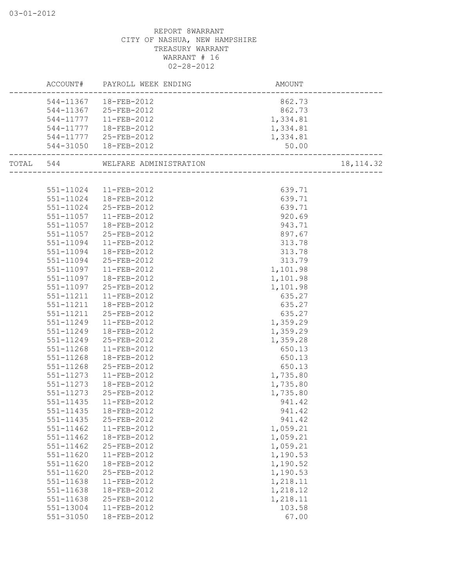|           |               | ACCOUNT# PAYROLL WEEK ENDING | AMOUNT   |            |
|-----------|---------------|------------------------------|----------|------------|
|           | 544-11367     | 18-FEB-2012                  | 862.73   |            |
|           | 544-11367     | 25-FEB-2012                  | 862.73   |            |
|           | 544-11777     | 11-FEB-2012                  | 1,334.81 |            |
|           | 544-11777     | 18-FEB-2012                  | 1,334.81 |            |
|           | 544-11777     | 25-FEB-2012                  | 1,334.81 |            |
|           | 544-31050     | 18-FEB-2012                  | 50.00    |            |
| TOTAL 544 |               | WELFARE ADMINISTRATION       |          | 18, 114.32 |
|           |               |                              |          |            |
|           | 551-11024     | 11-FEB-2012                  | 639.71   |            |
|           | 551-11024     | 18-FEB-2012                  | 639.71   |            |
|           | 551-11024     | 25-FEB-2012                  | 639.71   |            |
|           | 551-11057     | 11-FEB-2012                  | 920.69   |            |
|           | 551-11057     | 18-FEB-2012                  | 943.71   |            |
|           | 551-11057     | 25-FEB-2012                  | 897.67   |            |
|           | 551-11094     | 11-FEB-2012                  | 313.78   |            |
|           | 551-11094     | 18-FEB-2012                  | 313.78   |            |
|           | 551-11094     | 25-FEB-2012                  | 313.79   |            |
|           | $551 - 11097$ | 11-FEB-2012                  | 1,101.98 |            |
|           | 551-11097     | 18-FEB-2012                  | 1,101.98 |            |
|           | 551-11097     | 25-FEB-2012                  | 1,101.98 |            |
|           | 551-11211     | 11-FEB-2012                  | 635.27   |            |
|           | 551-11211     | 18-FEB-2012                  | 635.27   |            |
|           | 551-11211     | 25-FEB-2012                  | 635.27   |            |
|           | 551-11249     | 11-FEB-2012                  | 1,359.29 |            |
|           | 551-11249     | 18-FEB-2012                  | 1,359.29 |            |
|           | 551-11249     | 25-FEB-2012                  | 1,359.28 |            |
|           | 551-11268     | 11-FEB-2012                  | 650.13   |            |
|           | 551-11268     | 18-FEB-2012                  | 650.13   |            |
|           | 551-11268     | 25-FEB-2012                  | 650.13   |            |
|           | 551-11273     | 11-FEB-2012                  | 1,735.80 |            |
|           | 551-11273     | 18-FEB-2012                  | 1,735.80 |            |
|           | 551-11273     | 25-FEB-2012                  | 1,735.80 |            |
|           | 551-11435     | 11-FEB-2012                  | 941.42   |            |
|           | 551-11435     | 18-FEB-2012                  | 941.42   |            |
|           | 551-11435     | 25-FEB-2012                  | 941.42   |            |
|           | $551 - 11462$ | 11-FEB-2012                  | 1,059.21 |            |
|           | 551-11462     | 18-FEB-2012                  | 1,059.21 |            |
|           | $551 - 11462$ | 25-FEB-2012                  | 1,059.21 |            |
|           | 551-11620     | 11-FEB-2012                  | 1,190.53 |            |
|           | 551-11620     | 18-FEB-2012                  | 1,190.52 |            |
|           | 551-11620     | 25-FEB-2012                  | 1,190.53 |            |
|           | 551-11638     | 11-FEB-2012                  | 1,218.11 |            |
|           | 551-11638     | 18-FEB-2012                  | 1,218.12 |            |
|           | 551-11638     | 25-FEB-2012                  | 1,218.11 |            |
|           | 551-13004     | 11-FEB-2012                  | 103.58   |            |
|           | $551 - 31050$ | 18-FEB-2012                  | 67.00    |            |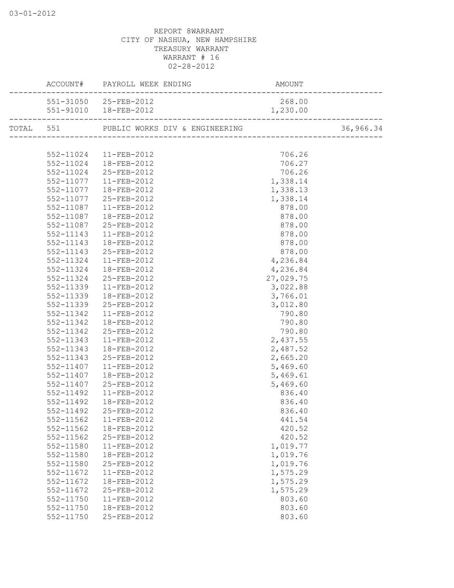|           | ACCOUNT# PAYROLL WEEK ENDING PAYROLL A | AMOUNT    |  |
|-----------|----------------------------------------|-----------|--|
|           | 551-31050 25-FEB-2012                  | 268.00    |  |
|           | 551-91010  18-FEB-2012                 | 1,230.00  |  |
|           |                                        |           |  |
|           |                                        |           |  |
| 552-11024 | 11-FEB-2012                            | 706.26    |  |
| 552-11024 | 18-FEB-2012                            | 706.27    |  |
| 552-11024 | 25-FEB-2012                            | 706.26    |  |
| 552-11077 | 11-FEB-2012                            | 1,338.14  |  |
| 552-11077 | 18-FEB-2012                            | 1,338.13  |  |
| 552-11077 | 25-FEB-2012                            | 1,338.14  |  |
| 552-11087 | 11-FEB-2012                            | 878.00    |  |
| 552-11087 | 18-FEB-2012                            | 878.00    |  |
| 552-11087 | 25-FEB-2012                            | 878.00    |  |
| 552-11143 | 11-FEB-2012                            | 878.00    |  |
| 552-11143 | 18-FEB-2012                            | 878.00    |  |
| 552-11143 | 25-FEB-2012                            | 878.00    |  |
| 552-11324 | 11-FEB-2012                            | 4,236.84  |  |
| 552-11324 | 18-FEB-2012                            | 4,236.84  |  |
| 552-11324 | 25-FEB-2012                            | 27,029.75 |  |
| 552-11339 | 11-FEB-2012                            | 3,022.88  |  |
| 552-11339 | 18-FEB-2012                            | 3,766.01  |  |
| 552-11339 | 25-FEB-2012                            | 3,012.80  |  |
| 552-11342 | 11-FEB-2012                            | 790.80    |  |
| 552-11342 | 18-FEB-2012                            | 790.80    |  |
| 552-11342 | 25-FEB-2012                            | 790.80    |  |
| 552-11343 | 11-FEB-2012                            | 2,437.55  |  |
| 552-11343 | 18-FEB-2012                            | 2,487.52  |  |
| 552-11343 | 25-FEB-2012                            | 2,665.20  |  |
| 552-11407 | 11-FEB-2012                            | 5,469.60  |  |
| 552-11407 | 18-FEB-2012                            | 5,469.61  |  |
| 552-11407 | 25-FEB-2012                            | 5,469.60  |  |
| 552-11492 | 11-FEB-2012                            | 836.40    |  |
| 552-11492 | 18-FEB-2012                            | 836.40    |  |
|           | 552-11492 25-FEB-2012                  | 836.40    |  |
| 552-11562 | $11 - FEB - 2012$                      | 441.54    |  |
| 552-11562 | 18-FEB-2012                            | 420.52    |  |
| 552-11562 | 25-FEB-2012                            | 420.52    |  |
| 552-11580 | 11-FEB-2012                            | 1,019.77  |  |
| 552-11580 | 18-FEB-2012                            | 1,019.76  |  |
| 552-11580 | 25-FEB-2012                            | 1,019.76  |  |
| 552-11672 | 11-FEB-2012                            | 1,575.29  |  |
| 552-11672 | 18-FEB-2012                            | 1,575.29  |  |
| 552-11672 | 25-FEB-2012                            | 1,575.29  |  |
| 552-11750 | $11 - FEB - 2012$                      | 803.60    |  |
| 552-11750 | 18-FEB-2012                            | 803.60    |  |
| 552-11750 | 25-FEB-2012                            | 803.60    |  |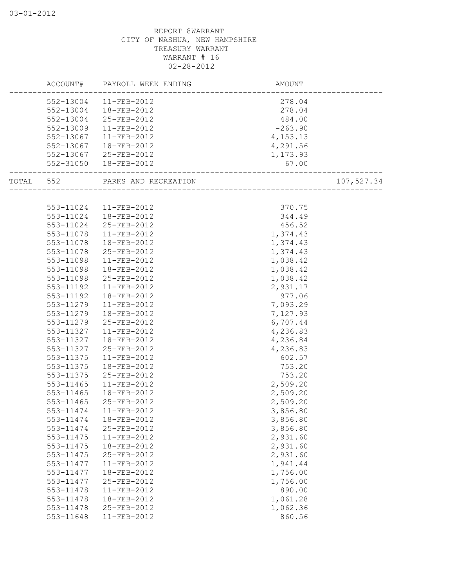|           | ACCOUNT# PAYROLL WEEK ENDING | AMOUNT    |            |
|-----------|------------------------------|-----------|------------|
| 552-13004 | 11-FEB-2012                  | 278.04    |            |
| 552-13004 | 18-FEB-2012                  | 278.04    |            |
| 552-13004 | 25-FEB-2012                  | 484.00    |            |
| 552-13009 | 11-FEB-2012                  | $-263.90$ |            |
| 552-13067 | 11-FEB-2012                  | 4,153.13  |            |
| 552-13067 | 18-FEB-2012                  | 4,291.56  |            |
| 552-13067 | 25-FEB-2012                  | 1,173.93  |            |
| 552-31050 | 18-FEB-2012                  | 67.00     |            |
| TOTAL 552 | PARKS AND RECREATION         |           | 107,527.34 |
|           |                              |           |            |
| 553-11024 | 11-FEB-2012                  | 370.75    |            |
| 553-11024 | 18-FEB-2012                  | 344.49    |            |
| 553-11024 | 25-FEB-2012                  | 456.52    |            |
| 553-11078 | 11-FEB-2012                  | 1,374.43  |            |
| 553-11078 | 18-FEB-2012                  | 1,374.43  |            |
| 553-11078 | 25-FEB-2012                  | 1,374.43  |            |
| 553-11098 | 11-FEB-2012                  | 1,038.42  |            |
| 553-11098 | 18-FEB-2012                  | 1,038.42  |            |
| 553-11098 | 25-FEB-2012                  | 1,038.42  |            |
| 553-11192 | 11-FEB-2012                  | 2,931.17  |            |
| 553-11192 | 18-FEB-2012                  | 977.06    |            |
| 553-11279 | 11-FEB-2012                  | 7,093.29  |            |
| 553-11279 | 18-FEB-2012                  | 7,127.93  |            |
| 553-11279 | 25-FEB-2012                  | 6,707.44  |            |
| 553-11327 | $11-FEB-2012$                | 4,236.83  |            |
| 553-11327 | 18-FEB-2012                  | 4,236.84  |            |
| 553-11327 | 25-FEB-2012                  | 4,236.83  |            |
| 553-11375 | 11-FEB-2012                  | 602.57    |            |
| 553-11375 | 18-FEB-2012                  | 753.20    |            |
| 553-11375 | 25-FEB-2012                  | 753.20    |            |
| 553-11465 | 11-FEB-2012                  | 2,509.20  |            |
| 553-11465 | 18-FEB-2012                  | 2,509.20  |            |
| 553-11465 | 25-FEB-2012                  | 2,509.20  |            |
| 553-11474 | 11-FEB-2012                  | 3,856.80  |            |
| 553-11474 | 18-FEB-2012                  | 3,856.80  |            |
| 553-11474 | 25-FEB-2012                  | 3,856.80  |            |
| 553-11475 | 11-FEB-2012                  | 2,931.60  |            |
| 553-11475 | 18-FEB-2012                  | 2,931.60  |            |
| 553-11475 | 25-FEB-2012                  | 2,931.60  |            |
| 553-11477 | 11-FEB-2012                  | 1,941.44  |            |
| 553-11477 | 18-FEB-2012                  | 1,756.00  |            |
| 553-11477 | 25-FEB-2012                  | 1,756.00  |            |
| 553-11478 | 11-FEB-2012                  | 890.00    |            |
| 553-11478 | 18-FEB-2012                  | 1,061.28  |            |
| 553-11478 | 25-FEB-2012                  | 1,062.36  |            |
| 553-11648 | 11-FEB-2012                  | 860.56    |            |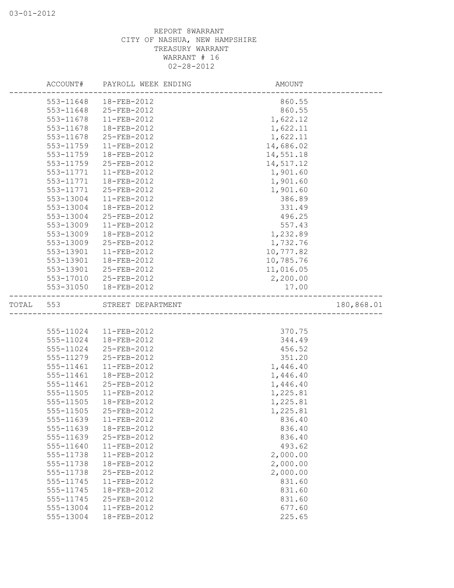|       |                        | ACCOUNT# PAYROLL WEEK ENDING     | AMOUNT                              |            |
|-------|------------------------|----------------------------------|-------------------------------------|------------|
|       | 553-11648              | 18-FEB-2012                      | 860.55                              |            |
|       | 553-11648              | 25-FEB-2012                      | 860.55                              |            |
|       | 553-11678              | 11-FEB-2012                      | 1,622.12                            |            |
|       | 553-11678              | 18-FEB-2012                      | 1,622.11                            |            |
|       | 553-11678              | 25-FEB-2012                      | 1,622.11                            |            |
|       | 553-11759              | 11-FEB-2012                      | 14,686.02                           |            |
|       | 553-11759              | 18-FEB-2012                      | 14,551.18                           |            |
|       | 553-11759              | 25-FEB-2012                      | 14,517.12                           |            |
|       | 553-11771              | 11-FEB-2012                      | 1,901.60                            |            |
|       | 553-11771              | 18-FEB-2012                      | 1,901.60                            |            |
|       | 553-11771              | 25-FEB-2012                      | 1,901.60                            |            |
|       | 553-13004              | 11-FEB-2012                      | 386.89                              |            |
|       | 553-13004              | 18-FEB-2012                      | 331.49                              |            |
|       | 553-13004              | 25-FEB-2012                      | 496.25                              |            |
|       | 553-13009              | 11-FEB-2012                      | 557.43                              |            |
|       | 553-13009              | 18-FEB-2012                      | 1,232.89                            |            |
|       | 553-13009              | 25-FEB-2012                      | 1,732.76                            |            |
|       | 553-13901              | 11-FEB-2012                      | 10,777.82                           |            |
|       | 553-13901              | 18-FEB-2012                      | 10,785.76                           |            |
|       |                        | 553-13901 25-FEB-2012            | 11,016.05                           |            |
|       |                        | 553-17010 25-FEB-2012            | 2,200.00                            |            |
|       |                        | 553-31050  18-FEB-2012           | 17.00                               |            |
| TOTAL | 553                    | STREET DEPARTMENT                | ----------------------------------- | 180,868.01 |
|       |                        |                                  |                                     |            |
|       | 555-11024              | 11-FEB-2012                      | 370.75                              |            |
|       | 555-11024              | 18-FEB-2012                      | 344.49                              |            |
|       | 555-11024              | 25-FEB-2012                      | 456.52                              |            |
|       |                        |                                  |                                     |            |
|       | 555-11279              | 25-FEB-2012                      | 351.20                              |            |
|       | 555-11461              | 11-FEB-2012                      | 1,446.40                            |            |
|       | 555-11461              | 18-FEB-2012                      | 1,446.40                            |            |
|       | 555-11461              | 25-FEB-2012                      | 1,446.40                            |            |
|       | 555-11505              | $11-FEB-2012$                    | 1,225.81                            |            |
|       | 555-11505              | 18-FEB-2012                      | 1,225.81                            |            |
|       |                        |                                  |                                     |            |
|       | 555-11505<br>555-11639 | 25-FEB-2012<br>$11 - FEB - 2012$ | 1,225.81<br>836.40                  |            |
|       | 555-11639              | 18-FEB-2012                      | 836.40                              |            |
|       | 555-11639              | 25-FEB-2012                      | 836.40                              |            |
|       | 555-11640              | 11-FEB-2012                      | 493.62                              |            |
|       | 555-11738              | 11-FEB-2012                      | 2,000.00                            |            |
|       | 555-11738              | 18-FEB-2012                      | 2,000.00                            |            |
|       | 555-11738              | 25-FEB-2012                      | 2,000.00                            |            |
|       | 555-11745              | 11-FEB-2012                      | 831.60                              |            |
|       | 555-11745              | 18-FEB-2012                      | 831.60                              |            |
|       | 555-11745              | 25-FEB-2012                      | 831.60                              |            |
|       | 555-13004              | 11-FEB-2012                      | 677.60                              |            |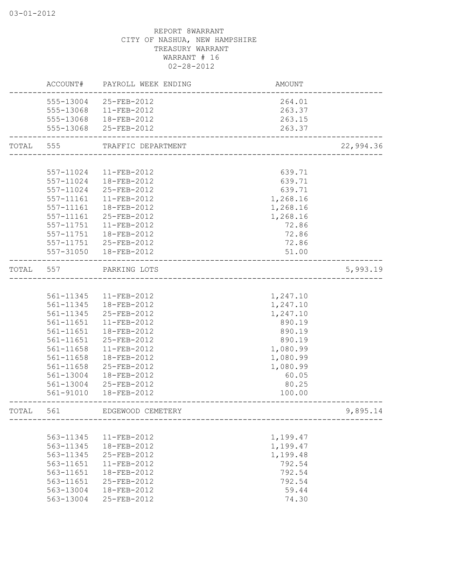|       | ACCOUNT#  | PAYROLL WEEK ENDING | <b>AMOUNT</b> |           |
|-------|-----------|---------------------|---------------|-----------|
|       | 555-13004 | 25-FEB-2012         | 264.01        |           |
|       | 555-13068 | 11-FEB-2012         | 263.37        |           |
|       | 555-13068 | 18-FEB-2012         | 263.15        |           |
|       | 555-13068 | 25-FEB-2012         | 263.37        |           |
| TOTAL | 555       | TRAFFIC DEPARTMENT  |               | 22,994.36 |
|       |           |                     |               |           |
|       | 557-11024 | 11-FEB-2012         | 639.71        |           |
|       | 557-11024 | 18-FEB-2012         | 639.71        |           |
|       | 557-11024 | 25-FEB-2012         | 639.71        |           |
|       | 557-11161 | 11-FEB-2012         | 1,268.16      |           |
|       | 557-11161 | 18-FEB-2012         | 1,268.16      |           |
|       | 557-11161 | 25-FEB-2012         | 1,268.16      |           |
|       | 557-11751 | 11-FEB-2012         | 72.86         |           |
|       | 557-11751 | 18-FEB-2012         | 72.86         |           |
|       | 557-11751 | 25-FEB-2012         | 72.86         |           |
|       | 557-31050 | 18-FEB-2012         | 51.00         |           |
| TOTAL | 557       | PARKING LOTS        |               | 5,993.19  |
|       |           |                     |               |           |
|       | 561-11345 | 11-FEB-2012         | 1,247.10      |           |
|       | 561-11345 | 18-FEB-2012         | 1,247.10      |           |
|       | 561-11345 | 25-FEB-2012         | 1,247.10      |           |
|       | 561-11651 | 11-FEB-2012         | 890.19        |           |
|       | 561-11651 | 18-FEB-2012         | 890.19        |           |
|       | 561-11651 | 25-FEB-2012         | 890.19        |           |
|       | 561-11658 | 11-FEB-2012         | 1,080.99      |           |
|       | 561-11658 | 18-FEB-2012         | 1,080.99      |           |
|       | 561-11658 | 25-FEB-2012         | 1,080.99      |           |
|       | 561-13004 | 18-FEB-2012         | 60.05         |           |
|       | 561-13004 | 25-FEB-2012         | 80.25         |           |
|       | 561-91010 | 18-FEB-2012         | 100.00        |           |
| TOTAL | 561       | EDGEWOOD CEMETERY   |               | 9,895.14  |
|       |           |                     |               |           |
|       | 563-11345 | 11-FEB-2012         | 1,199.47      |           |
|       | 563-11345 | 18-FEB-2012         | 1,199.47      |           |
|       | 563-11345 | 25-FEB-2012         | 1,199.48      |           |
|       | 563-11651 | 11-FEB-2012         | 792.54        |           |
|       | 563-11651 | 18-FEB-2012         | 792.54        |           |
|       | 563-11651 | 25-FEB-2012         | 792.54        |           |
|       | 563-13004 | 18-FEB-2012         | 59.44         |           |
|       | 563-13004 | 25-FEB-2012         | 74.30         |           |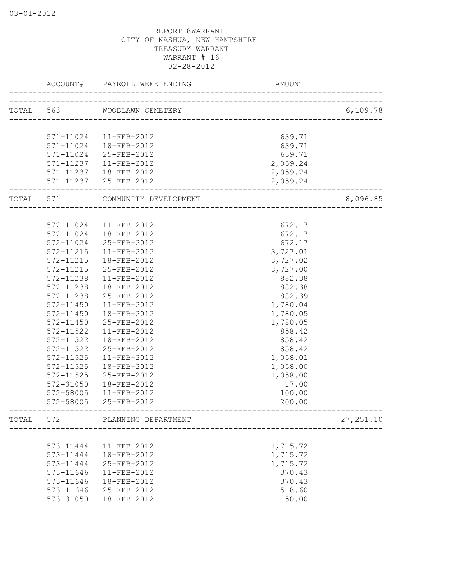|       | ACCOUNT#      | PAYROLL WEEK ENDING         | <b>AMOUNT</b> |            |
|-------|---------------|-----------------------------|---------------|------------|
|       |               | TOTAL 563 WOODLAWN CEMETERY |               | 6,109.78   |
|       |               |                             |               |            |
|       | 571-11024     | 11-FEB-2012                 | 639.71        |            |
|       | 571-11024     | 18-FEB-2012                 | 639.71        |            |
|       | 571-11024     | 25-FEB-2012                 | 639.71        |            |
|       | 571-11237     | 11-FEB-2012                 | 2,059.24      |            |
|       | 571-11237     | 18-FEB-2012                 | 2,059.24      |            |
|       | 571-11237     | 25-FEB-2012                 | 2,059.24      |            |
| TOTAL | 571           | COMMUNITY DEVELOPMENT       |               | 8,096.85   |
|       |               |                             |               |            |
|       |               | 572-11024 11-FEB-2012       | 672.17        |            |
|       | 572-11024     | 18-FEB-2012                 | 672.17        |            |
|       | 572-11024     | 25-FEB-2012                 | 672.17        |            |
|       | 572-11215     | $11 - FEB - 2012$           | 3,727.01      |            |
|       | 572-11215     | 18-FEB-2012                 | 3,727.02      |            |
|       | 572-11215     | 25-FEB-2012                 | 3,727.00      |            |
|       | 572-11238     | $11 - FEB - 2012$           | 882.38        |            |
|       | 572-11238     | 18-FEB-2012                 | 882.38        |            |
|       | 572-11238     | 25-FEB-2012                 | 882.39        |            |
|       | 572-11450     | 11-FEB-2012                 | 1,780.04      |            |
|       | 572-11450     | 18-FEB-2012                 | 1,780.05      |            |
|       | 572-11450     | 25-FEB-2012                 | 1,780.05      |            |
|       | 572-11522     | 11-FEB-2012                 | 858.42        |            |
|       | 572-11522     | 18-FEB-2012                 | 858.42        |            |
|       | 572-11522     | 25-FEB-2012                 | 858.42        |            |
|       | 572-11525     | 11-FEB-2012                 | 1,058.01      |            |
|       | 572-11525     | 18-FEB-2012                 | 1,058.00      |            |
|       | 572-11525     | 25-FEB-2012                 | 1,058.00      |            |
|       | 572-31050     | 18-FEB-2012                 | 17.00         |            |
|       | 572-58005     | 11-FEB-2012                 | 100.00        |            |
|       | 572-58005     | 25-FEB-2012                 | 200.00        |            |
| TOTAL | 572           | PLANNING DEPARTMENT         |               | 27, 251.10 |
|       |               |                             |               |            |
|       | 573-11444     | 11-FEB-2012                 | 1,715.72      |            |
|       | 573-11444     | 18-FEB-2012                 | 1,715.72      |            |
|       | 573-11444     | 25-FEB-2012                 | 1,715.72      |            |
|       | 573-11646     | 11-FEB-2012                 | 370.43        |            |
|       | 573-11646     | 18-FEB-2012                 | 370.43        |            |
|       | 573-11646     | 25-FEB-2012                 | 518.60        |            |
|       | $573 - 31050$ | 18-FEB-2012                 | 50.00         |            |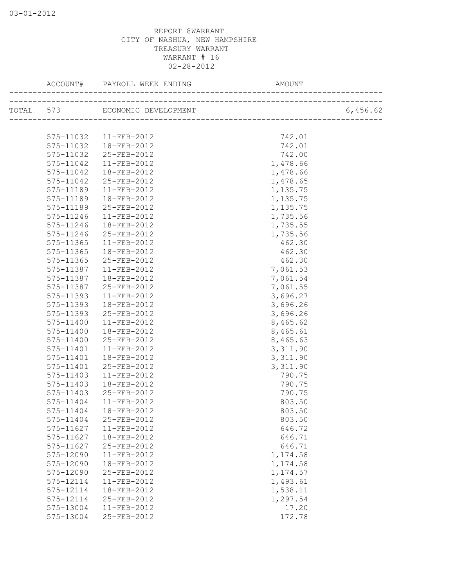|           | ACCOUNT# PAYROLL WEEK ENDING | AMOUNT               |          |
|-----------|------------------------------|----------------------|----------|
|           |                              |                      | 6,456.62 |
|           |                              |                      |          |
| 575-11032 | 11-FEB-2012                  | 742.01               |          |
| 575-11032 | 18-FEB-2012                  | 742.01               |          |
| 575-11032 | 25-FEB-2012                  | 742.00               |          |
| 575-11042 | 11-FEB-2012                  | 1,478.66             |          |
| 575-11042 | 18-FEB-2012                  | 1,478.66             |          |
| 575-11042 | 25-FEB-2012                  | 1,478.65             |          |
| 575-11189 | 11-FEB-2012                  | 1,135.75             |          |
| 575-11189 | 18-FEB-2012                  | 1,135.75             |          |
| 575-11189 | 25-FEB-2012                  | 1,135.75             |          |
| 575-11246 | 11-FEB-2012                  | 1,735.56             |          |
| 575-11246 | 18-FEB-2012                  | 1,735.55             |          |
| 575-11246 | 25-FEB-2012                  | 1,735.56             |          |
| 575-11365 | 11-FEB-2012                  | 462.30               |          |
| 575-11365 | 18-FEB-2012                  | 462.30               |          |
| 575-11365 | 25-FEB-2012                  | 462.30               |          |
| 575-11387 | 11-FEB-2012                  | 7,061.53             |          |
| 575-11387 | 18-FEB-2012                  |                      |          |
| 575-11387 |                              | 7,061.54<br>7,061.55 |          |
|           | 25-FEB-2012                  |                      |          |
| 575-11393 | 11-FEB-2012                  | 3,696.27             |          |
| 575-11393 | 18-FEB-2012                  | 3,696.26             |          |
| 575-11393 | 25-FEB-2012                  | 3,696.26             |          |
| 575-11400 | $11-FEB-2012$                | 8,465.62             |          |
| 575-11400 | 18-FEB-2012                  | 8,465.61             |          |
| 575-11400 | 25-FEB-2012                  | 8,465.63             |          |
| 575-11401 | $11 - FEB - 2012$            | 3,311.90             |          |
| 575-11401 | 18-FEB-2012                  | 3,311.90             |          |
| 575-11401 | 25-FEB-2012                  | 3,311.90             |          |
| 575-11403 | 11-FEB-2012                  | 790.75               |          |
| 575-11403 | 18-FEB-2012                  | 790.75               |          |
| 575-11403 | 25-FEB-2012                  | 790.75               |          |
| 575-11404 | $11-FEB-2012$                | 803.50               |          |
|           | 575-11404  18-FEB-2012       | 803.50               |          |
| 575-11404 | 25-FEB-2012                  | 803.50               |          |
| 575-11627 | 11-FEB-2012                  | 646.72               |          |
| 575-11627 | 18-FEB-2012                  | 646.71               |          |
| 575-11627 | 25-FEB-2012                  | 646.71               |          |
| 575-12090 | 11-FEB-2012                  | 1,174.58             |          |
| 575-12090 | 18-FEB-2012                  | 1,174.58             |          |
| 575-12090 | 25-FEB-2012                  | 1,174.57             |          |
| 575-12114 | 11-FEB-2012                  | 1,493.61             |          |
| 575-12114 | 18-FEB-2012                  | 1,538.11             |          |
| 575-12114 | 25-FEB-2012                  | 1,297.54             |          |
| 575-13004 | $11 - FEB - 2012$            | 17.20                |          |
| 575-13004 | 25-FEB-2012                  | 172.78               |          |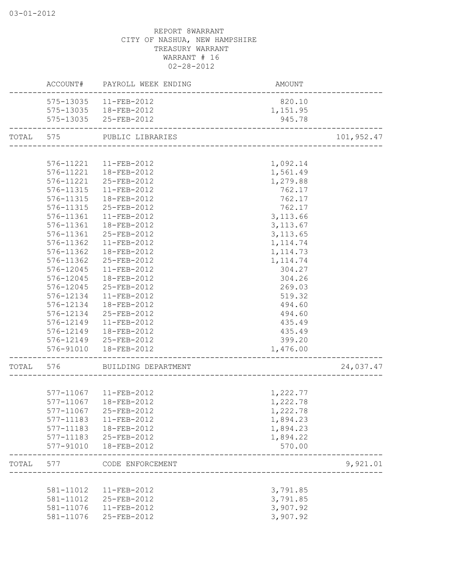|       |           | ACCOUNT# PAYROLL WEEK ENDING | AMOUNT                  |            |
|-------|-----------|------------------------------|-------------------------|------------|
|       |           | 575-13035 11-FEB-2012        | 820.10                  |            |
|       |           | 575-13035  18-FEB-2012       | 1,151.95                |            |
|       |           | 575-13035 25-FEB-2012        | 945.78                  |            |
|       |           | TOTAL 575 PUBLIC LIBRARIES   |                         | 101,952.47 |
|       |           |                              | ______________________  |            |
|       | 576-11221 | 11-FEB-2012                  | 1,092.14                |            |
|       | 576-11221 | 18-FEB-2012                  | 1,561.49                |            |
|       | 576-11221 | 25-FEB-2012                  | 1,279.88                |            |
|       | 576-11315 | 11-FEB-2012                  | 762.17                  |            |
|       | 576-11315 | 18-FEB-2012                  | 762.17                  |            |
|       | 576-11315 | 25-FEB-2012                  | 762.17                  |            |
|       | 576-11361 | 11-FEB-2012                  | 3, 113.66               |            |
|       | 576-11361 | 18-FEB-2012                  | 3, 113.67               |            |
|       | 576-11361 | 25-FEB-2012                  | 3, 113.65               |            |
|       | 576-11362 | 11-FEB-2012                  | 1, 114.74               |            |
|       | 576-11362 | 18-FEB-2012                  | 1, 114.73               |            |
|       | 576-11362 | 25-FEB-2012                  | 1, 114.74               |            |
|       | 576-12045 | 11-FEB-2012                  | 304.27                  |            |
|       | 576-12045 | 18-FEB-2012                  | 304.26                  |            |
|       | 576-12045 | 25-FEB-2012                  | 269.03                  |            |
|       | 576-12134 | 11-FEB-2012                  | 519.32                  |            |
|       | 576-12134 | 18-FEB-2012                  | 494.60                  |            |
|       |           | 576-12134 25-FEB-2012        | 494.60                  |            |
|       |           | 576-12149  11-FEB-2012       | 435.49                  |            |
|       |           | 576-12149  18-FEB-2012       | 435.49                  |            |
|       |           | 576-12149 25-FEB-2012        | 399.20                  |            |
|       | 576-91010 | 18-FEB-2012                  | 1,476.00                |            |
| TOTAL | 576       | BUILDING DEPARTMENT          |                         | 24,037.47  |
|       |           |                              |                         |            |
|       |           | 577-11067 11-FEB-2012        | 1,222.77                |            |
|       |           | 577-11067  18-FEB-2012       | 1,222.78                |            |
|       | 577-11067 | 25-FEB-2012                  | 1,222.78                |            |
|       | 577-11183 | 11-FEB-2012                  | 1,894.23                |            |
|       | 577-11183 | 18-FEB-2012                  | 1,894.23                |            |
|       | 577-11183 | 25-FEB-2012                  | 1,894.22                |            |
|       | 577-91010 | 18-FEB-2012                  | 570.00                  |            |
| TOTAL | 577       | CODE ENFORCEMENT             |                         | 9,921.01   |
|       |           |                              | _______________________ |            |
|       | 581-11012 | 11-FEB-2012                  | 3,791.85                |            |
|       | 581-11012 | 25-FEB-2012                  | 3,791.85                |            |
|       | 581-11076 | 11-FEB-2012                  | 3,907.92                |            |
|       | 581-11076 | 25-FEB-2012                  | 3,907.92                |            |
|       |           |                              |                         |            |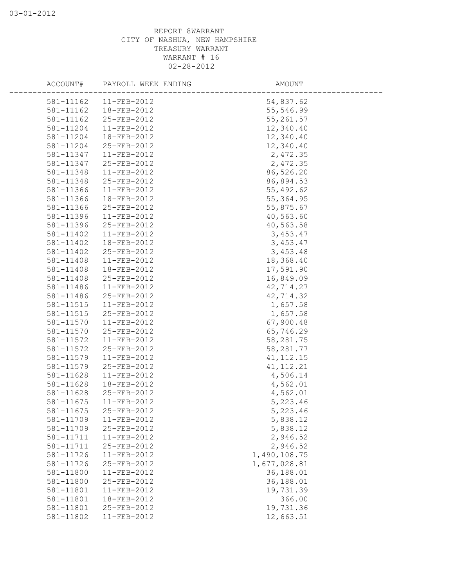| ACCOUNT#  | PAYROLL WEEK ENDING | AMOUNT       |  |
|-----------|---------------------|--------------|--|
| 581-11162 | 11-FEB-2012         | 54,837.62    |  |
| 581-11162 | 18-FEB-2012         | 55,546.99    |  |
| 581-11162 | 25-FEB-2012         | 55,261.57    |  |
| 581-11204 | 11-FEB-2012         | 12,340.40    |  |
| 581-11204 | 18-FEB-2012         | 12,340.40    |  |
| 581-11204 | 25-FEB-2012         | 12,340.40    |  |
| 581-11347 | 11-FEB-2012         | 2,472.35     |  |
| 581-11347 | 25-FEB-2012         | 2,472.35     |  |
| 581-11348 | $11-FEB-2012$       | 86,526.20    |  |
| 581-11348 | 25-FEB-2012         | 86,894.53    |  |
| 581-11366 | $11-FEB-2012$       | 55,492.62    |  |
| 581-11366 | 18-FEB-2012         | 55, 364.95   |  |
| 581-11366 | 25-FEB-2012         | 55,875.67    |  |
| 581-11396 | 11-FEB-2012         | 40,563.60    |  |
| 581-11396 | 25-FEB-2012         | 40,563.58    |  |
| 581-11402 | 11-FEB-2012         | 3,453.47     |  |
| 581-11402 | 18-FEB-2012         | 3,453.47     |  |
| 581-11402 | 25-FEB-2012         | 3,453.48     |  |
| 581-11408 | 11-FEB-2012         | 18,368.40    |  |
| 581-11408 | 18-FEB-2012         | 17,591.90    |  |
| 581-11408 | 25-FEB-2012         | 16,849.09    |  |
| 581-11486 | 11-FEB-2012         | 42,714.27    |  |
| 581-11486 | 25-FEB-2012         | 42,714.32    |  |
| 581-11515 | 11-FEB-2012         | 1,657.58     |  |
| 581-11515 | 25-FEB-2012         | 1,657.58     |  |
| 581-11570 | $11-FEB-2012$       | 67,900.48    |  |
| 581-11570 | 25-FEB-2012         | 65,746.29    |  |
| 581-11572 | 11-FEB-2012         | 58,281.75    |  |
| 581-11572 | 25-FEB-2012         | 58,281.77    |  |
| 581-11579 | 11-FEB-2012         | 41, 112. 15  |  |
| 581-11579 | 25-FEB-2012         | 41, 112. 21  |  |
| 581-11628 | 11-FEB-2012         | 4,506.14     |  |
| 581-11628 | 18-FEB-2012         | 4,562.01     |  |
| 581-11628 | 25-FEB-2012         | 4,562.01     |  |
| 581-11675 | 11-FEB-2012         | 5,223.46     |  |
| 581-11675 | 25-FEB-2012         | 5,223.46     |  |
| 581-11709 | 11-FEB-2012         | 5,838.12     |  |
| 581-11709 | 25-FEB-2012         | 5,838.12     |  |
| 581-11711 | 11-FEB-2012         | 2,946.52     |  |
| 581-11711 | 25-FEB-2012         | 2,946.52     |  |
| 581-11726 | 11-FEB-2012         | 1,490,108.75 |  |
| 581-11726 | 25-FEB-2012         | 1,677,028.81 |  |
| 581-11800 | 11-FEB-2012         | 36,188.01    |  |
| 581-11800 | 25-FEB-2012         | 36,188.01    |  |
| 581-11801 | 11-FEB-2012         | 19,731.39    |  |
| 581-11801 | 18-FEB-2012         | 366.00       |  |
| 581-11801 | 25-FEB-2012         | 19,731.36    |  |
| 581-11802 | 11-FEB-2012         | 12,663.51    |  |
|           |                     |              |  |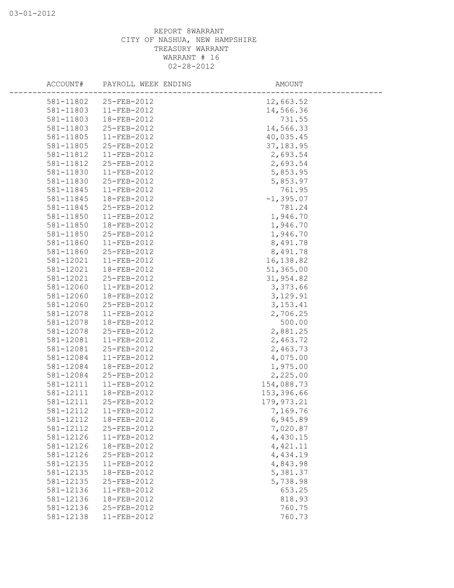| ACCOUNT#  | PAYROLL WEEK ENDING | AMOUNT       |  |
|-----------|---------------------|--------------|--|
| 581-11802 | 25-FEB-2012         | 12,663.52    |  |
| 581-11803 | $11-FEB-2012$       | 14,566.36    |  |
| 581-11803 | 18-FEB-2012         | 731.55       |  |
| 581-11803 | 25-FEB-2012         | 14,566.33    |  |
| 581-11805 | 11-FEB-2012         | 40,035.45    |  |
| 581-11805 | 25-FEB-2012         | 37, 183.95   |  |
| 581-11812 | 11-FEB-2012         | 2,693.54     |  |
| 581-11812 | 25-FEB-2012         | 2,693.54     |  |
| 581-11830 | 11-FEB-2012         | 5,853.95     |  |
| 581-11830 | 25-FEB-2012         | 5,853.97     |  |
| 581-11845 | 11-FEB-2012         | 761.95       |  |
| 581-11845 | 18-FEB-2012         | $-1, 395.07$ |  |
| 581-11845 | 25-FEB-2012         | 781.24       |  |
| 581-11850 | $11 - FEB - 2012$   | 1,946.70     |  |
| 581-11850 | 18-FEB-2012         | 1,946.70     |  |
| 581-11850 | 25-FEB-2012         | 1,946.70     |  |
| 581-11860 | $11 - FEB - 2012$   | 8,491.78     |  |
| 581-11860 | 25-FEB-2012         | 8,491.78     |  |
| 581-12021 | $11-FEB-2012$       | 16,138.82    |  |
| 581-12021 | 18-FEB-2012         | 51,365.00    |  |
| 581-12021 | 25-FEB-2012         | 31,954.82    |  |
| 581-12060 | 11-FEB-2012         | 3,373.66     |  |
| 581-12060 | 18-FEB-2012         | 3,129.91     |  |
| 581-12060 | 25-FEB-2012         | 3, 153. 41   |  |
|           |                     |              |  |
| 581-12078 | 11-FEB-2012         | 2,706.25     |  |
| 581-12078 | 18-FEB-2012         | 500.00       |  |
| 581-12078 | 25-FEB-2012         | 2,881.25     |  |
| 581-12081 | 11-FEB-2012         | 2,463.72     |  |
| 581-12081 | 25-FEB-2012         | 2,463.73     |  |
| 581-12084 | 11-FEB-2012         | 4,075.00     |  |
| 581-12084 | 18-FEB-2012         | 1,975.00     |  |
| 581-12084 | 25-FEB-2012         | 2,225.00     |  |
| 581-12111 | 11-FEB-2012         | 154,088.73   |  |
| 581-12111 | 18-FEB-2012         | 153,396.66   |  |
| 581-12111 | 25-FEB-2012         | 179, 973.21  |  |
| 581-12112 | 11-FEB-2012         | 7,169.76     |  |
| 581-12112 | 18-FEB-2012         | 6,945.89     |  |
| 581-12112 | 25-FEB-2012         | 7,020.87     |  |
| 581-12126 | 11-FEB-2012         | 4,430.15     |  |
| 581-12126 | 18-FEB-2012         | 4,421.11     |  |
| 581-12126 | 25-FEB-2012         | 4,434.19     |  |
| 581-12135 | 11-FEB-2012         | 4,843.98     |  |
| 581-12135 | 18-FEB-2012         | 5,381.37     |  |
| 581-12135 | 25-FEB-2012         | 5,738.98     |  |
| 581-12136 | 11-FEB-2012         | 653.25       |  |
| 581-12136 | 18-FEB-2012         | 818.93       |  |
| 581-12136 | 25-FEB-2012         | 760.75       |  |
| 581-12138 | 11-FEB-2012         | 760.73       |  |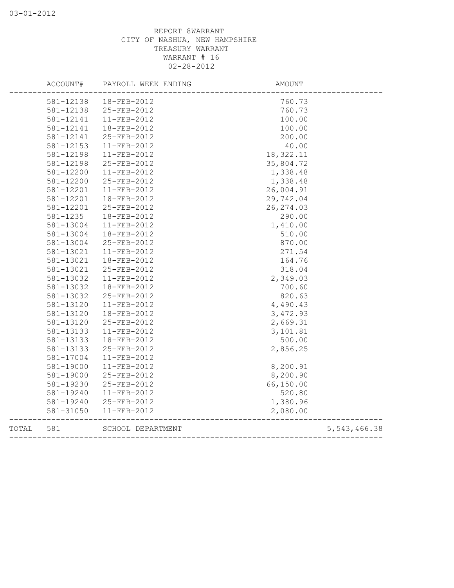|       | ACCOUNT#  | PAYROLL WEEK ENDING | <b>AMOUNT</b> |                |
|-------|-----------|---------------------|---------------|----------------|
|       | 581-12138 | 18-FEB-2012         | 760.73        |                |
|       | 581-12138 | 25-FEB-2012         | 760.73        |                |
|       | 581-12141 | 11-FEB-2012         | 100.00        |                |
|       | 581-12141 | 18-FEB-2012         | 100.00        |                |
|       | 581-12141 | 25-FEB-2012         | 200.00        |                |
|       | 581-12153 | 11-FEB-2012         | 40.00         |                |
|       | 581-12198 | 11-FEB-2012         | 18,322.11     |                |
|       | 581-12198 | 25-FEB-2012         | 35,804.72     |                |
|       | 581-12200 | 11-FEB-2012         | 1,338.48      |                |
|       | 581-12200 | 25-FEB-2012         | 1,338.48      |                |
|       | 581-12201 | 11-FEB-2012         | 26,004.91     |                |
|       | 581-12201 | 18-FEB-2012         | 29,742.04     |                |
|       | 581-12201 | 25-FEB-2012         | 26, 274.03    |                |
|       | 581-1235  | 18-FEB-2012         | 290.00        |                |
|       | 581-13004 | 11-FEB-2012         | 1,410.00      |                |
|       | 581-13004 | 18-FEB-2012         | 510.00        |                |
|       | 581-13004 | 25-FEB-2012         | 870.00        |                |
|       | 581-13021 | 11-FEB-2012         | 271.54        |                |
|       | 581-13021 | 18-FEB-2012         | 164.76        |                |
|       | 581-13021 | 25-FEB-2012         | 318.04        |                |
|       | 581-13032 | 11-FEB-2012         | 2,349.03      |                |
|       | 581-13032 | 18-FEB-2012         | 700.60        |                |
|       | 581-13032 | 25-FEB-2012         | 820.63        |                |
|       | 581-13120 | 11-FEB-2012         | 4,490.43      |                |
|       | 581-13120 | 18-FEB-2012         | 3,472.93      |                |
|       | 581-13120 | 25-FEB-2012         | 2,669.31      |                |
|       | 581-13133 | 11-FEB-2012         | 3,101.81      |                |
|       | 581-13133 | 18-FEB-2012         | 500.00        |                |
|       | 581-13133 | 25-FEB-2012         | 2,856.25      |                |
|       | 581-17004 | 11-FEB-2012         |               |                |
|       | 581-19000 | 11-FEB-2012         | 8,200.91      |                |
|       | 581-19000 | 25-FEB-2012         | 8,200.90      |                |
|       | 581-19230 | 25-FEB-2012         | 66,150.00     |                |
|       | 581-19240 | 11-FEB-2012         | 520.80        |                |
|       | 581-19240 | 25-FEB-2012         | 1,380.96      |                |
|       | 581-31050 | 11-FEB-2012         | 2,080.00      |                |
| TOTAL | 581       | SCHOOL DEPARTMENT   |               | 5, 543, 466.38 |
|       |           |                     |               |                |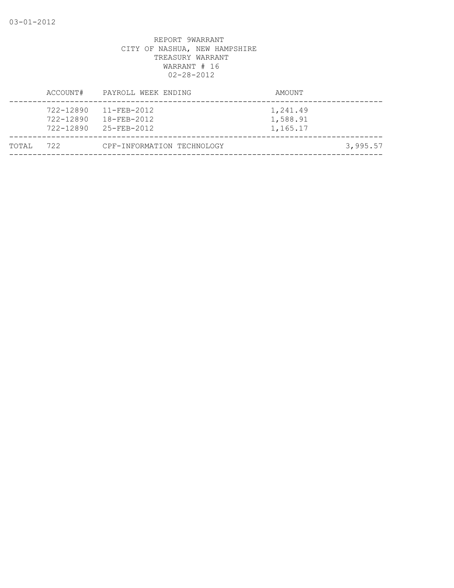|       | ACCOUNT#                            | PAYROLL WEEK ENDING                                   | AMOUNT                           |          |
|-------|-------------------------------------|-------------------------------------------------------|----------------------------------|----------|
|       | 722-12890<br>722-12890<br>722-12890 | $11 - FEB - 2012$<br>18-FEB-2012<br>$25 - FFR - 2012$ | 1,241.49<br>1,588.91<br>1,165.17 |          |
| TOTAL | 722                                 | CPF-INFORMATION TECHNOLOGY                            |                                  | 3,995.57 |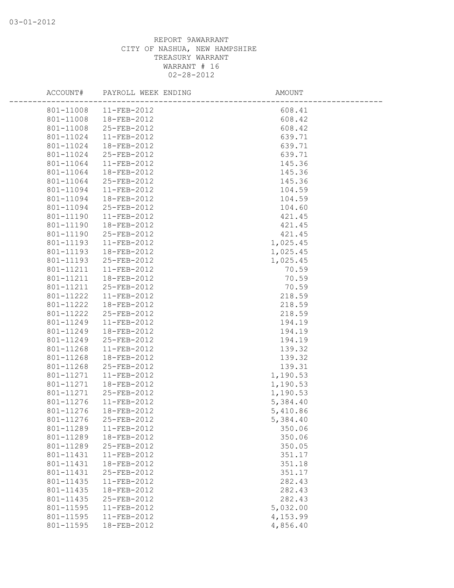| ACCOUNT#               | PAYROLL WEEK ENDING        | AMOUNT           |  |
|------------------------|----------------------------|------------------|--|
| 801-11008              | 11-FEB-2012                | 608.41           |  |
| 801-11008              | 18-FEB-2012                | 608.42           |  |
| 801-11008              | 25-FEB-2012                | 608.42           |  |
| 801-11024              | 11-FEB-2012                | 639.71           |  |
| 801-11024              | 18-FEB-2012                | 639.71           |  |
| 801-11024              | 25-FEB-2012                | 639.71           |  |
| 801-11064              | $11-FEB-2012$              | 145.36           |  |
| 801-11064              | 18-FEB-2012                | 145.36           |  |
| 801-11064              | 25-FEB-2012                | 145.36           |  |
| 801-11094              | 11-FEB-2012                | 104.59           |  |
| 801-11094              | 18-FEB-2012                | 104.59           |  |
| 801-11094              | 25-FEB-2012                | 104.60           |  |
| 801-11190              | 11-FEB-2012                | 421.45           |  |
| 801-11190              | 18-FEB-2012                | 421.45           |  |
| 801-11190              | 25-FEB-2012                | 421.45           |  |
| 801-11193              | 11-FEB-2012                | 1,025.45         |  |
| 801-11193              | 18-FEB-2012                | 1,025.45         |  |
| 801-11193              | 25-FEB-2012                | 1,025.45         |  |
| 801-11211              | $11-FEB-2012$              | 70.59            |  |
| 801-11211              | 18-FEB-2012                | 70.59            |  |
| 801-11211              | 25-FEB-2012                | 70.59            |  |
| 801-11222              | 11-FEB-2012                | 218.59           |  |
| 801-11222              | 18-FEB-2012                | 218.59           |  |
| 801-11222              | 25-FEB-2012                | 218.59           |  |
| 801-11249              | 11-FEB-2012                | 194.19           |  |
| 801-11249              | 18-FEB-2012                | 194.19           |  |
| 801-11249              | 25-FEB-2012                | 194.19           |  |
| 801-11268              | 11-FEB-2012                | 139.32           |  |
| 801-11268              | 18-FEB-2012                | 139.32           |  |
| 801-11268              | 25-FEB-2012                | 139.31           |  |
| 801-11271              | 11-FEB-2012                | 1,190.53         |  |
| 801-11271              | 18-FEB-2012                | 1,190.53         |  |
| 801-11271              | 25-FEB-2012                | 1,190.53         |  |
| 801-11276              | 11-FEB-2012                | 5,384.40         |  |
| 801-11276              | 18-FEB-2012                | 5,410.86         |  |
| 801-11276              | 25-FEB-2012                | 5,384.40         |  |
| 801-11289<br>801-11289 | 11-FEB-2012<br>18-FEB-2012 | 350.06<br>350.06 |  |
| 801-11289              | 25-FEB-2012                | 350.05           |  |
| 801-11431              | 11-FEB-2012                | 351.17           |  |
| 801-11431              | 18-FEB-2012                | 351.18           |  |
| 801-11431              | 25-FEB-2012                | 351.17           |  |
| 801-11435              | 11-FEB-2012                | 282.43           |  |
| 801-11435              | 18-FEB-2012                | 282.43           |  |
| 801-11435              | 25-FEB-2012                | 282.43           |  |
| 801-11595              | 11-FEB-2012                | 5,032.00         |  |
| 801-11595              | 11-FEB-2012                | 4,153.99         |  |
| 801-11595              | 18-FEB-2012                | 4,856.40         |  |
|                        |                            |                  |  |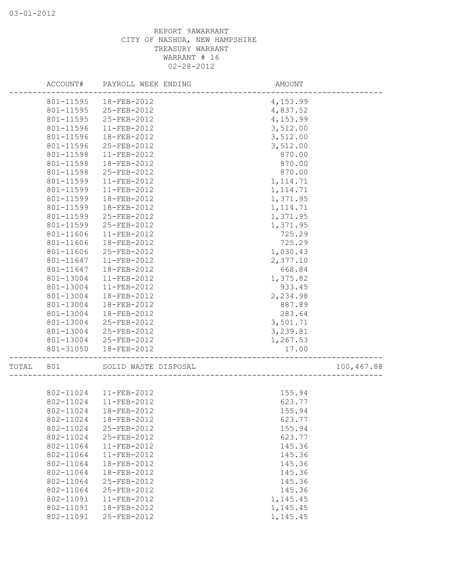|       | ACCOUNT#  | PAYROLL WEEK ENDING   | AMOUNT                   |            |
|-------|-----------|-----------------------|--------------------------|------------|
|       | 801-11595 | 18-FEB-2012           | 4,153.99                 |            |
|       | 801-11595 | 25-FEB-2012           | 4,837.52                 |            |
|       | 801-11595 | 25-FEB-2012           | 4,153.99                 |            |
|       | 801-11596 | 11-FEB-2012           | 3,512.00                 |            |
|       | 801-11596 | 18-FEB-2012           | 3,512.00                 |            |
|       | 801-11596 | 25-FEB-2012           | 3,512.00                 |            |
|       | 801-11598 | 11-FEB-2012           | 870.00                   |            |
|       | 801-11598 | 18-FEB-2012           | 870.00                   |            |
|       | 801-11598 | 25-FEB-2012           | 870.00                   |            |
|       | 801-11599 | $11-FEB-2012$         | 1, 114.71                |            |
|       | 801-11599 | 11-FEB-2012           | 1, 114.71                |            |
|       | 801-11599 | 18-FEB-2012           | 1,371.95                 |            |
|       | 801-11599 | 18-FEB-2012           | 1, 114.71                |            |
|       | 801-11599 | 25-FEB-2012           | 1,371.95                 |            |
|       | 801-11599 | 25-FEB-2012           | 1,371.95                 |            |
|       | 801-11606 | 11-FEB-2012           | 725.29                   |            |
|       | 801-11606 | 18-FEB-2012           | 725.29                   |            |
|       | 801-11606 | 25-FEB-2012           | 1,030.43                 |            |
|       | 801-11647 | 11-FEB-2012           | 2,377.10                 |            |
|       | 801-11647 | 18-FEB-2012           | 668.84                   |            |
|       | 801-13004 | 11-FEB-2012           | 1,375.82                 |            |
|       | 801-13004 | 11-FEB-2012           | 933.45                   |            |
|       | 801-13004 | 18-FEB-2012           | 2,234.98                 |            |
|       | 801-13004 | 18-FEB-2012           | 887.89                   |            |
|       | 801-13004 | 18-FEB-2012           | 283.64                   |            |
|       | 801-13004 | 25-FEB-2012           | 3,501.71                 |            |
|       | 801-13004 | 25-FEB-2012           | 3,239.81                 |            |
|       | 801-13004 | 25-FEB-2012           | 1,267.53                 |            |
|       | 801-31050 | 18-FEB-2012           | 17.00                    |            |
| TOTAL | 801       | SOLID WASTE DISPOSAL  | ________________________ | 100,467.88 |
|       |           |                       |                          |            |
|       |           | 802-11024 11-FEB-2012 | 155.94                   |            |
|       | 802-11024 | 11-FEB-2012           | 623.77                   |            |
|       | 802-11024 | 18-FEB-2012           | 155.94                   |            |
|       | 802-11024 | 18-FEB-2012           | 623.77                   |            |
|       | 802-11024 | 25-FEB-2012           | 155.94                   |            |
|       | 802-11024 | 25-FEB-2012           | 623.77                   |            |
|       | 802-11064 | 11-FEB-2012           | 145.36                   |            |
|       | 802-11064 | 11-FEB-2012           | 145.36                   |            |
|       | 802-11064 | 18-FEB-2012           | 145.36                   |            |
|       | 802-11064 | 18-FEB-2012           | 145.36                   |            |
|       | 802-11064 | 25-FEB-2012           | 145.36                   |            |
|       | 802-11064 | 25-FEB-2012           | 145.36                   |            |
|       | 802-11091 | 11-FEB-2012           | 1,145.45                 |            |
|       | 802-11091 | 18-FEB-2012           | 1,145.45                 |            |
|       | 802-11091 | 25-FEB-2012           | 1,145.45                 |            |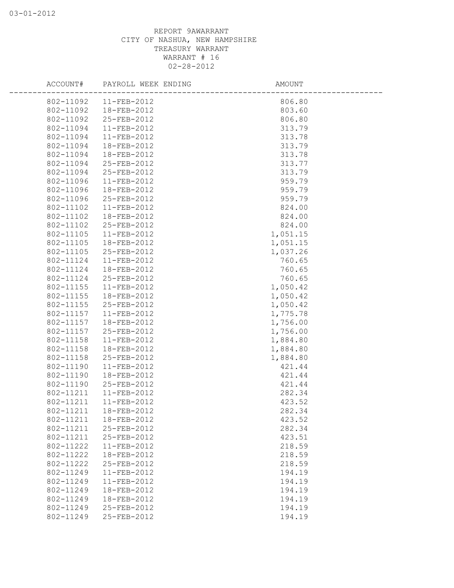| ACCOUNT#  | PAYROLL WEEK ENDING    | AMOUNT   |
|-----------|------------------------|----------|
| 802-11092 | $11 - FEB - 2012$      | 806.80   |
| 802-11092 | 18-FEB-2012            | 803.60   |
| 802-11092 | 25-FEB-2012            | 806.80   |
| 802-11094 | 11-FEB-2012            | 313.79   |
| 802-11094 | 11-FEB-2012            | 313.78   |
| 802-11094 | 18-FEB-2012            | 313.79   |
| 802-11094 | 18-FEB-2012            | 313.78   |
| 802-11094 | 25-FEB-2012            | 313.77   |
| 802-11094 | 25-FEB-2012            | 313.79   |
| 802-11096 | 11-FEB-2012            | 959.79   |
| 802-11096 | 18-FEB-2012            | 959.79   |
| 802-11096 | 25-FEB-2012            | 959.79   |
| 802-11102 | 11-FEB-2012            | 824.00   |
| 802-11102 | 18-FEB-2012            | 824.00   |
| 802-11102 | 25-FEB-2012            | 824.00   |
| 802-11105 | 11-FEB-2012            | 1,051.15 |
| 802-11105 | 18-FEB-2012            | 1,051.15 |
| 802-11105 | 25-FEB-2012            | 1,037.26 |
| 802-11124 | 11-FEB-2012            | 760.65   |
| 802-11124 | 18-FEB-2012            | 760.65   |
| 802-11124 | 25-FEB-2012            | 760.65   |
| 802-11155 | 11-FEB-2012            | 1,050.42 |
| 802-11155 | 18-FEB-2012            | 1,050.42 |
| 802-11155 | 25-FEB-2012            | 1,050.42 |
| 802-11157 | 11-FEB-2012            | 1,775.78 |
| 802-11157 | 18-FEB-2012            | 1,756.00 |
| 802-11157 | 25-FEB-2012            | 1,756.00 |
| 802-11158 | 11-FEB-2012            | 1,884.80 |
| 802-11158 | 18-FEB-2012            | 1,884.80 |
| 802-11158 | 25-FEB-2012            | 1,884.80 |
| 802-11190 | 11-FEB-2012            | 421.44   |
| 802-11190 | 18-FEB-2012            | 421.44   |
| 802-11190 | 25-FEB-2012            | 421.44   |
| 802-11211 | 11-FEB-2012            | 282.34   |
| 802-11211 | $11 - FEB - 2012$      | 423.52   |
|           | 802-11211  18-FEB-2012 | 282.34   |
| 802-11211 | 18-FEB-2012            | 423.52   |
| 802-11211 | 25-FEB-2012            | 282.34   |
| 802-11211 | 25-FEB-2012            | 423.51   |
| 802-11222 | 11-FEB-2012            | 218.59   |
| 802-11222 | 18-FEB-2012            | 218.59   |
| 802-11222 | 25-FEB-2012            | 218.59   |
| 802-11249 | 11-FEB-2012            | 194.19   |
| 802-11249 | 11-FEB-2012            | 194.19   |
| 802-11249 | 18-FEB-2012            | 194.19   |
| 802-11249 | 18-FEB-2012            | 194.19   |
| 802-11249 | 25-FEB-2012            | 194.19   |
| 802-11249 | 25-FEB-2012            | 194.19   |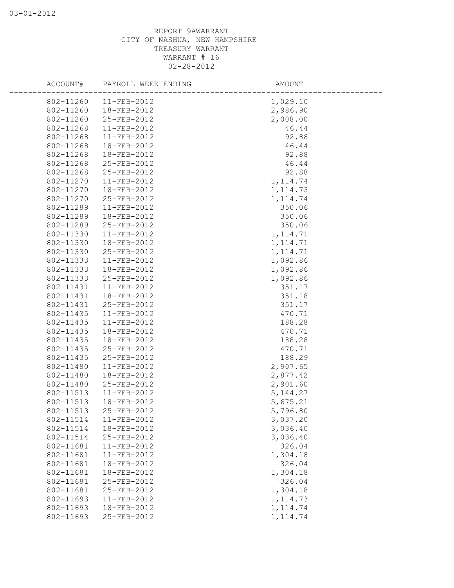| ACCOUNT#  | PAYROLL WEEK ENDING | AMOUNT    |
|-----------|---------------------|-----------|
| 802-11260 | $11-FEB-2012$       | 1,029.10  |
| 802-11260 | 18-FEB-2012         | 2,986.90  |
| 802-11260 | 25-FEB-2012         | 2,008.00  |
| 802-11268 | 11-FEB-2012         | 46.44     |
| 802-11268 | 11-FEB-2012         | 92.88     |
| 802-11268 | 18-FEB-2012         | 46.44     |
| 802-11268 | 18-FEB-2012         | 92.88     |
| 802-11268 | 25-FEB-2012         | 46.44     |
| 802-11268 | 25-FEB-2012         | 92.88     |
| 802-11270 | 11-FEB-2012         | 1, 114.74 |
| 802-11270 | 18-FEB-2012         | 1, 114.73 |
| 802-11270 | 25-FEB-2012         | 1, 114.74 |
| 802-11289 | 11-FEB-2012         | 350.06    |
| 802-11289 | 18-FEB-2012         | 350.06    |
| 802-11289 | 25-FEB-2012         | 350.06    |
| 802-11330 | 11-FEB-2012         | 1, 114.71 |
| 802-11330 | 18-FEB-2012         | 1, 114.71 |
| 802-11330 | 25-FEB-2012         | 1, 114.71 |
| 802-11333 | 11-FEB-2012         | 1,092.86  |
| 802-11333 | 18-FEB-2012         | 1,092.86  |
| 802-11333 | 25-FEB-2012         | 1,092.86  |
| 802-11431 | 11-FEB-2012         | 351.17    |
| 802-11431 | 18-FEB-2012         | 351.18    |
| 802-11431 | 25-FEB-2012         | 351.17    |
| 802-11435 | 11-FEB-2012         | 470.71    |
| 802-11435 | 11-FEB-2012         | 188.28    |
| 802-11435 | 18-FEB-2012         | 470.71    |
| 802-11435 | 18-FEB-2012         | 188.28    |
| 802-11435 | 25-FEB-2012         | 470.71    |
| 802-11435 | 25-FEB-2012         | 188.29    |
| 802-11480 | 11-FEB-2012         | 2,907.65  |
| 802-11480 | 18-FEB-2012         | 2,877.42  |
| 802-11480 | 25-FEB-2012         | 2,901.60  |
| 802-11513 | 11-FEB-2012         | 5, 144.27 |
| 802-11513 | 18-FEB-2012         | 5,675.21  |
| 802-11513 | 25-FEB-2012         | 5,796.80  |
| 802-11514 | 11-FEB-2012         | 3,037.20  |
| 802-11514 | 18-FEB-2012         | 3,036.40  |
| 802-11514 | 25-FEB-2012         | 3,036.40  |
| 802-11681 | 11-FEB-2012         | 326.04    |
| 802-11681 | 11-FEB-2012         | 1,304.18  |
| 802-11681 | 18-FEB-2012         | 326.04    |
| 802-11681 | 18-FEB-2012         | 1,304.18  |
| 802-11681 | 25-FEB-2012         | 326.04    |
| 802-11681 | 25-FEB-2012         | 1,304.18  |
| 802-11693 | 11-FEB-2012         | 1, 114.73 |
| 802-11693 | 18-FEB-2012         | 1, 114.74 |
| 802-11693 | 25-FEB-2012         | 1, 114.74 |